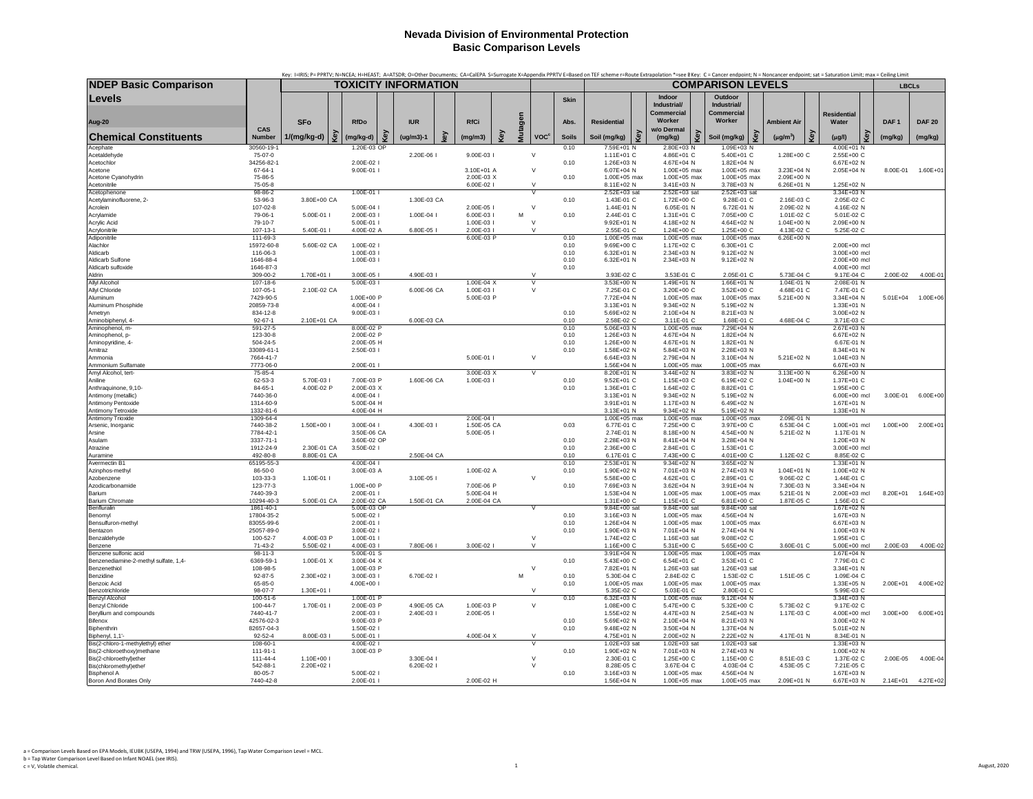|                                                   |                            | Key: I=IRIS; P= PPRTV; N=NCEA; H=HEAST; A=ATSDR; O=Other Documents; CA=CalEPA S=Surrogate X=Appendix PPRTV E=Based on TEF scheme r=Route Extrapolation *=see BKey: C= Cancer endpoint; N = Noncancer endpoint; sat = Saturatio |                          |     |                             |    |                          |    |         |                         |              |                            |     |                              |     |                            |                          |     |                              |                  |                    |
|---------------------------------------------------|----------------------------|--------------------------------------------------------------------------------------------------------------------------------------------------------------------------------------------------------------------------------|--------------------------|-----|-----------------------------|----|--------------------------|----|---------|-------------------------|--------------|----------------------------|-----|------------------------------|-----|----------------------------|--------------------------|-----|------------------------------|------------------|--------------------|
| <b>NDEP Basic Comparison</b>                      |                            |                                                                                                                                                                                                                                |                          |     | <b>TOXICITY INFORMATION</b> |    |                          |    |         |                         |              |                            |     |                              |     | <b>COMPARISON LEVELS</b>   |                          |     |                              | <b>LBCLs</b>     |                    |
| Levels                                            |                            |                                                                                                                                                                                                                                |                          |     |                             |    |                          |    |         |                         | <b>Skin</b>  |                            |     | Indoor<br>Industrial/        |     | Outdoor<br>Industrial/     |                          |     |                              |                  |                    |
|                                                   |                            |                                                                                                                                                                                                                                |                          |     |                             |    |                          |    |         |                         |              |                            |     | <b>Commercial</b>            |     | Commercial                 |                          |     | <b>Residential</b>           |                  |                    |
| <b>Aug-20</b>                                     |                            | <b>SFo</b>                                                                                                                                                                                                                     | <b>RfDo</b>              |     | <b>IUR</b>                  |    | RfCi                     |    |         |                         | Abs.         | <b>Residential</b>         |     | Worker                       |     | Worker                     | <b>Ambient Air</b>       |     | Water                        | DAF <sub>1</sub> | <b>DAF 20</b>      |
| <b>Chemical Constituents</b>                      | CAS<br>Number              | Key<br>1/(mg/kg-d)                                                                                                                                                                                                             | (mg/kg-d)                | Key | $(ug/m3)-1$                 | ç, | (mg/m3)                  | Č. | Mutagen | <b>VOC<sup>c</sup></b>  | <b>Soils</b> | Soil (mg/kg)               | Key | w/o Dermal<br>(mg/kg)        | Kev | Soil (mg/kg)               | $(\mu g/m^3)$            | Key | $(\mu g/l)$                  | (mg/kg)          | (mg/kg)            |
| Acephate                                          | 30560-19-1                 |                                                                                                                                                                                                                                | 1.20E-03 OP              |     |                             |    |                          |    |         |                         | 0.10         | 7.59E+01 N                 |     | $2.80E + 03$ N               |     | 1.09E+03 N                 |                          |     | 4.00E+01 N                   |                  |                    |
| Acetaldehyde                                      | 75-07-0                    |                                                                                                                                                                                                                                |                          |     | 2.20E-06 I                  |    | 9.00E-03 l               |    |         | $\vee$                  |              | 1.11E+01 C                 |     | 4.86E+01 C                   |     | 5.40E+01 C                 | 1.28E+00 C               |     | 2.55E+00 C                   |                  |                    |
| Acetochlor<br>Acetone                             | 34256-82-1<br>67-64-1      |                                                                                                                                                                                                                                | 2.00E-02  <br>9.00E-01 l |     |                             |    | 3.10E+01 A               |    |         | $\vee$                  | 0.10         | 1.26E+03 N<br>6.07E+04 N   |     | 4.67E+04 N<br>1.00E+05 max   |     | 1.82E+04 N<br>1.00E+05 max | 3.23E+04 N               |     | 6.67E+02 N<br>2.05E+04 N     | 8.00E-01         | $1.60E + 01$       |
| Acetone Cyanohydrin                               | 75-86-5                    |                                                                                                                                                                                                                                |                          |     |                             |    | 2.00E-03 X               |    |         |                         | 0.10         | 1.00E+05 max               |     | 1.00E+05 max                 |     | 1.00E+05 max               | 2.09E+00 N               |     |                              |                  |                    |
| Acetonitrile                                      | 75-05-8                    |                                                                                                                                                                                                                                |                          |     |                             |    | 6.00E-02                 |    |         | $\mathbf{v}$            |              | 8.11E+02 N                 |     | 3.41E+03 N                   |     | 3.78E+03 N                 | 6.26E+01 N               |     | 1.25E+02 N                   |                  |                    |
| Acetophenone<br>Acetylaminofluorene, 2-           | 98-86-2<br>53-96-3         | 3.80E+00 CA                                                                                                                                                                                                                    | 1.00E-01                 |     | 1.30E-03 CA                 |    |                          |    |         |                         | 0.10         | 2.52E+03 sat<br>1.43E-01 C |     | 2.52E+03 sat<br>1.72E+00 C   |     | 2.52E+03 sat<br>9.28E-01 C | 2.16E-03 C               |     | 3.34E+03 N<br>2.05E-02 C     |                  |                    |
| Acrolein                                          | 107-02-8                   |                                                                                                                                                                                                                                | 5.00E-04                 |     |                             |    | 2.00E-05 l               |    |         | $\vee$                  |              | 1.44E-01 N                 |     | 6.05E-01 N                   |     | 6.72E-01 N                 | 2.09E-02 N               |     | 4.16E-02 N                   |                  |                    |
| Acrylamide                                        | 79-06-1                    | 5.00E-01 l                                                                                                                                                                                                                     | 2.00E-03 l               |     | 1.00E-04 l                  |    | 6.00E-03 l               |    | M       |                         | 0.10         | 2.44E-01 C                 |     | 1.31E+01 C                   |     | 7.05E+00 C                 | 1.01E-02 C               |     | 5.01E-02 C                   |                  |                    |
| Acrylic Acid                                      | 79-10-7                    |                                                                                                                                                                                                                                | 5.00E-01 l               |     |                             |    | 1.00E-03 I               |    |         | $\vee$<br>$\mathcal{U}$ |              | 9.92E+01 N                 |     | 4.18E+02 N                   |     | 4.64E+02 N                 | 1.04E+00 N               |     | 2.09E+00 N                   |                  |                    |
| Acrylonitrile<br>Adiponitrile                     | 107-13-1<br>111-69-3       | 5.40E-01 l                                                                                                                                                                                                                     | 4.00E-02 A               |     | 6.80E-05 I                  |    | 2.00E-03<br>6.00E-03 P   |    |         |                         | 0.10         | 2.55E-01 C<br>1.00E+05 max |     | 1.24E+00 C<br>1.00E+05 max   |     | 1.25E+00 C<br>1.00E+05 max | 4.13E-02 C<br>6.26E+00 N |     | 5.25E-02 C                   |                  |                    |
| Alachlor                                          | 15972-60-8                 | 5.60E-02 CA                                                                                                                                                                                                                    | 1.00E-02 l               |     |                             |    |                          |    |         |                         | 0.10         | 9.69E+00 C                 |     | 1.17E+02 C                   |     | 6.30E+01 C                 |                          |     | 2.00E+00 mcl                 |                  |                    |
| Aldicarb                                          | 116-06-3                   |                                                                                                                                                                                                                                | 1.00E-03 l               |     |                             |    |                          |    |         |                         | 0.10         | 6.32E+01 N                 |     | 2.34E+03 N                   |     | 9.12E+02 N                 |                          |     | 3.00E+00 mcl                 |                  |                    |
| Aldicarb Sulfone                                  | 1646-88-4<br>1646-87-3     |                                                                                                                                                                                                                                | 1.00E-03 l               |     |                             |    |                          |    |         |                         | 0.10         | 6.32E+01 N                 |     | 2.34E+03 N                   |     | 9.12E+02 N                 |                          |     | 2.00E+00 mcl<br>4.00E+00 mcl |                  |                    |
| Aldicarb sulfoxide<br>Aldrin                      | 309-00-2                   | 1.70E+01 l                                                                                                                                                                                                                     | 3.00E-05                 |     | 4.90E-03                    |    |                          |    |         | $\vee$                  | 0.10         | 3.93E-02 C                 |     | 3.53E-01 C                   |     | 2.05E-01 C                 | 5.73E-04 C               |     | 9.17E-04 C                   | 2.00E-02         | 4.00E-01           |
| <b>Allyl Alcohol</b>                              | 107-18-6                   |                                                                                                                                                                                                                                | 5.00E-03                 |     |                             |    | 1.00E-04 X               |    |         |                         |              | 3.53E+00 N                 |     | 1.49E+01 N                   |     | 1.66E+01 N                 | 1.04E-01 N               |     | 2.08E-01 N                   |                  |                    |
| Allyl Chloride                                    | 107-05-1                   | 2.10E-02 CA                                                                                                                                                                                                                    |                          |     | 6.00E-06 CA                 |    | 1.00E-03 l               |    |         | $\vee$                  |              | 7.25E-01 C                 |     | 3.20E+00 C                   |     | 3.52E+00 C                 | 4.68E-01 C               |     | 7.47E-01 C                   |                  |                    |
| Aluminum<br>Aluminum Phosphide                    | 7429-90-5<br>20859-73-8    |                                                                                                                                                                                                                                | 1.00E+00 P<br>4.00E-04 l |     |                             |    | 5.00E-03 P               |    |         |                         |              | 7.72E+04 N<br>3.13E+01 N   |     | 1.00E+05 max<br>9.34E+02 N   |     | 1.00E+05 max<br>5.19E+02 N | 5.21E+00 N               |     | 3.34E+04 N<br>1.33E+01 N     | $5.01E + 04$     | $1.00E + 06$       |
| Ametryn                                           | 834-12-8                   |                                                                                                                                                                                                                                | 9.00E-03 l               |     |                             |    |                          |    |         |                         | 0.10         | 5.69E+02 N                 |     | 2.10E+04 N                   |     | 8.21E+03 N                 |                          |     | 3.00E+02 N                   |                  |                    |
| Aminobiphenyl, 4-                                 | $92 - 67 - 1$              | 2.10E+01 CA                                                                                                                                                                                                                    |                          |     | 6.00E-03 CA                 |    |                          |    |         |                         | 0.10         | 2.58E-02 C                 |     | 3.11E-01 C                   |     | 1.68E-01 C                 | 4.68E-04 C               |     | 3.71E-03 C                   |                  |                    |
| Aminophenol, m-                                   | 591-27-5                   |                                                                                                                                                                                                                                | 8.00E-02 P               |     |                             |    |                          |    |         |                         | 0.10         | 5.06E+03 N                 |     | 1.00E+05 max                 |     | 7.29E+04 N                 |                          |     | 2.67E+03 N                   |                  |                    |
| Aminophenol, p-<br>Aminopyridine, 4-              | 123-30-8<br>504-24-5       |                                                                                                                                                                                                                                | 2.00E-02 P<br>2.00E-05 H |     |                             |    |                          |    |         |                         | 0.10<br>0.10 | 1.26E+03 N<br>1.26E+00 N   |     | 4.67E+04 N<br>4.67E+01 N     |     | 1.82E+04 N<br>1.82E+01 N   |                          |     | 6.67E+02 N<br>6.67E-01 N     |                  |                    |
| Amitraz                                           | 33089-61-1                 |                                                                                                                                                                                                                                | 2.50E-03                 |     |                             |    |                          |    |         |                         | 0.10         | 1.58E+02 N                 |     | 5.84E+03 N                   |     | 2.28E+03 N                 |                          |     | 8.34E+01 N                   |                  |                    |
| Ammonia                                           | 7664-41-7                  |                                                                                                                                                                                                                                |                          |     |                             |    | 5.00E-01                 |    |         | $\vee$                  |              | 6.64E+03 N                 |     | 2.79E+04 N                   |     | 3.10E+04 N                 | 5.21E+02 N               |     | 1.04E+03 N                   |                  |                    |
| Ammonium Sulfamate                                | 7773-06-0                  |                                                                                                                                                                                                                                | 2.00E-01                 |     |                             |    |                          |    |         |                         |              | 1.56E+04 N                 |     | 1.00E+05 max                 |     | 1.00E+05 max               |                          |     | 6.67E+03 N                   |                  |                    |
| Amyl Alcohol, tert-<br>Aniline                    | 75-85-4<br>62-53-3         | 5.70E-03 I                                                                                                                                                                                                                     | 7.00E-03 P               |     | 1.60E-06 CA                 |    | 3.00E-03 X<br>1.00E-03 I |    |         | $\overline{\mathsf{v}}$ | 0.10         | 8.20E+01 N<br>9.52E+01 C   |     | 3.44E+02 N<br>1.15E+03 C     |     | 3.83E+02 N<br>6.19E+02 C   | 3.13E+00 N<br>1.04E+00 N |     | $6.26E + 00 N$<br>1.37E+01 C |                  |                    |
| Anthraquinone, 9,10-                              | 84-65-1                    | 4.00E-02 P                                                                                                                                                                                                                     | 2.00E-03 X               |     |                             |    |                          |    |         |                         | 0.10         | 1.36E+01 C                 |     | 1.64E+02 C                   |     | 8.82E+01 C                 |                          |     | $1.95F + 00 C$               |                  |                    |
| Antimony (metallic)                               | 7440-36-0                  |                                                                                                                                                                                                                                | 4.00E-04 l               |     |                             |    |                          |    |         |                         |              | 3.13E+01 N                 |     | 9.34E+02 N                   |     | 5.19E+02 N                 |                          |     | 6.00E+00 mcl                 | 3.00E-01         | $6.00E + 00$       |
| Antimony Pentoxide                                | 1314-60-9                  |                                                                                                                                                                                                                                | 5.00E-04 H               |     |                             |    |                          |    |         |                         |              | 3.91E+01 N                 |     | 1.17E+03 N                   |     | 6.49E+02 N                 |                          |     | 1.67E+01 N                   |                  |                    |
| Antimony Tetroxide<br>Antimony Trioxide           | 1332-81-6<br>1309-64-4     |                                                                                                                                                                                                                                | 4.00E-04 H               |     |                             |    | 2.00E-04 l               |    |         |                         |              | 3.13E+01 N<br>1.00E+05 max |     | 9.34E+02 N<br>1.00E+05 max   |     | 5.19E+02 N<br>1.00E+05 max | 2.09E-01 N               |     | 1.33E+01 N                   |                  |                    |
| Arsenic, Inorganic                                | 7440-38-2                  | 1.50E+00 l                                                                                                                                                                                                                     | 3.00E-04 l               |     | 4.30E-03 I                  |    | 1.50E-05 CA              |    |         |                         | 0.03         | 6.77E-01 C                 |     | 7.25E+00 C                   |     | 3.97E+00 C                 | 6.53E-04 C               |     | 1.00E+01 mcl                 | $1.00E + 00$     | 2.00E+01           |
| Arsine                                            | 7784-42-1                  |                                                                                                                                                                                                                                | 3.50E-06 CA              |     |                             |    | 5.00E-05                 |    |         |                         |              | 2.74E-01 N                 |     | 8.18E+00 N                   |     | 4.54E+00 N                 | 5.21E-02 N               |     | 1.17E-01 N                   |                  |                    |
| Asulam<br>Atrazine                                | 3337-71-1<br>1912-24-9     | 2.30E-01 CA                                                                                                                                                                                                                    | 3.60E-02 OP<br>3.50E-02  |     |                             |    |                          |    |         |                         | 0.10<br>0.10 | 2.28E+03 N<br>2.36E+00 C   |     | 8.41E+04 N<br>2.84E+01 C     |     | 3.28E+04 N<br>1.53E+01 C   |                          |     | 1.20E+03 N<br>3.00E+00 mcl   |                  |                    |
| Auramine                                          | 492-80-8                   | 8.80E-01 CA                                                                                                                                                                                                                    |                          |     | 2.50E-04 CA                 |    |                          |    |         |                         | 0.10         | 6.17E-01 C                 |     | 7.43E+00 C                   |     | 4.01E+00 C                 | 1.12E-02 C               |     | 8.85E-02 C                   |                  |                    |
| Avermectin B1                                     | 65195-55-3                 |                                                                                                                                                                                                                                | 4.00E-04 l               |     |                             |    |                          |    |         |                         | 0.10         | 2.53E+01 N                 |     | 9.34E+02 N                   |     | 3.65E+02 N                 |                          |     | 1.33E+01 N                   |                  |                    |
| Azinphos-methyl                                   | 86-50-0                    |                                                                                                                                                                                                                                | 3.00E-03 A               |     |                             |    | 1.00E-02 A               |    |         |                         | 0.10         | 1.90E+02 N                 |     | 7.01E+03 N                   |     | 2.74E+03 N                 | 1.04E+01 N               |     | 1.00E+02 N                   |                  |                    |
| Azobenzene<br>Azodicarbonamide                    | 103-33-3<br>123-77-3       | 1.10E-01 I                                                                                                                                                                                                                     | 1.00E+00 P               |     | 3.10E-05                    |    | 7.00E-06 P               |    |         | $\vee$                  | 0.10         | 5.58E+00 C<br>7.69E+03 N   |     | 4.62E+01 C<br>3.62E+04 N     |     | 2.89E+01 C<br>3.91E+04 N   | 9.06E-02 C<br>7.30E-03 N |     | 1.44E-01 C<br>3.34E+04 N     |                  |                    |
| Barium                                            | 7440-39-3                  |                                                                                                                                                                                                                                | 2.00E-01 l               |     |                             |    | 5.00E-04 H               |    |         |                         |              | 1.53E+04 N                 |     | 1.00E+05 max                 |     | 1.00E+05 max               | 5.21E-01 N               |     | 2.00E+03 mcl                 |                  | 8.20E+01  1.64E+03 |
| <b>Barium Chromate</b>                            | 10294-40-3                 | 5.00E-01 CA                                                                                                                                                                                                                    | 2.00E-02 CA              |     | 1.50E-01 CA                 |    | 2.00E-04 CA              |    |         |                         |              | 1.31E+00 C                 |     | 1.15E+01 C                   |     | 6.81E+00 C                 | 1.87E-05 C               |     | 1.56E-01 C                   |                  |                    |
| Benfluralin                                       | 1861-40-1                  |                                                                                                                                                                                                                                | 5.00E-03 OP              |     |                             |    |                          |    |         |                         |              | 9.84E+00 sat               |     | 9.84E+00 sat                 |     | 9.84E+00 sat               |                          |     | 1.67E+02 N                   |                  |                    |
| Benomyl<br>Bensulfuron-methyl                     | 17804-35-2<br>83055-99-6   |                                                                                                                                                                                                                                | 5.00E-02  <br>2.00E-01   |     |                             |    |                          |    |         |                         | 0.10<br>0.10 | 3.16E+03 N<br>1.26E+04 N   |     | 1.00E+05 max<br>1.00E+05 max |     | 4.56E+04 N<br>1.00E+05 max |                          |     | 1.67E+03 N<br>6.67E+03 N     |                  |                    |
| Bentazon                                          | 25057-89-0                 |                                                                                                                                                                                                                                | 3.00E-02 l               |     |                             |    |                          |    |         |                         | 0.10         | 1.90E+03 N                 |     | 7.01E+04 N                   |     | 2.74E+04 N                 |                          |     | 1.00E+03 N                   |                  |                    |
| Benzaldehvde                                      | 100-52-7                   | 4.00E-03 P                                                                                                                                                                                                                     | 1.00E-01 l               |     |                             |    |                          |    |         | $\vee$                  |              | 1.74E+02 C                 |     | 1.16E+03 sat                 |     | 9.08E+02 C                 |                          |     | 1.95E+01 C                   |                  |                    |
| Benzene<br>Benzene sulfonic acid                  | $71-43-2$<br>$98 - 11 - 3$ | 5.50E-02                                                                                                                                                                                                                       | 4.00E-03 l<br>5.00E-01 S |     | 7.80E-06 I                  |    | 3.00E-02                 |    |         | $\vee$                  |              | 1.16E+00 C<br>3.91E+04 N   |     | 5.31E+00 C<br>1.00E+05 max   |     | 5.65E+00 C<br>1.00E+05 max | 3.60E-01 C               |     | 5.00E+00 mcl<br>1.67E+04 N   | 2.00E-03         | 4.00E-02           |
| Benzenediamine-2-methyl sulfate, 1,4-             | 6369-59-1                  | 1.00E-01 X                                                                                                                                                                                                                     | 3.00E-04 X               |     |                             |    |                          |    |         |                         | 0.10         | 5.43E+00 C                 |     | 6.54E+01 C                   |     | 3.53E+01 C                 |                          |     | 7.79E-01 C                   |                  |                    |
| Benzenethiol                                      | 108-98-5                   |                                                                                                                                                                                                                                | 1.00E-03 P               |     |                             |    |                          |    |         | $\vee$                  |              | 7.82E+01 N                 |     | 1.26E+03 sat                 |     | 1.26E+03 sat               |                          |     | 3.34E+01 N                   |                  |                    |
| Benzidine                                         | $92 - 87 - 5$              | 2.30E+02 l                                                                                                                                                                                                                     | 3.00E-03 l               |     | 6.70E-02 l                  |    |                          |    | M       |                         | 0.10         | 5.30E-04 C                 |     | 2.84E-02 C                   |     | 1.53E-02 C                 | 1.51E-05 C               |     | 1.09E-04 C                   |                  |                    |
| <b>Benzoic Acid</b><br>Benzotrichloride           | 65-85-0<br>98-07-7         | $1.30E + 011$                                                                                                                                                                                                                  | $4.00E + 001$            |     |                             |    |                          |    |         | $\vee$                  | 0.10         | 1.00E+05 max<br>5.35E-02 C |     | 1.00E+05 max<br>5.03E-01 C   |     | 1.00E+05 max<br>2.80E-01 C |                          |     | 1.33E+05 N<br>5.99E-03 C     | $2.00E + 01$     | 4.00E+02           |
| <b>Benzyl Alcohol</b>                             | $100 - 51 - 6$             |                                                                                                                                                                                                                                | 1.00E-01 P               |     |                             |    |                          |    |         |                         | 0.10         | 6.32E+03 N                 |     | 1.00E+05 max                 |     | $9.12E + 04$ N             |                          |     | 3.34E+03 N                   |                  |                    |
| Benzyl Chloride                                   | 100-44-7                   | 1.70E-01                                                                                                                                                                                                                       | 2.00E-03 P               |     | 4.90E-05 CA                 |    | 1.00E-03 P               |    |         | $\vee$                  |              | 1.08E+00 C                 |     | 5.47E+00 C                   |     | 5.32E+00 C                 | 5.73E-02 C               |     | 9.17E-02 C                   |                  |                    |
| Beryllium and compounds                           | 7440-41-7                  |                                                                                                                                                                                                                                | 2.00E-03                 |     | 2.40E-03 I                  |    | 2.00E-05                 |    |         |                         |              | 1.55E+02 N                 |     | 4.47E+03 N                   |     | 2.54E+03 N                 | 1.17E-03 C               |     | 4.00E+00 mcl                 | $3.00E + 00$     | $6.00E + 01$       |
| Bifenox<br>Biphenthrin                            | 42576-02-3<br>82657-04-3   |                                                                                                                                                                                                                                | 9.00E-03 P<br>1.50E-02   |     |                             |    |                          |    |         |                         | 0.10<br>0.10 | 5.69E+02 N<br>9.48E+02 N   |     | 2.10E+04 N<br>3.50E+04 N     |     | 8.21E+03 N<br>1.37E+04 N   |                          |     | 3.00E+02 N<br>5.01E+02 N     |                  |                    |
| Biphenyl, 1,1'-                                   | 92-52-4                    | 8.00E-03 l                                                                                                                                                                                                                     | 5.00E-01                 |     |                             |    | 4.00E-04 X               |    |         | $\vee$                  |              | 4.75E+01 N                 |     | 2.00E+02 N                   |     | 2.22E+02 N                 | 4.17E-01 N               |     | 8.34E-01 N                   |                  |                    |
| Bis(2-chloro-1-methylethyl) ether                 | 108-60-1                   |                                                                                                                                                                                                                                | 4.00E-02                 |     |                             |    |                          |    |         | $\vee$                  |              | 1.02E+03 sat               |     | 1.02E+03 sat                 |     | 1.02E+03 sat               |                          |     | 1.33E+03 N                   |                  |                    |
| Bis(2-chloroethoxy)methane                        | 111-91-1<br>$111 - 44 - 4$ |                                                                                                                                                                                                                                | 3.00E-03 P               |     |                             |    |                          |    |         | $\vee$                  | 0.10         | 1.90E+02 N                 |     | 7.01E+03 N                   |     | 2.74E+03 N                 |                          |     | 1.00E+02 N                   | 2.00E-05         | 4.00E-04           |
| Bis(2-chloroethyl)ether<br>Bis(chloromethyl)ether | 542-88-1                   | 1.10E+00 l<br>2.20E+02 l                                                                                                                                                                                                       |                          |     | 3.30E-04 l<br>6.20E-02 I    |    |                          |    |         | $\vee$                  |              | 2.30E-01 C<br>8.28E-05 C   |     | 1.25E+00 C<br>3.67E-04 C     |     | 1.15E+00 C<br>4.03E-04 C   | 8.51E-03 C<br>4.53E-05 C |     | 1.37E-02 C<br>7.21E-05 C     |                  |                    |
| <b>Bisphenol A</b>                                | 80-05-7                    |                                                                                                                                                                                                                                | 5.00E-02                 |     |                             |    |                          |    |         |                         | 0.10         | 3.16E+03 N                 |     | 1.00E+05 max                 |     | 4.56E+04 N                 |                          |     | 1.67E+03 N                   |                  |                    |
| Boron And Borates Only                            | 7440-42-8                  |                                                                                                                                                                                                                                | 2.00E-01                 |     |                             |    | 2.00E-02 H               |    |         |                         |              | 1.56E+04 N                 |     | 1.00E+05 max                 |     | 1.00E+05 max               | 2.09E+01 N               |     | 6.67E+03 N                   | $2.14E + 01$     | 4.27E+02           |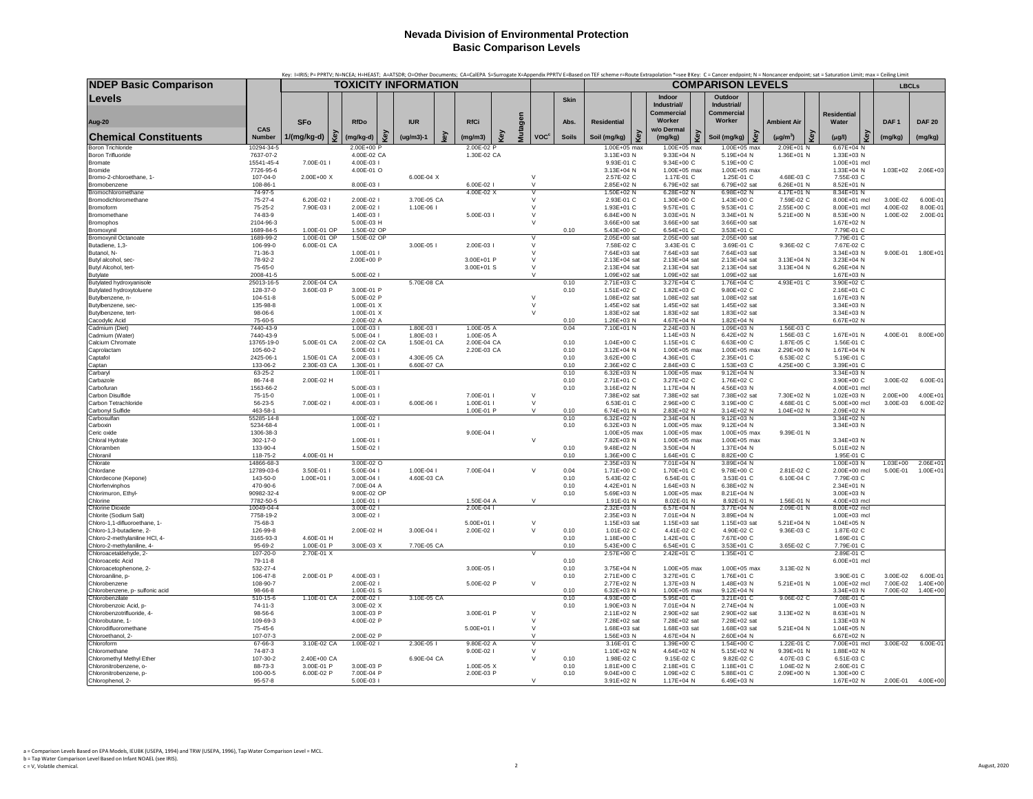|                                                           |                                 | Key: I=IRIS; P= PPRTV; N=NCEA; H=HEAST; A=ATSDR; O=Other Documents; CA=CalEPA S=Surrogate X=Appendix PPRTV E=Based on TEF scheme r=Route Extrapolation *=see BKey: C= Cancer endpoint; N = Noncancer endpoint; sat = Saturatio |                            |                      |     |                            |   |                |                        |              |                              |     |                              |                          |                              |                          |                              |                  |                     |
|-----------------------------------------------------------|---------------------------------|--------------------------------------------------------------------------------------------------------------------------------------------------------------------------------------------------------------------------------|----------------------------|----------------------|-----|----------------------------|---|----------------|------------------------|--------------|------------------------------|-----|------------------------------|--------------------------|------------------------------|--------------------------|------------------------------|------------------|---------------------|
| <b>NDEP Basic Comparison</b>                              |                                 |                                                                                                                                                                                                                                |                            | TOXICITY INFORMATION |     |                            |   |                |                        |              |                              |     |                              | <b>COMPARISON LEVELS</b> |                              |                          |                              | <b>LBCLs</b>     |                     |
| Levels                                                    |                                 |                                                                                                                                                                                                                                |                            |                      |     |                            |   |                |                        | <b>Skin</b>  |                              |     | Indoor<br>Industrial/        |                          | Outdoor<br>Industrial/       |                          |                              |                  |                     |
|                                                           |                                 |                                                                                                                                                                                                                                |                            |                      |     |                            |   |                |                        |              |                              |     | Commercial                   |                          | <b>Commercial</b>            |                          | <b>Residential</b>           |                  |                     |
| <b>Aug-20</b>                                             |                                 | <b>SFo</b>                                                                                                                                                                                                                     | <b>RfDo</b>                | <b>IUR</b>           |     | <b>RfCi</b>                |   |                |                        | Abs.         | <b>Residential</b>           |     | Worker                       |                          | Worker                       | <b>Ambient Air</b>       | Water                        | DAF <sub>1</sub> | <b>DAF 20</b>       |
| <b>Chemical Constituents</b>                              | CAS<br><b>Number</b>            | ٧ê<br>1/(mg/kg-d)                                                                                                                                                                                                              | (mg/kg-d)                  | $(ug/m3)-1$          | key | (mg/m3)                    | õ | <b>Mutagen</b> | <b>VOC<sup>c</sup></b> | <b>Soils</b> | Soil (mg/kg)                 | Key | w/o Dermal<br>(mg/kg)        | Key                      | Soil (mg/kg)                 | Key<br>$(\mu g/m^3)$     | (µg/l)                       | (mg/kg)          | (mg/kg)             |
| <b>Boron Trichloride</b>                                  | 10294-34-5                      |                                                                                                                                                                                                                                | 2.00E+00 P                 |                      |     | 2.00E-02 P                 |   |                |                        |              | 1.00E+05 max                 |     | $1.00E+05$ max               |                          | 1.00E+05 max                 | 2.09E+01 N               | $6.67E + 04$ N               |                  |                     |
| Boron Trifluoride                                         | 7637-07-2                       |                                                                                                                                                                                                                                | 4.00E-02 CA                |                      |     | 1.30E-02 CA                |   |                |                        |              | 3.13E+03 N                   |     | 9.33E+04 N                   |                          | 5.19E+04 N                   | 1.36E+01 N               | 1.33E+03 N                   |                  |                     |
| <b>Bromate</b><br>Bromide                                 | 15541-45-4<br>7726-95-6         | 7.00E-01 l                                                                                                                                                                                                                     | 4.00E-03 l<br>4.00E-01 O   |                      |     |                            |   |                |                        |              | 9.93E-01 C<br>3.13E+04 N     |     | 9.34E+00 C<br>1.00E+05 max   |                          | 5.19E+00 C<br>1.00E+05 max   |                          | 1.00E+01 mcl<br>1.33E+04 N   | $1.03E + 02$     | 2.06E+03            |
| Bromo-2-chloroethane, 1-                                  | 107-04-0                        | 2.00E+00 X                                                                                                                                                                                                                     |                            | 6.00E-04 X           |     |                            |   |                | $\vee$                 |              | 2.57E-02 C                   |     | 1.17E-01 C                   |                          | 1.25E-01 C                   | 4.68E-03 C               | 7.55E-03 C                   |                  |                     |
| Bromobenzene                                              | 108-86-1                        |                                                                                                                                                                                                                                | 8.00E-03 l                 |                      |     | 6.00E-02 I                 |   |                | $\mathsf{V}$           |              | 2.85E+02 N                   |     | 6.79E+02 sat                 |                          | 6.79E+02 sat                 | 6.26E+01 N               | 8.52E+01 N                   |                  |                     |
| Bromochloromethane<br>Bromodichloromethane                | 74-97-5<br>75-27-4              | 6.20E-02 I                                                                                                                                                                                                                     | 2.00E-02 l                 | 3.70E-05 CA          |     | 4.00F-02 X                 |   |                | v<br>$\mathsf{V}$      |              | 1.50E+02 N<br>2.93E-01 C     |     | 6.28E+02 N<br>1.30E+00 C     |                          | 6.98E+02 N<br>1.43E+00 C     | 4.17E+01 N<br>7.59E-02 C | 8.34E+01 N<br>8.00E+01 mcl   | 3.00E-02         | $6.00E - 0'$        |
| Bromoform                                                 | 75-25-2                         | 7.90E-03 I                                                                                                                                                                                                                     | 2.00E-02 l                 | 1.10E-06 I           |     |                            |   |                | V                      |              | 1.93E+01 C                   |     | 9.57E+01 C                   |                          | 9.53E+01 C                   | 2.55E+00 C               | 8.00E+01 mcl                 | 4.00E-02         | 8.00E-01            |
| Bromomethane                                              | 74-83-9                         |                                                                                                                                                                                                                                | 1.40E-03 l                 |                      |     | 5.00E-03                   |   |                | $\vee$                 |              | 6.84E+00 N                   |     | 3.03E+01 N                   |                          | 3.34E+01 N                   | 5.21E+00 N               | 8.53F+00 N                   | 1.00E-02         | 2.00E-01            |
| <b>Bromophos</b>                                          | 2104-96-3                       |                                                                                                                                                                                                                                | 5.00E-03 H                 |                      |     |                            |   |                | $\vee$                 |              | 3.66E+00 sat                 |     | 3.66E+00 sat                 |                          | 3.66E+00 sat                 |                          | 1.67E+02 N                   |                  |                     |
| Bromoxynil<br><b>Bromoxynil Octanoate</b>                 | 1689-84-5<br>1689-99-2          | 1.00E-01 OP<br>1.00E-01 OP                                                                                                                                                                                                     | 1.50E-02 OP<br>1.50E-02 OP |                      |     |                            |   |                |                        | 0.10         | 5.43E+00 C<br>2.05E+00 sat   |     | 6.54E+01 C<br>2.05E+00 sat   |                          | 3.53E+01 C<br>2.05E+00 sat   |                          | 7.79E-01 C<br>7.79E-01 C     |                  |                     |
| Butadiene, 1,3-                                           | 106-99-0                        | 6.00E-01 CA                                                                                                                                                                                                                    |                            | 3.00E-05 l           |     | 2.00E-03 I                 |   |                | $\vee$                 |              | 7.58E-02 C                   |     | 3.43E-01 C                   |                          | 3.69E-01 C                   | 9.36E-02 C               | 7.67E-02 C                   |                  |                     |
| Butanol, N-                                               | 71-36-3                         |                                                                                                                                                                                                                                | 1.00E-01 l                 |                      |     |                            |   |                | $\vee$                 |              | 7.64E+03 sat                 |     | 7.64E+03 sat                 |                          | 7.64E+03 sat                 |                          | 3.34E+03 N                   | 9.00E-01         | 1.80E+01            |
| Butyl alcohol, sec-                                       | 78-92-2                         |                                                                                                                                                                                                                                | 2.00E+00 P                 |                      |     | 3.00E+01 P                 |   |                | $\vee$                 |              | 2.13E+04 sat                 |     | 2.13E+04 sat                 |                          | 2.13E+04 sat                 | 3.13E+04 N               | 3.23E+04 N                   |                  |                     |
| Butyl Alcohol, tert-                                      | 75-65-0<br>2008-41-5            |                                                                                                                                                                                                                                | 5.00E-02 l                 |                      |     | 3.00E+01 S                 |   |                | $\vee$<br>$\vee$       |              | 2.13E+04 sat<br>1.09E+02 sat |     | 2.13E+04 sat<br>1.09E+02 sat |                          | 2.13E+04 sat<br>1.09E+02 sat | 3.13E+04 N               | 6.26E+04 N<br>1.67E+03 N     |                  |                     |
| <b>Butylate</b><br>Butylated hydroxyanisole               | 25013-16-5                      | 2.00E-04 CA                                                                                                                                                                                                                    |                            | 5.70E-08 CA          |     |                            |   |                |                        | 0.10         | 2.71E+03 C                   |     | 3.27E+04 C                   |                          | 1.76E+04 C                   | 4.93E+01 C               | 3.90E+02 C                   |                  |                     |
| Butylated hydroxytoluene                                  | 128-37-0                        | 3.60E-03 P                                                                                                                                                                                                                     | 3.00E-01 P                 |                      |     |                            |   |                |                        | 0.10         | 1.51E+02 C                   |     | 1.82E+03 C                   |                          | 9.80E+02 C                   |                          | 2.16E+01 C                   |                  |                     |
| Butylbenzene, n-                                          | 104-51-8                        |                                                                                                                                                                                                                                | 5.00E-02 P                 |                      |     |                            |   |                | $\vee$                 |              | 1.08E+02 sat                 |     | 1.08E+02 sat                 |                          | 1.08E+02 sat                 |                          | 1.67E+03 N                   |                  |                     |
| Butylbenzene, sec-<br>Butylbenzene, tert-                 | 135-98-8<br>98-06-6             |                                                                                                                                                                                                                                | 1.00E-01 X<br>1.00E-01 X   |                      |     |                            |   |                | $\vee$<br>$\vee$       |              | 1.45E+02 sat<br>1.83E+02 sat |     | 1.45E+02 sat<br>1.83E+02 sat |                          | 1.45E+02 sat<br>1.83E+02 sat |                          | 3.34E+03 N<br>3.34E+03 N     |                  |                     |
| Cacodylic Acid                                            | 75-60-5                         |                                                                                                                                                                                                                                | 2.00E-02 A                 |                      |     |                            |   |                |                        | 0.10         | 1.26E+03 N                   |     | 4.67E+04 N                   |                          | 1.82E+04 N                   |                          | 6.67E+02 N                   |                  |                     |
| Cadmium (Diet)                                            | 7440-43-9                       |                                                                                                                                                                                                                                | 1.00E-03                   | $1.80E - 031$        |     | 1.00E-05 A                 |   |                |                        | 0.04         | 7.10E+01 N                   |     | 2.24E+03 N                   |                          | $1.09E + 03N$                | 1.56E-03 C               |                              |                  |                     |
| Cadmium (Water)                                           | 7440-43-9                       |                                                                                                                                                                                                                                | 5.00E-04 l                 | 1.80E-03             |     | 1.00E-05 A                 |   |                |                        |              |                              |     | 1.14E+03 N                   |                          | $6.42E + 02$ N               | 1.56E-03 C               | 1.67E+01 N                   | 4.00E-01         | 8.00E+00            |
| Calcium Chromate<br>Caprolactam                           | 13765-19-0<br>105-60-2          | 5.00E-01 CA                                                                                                                                                                                                                    | 2.00E-02 CA<br>5.00E-01    | 1.50E-01 CA          |     | 2.00E-04 CA<br>2.20E-03 CA |   |                |                        | 0.10<br>0.10 | 1.04E+00 C<br>3.12E+04 N     |     | 1.15E+01 C<br>1.00E+05 max   |                          | 6.63E+00 C<br>1.00E+05 max   | 1.87E-05 C<br>2.29E+00 N | 1.56E-01 C<br>$1.67E + 04 N$ |                  |                     |
| Captafol                                                  | 2425-06-1                       | 1.50E-01 CA                                                                                                                                                                                                                    | 2.00E-03                   | 4.30E-05 CA          |     |                            |   |                |                        | 0.10         | 3.62E+00 C                   |     | 4.36E+01 C                   |                          | 2.35E+01 C                   | 6.53E-02 C               | 5.19E-01 C                   |                  |                     |
| Captan                                                    | 133-06-2                        | 2.30E-03 CA                                                                                                                                                                                                                    | 1.30E-01                   | 6.60E-07 CA          |     |                            |   |                |                        | 0.10         | 2.36E+02 C                   |     | 2.84E+03 C                   |                          | 1.53E+03 C                   | 4.25E+00 C               | 3.39E+01 C                   |                  |                     |
| Carbarvl                                                  | 63-25-2                         |                                                                                                                                                                                                                                | 1.00E-01                   |                      |     |                            |   |                |                        | 0.10         | $6.32E + 03$ N               |     | 1.00E+05 max                 |                          | $9.12E + 04 N$               |                          | 3.34E+03 N                   |                  |                     |
| Carbazole<br>Carbofuran                                   | 86-74-8<br>1563-66-2            | 2.00E-02 H                                                                                                                                                                                                                     | 5.00E-03                   |                      |     |                            |   |                |                        | 0.10<br>0.10 | 2.71E+01 C<br>3.16E+02 N     |     | 3.27E+02 C<br>1.17E+04 N     |                          | 1.76E+02 C<br>4.56E+03 N     |                          | 3.90E+00 C<br>4.00E+01 mcl   | 3.00E-02         | 6.00E-01            |
| Carbon Disulfide                                          | 75-15-0                         |                                                                                                                                                                                                                                | 1.00E-01                   |                      |     | 7.00E-01 I                 |   |                | $\vee$                 |              | 7.38E+02 sat                 |     | 7.38E+02 sat                 |                          | 7.38E+02 sat                 | 7.30E+02 N               | $1.02E + 03 N$               | 2.00E+00         | $4.00E + 0^{\circ}$ |
| Carbon Tetrachloride                                      | $56 - 23 - 5$                   | 7.00E-02 l                                                                                                                                                                                                                     | 4.00E-03 l                 | 6.00E-06 I           |     | 1.00E-01                   |   |                | $\vee$                 |              | 6.53E-01 C                   |     | 2.96E+00 C                   |                          | 3.19E+00 C                   | 4.68E-01 C               | 5.00E+00 mcl                 | 3.00E-03         | 6.00E-02            |
| Carbonyl Sulfide                                          | 463-58-1                        |                                                                                                                                                                                                                                |                            |                      |     | 1.00E-01 P                 |   |                | $\vee$                 | 0.10         | $6.74E + 01 N$               |     | 2.83E+02 N                   |                          | 3.14E+02 N                   | 1.04E+02 N               | 2.09E+02 N                   |                  |                     |
| Carbosulfan<br>Carboxin                                   | 55285-14-8<br>5234-68-4         |                                                                                                                                                                                                                                | 1.00E-02<br>1.00E-01 l     |                      |     |                            |   |                |                        | 0.10<br>0.10 | $6.32E + 02N$<br>6.32E+03 N  |     | 2.34E+04 N<br>1.00E+05 max   |                          | $9.12E + 03$ N<br>9.12E+04 N |                          | 3.34E+02 N<br>3.34E+03 N     |                  |                     |
| Ceric oxide                                               | 1306-38-3                       |                                                                                                                                                                                                                                |                            |                      |     | 9.00E-04 I                 |   |                |                        |              | 1.00E+05 max                 |     | 1.00E+05 max                 |                          | 1.00E+05 max                 | 9.39E-01 N               |                              |                  |                     |
| Chloral Hydrate                                           | 302-17-0                        |                                                                                                                                                                                                                                | 1.00E-01 l                 |                      |     |                            |   |                | $\vee$                 |              | 7.82E+03 N                   |     | 1.00E+05 max                 |                          | 1.00E+05 max                 |                          | 3.34E+03 N                   |                  |                     |
| Chloramber                                                | 133-90-4                        |                                                                                                                                                                                                                                | 1.50E-02 l                 |                      |     |                            |   |                |                        | 0.10         | 9.48E+02 N                   |     | 3.50E+04 N                   |                          | 1.37E+04 N                   |                          | 5.01E+02 N                   |                  |                     |
| Chloranil<br>Chlorate                                     | 118-75-2<br>14866-68-3          | 4.00E-01 H                                                                                                                                                                                                                     | 3.00E-02 O                 |                      |     |                            |   |                |                        | 0.10         | 1.36E+00 C<br>2.35E+03 N     |     | 1.64E+01 C<br>7.01E+04 N     |                          | 8.82E+00 C<br>3.89E+04 N     |                          | 1.95E-01 C<br>1.00E+03 N     | 1.03E+00         | $2.06E + 0$         |
| Chlordane                                                 | 12789-03-6                      | 3.50E-01                                                                                                                                                                                                                       | 5.00E-04 l                 | 1.00E-04 I           |     | 7.00E-04 I                 |   |                | $\vee$                 | 0.04         | 1.71E+00 C                   |     | 1.70E+01 C                   |                          | 9.78E+00 C                   | 2.81E-02 C               | 2.00E+00 mcl                 | 5.00E-01         | 1.00E+01            |
| Chlordecone (Kepone)                                      | 143-50-0                        | 1.00E+01 l                                                                                                                                                                                                                     | 3.00E-04 l                 | 4.60E-03 CA          |     |                            |   |                |                        | 0.10         | 5.43E-02 C                   |     | 6.54E-01 C                   |                          | 3.53E-01 C                   | 6.10E-04 C               | 7.79E-03 C                   |                  |                     |
| Chlorfenvinphos                                           | 470-90-6<br>90982-32-4          |                                                                                                                                                                                                                                | 7.00E-04 A<br>9.00E-02 OP  |                      |     |                            |   |                |                        | 0.10<br>0.10 | 4.42E+01 N<br>5.69E+03 N     |     | 1.64E+03 N<br>1.00E+05 max   |                          | 6.38E+02 N<br>8.21E+04 N     |                          | 2.34E+01 N<br>3.00E+03 N     |                  |                     |
| Chlorimuron, Ethyl-<br>Chlorine                           | 7782-50-5                       |                                                                                                                                                                                                                                | 1.00E-01                   |                      |     | 1.50E-04 A                 |   |                | $\mathsf{V}$           |              | 1.91E-01 N                   |     | 8.02E-01 N                   |                          | 8.92E-01 N                   | 1.56E-01 N               | 4.00E+03 mcl                 |                  |                     |
| <b>Chlorine Dioxide</b>                                   | 10049-04-4                      |                                                                                                                                                                                                                                | 3.00E-02                   |                      |     | 2.00E-04                   |   |                |                        |              | 2.32E+03 N                   |     | 6.57E+04 N                   |                          | 3.77E+04 N                   | 2.09E-01 N               | 8.00E+02 mcl                 |                  |                     |
| Chlorite (Sodium Salt)                                    | 7758-19-2                       |                                                                                                                                                                                                                                | 3.00E-02 l                 |                      |     |                            |   |                |                        |              | 2.35E+03 N                   |     | 7.01E+04 N                   |                          | 3.89E+04 N                   |                          | 1.00E+03 mcl                 |                  |                     |
| Chloro-1,1-difluoroethane, 1-<br>Chloro-1,3-butadiene, 2- | 75-68-3<br>126-99-8             |                                                                                                                                                                                                                                | 2.00E-02 H                 | 3.00E-04 I           |     | 5.00E+01  <br>2.00E-02 l   |   |                | $\vee$<br>$\vee$       | 0.10         | 1.15E+03 sat<br>1.01E-02 C   |     | 1.15E+03 sat<br>4.41E-02 C   |                          | 1.15E+03 sat<br>4.90E-02 C   | 5.21E+04 N<br>9.36E-03 C | 1.04E+05 N<br>1.87E-02 C     |                  |                     |
| Chloro-2-methylaniline HCl, 4-                            | 3165-93-3                       | 4.60E-01 H                                                                                                                                                                                                                     |                            |                      |     |                            |   |                |                        | 0.10         | 1.18E+00 C                   |     | 1.42E+01 C                   |                          | 7.67E+00 C                   |                          | 1.69E-01 C                   |                  |                     |
| Chloro-2-methylaniline, 4-                                | 95-69-2                         | 1.00E-01 P                                                                                                                                                                                                                     | 3.00E-03 X                 | 7.70E-05 CA          |     |                            |   |                |                        | 0.10         | 5.43E+00 C                   |     | 6.54E+01 C                   |                          | 3.53E+01 C                   | 3.65E-02 C               | 7.79E-01 C                   |                  |                     |
| Chloroacetaldehyde, 2-                                    | 107-20-0                        | 2.70E-01 X                                                                                                                                                                                                                     |                            |                      |     |                            |   |                | $\overline{V}$         |              | 2.57E+00 C                   |     | 2.42E+01 C                   |                          | 1.35E+01 C                   |                          | 2.89E-01 C                   |                  |                     |
| Chloroacetic Acid<br>Chloroacetophenone, 2-               | 79-11-8<br>532-27-4             |                                                                                                                                                                                                                                |                            |                      |     | 3.00E-05                   |   |                |                        | 0.10<br>0.10 | 3.75E+04 N                   |     | 1.00E+05 max                 |                          | 1.00E+05 max                 | 3.13E-02 N               | 6.00E+01 mcl                 |                  |                     |
| Chloroaniline, p-                                         | 106-47-8                        | 2.00E-01 P                                                                                                                                                                                                                     | 4.00E-03                   |                      |     |                            |   |                |                        | 0.10         | 2.71E+00 C                   |     | 3.27E+01 C                   |                          | 1.76E+01 C                   |                          | 3.90E-01 C                   | 3.00E-02         | 6.00E-01            |
| Chlorobenzene                                             | 108-90-7                        |                                                                                                                                                                                                                                | 2.00E-02 I                 |                      |     | 5.00E-02 P                 |   |                | $\vee$                 |              | 2.77E+02 N                   |     | 1.37E+03 N                   |                          | 1.48E+03 N                   | 5.21E+01 N               | 1.00E+02 mcl                 | 7.00E-02         | $1.40E + 00$        |
| Chlorobenzene, p- sulfonic acid                           | 98-66-8                         |                                                                                                                                                                                                                                | 1.00E-01 S                 |                      |     |                            |   |                |                        | 0.10         | 6.32E+03 N                   |     | 1.00E+05 max                 |                          | $9.12E + 04$ N               |                          | 3.34E+03 N                   | 7.00E-02         | $1.40E + 00$        |
| Chlorobenzilate<br>Chlorobenzoic Acid, p-                 | $510 - 15 - 6$<br>$74 - 11 - 3$ | 1.10E-01 CA                                                                                                                                                                                                                    | 2.00E-02 l<br>3.00E-02 X   | 3.10E-05 CA          |     |                            |   |                |                        | 0.10<br>0.10 | 4.93E+00 C<br>1.90E+03 N     |     | 5.95E+01 C<br>7.01E+04 N     |                          | 3.21E+01 C<br>2.74E+04 N     | 9.06E-02 C               | 7.08E-01 C<br>1.00E+03 N     |                  |                     |
| Chlorobenzotrifluoride, 4-                                | 98-56-6                         |                                                                                                                                                                                                                                | 3.00E-03 P                 |                      |     | 3.00E-01 P                 |   |                | $\vee$                 |              | 2.11E+02 N                   |     | 2.90E+02 sat                 |                          | 2.90E+02 sat                 | 3.13E+02 N               | 8.63E+01 N                   |                  |                     |
| Chlorobutane, 1-                                          | 109-69-3                        |                                                                                                                                                                                                                                | 4.00E-02 P                 |                      |     |                            |   |                | $\vee$                 |              | 7.28E+02 sat                 |     | 7.28E+02 sat                 |                          | 7.28E+02 sat                 |                          | 1.33E+03 N                   |                  |                     |
| Chlorodifluoromethane<br>Chloroethanol, 2-                | 75-45-6<br>107-07-3             |                                                                                                                                                                                                                                | 2.00E-02 P                 |                      |     | 5.00E+01                   |   |                | $\vee$<br>$\vee$       |              | 1.68E+03 sat<br>1.56E+03 N   |     | 1.68E+03 sat<br>4.67E+04 N   |                          | 1.68E+03 sat<br>2.60E+04 N   | 5.21E+04 N               | 1.04E+05 N<br>6.67E+02 N     |                  |                     |
| Chloroform                                                | 67-66-3                         | 3.10E-02 CA                                                                                                                                                                                                                    | 1.00E-02 l                 | 2.30E-05             |     | 9.80E-02 A                 |   |                | $\vee$                 |              | 3.16E-01 C                   |     | 1.39E+00 C                   |                          | 1.54E+00 C                   | 1.22E-01 C               | 7.00E+01 mcl                 | 3.00E-02         | 6.00E-01            |
| Chloromethane                                             | 74-87-3                         |                                                                                                                                                                                                                                |                            |                      |     | 9.00E-02 I                 |   |                | $\mathsf{V}$           |              | 1.10E+02 N                   |     | 4.64E+02 N                   |                          | 5.15E+02 N                   | 9.39E+01 N               | 1.88E+02 N                   |                  |                     |
| Chloromethyl Methyl Ether                                 | 107-30-2                        | 2.40E+00 CA                                                                                                                                                                                                                    |                            | 6.90E-04 CA          |     |                            |   |                | $\vee$                 | 0.10         | 1.98E-02 C                   |     | 9.15E-02 C                   |                          | 9.82E-02 C                   | 4.07E-03 C               | 6.51E-03 C                   |                  |                     |
| Chloronitrobenzene, o-<br>Chloronitrobenzene, p-          | 88-73-3<br>100-00-5             | 3.00E-01 P<br>6.00E-02 P                                                                                                                                                                                                       | 3.00E-03 P<br>7.00E-04 P   |                      |     | 1.00E-05 X<br>2.00E-03 P   |   |                |                        | 0.10<br>0.10 | 1.81E+00 C<br>$9.04E+00C$    |     | 2.18E+01 C<br>1.09E+02 C     |                          | 1.18E+01 C<br>5.88E+01 C     | 1.04E-02 N<br>2.09E+00 N | 2.60E-01 C<br>1.30E+00 C     |                  |                     |
| Chlorophenol, 2-                                          | 95-57-8                         |                                                                                                                                                                                                                                | 5.00E-03 l                 |                      |     |                            |   |                | $\vee$                 |              | 3.91E+02 N                   |     | 1.17E+04 N                   |                          | 6.49E+03 N                   |                          | 1.67E+02 N                   | 2.00E-01         | 4.00E+00            |
|                                                           |                                 |                                                                                                                                                                                                                                |                            |                      |     |                            |   |                |                        |              |                              |     |                              |                          |                              |                          |                              |                  |                     |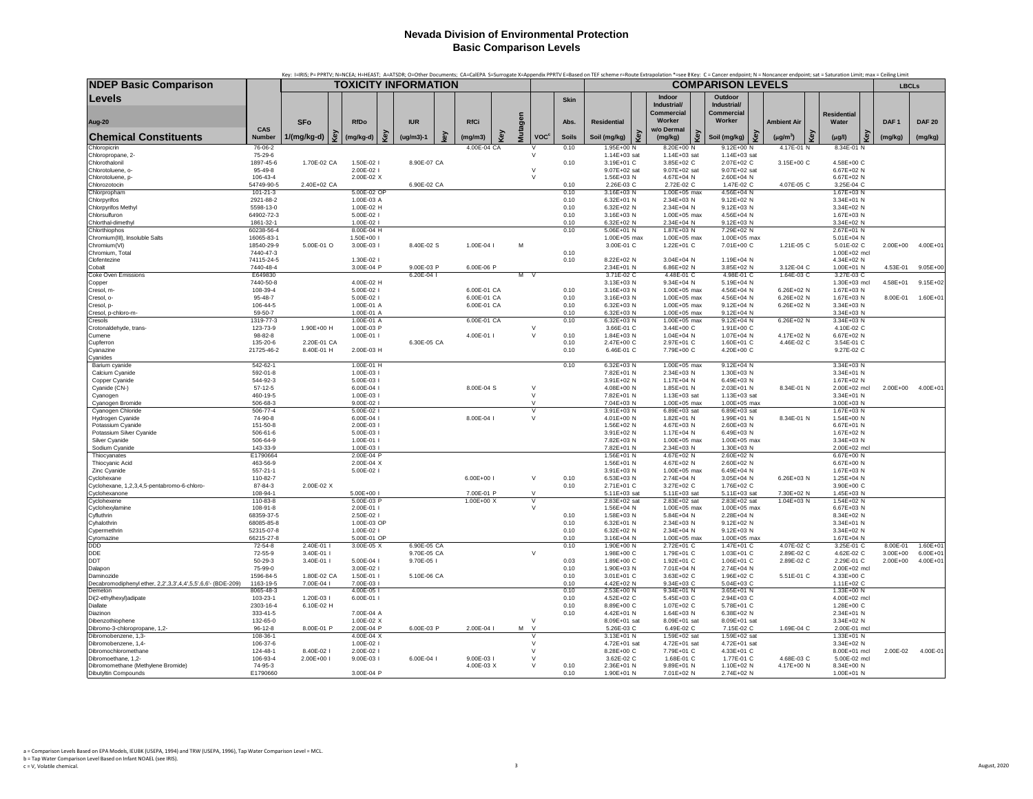|                                                                         |                             |             |                             |                              |     |               |     |                            |     |         |                        |                      |                              |     | Key: I=IRIS; P= PPRTV; N=NCEA; H=HEAST; A=ATSDR; O=Other Documents; CA=CalEPA S=Surrogate X=Appendix PPRTV E=Based on TEF scheme r=Route Extrapolation *=see BKey: C= Cancer endpoint; N = Noncancer endpoint; sat = Saturatio |                                                       |                                    |                             |   |                  |               |
|-------------------------------------------------------------------------|-----------------------------|-------------|-----------------------------|------------------------------|-----|---------------|-----|----------------------------|-----|---------|------------------------|----------------------|------------------------------|-----|--------------------------------------------------------------------------------------------------------------------------------------------------------------------------------------------------------------------------------|-------------------------------------------------------|------------------------------------|-----------------------------|---|------------------|---------------|
| <b>NDEP Basic Comparison</b>                                            |                             |             | <b>TOXICITY INFORMATION</b> |                              |     |               |     |                            |     |         |                        |                      |                              |     |                                                                                                                                                                                                                                | <b>COMPARISON LEVELS</b>                              |                                    |                             |   | <b>LBCLs</b>     |               |
| <b>Levels</b><br>Aug-20                                                 |                             | <b>SFo</b>  |                             | <b>RfDo</b>                  |     | <b>IUR</b>    |     | <b>RfCi</b>                |     |         |                        | <b>Skin</b><br>Abs.  | <b>Residential</b>           |     | Indoor<br>Industrial/<br><b>Commercial</b><br>Worker                                                                                                                                                                           | Outdoor<br>Industrial/<br><b>Commercial</b><br>Worker | <b>Ambient Air</b>                 | <b>Residential</b><br>Water |   | DAF <sub>1</sub> | <b>DAF 20</b> |
|                                                                         | CAS                         |             |                             |                              |     |               |     |                            |     | Mutagen |                        |                      |                              |     | w/o Dermal                                                                                                                                                                                                                     |                                                       |                                    |                             |   |                  |               |
| <b>Chemical Constituents</b><br>Chloropicrin                            | Number<br>76-06-2           | 1/(mg/kg-d) | key                         | (mg/kg-d)                    | త్ర | $(ug/m3)-1$   | key | (mg/m3)<br>4.00E-04 CA     | Key |         | <b>VOC<sup>c</sup></b> | <b>Soils</b><br>0.10 | Soil (mg/kg)<br>1.95E+00 N   | Key | Key<br>(mg/kg)<br>8.20E+00 N                                                                                                                                                                                                   | Soil (mg/kg)<br>$9.12E + 00$ N                        | Key<br>$(\mu g/m^3)$<br>4.17E-01 N | $(\mu g/l)$<br>8.34E-01 N   | £ | (mg/kg)          | (mg/kg)       |
| Chloropropane, 2-                                                       | 75-29-6                     |             |                             |                              |     |               |     |                            |     |         | $\mathsf{v}$           |                      | 1.14E+03 sat                 |     | 1.14E+03 sat                                                                                                                                                                                                                   | 1.14E+03 sat                                          |                                    |                             |   |                  |               |
| Chlorothalonil                                                          | 1897-45-6                   | 1.70E-02 CA |                             | 1.50E-02 l                   |     | 8.90E-07 CA   |     |                            |     |         | $\vee$                 | 0.10                 | 3.19E+01 C                   |     | 3.85E+02 C                                                                                                                                                                                                                     | 2.07E+02 C                                            | 3.15E+00 C                         | 4.58E+00 C                  |   |                  |               |
| Chlorotoluene, o-<br>Chlorotoluene, p-                                  | 95-49-8<br>106-43-4         |             |                             | 2.00E-02  <br>2.00E-02 X     |     |               |     |                            |     |         | $\vee$                 |                      | 9.07E+02 sat<br>1.56E+03 N   |     | 9.07E+02 sat<br>4.67E+04 N                                                                                                                                                                                                     | 9.07E+02 sat<br>2.60E+04 N                            |                                    | 6.67E+02 N<br>6.67E+02 N    |   |                  |               |
| Chlorozotocin                                                           | 54749-90-5                  | 2.40E+02 CA |                             |                              |     | 6.90E-02 CA   |     |                            |     |         |                        | 0.10                 | 2.26E-03 C                   |     | 2.72E-02 C                                                                                                                                                                                                                     | 1.47E-02 C                                            | 4.07E-05 C                         | 3.25E-04 C                  |   |                  |               |
| Chlorpropham<br>Chlorpyrifos                                            | $101 - 21 - 3$<br>2921-88-2 |             |                             | 5.00E-02 OP<br>1.00E-03 A    |     |               |     |                            |     |         |                        | 0.10<br>0.10         | 3.16E+03 N<br>6.32E+01 N     |     | 1.00E+05 max<br>2.34E+03 N                                                                                                                                                                                                     | 4.56E+04 N<br>9.12E+02 N                              |                                    | 1.67E+03 N<br>3.34E+01 N    |   |                  |               |
| Chlorpyrifos Methyl                                                     | 5598-13-0                   |             |                             | 1.00E-02 H                   |     |               |     |                            |     |         |                        | 0.10                 | 6.32E+02 N                   |     | 2.34E+04 N                                                                                                                                                                                                                     | $9.12E + 03 N$                                        |                                    | 3.34E+02 N                  |   |                  |               |
| Chlorsulfuron<br>Chlorthal-dimethyl                                     | 64902-72-3<br>1861-32-1     |             |                             | 5.00E-02 l<br>1.00E-02 l     |     |               |     |                            |     |         |                        | 0.10<br>0.10         | 3.16E+03 N<br>6.32E+02 N     |     | 1.00E+05 max<br>2.34E+04 N                                                                                                                                                                                                     | 4.56E+04 N<br>9.12E+03 N                              |                                    | 1.67E+03 N<br>3.34E+02 N    |   |                  |               |
| Chlorthiophos                                                           | 60238-56-4                  |             |                             | 8.00E-04 H                   |     |               |     |                            |     |         |                        | 0.10                 | 5.06E+01 N                   |     | 1.87E+03 N                                                                                                                                                                                                                     | 7.29E+02 N                                            |                                    | 2.67E+01 N                  |   |                  |               |
| Chromium(III), Insoluble Salts                                          | 16065-83-1                  |             |                             | 1.50E+00 l                   |     |               |     |                            |     |         |                        |                      | 1.00E+05 max                 |     | 1.00E+05 max                                                                                                                                                                                                                   | 1.00E+05 max                                          |                                    | 5.01E+04 N                  |   |                  |               |
| Chromium(VI)<br>Chromium, Total                                         | 18540-29-9<br>7440-47-3     | 5.00E-01 O  |                             | 3.00E-03 l                   |     | 8.40E-02 S    |     | 1.00E-04 l                 |     | M       |                        | 0.10                 | 3.00E-01 C                   |     | 1.22E+01 C                                                                                                                                                                                                                     | 7.01E+00 C                                            | 1.21E-05 C                         | 5.01E-02 C<br>1.00E+02 mcl  |   | $2.00E + 00$     | 4.00E+01      |
| Clofentezine                                                            | 74115-24-5                  |             |                             | 1.30E-02                     |     |               |     |                            |     |         |                        | 0.10                 | 8.22E+02 N                   |     | 3.04E+04 N                                                                                                                                                                                                                     | 1.19E+04 N                                            |                                    | 4.34E+02 N                  |   |                  |               |
| Cobalt                                                                  | 7440-48-4                   |             |                             | 3.00E-04 P                   |     | 9.00E-03 P    |     | 6.00E-06 P                 |     |         |                        |                      | 2.34E+01 N                   |     | 6.86E+02 N                                                                                                                                                                                                                     | 3.85E+02 N                                            | 3.12E-04 C                         | 1.00E+01 N                  |   | 4.53E-01         | $9.05E + 00$  |
| Coke Oven Emissions<br>Copper                                           | E649830<br>7440-50-8        |             |                             | 4.00E-02 H                   |     | $6.20E - 041$ |     |                            |     | $M$ V   |                        |                      | 3.71E-02 C<br>3.13E+03 N     |     | 4.48E-01 C<br>9.34E+04 N                                                                                                                                                                                                       | 4.98E-01 C<br>5.19E+04 N                              | 1.64E-03 C                         | 3.27E-03 C<br>1.30E+03 mcl  |   | $4.58E + 01$     | $9.15E + 02$  |
| Cresol, m-                                                              | 108-39-4                    |             |                             | 5.00E-02                     |     |               |     | 6.00E-01 CA                |     |         |                        | 0.10                 | 3.16E+03 N                   |     | 1.00E+05 max                                                                                                                                                                                                                   | 4.56E+04 N                                            | 6.26E+02 N                         | 1.67E+03 N                  |   |                  |               |
| Cresol, o-                                                              | 95-48-7<br>106-44-5         |             |                             | 5.00E-02 l<br>1.00E-01 A     |     |               |     | 6.00E-01 CA<br>6.00E-01 CA |     |         |                        | 0.10<br>0.10         | 3.16E+03 N<br>6.32E+03 N     |     | 1.00E+05 max<br>1.00E+05 max                                                                                                                                                                                                   | 4.56E+04 N<br>$9.12E + 04$ N                          | 6.26E+02 N<br>6.26E+02 N           | 1.67E+03 N<br>3.34E+03 N    |   | 8.00E-01         | $1.60E + 01$  |
| Cresol, p-<br>Cresol, p-chloro-m-                                       | 59-50-7                     |             |                             | 1.00E-01 A                   |     |               |     |                            |     |         |                        | 0.10                 | $6.32E + 03$ N               |     | 1.00E+05 max                                                                                                                                                                                                                   | $9.12E + 04 N$                                        |                                    | 3.34E+03 N                  |   |                  |               |
| Cresols                                                                 | 1319-77-3                   |             |                             | 1.00E-01 A                   |     |               |     | 6.00E-01 CA                |     |         |                        | 0.10                 | 6.32E+03 N                   |     | 1.00E+05 max                                                                                                                                                                                                                   | $9.12E + 04 N$                                        | 6.26E+02 N                         | 3.34E+03 N                  |   |                  |               |
| Crotonaldehyde, trans-<br>Cumene                                        | 123-73-9<br>98-82-8         | 1.90E+00 H  |                             | 1.00E-03 P<br>1.00E-01       |     |               |     | 4.00E-01 l                 |     |         | $\vee$<br>$\vee$       | 0.10                 | 3.66E-01 C<br>1.84E+03 N     |     | 3.44E+00 C<br>1.04E+04 N                                                                                                                                                                                                       | 1.91E+00 C<br>1.07E+04 N                              | 4.17E+02 N                         | 4.10E-02 C<br>6.67E+02 N    |   |                  |               |
| Cupferron                                                               | 135-20-6                    | 2.20E-01 CA |                             |                              |     | 6.30E-05 CA   |     |                            |     |         |                        | 0.10                 | 2.47E+00 C                   |     | 2.97E+01 C                                                                                                                                                                                                                     | 1.60E+01 C                                            | 4.46E-02 C                         | 3.54E-01 C                  |   |                  |               |
| Cyanazine                                                               | 21725-46-2                  | 8.40E-01 H  |                             | 2.00E-03 H                   |     |               |     |                            |     |         |                        | 0.10                 | 6.46E-01 C                   |     | 7.79E+00 C                                                                                                                                                                                                                     | 4.20E+00 C                                            |                                    | 9.27E-02 C                  |   |                  |               |
| Cyanides<br>Barium cyanide                                              | 542-62-1                    |             |                             | 1.00E-01 H                   |     |               |     |                            |     |         |                        | 0.10                 | 6.32E+03 N                   |     | 1.00E+05 max                                                                                                                                                                                                                   | $9.12E + 04 N$                                        |                                    | 3.34E+03 N                  |   |                  |               |
| Calcium Cyanide                                                         | 592-01-8                    |             |                             | 1.00E-03 l                   |     |               |     |                            |     |         |                        |                      | 7.82E+01 N                   |     | 2.34E+03 N                                                                                                                                                                                                                     | 1.30E+03 N                                            |                                    | 3.34E+01 N                  |   |                  |               |
| Copper Cyanide                                                          | 544-92-3                    |             |                             | 5.00E-03                     |     |               |     |                            |     |         |                        |                      | 3.91E+02 N                   |     | 1.17E+04 N                                                                                                                                                                                                                     | 6.49E+03 N                                            |                                    | 1.67E+02 N                  |   |                  |               |
| Cyanide (CN-)<br>Cyanogen                                               | $57 - 12 - 5$<br>460-19-5   |             |                             | 6.00E-04 l<br>1.00E-03 l     |     |               |     | 8.00E-04 S                 |     |         | $\vee$<br>$\vee$       |                      | 4.08E+00 N<br>7.82E+01 N     |     | 1.85E+01 N<br>1.13E+03 sat                                                                                                                                                                                                     | 2.03E+01 N<br>1.13E+03 sat                            | 8.34E-01 N                         | 2.00E+02 mcl<br>3.34E+01 N  |   | 2.00E+00         | $4.00E + 01$  |
| Cyanogen Bromide                                                        | 506-68-3                    |             |                             | 9.00E-02 l                   |     |               |     |                            |     |         | $\mathsf{V}$           |                      | 7.04E+03 N                   |     | $1.00E + 05$ max                                                                                                                                                                                                               | 1.00E+05 max                                          |                                    | 3.00E+03 N                  |   |                  |               |
| Cyanogen Chloride                                                       | 506-77-4                    |             |                             | 5.00E-02 l                   |     |               |     |                            |     |         | $\vee$                 |                      | 3.91E+03 N                   |     | 6.89E+03 sat                                                                                                                                                                                                                   | 6.89E+03 sat                                          |                                    | 1.67E+03 N                  |   |                  |               |
| Hydrogen Cyanide<br>Potassium Cyanide                                   | 74-90-8<br>151-50-8         |             |                             | 6.00E-04<br>2.00E-03 l       |     |               |     | 8.00E-04 I                 |     |         | $\mathsf{V}$           |                      | 4.01E+00 N<br>1.56E+02 N     |     | 1.82E+01 N<br>4.67E+03 N                                                                                                                                                                                                       | 1.99E+01 N<br>2.60E+03 N                              | 8.34E-01 N                         | 1.54E+00 N<br>6.67E+01 N    |   |                  |               |
| Potassium Silver Cyanide                                                | $506 - 61 - 6$              |             |                             | 5.00E-03                     |     |               |     |                            |     |         |                        |                      | 3.91E+02 N                   |     | 1.17E+04 N                                                                                                                                                                                                                     | 6.49E+03 N                                            |                                    | 1.67E+02 N                  |   |                  |               |
| Silver Cyanide                                                          | 506-64-9                    |             |                             | 1.00E-01 l                   |     |               |     |                            |     |         |                        |                      | 7.82E+03 N                   |     | 1.00E+05 max<br>2.34E+03 N                                                                                                                                                                                                     | 1.00E+05 max                                          |                                    | 3.34E+03 N                  |   |                  |               |
| Sodium Cyanide<br>Thiocyanates                                          | 143-33-9<br>E1790664        |             |                             | 1.00E-03 I<br>2.00E-04 P     |     |               |     |                            |     |         |                        |                      | 7.82E+01 N<br>1.56E+01 N     |     | 4.67E+02 N                                                                                                                                                                                                                     | 1.30E+03 N<br>2.60E+02 N                              |                                    | 2.00E+02 mcl<br>6.67E+00 N  |   |                  |               |
| Thiocyanic Acid                                                         | 463-56-9                    |             |                             | 2.00E-04 X                   |     |               |     |                            |     |         |                        |                      | 1.56E+01 N                   |     | 4.67E+02 N                                                                                                                                                                                                                     | 2.60E+02 N                                            |                                    | 6.67E+00 N                  |   |                  |               |
| Zinc Cyanide                                                            | $557 - 21 - 1$              |             |                             | 5.00E-02 l                   |     |               |     |                            |     |         | $\vee$                 |                      | 3.91E+03 N                   |     | 1.00E+05 max<br>2.74E+04 N                                                                                                                                                                                                     | 6.49E+04 N<br>3.05E+04 N                              | 6.26E+03 N                         | 1.67E+03 N<br>1.25E+04 N    |   |                  |               |
| Cyclohexane<br>Cyclohexane, 1,2,3,4,5-pentabromo-6-chloro-              | 110-82-7<br>87-84-3         | 2.00E-02 X  |                             |                              |     |               |     | 6.00E+00 l                 |     |         |                        | 0.10<br>0.10         | 6.53E+03 N<br>2.71E+01 C     |     | 3.27E+02 C                                                                                                                                                                                                                     | 1.76E+02 C                                            |                                    | 3.90E+00 C                  |   |                  |               |
| Cyclohexanone                                                           | 108-94-1                    |             |                             | $5.00E + 00$                 |     |               |     | 7.00E-01 P                 |     |         | $\mathcal{M}$          |                      | 5.11E+03 sat                 |     | 5.11E+03 sat                                                                                                                                                                                                                   | 5.11E+03 sat                                          | 7.30E+02 N                         | 1.45E+03 N                  |   |                  |               |
| Cyclohexene<br>Cyclohexylamine                                          | 110-83-8<br>108-91-8        |             |                             | 5.00E-03 P<br>2.00E-01       |     |               |     | 1.00E+00 X                 |     |         | $\vee$                 |                      | 2.83E+02 sat<br>1.56E+04 N   |     | 2.83E+02 sat<br>1.00E+05 max                                                                                                                                                                                                   | 2.83E+02 sat<br>1.00E+05 max                          | 1.04E+03 N                         | 1.54E+02 N<br>6.67E+03 N    |   |                  |               |
| Cyfluthrin                                                              | 68359-37-5                  |             |                             | 2.50E-02 l                   |     |               |     |                            |     |         |                        | 0.10                 | 1.58E+03 N                   |     | 5.84E+04 N                                                                                                                                                                                                                     | 2.28E+04 N                                            |                                    | 8.34E+02 N                  |   |                  |               |
| Cyhalothrin                                                             | 68085-85-8                  |             |                             | 1.00E-03 OP                  |     |               |     |                            |     |         |                        | 0.10                 | 6.32E+01 N                   |     | 2.34E+03 N                                                                                                                                                                                                                     | 9.12E+02 N                                            |                                    | 3.34E+01 N                  |   |                  |               |
| Cypermethrin<br>Cyromazine                                              | 52315-07-8<br>66215-27-8    |             |                             | $1.00F - 021$<br>5.00E-01 OP |     |               |     |                            |     |         |                        | 0.10<br>0.10         | $6.32E + 02$ N<br>3.16E+04 N |     | 2.34E+04 N<br>1.00E+05 max                                                                                                                                                                                                     | $9.12E + 03 N$<br>1.00E+05 max                        |                                    | 3.34E+02 N<br>1.67E+04 N    |   |                  |               |
| <b>DDD</b>                                                              | 72-54-8                     | 2.40E-01    |                             | 3.00E-05 X                   |     | 6.90E-05 CA   |     |                            |     |         |                        | 0.10                 | 1.90E+00 N                   |     | 2.72E+01 C                                                                                                                                                                                                                     | 1.47E+01 C                                            | 4.07E-02 C                         | 3.25E-01 C                  |   | 8.00E-01         | $1.60E + 01$  |
| <b>DDE</b>                                                              | 72-55-9                     | 3.40E-01 l  |                             |                              |     | 9.70E-05 CA   |     |                            |     |         | $\mathsf{V}$           |                      | 1.98E+00 C                   |     | 1.79E+01 C                                                                                                                                                                                                                     | 1.03E+01 C                                            | 2.89E-02 C                         | 4.62E-02 C                  |   | $3.00F + 00$     | $6.00E + 01$  |
| DDT<br>Dalapon                                                          | $50 - 29 - 3$<br>75-99-0    | 3.40E-01    |                             | 5.00E-04 I<br>3.00E-02       |     | 9.70E-05 I    |     |                            |     |         |                        | 0.03<br>0.10         | 1.89E+00 C<br>1.90E+03 N     |     | 1.92E+01 C<br>7.01E+04 N                                                                                                                                                                                                       | 1.06E+01 C<br>2.74E+04 N                              | 2.89E-02 C                         | 2.29E-01 C<br>2.00E+02 mcl  |   | $2.00E + 00$     | 4.00E+01      |
| Daminozide                                                              | 1596-84-5                   | 1.80E-02 CA |                             | 1.50E-01                     |     | 5.10E-06 CA   |     |                            |     |         |                        | 0.10                 | 3.01E+01 C                   |     | 3.63E+02 C                                                                                                                                                                                                                     | 1.96E+02 C                                            | 5.51E-01 C                         | 4.33E+00 C                  |   |                  |               |
| Decabromodiphenyl ether, 2,2',3,3',4,4',5,5',6,6'- (BDE-209)<br>Demetor | 1163-19-5<br>8065-48-3      | 7.00E-04 l  |                             | 7.00E-03<br>4.00E-05         |     |               |     |                            |     |         |                        | 0.10<br>0.10         | 4.42E+02 N<br>2.53E+00 N     |     | 9.34E+03 C<br>9.34E+01 N                                                                                                                                                                                                       | 5.04E+03 C<br>3.65E+01 N                              |                                    | 1.11E+02 C<br>1.33E+00 N    |   |                  |               |
| Di(2-ethylhexyl)adipate                                                 | 103-23-1                    | 1.20E-03 I  |                             | 6.00E-01                     |     |               |     |                            |     |         |                        | 0.10                 | 4.52E+02 C                   |     | 5.45E+03 C                                                                                                                                                                                                                     | 2.94E+03 C                                            |                                    | 4.00E+02 mcl                |   |                  |               |
| <b>Diallate</b>                                                         | 2303-16-4                   | 6.10E-02 H  |                             |                              |     |               |     |                            |     |         |                        | 0.10                 | 8.89E+00 C                   |     | 1.07E+02 C                                                                                                                                                                                                                     | 5.78E+01 C                                            |                                    | 1.28E+00 C                  |   |                  |               |
| Diazinon                                                                | 333-41-5                    |             |                             | 7.00E-04 A                   |     |               |     |                            |     |         | $\vee$                 | 0.10                 | 4.42E+01 N                   |     | 1.64E+03 N                                                                                                                                                                                                                     | 6.38E+02 N                                            |                                    | 2.34E+01 N                  |   |                  |               |
| Dibenzothiophene<br>Dibromo-3-chloropropane, 1,2-                       | 132-65-0<br>$96 - 12 - 8$   | 8.00E-01 P  |                             | 1.00E-02 X<br>2.00E-04 P     |     | 6.00E-03 P    |     | 2.00E-04 l                 |     | M       | $\vee$                 |                      | 8.09E+01 sat<br>5.26E-03 C   |     | 8.09E+01 sat<br>6.49E-02 C                                                                                                                                                                                                     | 8.09E+01 sat<br>7.15E-02 C                            | 1.69E-04 C                         | 3.34E+02 N<br>2.00E-01 mcl  |   |                  |               |
| Dibromobenzene, 1,3-                                                    | 108-36-1                    |             |                             | 4.00E-04 X                   |     |               |     |                            |     |         |                        |                      | 3.13E+01 N                   |     | 1.59E+02 sat                                                                                                                                                                                                                   | 1.59E+02 sat                                          |                                    | 1.33E+01 N                  |   |                  |               |
| Dibromobenzene, 1,4-<br>Dibromochloromethane                            | 106-37-6<br>124-48-1        | 8.40E-02 l  |                             | 1.00E-02 l<br>2.00E-02 I     |     |               |     |                            |     |         | $\vee$<br>$\mathsf{v}$ |                      | 4.72E+01 sat<br>8.28E+00 C   |     | 4.72E+01 sat<br>7.79E+01 C                                                                                                                                                                                                     | 4.72E+01 sat<br>4.33E+01 C                            |                                    | 3.34E+02 N<br>8.00E+01 mcl  |   | 2.00E-02         | 4.00E-01      |
| Dibromoethane, 1,2-                                                     | 106-93-4                    | 2.00E+00 l  |                             | 9.00E-03 I                   |     | 6.00E-04 l    |     | 9.00E-03 l                 |     |         | $\vee$                 |                      | 3.62E-02 C                   |     | 1.68E-01 C                                                                                                                                                                                                                     | 1.77E-01 C                                            | 4.68E-03 C                         | 5.00E-02 mcl                |   |                  |               |
| Dibromomethane (Methylene Bromide)                                      | 74-95-3                     |             |                             |                              |     |               |     | 4.00E-03 X                 |     |         | $\vee$                 | 0.10                 | 2.36E+01 N                   |     | 9.89E+01 N                                                                                                                                                                                                                     | 1.10E+02 N                                            | 4.17E+00 N                         | 8.34E+00 N                  |   |                  |               |
| Dibutyltin Compounds                                                    | E1790660                    |             |                             | 3.00E-04 P                   |     |               |     |                            |     |         |                        | 0.10                 | 1.90E+01 N                   |     | 7.01E+02 N                                                                                                                                                                                                                     | 2.74E+02 N                                            |                                    | 1.00E+01 N                  |   |                  |               |

 $_{3}$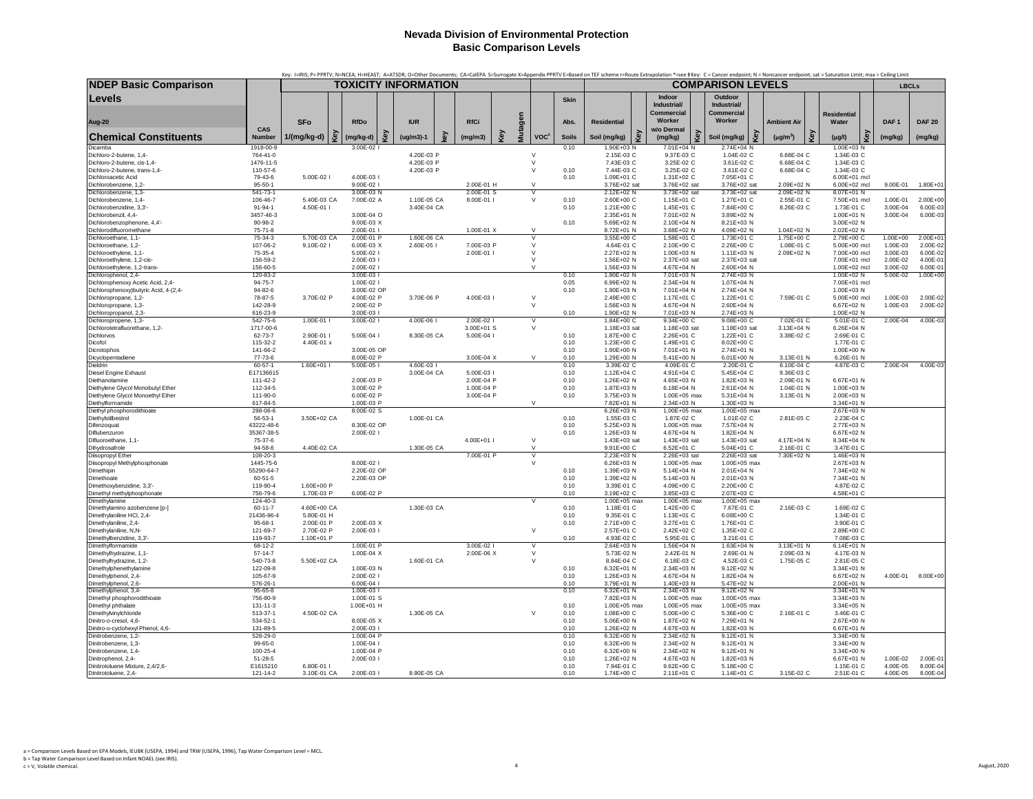|                                                             |                            |                             |     |                          |     |             |    |                          |   |         |                                |              |                              |     | Key: I=IRIS; P= PPRTV; N=NCEA; H=HEAST; A=ATSDR; O=Other Documents; CA=CalEPA S=Surrogate X=Appendix PPRTV E=Based on TEF scheme r=Route Extrapolation *=see BKey: C = Cancer endpoint; N = Noncancer endpoint; sat = Saturati |                                             |                    |                          |                              |                      |                         |
|-------------------------------------------------------------|----------------------------|-----------------------------|-----|--------------------------|-----|-------------|----|--------------------------|---|---------|--------------------------------|--------------|------------------------------|-----|--------------------------------------------------------------------------------------------------------------------------------------------------------------------------------------------------------------------------------|---------------------------------------------|--------------------|--------------------------|------------------------------|----------------------|-------------------------|
| <b>NDEP Basic Comparison</b>                                |                            | <b>TOXICITY INFORMATION</b> |     |                          |     |             |    |                          |   |         |                                |              |                              |     |                                                                                                                                                                                                                                | <b>COMPARISON LEVELS</b>                    |                    |                          |                              | <b>LBCLs</b>         |                         |
| Levels                                                      |                            |                             |     |                          |     |             |    |                          |   |         |                                | <b>Skin</b>  |                              |     | Indoor<br>Industrial/<br>Commercial                                                                                                                                                                                            | Outdoor<br>Industrial/<br><b>Commercial</b> |                    |                          | <b>Residential</b>           |                      |                         |
| Aug-20                                                      |                            | <b>SFo</b>                  |     | <b>RfDo</b>              |     | <b>IUR</b>  |    | <b>RfCi</b>              |   |         |                                | Abs.         | <b>Residential</b>           |     | Worker                                                                                                                                                                                                                         | Worker                                      | <b>Ambient Air</b> |                          | Water                        | DAF <sub>1</sub>     | <b>DAF 20</b>           |
| <b>Chemical Constituents</b>                                | CAS<br>Number              | 1/(mg/kg-d)                 | Key | (mg/kg-d)                | త్ర | $(ug/m3)-1$ | εy | (mg/m3)                  | Ğ | Mutagen | <b>VOC</b> <sup>c</sup>        | <b>Soils</b> | Soil (mg/kg)                 | ζeν | w/o Dermal<br>Key<br>(mg/kg)                                                                                                                                                                                                   | Soil (mg/kg)                                | $(\mu g/m^3)$      |                          | Кeу<br>$(\mu g/l)$           | (mg/kg)              | (mg/kg)                 |
| Dicamba<br>Dichloro-2-butene, 1,4-                          | 1918-00-9<br>764-41-0      |                             |     | 3.00E-02                 |     | 4.20E-03 P  |    |                          |   |         | $\vee$                         | 0.10         | 1.90E+03 N<br>2.15E-03 C     |     | 7.01E+04 N<br>9.37E-03 C                                                                                                                                                                                                       | 2.74E+04 N<br>1.04E-02 C                    |                    | 6.68E-04 C               | 1.00E+03 N<br>1.34E-03 C     |                      |                         |
| Dichloro-2-butene, cis-1,4-                                 | 1476-11-5                  |                             |     |                          |     | 4.20E-03 P  |    |                          |   |         | $\vee$                         |              | 7.43E-03 C                   |     | 3.25E-02 C                                                                                                                                                                                                                     | 3.61E-02 C                                  |                    | 6.68E-04 C               | 1.34E-03 C                   |                      |                         |
| Dichloro-2-butene, trans-1,4-<br>Dichloroacetic Acid        | 110-57-6<br>79-43-6        | 5.00E-02                    |     | 4.00E-03                 |     | 4.20E-03 P  |    |                          |   |         | $\vee$                         | 0.10<br>0.10 | 7.44E-03 C<br>1.09E+01 C     |     | 3.25E-02 C<br>1.31E+02 C                                                                                                                                                                                                       | 3.61E-02 C<br>7.05E+01 C                    |                    | 6.68E-04 C               | 1.34E-03 C<br>6.00E+01 mcl   |                      |                         |
| Dichlorobenzene, 1.2-                                       | $95 - 50 - 1$              |                             |     | 9.00E-02                 |     |             |    | 2.00E-01 H               |   |         | $\mathsf{V}$                   |              | 3.76E+02 sat                 |     | 3.76E+02 sat                                                                                                                                                                                                                   | 3.76E+02 sat                                |                    | 2.09E+02 N               | 6.00E+02 mcl                 | 9.00E-01             | $1.80E + 0$             |
| Dichlorobenzene, 1,3-                                       | 541-73-1                   |                             |     | 3.00E-03 N               |     |             |    | 2.00E-01 S               |   |         |                                |              | 2.12E+02 N                   |     | 3.73E+02 sat                                                                                                                                                                                                                   | 3.73E+02 sat                                |                    | 2.09E+02 N               | 8.07E+01 N                   |                      |                         |
| Dichlorobenzene, 1,4-                                       | 106-46-7                   | 5.40E-03 CA                 |     | 7.00E-02 A               |     | 1.10E-05 CA |    | 8.00E-01                 |   |         | $\mathsf{V}$                   | 0.10         | 2.60E+00 C                   |     | 1.15E+01 C                                                                                                                                                                                                                     | 1.27E+01 C                                  |                    | 2.55E-01 C               | 7.50E+01 mcl                 | 1.00E-01             | $2.00E + 00$            |
| Dichlorobenzidine, 3.3 <sup>1</sup><br>Dichlorobenzil, 4,4- | 91-94-1<br>3457-46-3       | 4.50E-01                    |     | 3.00E-04 O               |     | 3.40E-04 CA |    |                          |   |         |                                | 0.10         | 1.21E+00 C<br>2.35E+01 N     |     | 1.45E+01 C<br>7.01E+02 N                                                                                                                                                                                                       | 7.84E+00 C<br>3.89E+02 N                    |                    | 8.26E-03 C               | 1.73E-01 C<br>1.00E+01 N     | 3.00E-04<br>3.00E-04 | 6.00E-03<br>6.00E-03    |
| Dichlorobenzophenone, 4,4'-                                 | 90-98-2                    |                             |     | 9.00E-03 X               |     |             |    |                          |   |         |                                | 0.10         | 5.69E+02 N                   |     | 2.10E+04 N                                                                                                                                                                                                                     | 8.21E+03 N                                  |                    |                          | 3.00E+02 N                   |                      |                         |
| Dichlorodifluoromethane                                     | $75 - 71 - 8$              |                             |     | 2.00E-01                 |     |             |    | 1.00E-01 X               |   |         | $\mathbf{v}$                   |              | 8.72E+01 N                   |     | 3.68E+02 N                                                                                                                                                                                                                     | 4.09E+02 N                                  |                    | 1.04E+02 N               | 2.02E+02 N                   |                      |                         |
| Dichloroethane, 1,1-<br>Dichloroethane, 1,2-                | 75-34-3<br>107-06-2        | 5.70E-03 CA                 |     | 2.00E-01 P<br>6.00E-03 X |     | 1.60E-06 CA |    | 7.00E-03 P               |   |         | $\vee$                         |              | 3.55E+00 C<br>4.64E-01 C     |     | 1.58E+01 C<br>2.10E+00 C                                                                                                                                                                                                       | 1.73E+01 C<br>2.26E+00 C                    |                    | 1.75E+00 C               | 2.79E+00 C<br>5.00E+00 mcl   | 1.00E+00<br>1.00E-03 | $2.00E + 0$<br>2.00E-02 |
| Dichloroethylene, 1,1-                                      | 75-35-4                    | 9.10E-02 l                  |     | 5.00E-02                 |     | 2.60E-05 l  |    | 2.00E-01 I               |   |         | $\mathsf{V}$                   |              | 2.27E+02 N                   |     | 1.00E+03 N                                                                                                                                                                                                                     | 1.11E+03 N                                  |                    | 1.08E-01 C<br>2.09E+02 N | 7.00E+00 mcl                 | 3.00E-03             | 6.00E-02                |
| Dichloroethylene, 1,2-cis-                                  | 156-59-2                   |                             |     | 2.00E-03 l               |     |             |    |                          |   |         | $\vee$                         |              | 1.56E+02 N                   |     | 2.37E+03 sat                                                                                                                                                                                                                   | 2.37E+03 sat                                |                    |                          | 7.00E+01 mcl                 | 2.00E-02             | 4.00E-01                |
| Dichloroethylene, 1,2-trans-                                | 156-60-5                   |                             |     | 2.00E-02 l               |     |             |    |                          |   |         | $\vee$                         |              | 1.56E+03 N                   |     | 4.67E+04 N                                                                                                                                                                                                                     | 2.60E+04 N                                  |                    |                          | 1.00E+02 mcl                 | 3.00E-02             | 6.00E-01                |
| Dichlorophenol, 2.4-<br>Dichlorophenoxy Acetic Acid, 2,4-   | 120-83-2<br>94-75-7        |                             |     | 3.00E-03<br>1.00E-02     |     |             |    |                          |   |         |                                | 0.10<br>0.05 | 1.90E+02 N<br>6.99E+02 N     |     | 7.01E+03 N<br>2.34E+04 N                                                                                                                                                                                                       | 2.74E+03 N<br>1.07E+04 N                    |                    |                          | 1.00E+02 N<br>7.00E+01 mcl   | 5.00E-02             | $1.00E + 00$            |
| Dichlorophenoxy) butyric Acid, 4-(2,4-                      | 94-82-6                    |                             |     | 3.00E-02 OP              |     |             |    |                          |   |         |                                | 0.10         | 1.90E+03 N                   |     | 7.01E+04 N                                                                                                                                                                                                                     | 2.74E+04 N                                  |                    |                          | 1.00E+03 N                   |                      |                         |
| Dichloropropane, 1,2-                                       | 78-87-5                    | 3.70E-02 P                  |     | 4.00E-02 P               |     | 3.70E-06 P  |    | 4.00E-03 I               |   |         | $\vee$                         |              | 2.49E+00 C                   |     | 1.17E+01 C                                                                                                                                                                                                                     | 1.22E+01 C                                  |                    | 7.59E-01 C               | 5.00E+00 mcl                 | 1.00E-03             | 2.00E-02                |
| Dichloropropane, 1.3-                                       | 142-28-9<br>616-23-9       |                             |     | 2.00E-02 P               |     |             |    |                          |   |         | $\vee$                         | 0.10         | 1.56E+03 N<br>1.90E+02 N     |     | 4.67E+04 N<br>7.01E+03 N                                                                                                                                                                                                       | 2.60E+04 N<br>2.74E+03 N                    |                    |                          | $6.67E + 02 N$               | 1.00E-03             | 2.00E-02                |
| Dichloropropanol, 2,3-<br>Dichloropropene, 1,3-             | 542-75-6                   | 1.00E-01 I                  |     | 3.00E-03 l<br>3.00E-02   |     | 4.00E-06    |    | 2.00E-02                 |   |         | $\overline{V}$                 |              | 1.84E+00 C                   |     | 9.34E+00 C                                                                                                                                                                                                                     | $9.08E + 00C$                               |                    | 7.02E-01 C               | 1.00E+02 N<br>5.01E-01 C     | 2.00E-04             | 4.00E-03                |
| Dichlorotetrafluorethane, 1,2-                              | 1717-00-6                  |                             |     |                          |     |             |    | 3.00E+01 S               |   |         | $\mathsf{V}$                   |              | 1.18E+03 sat                 |     | 1.18E+03 sat                                                                                                                                                                                                                   | 1.18E+03 sat                                |                    | 3.13E+04 N               | 6.26E+04 N                   |                      |                         |
| Dichlorvos                                                  | 62-73-7                    | 2.90E-01 I                  |     | 5.00E-04 l               |     | 8.30E-05 CA |    | 5.00E-04 I               |   |         |                                | 0.10         | 1.87E+00 C                   |     | 2.26E+01 C                                                                                                                                                                                                                     | 1.22E+01 C                                  |                    | 3.38E-02 C               | 2.69E-01 C                   |                      |                         |
| Dicofol                                                     | 115-32-2<br>141-66-2       | 4.40E-01 x                  |     | 3.00E-05 OP              |     |             |    |                          |   |         |                                | 0.10<br>0.10 | 1.23E+00 C<br>1.90E+00 N     |     | 1.49E+01 C<br>7.01E+01 N                                                                                                                                                                                                       | 8.02E+00 C<br>2.74E+01 N                    |                    |                          | 1.77E-01 C<br>1.00E+00 N     |                      |                         |
| Dicrotophos<br>Dicyclopentadiene                            | 77-73-6                    |                             |     | 8.00E-02 P               |     |             |    | 3.00E-04 X               |   |         | $\mathsf{V}$                   | 0.10         | 1.29E+00 N                   |     | 5.41E+00 N                                                                                                                                                                                                                     | $6.01E + 00 N$                              |                    | 3.13E-01 N               | 6.26E-01 N                   |                      |                         |
| Dieldrin                                                    | $60 - 57 - 1$              | 1.60E+01                    |     | $5.00E-05$               |     | 4.60E-03 l  |    |                          |   |         |                                | 0.10         | 3.39E-02 C                   |     | 4.09E-01 C                                                                                                                                                                                                                     | 2.20E-01 C                                  |                    | 6.10E-04 C               | 4.87E-03 C                   | 2.00E-04             | 4.00E-03                |
| Diesel Engine Exhaust                                       | E17136615                  |                             |     |                          |     | 3.00E-04 CA |    | 5.00E-03 I               |   |         |                                | 0.10         | 1.12E+04 C                   |     | 4.91E+04 C                                                                                                                                                                                                                     | 5.45E+04 C                                  |                    | 9.36E-03 C               |                              |                      |                         |
| Diethanolamine<br>Diethylene Glycol Monobutyl Ether         | $111 - 42 - 2$<br>112-34-5 |                             |     | 2.00E-03 P<br>3.00E-02 P |     |             |    | 2.00E-04 P<br>1.00E-04 P |   |         |                                | 0.10<br>0.10 | 1.26E+02 N<br>1.87E+03 N     |     | 4.65E+03 N<br>6.18E+04 N                                                                                                                                                                                                       | 1.82E+03 N<br>2.61E+04 N                    |                    | 2.09E-01 N<br>1.04E-01 N | $6.67E + 01 N$<br>1.00E+03 N |                      |                         |
| Diethylene Glycol Monoethyl Ether                           | 111-90-0                   |                             |     | 6.00E-02 P               |     |             |    | 3.00E-04 P               |   |         |                                | 0.10         | 3.75E+03 N                   |     | 1.00E+05 max                                                                                                                                                                                                                   | 5.31E+04 N                                  |                    | 3.13E-01 N               | 2.00E+03 N                   |                      |                         |
| Diethylformamide                                            | 617-84-5                   |                             |     | 1.00E-03 P               |     |             |    |                          |   |         | $\vee$                         |              | 7.82E+01 N                   |     | 2.34E+03 N                                                                                                                                                                                                                     | 1.30E+03 N                                  |                    |                          | 3.34E+01 N                   |                      |                         |
| Diethyl phosphorodithioate                                  | 298-06-6                   |                             |     | 8.00E-02 S               |     |             |    |                          |   |         |                                |              | $6.26E + 03N$                |     | 1.00E+05 max                                                                                                                                                                                                                   | 1.00E+05 max                                |                    |                          | 2.67E+03 N                   |                      |                         |
| Diethylstilbestrol<br>Difenzoquat                           | 56-53-1<br>43222-48-6      | 3.50E+02 CA                 |     | 8.30E-02 OP              |     | 1.00E-01 CA |    |                          |   |         |                                | 0.10<br>0.10 | 1.55E-03 C<br>5.25E+03 N     |     | 1.87E-02 C<br>1.00E+05 max                                                                                                                                                                                                     | 1.01E-02 C<br>7.57E+04 N                    |                    | 2.81E-05 C               | 2.23E-04 C<br>2.77E+03 N     |                      |                         |
| Diflubenzuron                                               | 35367-38-5                 |                             |     | 2.00E-02 l               |     |             |    |                          |   |         |                                | 0.10         | 1.26E+03 N                   |     | 4.67E+04 N                                                                                                                                                                                                                     | 1.82E+04 N                                  |                    |                          | 6.67E+02 N                   |                      |                         |
| Difluoroethane, 1,1-                                        | 75-37-6                    |                             |     |                          |     |             |    | 4.00E+01 l               |   |         | $\vee$                         |              | 1.43E+03 sat                 |     | 1.43E+03 sat                                                                                                                                                                                                                   | 1.43E+03 sat                                |                    | 4.17E+04 N               | 8.34E+04 N                   |                      |                         |
| Dihydrosafrole<br>Diisopropyl Ether                         | $94 - 58 - 6$<br>108-20-3  | 4.40E-02 CA                 |     |                          |     | 1.30E-05 CA |    | 7.00E-01 P               |   |         | $\mathsf{V}$<br>$\overline{V}$ |              | 9.91E+00 C<br>2.23E+03 N     |     | 6.52E+01 C<br>2.26E+03 sat                                                                                                                                                                                                     | 5.04E+01 C<br>2.26E+03 sat                  |                    | 2.16E-01 C<br>7.30E+02 N | 3.47E-01 C<br>1.46E+03 N     |                      |                         |
| Diisopropyl Methylphosphonate                               | 1445-75-6                  |                             |     | 8.00E-02                 |     |             |    |                          |   |         | $\mathsf{V}$                   |              | 6.26E+03 N                   |     | 1.00E+05 max                                                                                                                                                                                                                   | 1.00E+05 max                                |                    |                          | 2.67E+03 N                   |                      |                         |
| Dimethipin                                                  | 55290-64-7                 |                             |     | 2.20E-02 OP              |     |             |    |                          |   |         |                                | 0.10         | 1.39E+03 N                   |     | 5.14E+04 N                                                                                                                                                                                                                     | 2.01E+04 N                                  |                    |                          | 7.34E+02 N                   |                      |                         |
| Dimethoate                                                  | 60-51-5                    |                             |     | 2.20E-03 OP              |     |             |    |                          |   |         |                                | 0.10         | 1.39E+02 N                   |     | 5.14E+03 N                                                                                                                                                                                                                     | 2.01E+03 N                                  |                    |                          | 7.34E+01 N                   |                      |                         |
| Dimethoxybenzidine, 3,3'-<br>Dimethyl methylphosphonate     | 119-90-4<br>756-79-6       | 1.60E+00 P<br>1.70E-03 P    |     | 6.00E-02 P               |     |             |    |                          |   |         |                                | 0.10<br>0.10 | 3.39E-01 C<br>3.19E+02 C     |     | 4.09E+00 C<br>3.85E+03 C                                                                                                                                                                                                       | 2.20E+00 C<br>2.07E+03 C                    |                    |                          | 4.87E-02 C<br>4.58E+01 C     |                      |                         |
| Dimethylamine                                               | 124-40-3                   |                             |     |                          |     |             |    |                          |   |         | $\mathsf{v}$                   |              | 1.00E+05 max                 |     | $1.00E+05$ max                                                                                                                                                                                                                 | 1.00E+05 max                                |                    |                          |                              |                      |                         |
| Dimethylamino azobenzene [p-]                               | $60 - 11 - 7$              | 4.60E+00 CA                 |     |                          |     | 1.30E-03 CA |    |                          |   |         |                                | 0.10         | 1.18E-01 C                   |     | 1.42E+00 C                                                                                                                                                                                                                     | 7.67E-01 C                                  |                    | 2.16E-03 C               | 1.69E-02 C                   |                      |                         |
| Dimethylaniline HCl, 2,4-                                   | 21436-96-4                 | 5.80E-01 H                  |     |                          |     |             |    |                          |   |         |                                | 0.10         | 9.35E-01 C                   |     | 1.13E+01 C                                                                                                                                                                                                                     | 6.08E+00 C                                  |                    |                          | 1.34E-01 C                   |                      |                         |
| Dimethylaniline, 2,4-<br>Dimethylaniline, N,N-              | 95-68-1<br>121-69-7        | 2.00E-01 P<br>2.70E-02 P    |     | 2.00E-03 X<br>2.00E-03 I |     |             |    |                          |   |         | $\vee$                         | 0.10         | 2.71E+00 C<br>2.57E+01 C     |     | 3.27E+01 C<br>2.42E+02 C                                                                                                                                                                                                       | 1.76E+01 C<br>1.35E+02 C                    |                    |                          | 3.90E-01 C<br>2.89E+00 C     |                      |                         |
| Dimethylbenzidine, 3,3'-                                    | 119-93-7                   | 1.10E+01 P                  |     |                          |     |             |    |                          |   |         |                                | 0.10         | 4.93E-02 C                   |     | 5.95E-01 C                                                                                                                                                                                                                     | 3.21E-01 C                                  |                    |                          | 7.08E-03 C                   |                      |                         |
| Dimethylformamide                                           | 68-12-2                    |                             |     | 1.00E-01 P               |     |             |    | 3.00E-02 l               |   |         | $\mathsf{v}$                   |              | 2.64E+03 N                   |     | 1.56E+04 N                                                                                                                                                                                                                     | 1.63E+04 N                                  |                    | 3.13E+01 N               | 6.14E+01 N                   |                      |                         |
| Dimethylhydrazine, 1,1-<br>Dimethylhydrazine, 1,2-          | $57 - 14 - 7$<br>540-73-8  | 5.50E+02 CA                 |     | 1.00E-04 X               |     | 1.60E-01 CA |    | 2.00E-06 X               |   |         | $\vee$<br>$\vee$               |              | 5.73E-02 N<br>8.84E-04 C     |     | 2.42E-01 N<br>6.18E-03 C                                                                                                                                                                                                       | 2.69E-01 N<br>4.52E-03 C                    |                    | 2.09E-03 N<br>1.75E-05 C | 4.17E-03 N<br>2.81E-05 C     |                      |                         |
| Dimethylphenethylamine                                      | 122-09-8                   |                             |     | 1.00E-03 N               |     |             |    |                          |   |         |                                | 0.10         | $6.32E + 01$ N               |     | 2.34E+03 N                                                                                                                                                                                                                     | $9.12E + 02$ N                              |                    |                          | 3.34E+01 N                   |                      |                         |
| Dimethylphenol, 2,4-                                        | 105-67-9                   |                             |     | 2.00E-02 l               |     |             |    |                          |   |         |                                | 0.10         | 1.26E+03 N                   |     | 4.67E+04 N                                                                                                                                                                                                                     | 1.82E+04 N                                  |                    |                          | $6.67E + 02 N$               | 4.00E-01             | $8.00E + 00$            |
| Dimethylphenol, 2,6-                                        | 576-26-1                   |                             |     | 6.00E-04 I               |     |             |    |                          |   |         |                                | 0.10         | 3.79E+01 N                   |     | 1.40E+03 N                                                                                                                                                                                                                     | 5.47E+02 N                                  |                    |                          | 2.00E+01 N                   |                      |                         |
| Dimethylphenol, 3,4-<br>Dimethyl phosphorodithioate         | $95 - 65 - 8$<br>756-80-9  |                             |     | 1.00E-03<br>1.00E-01 S   |     |             |    |                          |   |         |                                | 0.10         | $6.32E + 01$ N<br>7.82E+03 N |     | 2.34E+03 N<br>1.00E+05 max                                                                                                                                                                                                     | $9.12E + 02N$<br>1.00E+05 max               |                    |                          | 3.34E+01 N<br>3.34E+03 N     |                      |                         |
| Dimethyl phthalate                                          | $131 - 11 - 3$             |                             |     | 1.00E+01 H               |     |             |    |                          |   |         |                                | 0.10         | 1.00E+05 max                 |     | 1.00E+05 max                                                                                                                                                                                                                   | 1.00E+05 max                                |                    |                          | 3.34E+05 N                   |                      |                         |
| Dimethylvinylchloride                                       | 513-37-1                   | 4.50E-02 CA                 |     |                          |     | 1.30E-05 CA |    |                          |   |         | $\vee$                         | 0.10         | 1.08E+00 C                   |     | 5.00E+00 C                                                                                                                                                                                                                     | 5.36E+00 C                                  |                    | 2.16E-01 C               | 3.46E-01 C                   |                      |                         |
| Dinitro-o-cresol, 4,6-                                      | 534-52-1                   |                             |     | 8.00E-05 X               |     |             |    |                          |   |         |                                | 0.10<br>0.10 | 5.06E+00 N                   |     | 1.87E+02 N                                                                                                                                                                                                                     | 7.29E+01 N                                  |                    |                          | 2.67E+00 N                   |                      |                         |
| Dinitro-o-cyclohexyl Phenol, 4,6-<br>Dinitrobenzene, 1,2-   | 131-89-5<br>528-29-0       |                             |     | 2.00E-03 l<br>1.00E-04 P |     |             |    |                          |   |         |                                | 0.10         | 1.26E+02 N<br>6.32E+00 N     |     | 4.67E+03 N<br>2.34E+02 N                                                                                                                                                                                                       | 1.82E+03 N<br>9.12E+01 N                    |                    |                          | 6.67E+01 N<br>3.34E+00 N     |                      |                         |
| Dinitrobenzene, 1,3-                                        | 99-65-0                    |                             |     | 1.00E-04 I               |     |             |    |                          |   |         |                                | 0.10         | 6.32E+00 N                   |     | 2.34E+02 N                                                                                                                                                                                                                     | 9.12E+01 N                                  |                    |                          | 3.34E+00 N                   |                      |                         |
| Dinitrobenzene, 1.4                                         | 100-25-4                   |                             |     | 1.00F-04 P               |     |             |    |                          |   |         |                                | 0.10         | $6.32E + 00 N$               |     | 2.34E+02 N                                                                                                                                                                                                                     | $9.12E + 01 N$                              |                    |                          | 3.34E+00 N                   |                      |                         |
| Dinitrophenol, 2,4-<br>Dinitrotoluene Mixture, 2,4/2,6-     | 51-28-5<br>E1615210        | 6.80E-01                    |     | 2.00E-03 l               |     |             |    |                          |   |         |                                | 0.10<br>0.10 | 1.26E+02 N<br>7.94E-01 C     |     | 4.67E+03 N                                                                                                                                                                                                                     | 1.82E+03 N<br>5.18E+00 C                    |                    |                          | 6.67E+01 N<br>1.15E-01 C     | 1.00E-02<br>4.00E-05 | 2.00E-01<br>8.00E-04    |
| Dinitrotoluene, 2,4-                                        | 121-14-2                   | 3.10E-01 CA                 |     | 2.00E-03                 |     | 8.90E-05 CA |    |                          |   |         |                                | 0.10         | 1.74E+00 C                   |     | 9.62E+00 C<br>2.11E+01 C                                                                                                                                                                                                       | 1.14E+01 C                                  |                    | 3.15E-02 C               | 2.51E-01 C                   | 4.00E-05             | 8.00E-04                |
|                                                             |                            |                             |     |                          |     |             |    |                          |   |         |                                |              |                              |     |                                                                                                                                                                                                                                |                                             |                    |                          |                              |                      |                         |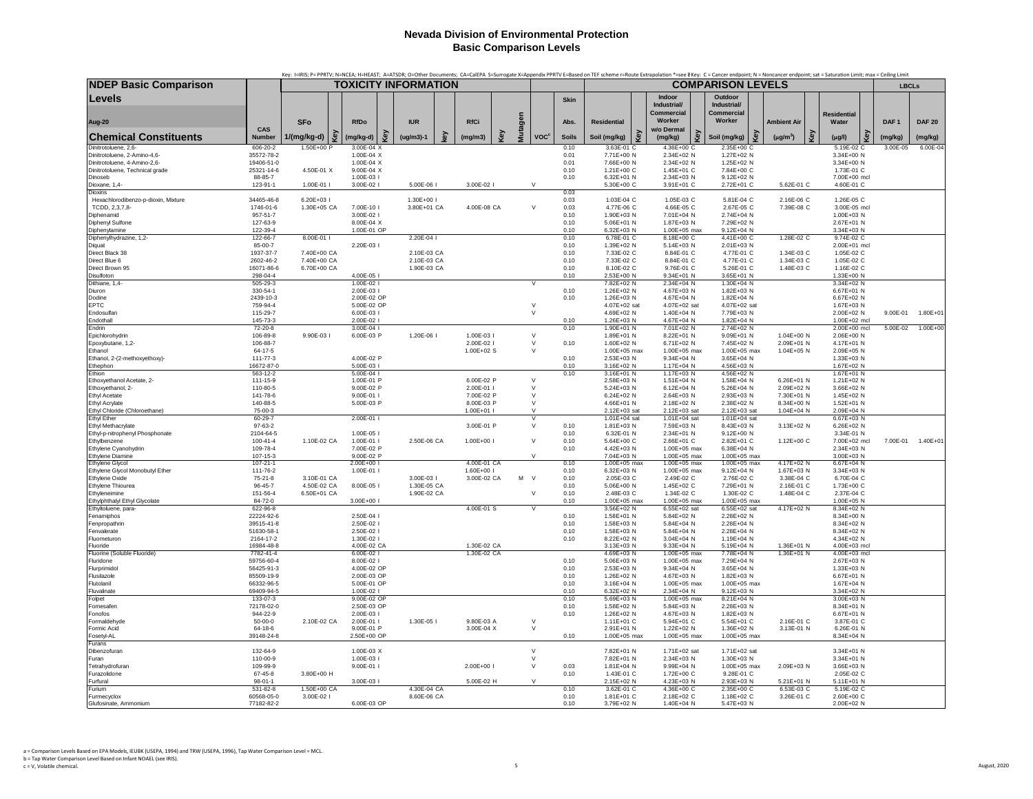| <b>NDEP Basic Comparison</b>                          |                            | Key: I=IRIS; P= PPRTV; N=NCEA; H=HEAST; A=ATSDR; O=Other Documents; CA=CalEPA S=Surrogate X=Appendix PPRTV E=Based on TEF scheme r=Route Extrapolation *=see BKey: C= Cancer endpoint; N = Noncancer endpoint; sat = Saturatio |                            |     | <b>TOXICITY INFORMATION</b> |   |                           |     |         |                                          |              |                              |     |                               | <b>COMPARISON LEVELS</b> |                              |     |                          |                            |     |                  |               |
|-------------------------------------------------------|----------------------------|--------------------------------------------------------------------------------------------------------------------------------------------------------------------------------------------------------------------------------|----------------------------|-----|-----------------------------|---|---------------------------|-----|---------|------------------------------------------|--------------|------------------------------|-----|-------------------------------|--------------------------|------------------------------|-----|--------------------------|----------------------------|-----|------------------|---------------|
|                                                       |                            |                                                                                                                                                                                                                                |                            |     |                             |   |                           |     |         |                                          |              |                              |     |                               |                          |                              |     |                          |                            |     | <b>LBCLs</b>     |               |
| Levels                                                |                            |                                                                                                                                                                                                                                |                            |     |                             |   |                           |     |         |                                          | Skin         |                              |     | Indoor<br>Industrial/         |                          | Outdoor<br>Industrial/       |     |                          |                            |     |                  |               |
|                                                       |                            |                                                                                                                                                                                                                                |                            |     |                             |   |                           |     |         |                                          |              |                              |     | <b>Commercial</b><br>Worker   |                          | Commercial<br>Worker         |     |                          | <b>Residential</b>         |     |                  |               |
| Aug-20                                                | CAS                        | <b>SFo</b>                                                                                                                                                                                                                     | <b>RfDo</b>                |     | <b>IUR</b>                  |   | <b>RfCi</b>               |     | Mutagen |                                          | Abs.         | <b>Residential</b>           |     | w/o Dermal                    |                          |                              |     | <b>Ambient Air</b>       | Water                      |     | DAF <sub>1</sub> | <b>DAF 20</b> |
| <b>Chemical Constituents</b>                          | Number                     | 1/(mg/kg-d)                                                                                                                                                                                                                    | Key<br>(mg/kg-d)           | Key | $(ug/m3)-1$                 | ξ | (mg/m3)                   | Key |         | <b>VOC<sup>c</sup></b>                   | <b>Soils</b> | Soil (mg/kg)                 | Key | (mg/kg)                       | Key                      | Soil (mg/kg)                 | key | Key<br>$(\mu g/m^3)$     | $(\mu g/l)$                | Key | (mg/kg)          | (mg/kg)       |
| Dinitrotoluene, 2,6-<br>Dinitrotoluene, 2-Amino-4,6-  | 606-20-2<br>35572-78-2     | 1.50E+00 P                                                                                                                                                                                                                     | 3.00E-04 X<br>1.00E-04 X   |     |                             |   |                           |     |         |                                          | 0.10<br>0.01 | 3.63E-01 C<br>7.71E+00 N     |     | 4.36E+00 C<br>2.34E+02 N      |                          | 2.35E+00 C<br>1.27E+02 N     |     |                          | 5.19E-02 C<br>3.34E+00 N   |     | 3.00E-05         | $6.00E - 04$  |
| Dinitrotoluene, 4-Amino-2,6-                          | 19406-51-0                 |                                                                                                                                                                                                                                | 1.00E-04 X                 |     |                             |   |                           |     |         |                                          | 0.01         | 7.66E+00 N                   |     | 2.34E+02 N                    |                          | 1.25E+02 N                   |     |                          | 3.34E+00 N                 |     |                  |               |
| Dinitrotoluene, Technical grade                       | 25321-14-6                 | 4.50E-01 X                                                                                                                                                                                                                     | $9.00E - 04 X$             |     |                             |   |                           |     |         |                                          | 0.10         | 1.21E+00 C                   |     | 1.45E+01 C                    |                          | 7.84E+00 C                   |     |                          | 1.73E-01 C                 |     |                  |               |
| Dinoseb<br>Dioxane, 1,4-                              | 88-85-7<br>123-91-1        | 1.00E-01 l                                                                                                                                                                                                                     | 1.00E-03 l<br>3.00E-02 l   |     | 5.00E-06 l                  |   | 3.00E-02                  |     |         | $\vee$                                   | 0.10         | 6.32E+01 N<br>5.30E+00 C     |     | 2.34E+03 N<br>3.91E+01 C      |                          | 9.12E+02 N<br>2.72E+01 C     |     | 5.62E-01 C               | 7.00E+00 mcl<br>4.60E-01 C |     |                  |               |
| <b>Dioxins</b>                                        |                            |                                                                                                                                                                                                                                |                            |     |                             |   |                           |     |         |                                          | 0.03         |                              |     |                               |                          |                              |     |                          |                            |     |                  |               |
| Hexachlorodibenzo-p-dioxin, Mixture<br>TCDD, 2,3,7,8- | 34465-46-8<br>1746-01-6    | 6.20E+03 I<br>1.30E+05 CA                                                                                                                                                                                                      | 7.00E-10 I                 |     | 1.30E+00 l<br>3.80E+01 CA   |   | 4.00E-08 CA               |     |         | $\vee$                                   | 0.03<br>0.03 | 1.03E-04 C<br>4.77E-06 C     |     | 1.05E-03 C<br>4.66E-05 C      |                          | 5.81E-04 C<br>2.67E-05 C     |     | 2.16E-06 C<br>7.39E-08 C | 1.26E-05 C<br>3.00E-05 mcl |     |                  |               |
| Diphenamid                                            | 957-51-7                   |                                                                                                                                                                                                                                | 3.00E-02                   |     |                             |   |                           |     |         |                                          | 0.10         | 1.90E+03 N                   |     | 7.01E+04 N                    |                          | 2.74E+04 N                   |     |                          | 1.00E+03 N                 |     |                  |               |
| Diphenyl Sulfone                                      | 127-63-9                   |                                                                                                                                                                                                                                | 8.00E-04 X                 |     |                             |   |                           |     |         |                                          | 0.10         | 5.06E+01 N                   |     | 1.87E+03 N                    |                          | 7.29E+02 N                   |     |                          | 2.67E+01 N                 |     |                  |               |
| Diphenylamine<br>Diphenylhydrazine, 1,2-              | 122-39-4                   | 8.00E-01 I                                                                                                                                                                                                                     | 1.00E-01 OP                |     | 2.20E-04 I                  |   |                           |     |         |                                          | 0.10<br>0.10 | 6.32E+03 N<br>6.78E-01 C     |     | 1.00E+05 max<br>$8.18F + 00C$ |                          | 9.12E+04 N                   |     | 1.28E-02 C               | 3.34E+03 N<br>9.74E-02 C   |     |                  |               |
| Diquat                                                | 122-66-7<br>85-00-7        |                                                                                                                                                                                                                                | 2.20E-03 I                 |     |                             |   |                           |     |         |                                          | 0.10         | 1.39E+02 N                   |     | 5.14E+03 N                    |                          | 4.41E+00 C<br>2.01E+03 N     |     |                          | 2.00E+01 mcl               |     |                  |               |
| Direct Black 38                                       | 1937-37-7                  | 7.40E+00 CA                                                                                                                                                                                                                    |                            |     | 2.10E-03 CA                 |   |                           |     |         |                                          | 0.10         | 7.33E-02 C                   |     | 8.84E-01 C                    |                          | 4.77E-01 C                   |     | 1.34E-03 C               | 1.05E-02 C                 |     |                  |               |
| Direct Blue 6<br>Direct Brown 95                      | 2602-46-2<br>16071-86-6    | 7.40E+00 CA<br>6.70E+00 CA                                                                                                                                                                                                     |                            |     | 2.10E-03 CA<br>1.90E-03 CA  |   |                           |     |         |                                          | 0.10<br>0.10 | 7.33E-02 C<br>8.10E-02 C     |     | 8.84E-01 C<br>9.76E-01 C      |                          | 4.77E-01 C<br>5.26E-01 C     |     | 1.34E-03 C<br>1.48E-03 C | 1.05E-02 C<br>1.16E-02 C   |     |                  |               |
| Disulfoton                                            | 298-04-4                   |                                                                                                                                                                                                                                | 4.00E-05 l                 |     |                             |   |                           |     |         |                                          | 0.10         | 2.53E+00 N                   |     | 9.34E+01 N                    |                          | 3.65E+01 N                   |     |                          | 1.33E+00 N                 |     |                  |               |
| Dithiane, 1,4-                                        | 505-29-3                   |                                                                                                                                                                                                                                | 1.00E-02 l                 |     |                             |   |                           |     |         |                                          |              | 7.82E+02 N                   |     | 2.34E+04 N                    |                          | 1.30E+04 N                   |     |                          | 3.34E+02 N                 |     |                  |               |
| Diuron                                                | 330-54-1                   |                                                                                                                                                                                                                                | 2.00E-03 l                 |     |                             |   |                           |     |         |                                          | 0.10         | 1.26E+02 N                   |     | 4.67E+03 N                    |                          | 1.82E+03 N                   |     |                          | 6.67E+01 N                 |     |                  |               |
| Dodine<br><b>EPTC</b>                                 | 2439-10-3<br>759-94-4      |                                                                                                                                                                                                                                | 2.00E-02 OP<br>5.00E-02 OP |     |                             |   |                           |     |         | $\vee$                                   | 0.10         | 1.26E+03 N<br>4.07E+02 sat   |     | 4.67E+04 N<br>4.07E+02 sat    |                          | 1.82E+04 N<br>4.07E+02 sat   |     |                          | 6.67E+02 N<br>1.67E+03 N   |     |                  |               |
| Endosulfan                                            | 115-29-7                   |                                                                                                                                                                                                                                | 6.00E-03 l                 |     |                             |   |                           |     |         | $\vee$                                   |              | 4.69E+02 N                   |     | 1.40E+04 N                    |                          | 7.79E+03 N                   |     |                          | 2.00E+02 N                 |     | $9.00F - 01$     | 1.80E+01      |
| Endothall                                             | 145-73-3                   |                                                                                                                                                                                                                                | 2.00E-02 l                 |     |                             |   |                           |     |         |                                          | 0.10         | 1.26E+03 N                   |     | 4.67E+04 N                    |                          | 1.82E+04 N                   |     |                          | 1.00E+02 mcl               |     |                  |               |
| Endrin<br>Epichlorohydrin                             | 72-20-8<br>106-89-8        | 9.90E-03 I                                                                                                                                                                                                                     | 3.00E-04 l<br>6.00E-03 P   |     | 1.20E-06 I                  |   | 1.00E-03                  |     |         | $\vee$                                   | 0.10         | 1.90E+01 N<br>1.89E+01 N     |     | 7.01E+02 N<br>8.22E+01 N      |                          | 2.74E+02 N<br>9.09E+01 N     |     | $1.04E + 00 N$           | 2.00E+00 mcl<br>2.06E+00 N |     | 5.00E-02         | $1.00E + 00$  |
| Epoxybutane, 1,2-                                     | 106-88-7                   |                                                                                                                                                                                                                                |                            |     |                             |   | 2.00E-02 l                |     |         | $\vee$                                   | 0.10         | 1.60E+02 N                   |     | 6.71E+02 N                    |                          | 7.45E+02 N                   |     | 2.09E+01 N               | 4.17E+01 N                 |     |                  |               |
| Fthanol                                               | 64-17-5                    |                                                                                                                                                                                                                                |                            |     |                             |   | $1.00E + 02 S$            |     |         | $\vee$                                   |              | 1.00E+05 max                 |     | $1.00F + 0.5$ max             |                          | 1.00E+05 max                 |     | 1.04E+05 N               | 2.09E+05 N                 |     |                  |               |
| Ethanol, 2-(2-methoxyethoxy)-<br>Ethephon             | 111-77-3<br>16672-87-0     |                                                                                                                                                                                                                                | 4.00E-02 P<br>5.00E-03     |     |                             |   |                           |     |         |                                          | 0.10<br>0.10 | 2.53E+03 N<br>3.16E+02 N     |     | 9.34E+04 N<br>1.17E+04 N      |                          | 3.65E+04 N<br>4.56E+03 N     |     |                          | 1.33E+03 N<br>1.67E+02 N   |     |                  |               |
| Ethion                                                | 563-12-2                   |                                                                                                                                                                                                                                | 5.00E-04                   |     |                             |   |                           |     |         |                                          | 0.10         | 3.16E+01 N                   |     | 1.17E+03 N                    |                          | 4.56E+02 N                   |     |                          | 1.67E+01 N                 |     |                  |               |
| Ethoxyethanol Acetate, 2-<br>Ethoxyethanol, 2-        | 111-15-9<br>110-80-5       |                                                                                                                                                                                                                                | 1.00E-01 P<br>9.00E-02 P   |     |                             |   | 6.00E-02 P<br>2.00E-01    |     |         | $\vee$<br>$\vee$                         |              | 2.58E+03 N<br>5.24E+03 N     |     | 1.51E+04 N<br>6.12E+04 N      |                          | 1.58E+04 N<br>5.26E+04 N     |     | 6.26E+01 N<br>2.09E+02 N | 1.21E+02 N<br>3.66E+02 N   |     |                  |               |
| <b>Ethyl Acetate</b>                                  | 141-78-6                   |                                                                                                                                                                                                                                | 9.00E-01 I                 |     |                             |   | 7.00E-02 P                |     |         | $\vee$                                   |              | 6.24E+02 N                   |     | 2.64E+03 N                    |                          | 2.93E+03 N                   |     | 7.30E+01 N               | 1.45E+02 N                 |     |                  |               |
| <b>Ethyl Acrylate</b>                                 | 140-88-5                   |                                                                                                                                                                                                                                | 5.00E-03 P                 |     |                             |   | 8.00E-03 P                |     |         | $\vee$                                   |              | 4.66E+01 N                   |     | 2.18E+02 N                    |                          | 2.38E+02 N                   |     | 8.34E+00 N               | 1.52E+01 N                 |     |                  |               |
| Ethyl Chloride (Chloroethane)<br><b>Ethyl Ether</b>   | 75-00-3<br>$60 - 29 - 7$   |                                                                                                                                                                                                                                |                            |     |                             |   | 1.00E+01 l                |     |         | $\mathcal{V}$<br>$\overline{\mathsf{v}}$ |              | 2.12E+03 sat<br>1.01E+04 sat |     | 2.12E+03 sat<br>1.01E+04 sat  |                          | 2.12E+03 sat<br>1.01E+04 sat |     | $1.04E + 04 N$           | 2.09E+04 N<br>6.67E+03 N   |     |                  |               |
| Ethyl Methacrylate                                    | 97-63-2                    |                                                                                                                                                                                                                                | 2.00E-01 l                 |     |                             |   | 3.00E-01 P                |     |         | $\vee$                                   | 0.10         | 1.81E+03 N                   |     | 7.59E+03 N                    |                          | 8.43E+03 N                   |     | 3.13E+02 N               | 6.26E+02 N                 |     |                  |               |
| Ethyl-p-nitrophenyl Phosphonate                       | 2104-64-5                  |                                                                                                                                                                                                                                | 1.00E-05 l                 |     |                             |   |                           |     |         |                                          | 0.10         | 6.32E-01 N                   |     | 2.34E+01 N                    |                          | 9.12E+00 N                   |     |                          | 3.34E-01 N                 |     |                  |               |
| Ethylbenzene                                          | $100 - 41 - 4$<br>109-78-4 | 1.10E-02 CA                                                                                                                                                                                                                    | 1.00E-01  <br>7.00E-02 P   |     | 2.50E-06 CA                 |   | 1.00E+00 l                |     |         | $\vee$                                   | 0.10         | 5.64E+00 C<br>4.42E+03 N     |     | 2.66E+01 C<br>1.00E+05 max    |                          | 2.82E+01 C<br>6.38E+04 N     |     | 1.12E+00 C               | 7.00E+02 mcl<br>2.34E+03 N |     | 7.00E-01         | 1.40E+01      |
| Ethylene Cyanohydrin<br>Ethylene Diamine              | 107-15-3                   |                                                                                                                                                                                                                                | 9.00E-02 P                 |     |                             |   |                           |     |         | $\vee$                                   | 0.10         | 7.04E+03 N                   |     | 1.00E+05 max                  |                          | 1.00E+05 max                 |     |                          | 3.00E+03 N                 |     |                  |               |
| Ethylene Glycol                                       | $107 - 21 - 1$             |                                                                                                                                                                                                                                | 2.00E+00 l                 |     |                             |   | 4.00F-01 CA               |     |         |                                          | 0.10         | 1.00E+05 max                 |     | 1.00E+05 max                  |                          | $1.00E+05$ max               |     | 4.17E+02 N               | 6.67E+04 N                 |     |                  |               |
| Ethylene Glycol Monobutyl Ether<br>Ethylene Oxide     | 111-76-2                   | 3.10E-01 CA                                                                                                                                                                                                                    | 1.00E-01                   |     | 3.00E-03 I                  |   | 1.60E+00 l<br>3.00E-02 CA |     | M       | $\vee$                                   | 0.10<br>0.10 | 6.32E+03 N<br>2.05E-03 C     |     | 1.00E+05 max<br>2.49E-02 C    |                          | 9.12E+04 N<br>2.76E-02 C     |     | 1.67E+03 N<br>3.38E-04 C | 3.34E+03 N<br>6.70E-04 C   |     |                  |               |
| Ethylene Thiourea                                     | 75-21-8<br>96-45-7         | 4.50E-02 CA                                                                                                                                                                                                                    | 8.00E-05 l                 |     | 1.30E-05 CA                 |   |                           |     |         |                                          | 0.10         | 5.06E+00 N                   |     | 1.45E+02 C                    |                          | 7.29E+01 N                   |     | 2.16E-01 C               | 1.73E+00 C                 |     |                  |               |
| Ethyleneimine                                         | 151-56-4                   | 6.50E+01 CA                                                                                                                                                                                                                    |                            |     | 1.90E-02 CA                 |   |                           |     |         | $\vee$                                   | 0.10         | 2.48E-03 C                   |     | 1.34E-02 C                    |                          | 1.30E-02 C                   |     | 1.48E-04 C               | 2.37E-04 C                 |     |                  |               |
| Ethylphthalyl Ethyl Glycolate                         | 84-72-0                    |                                                                                                                                                                                                                                | 3.00E+00 l                 |     |                             |   |                           |     |         | $\vee$                                   | 0.10         | 1.00E+05 max                 |     | 1.00E+05 max                  |                          | 1.00E+05 max                 |     | 4.17E+02 N               | 1.00E+05 N                 |     |                  |               |
| Ethyltoluene, para-<br>Fenamiphos                     | 622-96-8<br>22224-92-6     |                                                                                                                                                                                                                                | 2.50E-04                   |     |                             |   | 4.00E-01 S                |     |         |                                          | 0.10         | 3.56E+02 N<br>1.58E+01 N     |     | $6.55E+02$ sat<br>5.84E+02 N  |                          | 6.55E+02 sat<br>2.28E+02 N   |     |                          | 8.34E+02 N<br>8.34E+00 N   |     |                  |               |
| Fenpropathrin                                         | 39515-41-8                 |                                                                                                                                                                                                                                | 2.50E-02                   |     |                             |   |                           |     |         |                                          | 0.10         | 1.58E+03 N                   |     | 5.84E+04 N                    |                          | 2.28E+04 N                   |     |                          | 8.34E+02 N                 |     |                  |               |
| Fenvalerate                                           | 51630-58-1                 |                                                                                                                                                                                                                                | 2.50E-02                   |     |                             |   |                           |     |         |                                          | 0.10         | 1.58E+03 N                   |     | 5.84E+04 N                    |                          | 2.28E+04 N                   |     |                          | 8.34E+02 N                 |     |                  |               |
| Fluometuron<br>Fluoride                               | 2164-17-2<br>16984-48-8    |                                                                                                                                                                                                                                | 1.30E-02  <br>4.00E-02 CA  |     |                             |   | 1.30F-02 CA               |     |         |                                          | 0.10         | 8.22E+02 N<br>3.13E+03 N     |     | 3.04E+04 N<br>$9.33E + 04 N$  |                          | 1.19E+04 N<br>5.19E+04 N     |     | 1.36E+01 N               | 4.34E+02 N<br>4.00E+03 mcl |     |                  |               |
| Fluorine (Soluble Fluoride)                           | 7782-41-4                  |                                                                                                                                                                                                                                | 6.00E-02                   |     |                             |   | 1.30E-02 CA               |     |         |                                          |              | 4.69E+03 N                   |     | 1.00E+05 max                  |                          | 7.78E+04 N                   |     | 1.36E+01 N               | 4.00E+03 mcl               |     |                  |               |
| Fluridone                                             | 59756-60-4                 |                                                                                                                                                                                                                                | 8.00E-02                   |     |                             |   |                           |     |         |                                          | 0.10         | 5.06E+03 N                   |     | 1.00E+05 max                  |                          | 7.29E+04 N                   |     |                          | 2.67E+03 N                 |     |                  |               |
| Flurprimidol<br>Flusilazole                           | 56425-91-3<br>85509-19-9   |                                                                                                                                                                                                                                | 4.00E-02 OP<br>2.00E-03 OF |     |                             |   |                           |     |         |                                          | 0.10<br>0.10 | 2.53E+03 N<br>1.26E+02 N     |     | 9.34E+04 N<br>4.67E+03 N      |                          | 3.65E+04 N<br>1.82E+03 N     |     |                          | 1.33E+03 N<br>6.67E+01 N   |     |                  |               |
| Flutolanil                                            | 66332-96-5                 |                                                                                                                                                                                                                                | 5.00E-01 OP                |     |                             |   |                           |     |         |                                          | 0.10         | 3.16E+04 N                   |     | 1.00E+05 max                  |                          | 1.00E+05 max                 |     |                          | 1.67E+04 N                 |     |                  |               |
| Fluvalinate                                           | 69409-94-5                 |                                                                                                                                                                                                                                | 1.00E-02 l                 |     |                             |   |                           |     |         |                                          | 0.10         | 6.32E+02 N                   |     | 2.34E+04 N                    |                          | 9.12E+03 N                   |     |                          | 3.34E+02 N                 |     |                  |               |
| Folpet<br>Fomesafer                                   | 133-07-3<br>72178-02-0     |                                                                                                                                                                                                                                | 9.00E-02 OP<br>2.50E-03 OP |     |                             |   |                           |     |         |                                          | 0.10<br>0.10 | 5.69E+03 N<br>1.58E+02 N     |     | 1.00E+05 max<br>5.84E+03 N    |                          | 8.21E+04 N<br>2.28E+03 N     |     |                          | 3.00E+03 N<br>8.34E+01 N   |     |                  |               |
| Fonofos                                               | 944-22-9                   |                                                                                                                                                                                                                                | 2.00E-03 l                 |     |                             |   |                           |     |         |                                          | 0.10         | 1.26E+02 N                   |     | 4.67E+03 N                    |                          | 1.82E+03 N                   |     |                          | 6.67E+01 N                 |     |                  |               |
| Formaldehyde                                          | $50 - 00 - 0$              | 2.10E-02 CA                                                                                                                                                                                                                    | 2.00E-01 I                 |     | 1.30E-05 I                  |   | 9.80F-03 A                |     |         | $\vee$                                   |              | 1.11E+01 C                   |     | 5.94E+01 C                    |                          | 5.54E+01 C                   |     | 2.16E-01 C               | 3.87F-01 C                 |     |                  |               |
| Formic Acid<br>Fosetyl-AL                             | 64-18-6<br>39148-24-8      |                                                                                                                                                                                                                                | 9.00E-01 P<br>2.50E+00 OP  |     |                             |   | 3.00E-04 X                |     |         | $\vee$                                   | 0.10         | 2.91E+01 N<br>1.00E+05 max   |     | 1.22E+02 N<br>1.00E+05 max    |                          | 1.36E+02 N<br>1.00E+05 max   |     | 3.13E-01 N               | 6.26E-01 N<br>8.34E+04 N   |     |                  |               |
| Furans                                                |                            |                                                                                                                                                                                                                                |                            |     |                             |   |                           |     |         |                                          |              |                              |     |                               |                          |                              |     |                          |                            |     |                  |               |
| Dibenzofuran                                          | 132-64-9                   |                                                                                                                                                                                                                                | 1.00E-03 X                 |     |                             |   |                           |     |         | $\vee$                                   |              | 7.82E+01 N                   |     | 1.71E+02 sat                  |                          | 1.71E+02 sat                 |     |                          | 3.34E+01 N                 |     |                  |               |
| Furan<br>Tetrahydrofuran                              | 110-00-9<br>109-99-9       |                                                                                                                                                                                                                                | 1.00E-03 l<br>9.00E-01     |     |                             |   | 2.00E+00 l                |     |         | $\vee$<br>$\mathsf{V}$                   | 0.03         | 7.82E+01 N<br>1.81E+04 N     |     | 2.34E+03 N<br>9.99E+04 N      |                          | 1.30E+03 N<br>1.00E+05 max   |     | 2.09E+03 N               | 3.34E+01 N<br>3.66E+03 N   |     |                  |               |
| Furazolidone                                          | 67-45-8                    | 3.80E+00 H                                                                                                                                                                                                                     |                            |     |                             |   |                           |     |         |                                          | 0.10         | 1.43F-01 C                   |     | 1.72E+00 C                    |                          | 9.28E-01 C                   |     |                          | 2.05E-02 C                 |     |                  |               |
| Furfural                                              | $98 - 01 - 1$              |                                                                                                                                                                                                                                | 3.00E-03 l                 |     |                             |   | 5.00E-02 H                |     |         | $\vee$                                   |              | 2.15E+02 N                   |     | 4.23E+03 N                    |                          | 2.93E+03 N                   |     | 5.21E+01 N               | 5.11E+01 N                 |     |                  |               |
| Furium<br>Furmecyclox                                 | 531-82-8<br>60568-05-0     | 1.50E+00 CA<br>3.00E-02 l                                                                                                                                                                                                      |                            |     | 4.30E-04 CA<br>8.60E-06 CA  |   |                           |     |         |                                          | 0.10<br>0.10 | 3.62E-01 C<br>1.81E+01 C     |     | 4.36E+00 C<br>2.18E+02 C      |                          | 2.35E+00 C<br>1.18E+02 C     |     | 6.53E-03 C<br>3.26E-01 C | 5.19E-02 C<br>2.60E+00 C   |     |                  |               |
| Glufosinate, Ammonium                                 | 77182-82-2                 |                                                                                                                                                                                                                                | 6.00E-03 OP                |     |                             |   |                           |     |         |                                          | 0.10         | 3.79E+02 N                   |     | 1.40E+04 N                    |                          | 5.47E+03 N                   |     |                          | 2.00E+02 N                 |     |                  |               |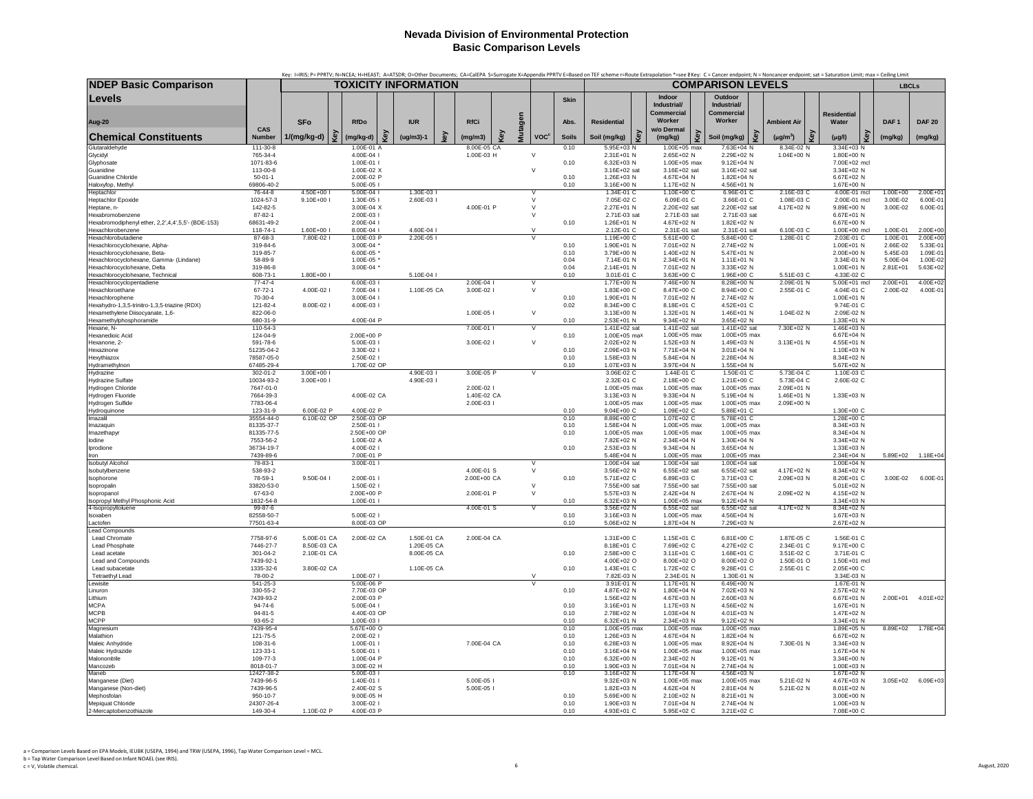| <b>TOXICITY INFORMATION</b><br><b>COMPARISON LEVELS</b><br><b>LBCLs</b><br>Levels<br>Indoor<br>Outdoor<br>Skin<br>Industrial/<br>Industrial/<br>Commercial<br>Commercial<br><b>Residential</b><br>Mutagen<br>Worker<br>Worker<br><b>SFo</b><br>RfDo<br><b>IUR</b><br><b>RfCi</b><br>Abs.<br><b>Residential</b><br><b>Ambient Air</b><br>Water<br>DAF <sub>1</sub><br><b>DAF 20</b><br>Aug-20<br>CAS<br>w/o Dermal<br>Key<br>Key<br>Key<br>Key<br>key<br>Key<br>Key<br>Key<br><u>ହି</u><br><b>Chemical Constituents</b><br>Number<br>$1/(mg/kg-d)$<br>(mg/kg-d)<br>$(ug/m3)-1$<br>(mg/m3)<br><b>VOC<sup>c</sup></b><br><b>Soils</b><br>Soil (mg/kg)<br>Soil (mg/kg)<br>$(\mu g/m^3)$<br>(mg/kg)<br>(mg/kg)<br>$(\mu g/l)$<br>(mg/kg)<br>Glutaraldehyde<br>111-30-8<br>1.00E-01 A<br>8.00E-05 CA<br>0.10<br>5.95E+03 N<br>1.00E+05 max<br>7.63E+04 N<br>8.34E-02 N<br>3.34E+03 N<br>1.00E-03 H<br>$\vee$<br>Glycidyl<br>765-34-4<br>4.00E-04 l<br>2.31E+01 N<br>2.65E+02 N<br>2.29E+02 N<br>1.04E+00 N<br>1.80E+00 N<br>1.00E+05 max<br>9.12E+04 N<br>Glyphosate<br>1071-83-6<br>1.00E-01 l<br>0.10<br>6.32E+03 N<br>7.00E+02 mcl<br>$\vee$<br>Guanidine<br>113-00-8<br>1.00E-02 X<br>3.16E+02 sat<br>3.16E+02 sat<br>3.16E+02 sat<br>3.34E+02 N<br>$50 - 01 - 1$<br>2.00E-02 P<br>0.10<br>1.26E+03 N<br>4.67E+04 N<br>1.82E+04 N<br>6.67E+02 N<br>Guanidine Chloride<br>Haloxyfop, Methyl<br>69806-40-2<br>5.00E-05 l<br>0.10<br>3.16E+00 N<br>1.17E+02 N<br>4.56E+01 N<br>1.67E+00 N<br>2.16E-03 C<br>4.50E+00 I<br>1.30E-03 I<br>1.34E-01 C<br>6.96E-01 C<br>1.00E+00<br>$2.00E + 0$<br>Heptachlor<br>76-44-8<br>$5.00E - 04$<br>V<br>1.10E+00 C<br>4.00E-01 mcl<br>1024-57-3<br>$9.10E + 001$<br>1.30E-05 I<br>2.60E-03<br>7.05E-02 C<br>6.09E-01 C<br>3.66E-01 C<br>1.08E-03 C<br>3.00E-02<br>6.00E-01<br><b>Heptachlor Epoxide</b><br>$\vee$<br>2.00E-01 mcl<br>2.20E+02 sat<br>142-82-5<br>3.00E-04 X<br>4.00E-01 P<br>$\vee$<br>2.27E+01 N<br>2.20E+02 sat<br>4.17E+02 N<br>9.89E+00 N<br>3.00E-02<br>6.00E-01<br>Heptane, n-<br>2.71E-03 sat<br>2.71E-03 sat<br>Hexabromobenzene<br>87-82-1<br>2.00E-03 l<br>$\vee$<br>2.71E-03 sat<br>6.67E+01 N<br>Hexabromodiphenyl ether, 2,2',4,4',5,5'- (BDE-153)<br>68631-49-2<br>2.00E-04 l<br>0.10<br>4.67E+02 N<br>1.82E+02 N<br>$6.67E + 00 N$<br>1.26E+01 N<br>1.60E+00 l<br>8.00E-04 I<br>4.60E-04 l<br>$\vee$<br>2.12E-01 C<br>2.31E-01 sat<br>2.31E-01 sat<br>6.10E-03 C<br>1.00E+00 mcl<br>1.00E-01<br>2.00E+00<br>Hexachlorobenzene<br>118-74-1<br>2.20E-05  <br>5.84E+00 C<br>1.28E-01 C<br>7.80E-02 I<br>5.61E+00 C<br>1.00E-01<br>2.00E+00<br>87-68-3<br>1.00E-03 P<br>1.19E+00 C<br>2.03E-01 C<br>Hexachlorobutadiene<br>3.00E-04 *<br>1.90E+01 N<br>7.01E+02 N<br>2.74E+02 N<br>1.00E+01 N<br>2.66E-02<br>Hexachlorocyclohexane, Alpha-<br>319-84-6<br>0.10<br>5.33E-01<br>1.40E+02 N<br>Hexachlorocyclohexane, Beta-<br>319-85-7<br>3.79E+00 N<br>5.47E+01 N<br>2.00E+00 N<br>5.45E-03<br>1.09E-01<br>$6.00E-05$<br>0.10<br>Hexachlorocyclohexane, Gamma- (Lindane)<br>58-89-9<br>1.00E-05<br>0.04<br>7.14E-01 N<br>2.34E+01 N<br>1.11E+01 N<br>3.34E-01 N<br>5.00E-04<br>1.00E-02<br>2.14E+01 N<br>3.33E+02 N<br>3.00E-04 *<br>0.04<br>7.01E+02 N<br>$1.00E + 01 N$<br>5.63E+02<br>Hexachlorocyclohexane. Delta<br>319-86-8<br>$2.81F + 01$<br>Hexachlorocyclohexane, Technical<br>608-73-1<br>1.80E+00 l<br>5.10E-04 I<br>3.01E-01 C<br>3.63E+00 C<br>1.96E+00 C<br>5.51E-03 C<br>4.33E-02 C<br>0.10<br>6.00E-03 I<br>2.00E-04<br>7.46E+00 N<br>2.09E-01 N<br>2.00E+01<br>$4.00E + 02$<br>$77-47-4$<br>1.77E+00 N<br>8.28F+00 N<br>5.00E+01 mcl<br>Hexachlorocyclopentadiene<br>67-72-1<br>4.00E-02 l<br>7.00E-04<br>1.10E-05 CA<br>3.00E-02 l<br>$\vee$<br>1.83E+00 C<br>8.47E+00 C<br>8.94E+00 C<br>2.55E-01 C<br>4.04E-01 C<br>2.00E-02<br>4.00E-01<br>Hexachloroethane<br>3.00E-04 I<br>0.10<br>1.90E+01 N<br>7.01E+02 N<br>2.74E+02 N<br>70-30-4<br>$1.00F + 01 N$<br>Hexachlorophene<br>8.00E-02 l<br>Hexahydro-1,3,5-trinitro-1,3,5-triazine (RDX)<br>121-82-4<br>4.00E-03 l<br>0.02<br>8.34E+00 C<br>8.18E+01 C<br>4.52E+01 C<br>9.74E-01 C<br>822-06-0<br>$\vee$<br>3.13E+00 N<br>1.32E+01 N<br>1.46E+01 N<br>1.04E-02 N<br>2.09E-02 N<br>Hexamethylene Diisocyanate, 1,6-<br>1.00E-05 L<br>0.10<br>9.34E+02 N<br>Hexamethylphosphoramide<br>680-31-9<br>4.00E-04 P<br>2.53E+01 N<br>3.65E+02 N<br>1.33E+01 N<br>110-54-3<br>1.41E+02 sat<br>7.30E+02 N<br>7.00F-01 I<br>1.41F+02 sat<br>1.41F+02 sat<br>$1.46E + 03$ N<br>Hexane, N-<br>$\vee$<br><b>Hexanedioic Acid</b><br>124-04-9<br>2.00E+00 P<br>0.10<br>1.00E+05 max<br>1.00E+05 max<br>1.00E+05 max<br>6.67E+04 N<br>$\vee$<br>591-78-6<br>5.00E-03 l<br>3.00E-02 l<br>2.02E+02 N<br>1.52E+03 N<br>1.49E+03 N<br>3.13E+01 N<br>4.55E+01 N<br>Hexanone, 2-<br>Hexazinone<br>51235-04-2<br>3.30E-02 l<br>0.10<br>2.09E+03 N<br>7.71E+04 N<br>3.01E+04 N<br>1.10E+03 N<br>78587-05-0<br>2.50E-02 l<br>0.10<br>1.58E+03 N<br>5.84E+04 N<br>2.28E+04 N<br>8.34E+02 N<br>Hexythiazox<br>1.70E-02 OP<br>1.07E+03 N<br>3.97E+04 N<br>1.55E+04 N<br>Hydramethylnon<br>67485-29-4<br>0.10<br>5.67E+02 N<br>1.44E-01 C<br>302-01-2<br>3.00E+00 I<br>4.90E-03<br>3.00E-05 P<br>3.06E-02 C<br>1.50E-01 C<br>5.73E-04 C<br>1.10E-03 C<br>Hydrazine<br>2.18E+00 C<br>5.73E-04 C<br><b>Hydrazine Sulfate</b><br>10034-93-2<br>$3.00E + 00$<br>4.90E-03 l<br>2.32E-01 C<br>1.21E+00 C<br>2.60E-02 C<br>2.09E+01 N<br><b>Hydrogen Chloride</b><br>7647-01-0<br>2.00E-02  <br>1.00E+05 max<br>1.00E+05 max<br>1.00E+05 max<br>4.00E-02 CA<br>9.33E+04 N<br>5.19E+04 N<br>1.33E+03 N<br>Hydrogen Fluoride<br>7664-39-3<br>1.40E-02 CA<br>3.13E+03 N<br>1.46E+01 N<br>2.00E-03 l<br><b>Hydrogen Sulfide</b><br>7783-06-4<br>1.00E+05 max<br>1.00E+05 max<br>1.00E+05 max<br>2.09E+00 N<br>6.00E-02 P<br>4.00E-02 P<br>0.10<br>9.04E+00 C<br>1.09E+02 C<br>5.88E+01 C<br>Hydroquinone<br>123-31-9<br>1.30E+00 C<br>35554-44-0<br>6.10E-02 OP<br>2.50E-03 OP<br>0.10<br>8.89E+00 C<br>1.07E+02 C<br>5.78E+01 C<br>1.28E+00 C<br>Imazalil<br>81335-37-7<br>0.10<br>1.58E+04 N<br>1.00E+05 max<br>1.00E+05 max<br>8.34F+03 N<br>Imazaguin<br>2.50F-01 L<br>1.00E+05 max<br>Imazethapy<br>81335-77-5<br>2.50E+00 OP<br>0.10<br>1.00E+05 max<br>1.00E+05 max<br>8.34E+04 N<br>7553-56-2<br>1.00E-02 A<br>7.82E+02 N<br>2.34E+04 N<br>1.30E+04 N<br>3.34E+02 N<br>lodine<br>0.10<br>2.53E+03 N<br>9.34E+04 N<br>3.65E+04 N<br>1.33E+03 N<br>Iprodione<br>36734-19-7<br>4.00E-02 l<br>1.00E+05 max<br>1.00E+05 max<br>7439-89-6<br>7.00E-01 P<br>5.48E+04 N<br>2.34E+04 N<br>5.89E+02<br>$1.18E + 04$<br>Iron<br>78-83-1<br>3.00E-01 l<br>1.00E+04 sat<br>1.00E+04 sat<br>1.00E+04 sat<br>1.00E+04 N<br><b>Isobutyl Alcohol</b><br>538-93-2<br>4.00E-01 S<br>$\vee$<br>6.55E+02 sat<br>4.17E+02 N<br>3.56E+02 N<br>6.55E+02 sat<br>8.34E+02 N<br>Isobutylbenzene<br>78-59-1<br>9.50E-04 l<br>2.00E-01 l<br>2.00E+00 CA<br>5.71E+02 C<br>6.89E+03 C<br>3.71E+03 C<br>2.09E+03 N<br>8.20E+01 C<br>3.00E-02<br>6.00E-01<br>Isophorone<br>0.10<br>$\vee$<br>7.55E+00 sat<br>33820-53-0<br>7.55E+00 sat<br>7.55E+00 sat<br>5.01E+02 N<br>1.50E-02 l<br>Isopropalin<br>67-63-0<br>2.00E+00 P<br>2.00E-01 P<br>$\vee$<br>5.57E+03 N<br>2.42E+04 N<br>2.67E+04 N<br>2.09E+02 N<br>4.15E+02 N<br>Isopropano<br>6.32E+03 N<br>1.00E+05 max<br>$9.12E + 04 N$<br>Isopropyl Methyl Phosphonic Acid<br>1832-54-8<br>1.00E-01 l<br>0.10<br>3.34E+03 N<br>4-Isopropyltoluene<br>99-87-6<br>4.00E-01 S<br>3.56E+02 N<br>6.55E+02 sat<br>6.55E+02 sat<br>4.17E+02 N<br>8.34E+02 N<br>82558-50-7<br>5.00E-02 l<br>0.10<br>3.16E+03 N<br>4.56E+04 N<br>1.00E+05 max<br>1.67E+03 N<br>Isoxaben<br>77501-63-4<br>8.00E-03 OP<br>0.10<br>5.06E+02 N<br>1.87E+04 N<br>7.29E+03 N<br>2.67E+02 N<br>Lactofer<br>Lead Compounds<br><b>Lead Chromate</b><br>7758-97-6<br>5.00E-01 CA<br>2.00E-02 CA<br>1.50E-01 CA<br>2.00E-04 CA<br>1.31E+00 C<br>1.15E+01 C<br>6.81E+00 C<br>1.87E-05 C<br>1.56E-01 C<br>7446-27-7<br>8.50E-03 CA<br>1.20E-05 CA<br>8.18E+01 C<br>7.69E+02 C<br>4.27E+02 C<br>2.34E-01 C<br>9.17E+00 C<br>I ead Phosphate<br>301-04-2<br>2.10E-01 CA<br>8.00E-05 CA<br>0.10<br>2.58E+00 C<br>3.11E+01 C<br>1.68E+01 C<br>3.51E-02 C<br>3.71E-01 C<br>Lead acetate<br>7439-92-1<br>4.00E+02 O<br>8.00E+02 O<br>8.00E+02 O<br>1.50E-01 O<br>1,50E+01 mcl<br>Lead and Compounds<br>3.80E-02 CA<br>1.10E-05 CA<br>Lead subacetate<br>1335-32-6<br>0.10<br>1.43E+01 C<br>1.72E+02 C<br>9.28E+01 C<br>2.55E-01 C<br>2.05E+00 C<br>1.00E-07 I<br><b>Tetraethyl Lead</b><br>78-00-2<br>$\vee$<br>7.82E-03 N<br>2.34E-01 N<br>1.30E-01 N<br>3.34E-03 N<br>541-25-3<br>5.00E-06 P<br>3.91E-01 N<br>1.17E+01 N<br>6.49E+00 N<br>1.67E-01 N<br>Lewisite<br>330-55-2<br>7.70E-03 OP<br>0.10<br>4.87E+02 N<br>1.80E+04 N<br>7.02E+03 N<br>2.57E+02 N<br>Linuron<br>4.67E+03 N<br>2.60E+03 N<br>Lithium<br>7439-93-2<br>2.00E-03 P<br>1.56E+02 N<br>6.67E+01 N<br>2.00E+01<br>$4.01E + 02$<br><b>MCPA</b><br>94-74-6<br>5.00E-04 I<br>0.10<br>3.16E+01 N<br>1.17E+03 N<br>4.56E+02 N<br>1.67E+01 N<br><b>MCPB</b><br>4.40E-03 OP<br>0.10<br>2.78E+02 N<br>1.03E+04 N<br>4.01E+03 N<br>$94 - 81 - 5$<br>1.47E+02 N<br><b>MCPP</b><br>93-65-2<br>1.00E-03 l<br>0.10<br>6.32E+01 N<br>2.34E+03 N<br>$9.12E + 02 N$<br>3.34E+01 N<br>$1.78E + 04$<br>Magnesium<br>7439-95-4<br>5.67E+00 O<br>0.10<br>1.00E+05 max<br>1.00E+05 max<br>1.00E+05 max<br>1.89E+05 N<br>8.89E+02<br>1.26E+03 N<br>4.67E+04 N<br>1.82E+04 N<br>Malathion<br>121-75-5<br>2.00E-02 l<br>0.10<br>6.67E+02 N<br>108-31-6<br>1.00E-01 l<br>7.00E-04 CA<br>6.28E+03 N<br>1.00E+05 max<br>8.92E+04 N<br>7.30E-01 N<br>3.34E+03 N<br>Maleic Anhydride<br>0.10<br>5.00E-01 l<br>3.16E+04 N<br>1.00E+05 max<br>1.00E+05 max<br>Maleic Hydrazide<br>123-33-1<br>0.10<br>1.67E+04 N<br>6.32E+00 N<br>2.34E+02 N<br>9.12E+01 N<br>Malononitrile<br>109-77-3<br>1.00E-04 P<br>0.10<br>3.34E+00 N<br>3.00E-02 H<br>1.90E+03 N<br>7.01E+04 N<br>2.74E+04 N<br>1.00E+03 N<br>Mancozeb<br>8018-01-7<br>0.10<br>Maneb<br>$5.00E - 03$<br>3.16E+02 N<br>1.17E+04 N<br>4.56E+03 N<br>1.67E+02 N<br>12427-38-2<br>0.10<br>Manganese (Diet)<br>7439-96-5<br>1.40E-01  <br>5.00E-05  <br>9.32E+03 N<br>1.00E+05 max<br>1.00E+05 max<br>5.21E-02 N<br>4.67E+03 N<br>$3.05E + 02$<br>$6.09E + 03$<br>Manganese (Non-diet)<br>2.81E+04 N<br>7439-96-5<br>2.40F-02 S<br>5.00E-05<br>1.82E+03 N<br>4.62E+04 N<br>5.21E-02 N<br>8.01E+02 N<br>Mephosfolan<br>9.00E-05 H<br>0.10<br>5.69E+00 N<br>2.10E+02 N<br>8.21E+01 N<br>3.00E+00 N<br>950-10-7<br>Mepiquat Chloride<br>24307-26-4<br>3.00E-02 l<br>0.10<br>1.90E+03 N<br>7.01E+04 N<br>2.74E+04 N<br>1.00E+03 N<br>1.10E-02 P<br>4.93E+01 C<br>5.95E+02 C<br>3.21E+02 C<br>2-Mercaptobenzothiazole<br>149-30-4<br>4.00E-03 P<br>0.10<br>7.08E+00 C |                              |  |  |  |  |  |  |  |  | Key: I=IRIS; P= PPRTV; N=NCEA; H=HEAST; A=ATSDR; O=Other Documents; CA=CaIEPA S=Surrogate X=Appendix PPRTV E=Based on TEF scheme r=Route Extrapolation *=see BKey: C = Cancer endpoint; N = Noncancer endpoint; sat = Saturati |  |
|------------------------------------------------------------------------------------------------------------------------------------------------------------------------------------------------------------------------------------------------------------------------------------------------------------------------------------------------------------------------------------------------------------------------------------------------------------------------------------------------------------------------------------------------------------------------------------------------------------------------------------------------------------------------------------------------------------------------------------------------------------------------------------------------------------------------------------------------------------------------------------------------------------------------------------------------------------------------------------------------------------------------------------------------------------------------------------------------------------------------------------------------------------------------------------------------------------------------------------------------------------------------------------------------------------------------------------------------------------------------------------------------------------------------------------------------------------------------------------------------------------------------------------------------------------------------------------------------------------------------------------------------------------------------------------------------------------------------------------------------------------------------------------------------------------------------------------------------------------------------------------------------------------------------------------------------------------------------------------------------------------------------------------------------------------------------------------------------------------------------------------------------------------------------------------------------------------------------------------------------------------------------------------------------------------------------------------------------------------------------------------------------------------------------------------------------------------------------------------------------------------------------------------------------------------------------------------------------------------------------------------------------------------------------------------------------------------------------------------------------------------------------------------------------------------------------------------------------------------------------------------------------------------------------------------------------------------------------------------------------------------------------------------------------------------------------------------------------------------------------------------------------------------------------------------------------------------------------------------------------------------------------------------------------------------------------------------------------------------------------------------------------------------------------------------------------------------------------------------------------------------------------------------------------------------------------------------------------------------------------------------------------------------------------------------------------------------------------------------------------------------------------------------------------------------------------------------------------------------------------------------------------------------------------------------------------------------------------------------------------------------------------------------------------------------------------------------------------------------------------------------------------------------------------------------------------------------------------------------------------------------------------------------------------------------------------------------------------------------------------------------------------------------------------------------------------------------------------------------------------------------------------------------------------------------------------------------------------------------------------------------------------------------------------------------------------------------------------------------------------------------------------------------------------------------------------------------------------------------------------------------------------------------------------------------------------------------------------------------------------------------------------------------------------------------------------------------------------------------------------------------------------------------------------------------------------------------------------------------------------------------------------------------------------------------------------------------------------------------------------------------------------------------------------------------------------------------------------------------------------------------------------------------------------------------------------------------------------------------------------------------------------------------------------------------------------------------------------------------------------------------------------------------------------------------------------------------------------------------------------------------------------------------------------------------------------------------------------------------------------------------------------------------------------------------------------------------------------------------------------------------------------------------------------------------------------------------------------------------------------------------------------------------------------------------------------------------------------------------------------------------------------------------------------------------------------------------------------------------------------------------------------------------------------------------------------------------------------------------------------------------------------------------------------------------------------------------------------------------------------------------------------------------------------------------------------------------------------------------------------------------------------------------------------------------------------------------------------------------------------------------------------------------------------------------------------------------------------------------------------------------------------------------------------------------------------------------------------------------------------------------------------------------------------------------------------------------------------------------------------------------------------------------------------------------------------------------------------------------------------------------------------------------------------------------------------------------------------------------------------------------------------------------------------------------------------------------------------------------------------------------------------------------------------------------------------------------------------------------------------------------------------------------------------------------------------------------------------------------------------------------------------------------------------------------------------------------------------------------------------------------------------------------------------------------------------------------------------------------------------------------------------------------------------------------------------------------------------------------------------------------------------------------------------------------------------------------------------------------------------------------------------------------------------------------------------------------------------------------------------------------------------------------------------------------------------------------------------------------------------------------------------------------------------------------------------------------------------------------------------------------------------------------------------------------------------------------------------------------------------------------------------------------------------------------------------------------------------------------------------------------------------------------------------------------------------------------------------------------------------------------------------------------------------------------------------------------------------------------------------------------------------------------------------------------------------------------------------------------------------------------------------------------------------------------------------------------------------------------------------------------------------------------------------------------------------------------------------------------------------------------------------------------------------------------------------------------------------------------------------------------------------------------------------------------------------------------------------------------------------------------------------------------------------------------------------------------------------------------------------------------------------------------------------------------------------------------------------------------------------------------------------------------------------------------------------------------------------------------------------------------------------------------------------------------------------------------------------------------------------------------------------------------------------------------------------------------------------------------------------------------------------------------------------------------------------------------------------------------------------------------------------------------------------------------------------------|------------------------------|--|--|--|--|--|--|--|--|--------------------------------------------------------------------------------------------------------------------------------------------------------------------------------------------------------------------------------|--|
|                                                                                                                                                                                                                                                                                                                                                                                                                                                                                                                                                                                                                                                                                                                                                                                                                                                                                                                                                                                                                                                                                                                                                                                                                                                                                                                                                                                                                                                                                                                                                                                                                                                                                                                                                                                                                                                                                                                                                                                                                                                                                                                                                                                                                                                                                                                                                                                                                                                                                                                                                                                                                                                                                                                                                                                                                                                                                                                                                                                                                                                                                                                                                                                                                                                                                                                                                                                                                                                                                                                                                                                                                                                                                                                                                                                                                                                                                                                                                                                                                                                                                                                                                                                                                                                                                                                                                                                                                                                                                                                                                                                                                                                                                                                                                                                                                                                                                                                                                                                                                                                                                                                                                                                                                                                                                                                                                                                                                                                                                                                                                                                                                                                                                                                                                                                                                                                                                                                                                                                                                                                                                                                                                                                                                                                                                                                                                                                                                                                                                                                                                                                                                                                                                                                                                                                                                                                                                                                                                                                                                                                                                                                                                                                                                                                                                                                                                                                                                                                                                                                                                                                                                                                                                                                                                                                                                                                                                                                                                                                                                                                                                                                                                                                                                                                                                                                                                                                                                                                                                                                                                                                                                                                                                                                                                                                                                                                                                                                                                                                                                                                                                                                                                                                                                                                                                                                                                                                                                                                                                                                                                                                                                                                                                                                                                                                                                                                                                                                                                                                                                                                                                                                                                                                                                                                                                                                                                                                                                                                                                                                                                                                                                                                                                                                                                                                                                              | <b>NDEP Basic Comparison</b> |  |  |  |  |  |  |  |  |                                                                                                                                                                                                                                |  |
|                                                                                                                                                                                                                                                                                                                                                                                                                                                                                                                                                                                                                                                                                                                                                                                                                                                                                                                                                                                                                                                                                                                                                                                                                                                                                                                                                                                                                                                                                                                                                                                                                                                                                                                                                                                                                                                                                                                                                                                                                                                                                                                                                                                                                                                                                                                                                                                                                                                                                                                                                                                                                                                                                                                                                                                                                                                                                                                                                                                                                                                                                                                                                                                                                                                                                                                                                                                                                                                                                                                                                                                                                                                                                                                                                                                                                                                                                                                                                                                                                                                                                                                                                                                                                                                                                                                                                                                                                                                                                                                                                                                                                                                                                                                                                                                                                                                                                                                                                                                                                                                                                                                                                                                                                                                                                                                                                                                                                                                                                                                                                                                                                                                                                                                                                                                                                                                                                                                                                                                                                                                                                                                                                                                                                                                                                                                                                                                                                                                                                                                                                                                                                                                                                                                                                                                                                                                                                                                                                                                                                                                                                                                                                                                                                                                                                                                                                                                                                                                                                                                                                                                                                                                                                                                                                                                                                                                                                                                                                                                                                                                                                                                                                                                                                                                                                                                                                                                                                                                                                                                                                                                                                                                                                                                                                                                                                                                                                                                                                                                                                                                                                                                                                                                                                                                                                                                                                                                                                                                                                                                                                                                                                                                                                                                                                                                                                                                                                                                                                                                                                                                                                                                                                                                                                                                                                                                                                                                                                                                                                                                                                                                                                                                                                                                                                                                                                              |                              |  |  |  |  |  |  |  |  |                                                                                                                                                                                                                                |  |
|                                                                                                                                                                                                                                                                                                                                                                                                                                                                                                                                                                                                                                                                                                                                                                                                                                                                                                                                                                                                                                                                                                                                                                                                                                                                                                                                                                                                                                                                                                                                                                                                                                                                                                                                                                                                                                                                                                                                                                                                                                                                                                                                                                                                                                                                                                                                                                                                                                                                                                                                                                                                                                                                                                                                                                                                                                                                                                                                                                                                                                                                                                                                                                                                                                                                                                                                                                                                                                                                                                                                                                                                                                                                                                                                                                                                                                                                                                                                                                                                                                                                                                                                                                                                                                                                                                                                                                                                                                                                                                                                                                                                                                                                                                                                                                                                                                                                                                                                                                                                                                                                                                                                                                                                                                                                                                                                                                                                                                                                                                                                                                                                                                                                                                                                                                                                                                                                                                                                                                                                                                                                                                                                                                                                                                                                                                                                                                                                                                                                                                                                                                                                                                                                                                                                                                                                                                                                                                                                                                                                                                                                                                                                                                                                                                                                                                                                                                                                                                                                                                                                                                                                                                                                                                                                                                                                                                                                                                                                                                                                                                                                                                                                                                                                                                                                                                                                                                                                                                                                                                                                                                                                                                                                                                                                                                                                                                                                                                                                                                                                                                                                                                                                                                                                                                                                                                                                                                                                                                                                                                                                                                                                                                                                                                                                                                                                                                                                                                                                                                                                                                                                                                                                                                                                                                                                                                                                                                                                                                                                                                                                                                                                                                                                                                                                                                                                                              |                              |  |  |  |  |  |  |  |  |                                                                                                                                                                                                                                |  |
|                                                                                                                                                                                                                                                                                                                                                                                                                                                                                                                                                                                                                                                                                                                                                                                                                                                                                                                                                                                                                                                                                                                                                                                                                                                                                                                                                                                                                                                                                                                                                                                                                                                                                                                                                                                                                                                                                                                                                                                                                                                                                                                                                                                                                                                                                                                                                                                                                                                                                                                                                                                                                                                                                                                                                                                                                                                                                                                                                                                                                                                                                                                                                                                                                                                                                                                                                                                                                                                                                                                                                                                                                                                                                                                                                                                                                                                                                                                                                                                                                                                                                                                                                                                                                                                                                                                                                                                                                                                                                                                                                                                                                                                                                                                                                                                                                                                                                                                                                                                                                                                                                                                                                                                                                                                                                                                                                                                                                                                                                                                                                                                                                                                                                                                                                                                                                                                                                                                                                                                                                                                                                                                                                                                                                                                                                                                                                                                                                                                                                                                                                                                                                                                                                                                                                                                                                                                                                                                                                                                                                                                                                                                                                                                                                                                                                                                                                                                                                                                                                                                                                                                                                                                                                                                                                                                                                                                                                                                                                                                                                                                                                                                                                                                                                                                                                                                                                                                                                                                                                                                                                                                                                                                                                                                                                                                                                                                                                                                                                                                                                                                                                                                                                                                                                                                                                                                                                                                                                                                                                                                                                                                                                                                                                                                                                                                                                                                                                                                                                                                                                                                                                                                                                                                                                                                                                                                                                                                                                                                                                                                                                                                                                                                                                                                                                                                                                              |                              |  |  |  |  |  |  |  |  |                                                                                                                                                                                                                                |  |
|                                                                                                                                                                                                                                                                                                                                                                                                                                                                                                                                                                                                                                                                                                                                                                                                                                                                                                                                                                                                                                                                                                                                                                                                                                                                                                                                                                                                                                                                                                                                                                                                                                                                                                                                                                                                                                                                                                                                                                                                                                                                                                                                                                                                                                                                                                                                                                                                                                                                                                                                                                                                                                                                                                                                                                                                                                                                                                                                                                                                                                                                                                                                                                                                                                                                                                                                                                                                                                                                                                                                                                                                                                                                                                                                                                                                                                                                                                                                                                                                                                                                                                                                                                                                                                                                                                                                                                                                                                                                                                                                                                                                                                                                                                                                                                                                                                                                                                                                                                                                                                                                                                                                                                                                                                                                                                                                                                                                                                                                                                                                                                                                                                                                                                                                                                                                                                                                                                                                                                                                                                                                                                                                                                                                                                                                                                                                                                                                                                                                                                                                                                                                                                                                                                                                                                                                                                                                                                                                                                                                                                                                                                                                                                                                                                                                                                                                                                                                                                                                                                                                                                                                                                                                                                                                                                                                                                                                                                                                                                                                                                                                                                                                                                                                                                                                                                                                                                                                                                                                                                                                                                                                                                                                                                                                                                                                                                                                                                                                                                                                                                                                                                                                                                                                                                                                                                                                                                                                                                                                                                                                                                                                                                                                                                                                                                                                                                                                                                                                                                                                                                                                                                                                                                                                                                                                                                                                                                                                                                                                                                                                                                                                                                                                                                                                                                                                                              |                              |  |  |  |  |  |  |  |  |                                                                                                                                                                                                                                |  |
|                                                                                                                                                                                                                                                                                                                                                                                                                                                                                                                                                                                                                                                                                                                                                                                                                                                                                                                                                                                                                                                                                                                                                                                                                                                                                                                                                                                                                                                                                                                                                                                                                                                                                                                                                                                                                                                                                                                                                                                                                                                                                                                                                                                                                                                                                                                                                                                                                                                                                                                                                                                                                                                                                                                                                                                                                                                                                                                                                                                                                                                                                                                                                                                                                                                                                                                                                                                                                                                                                                                                                                                                                                                                                                                                                                                                                                                                                                                                                                                                                                                                                                                                                                                                                                                                                                                                                                                                                                                                                                                                                                                                                                                                                                                                                                                                                                                                                                                                                                                                                                                                                                                                                                                                                                                                                                                                                                                                                                                                                                                                                                                                                                                                                                                                                                                                                                                                                                                                                                                                                                                                                                                                                                                                                                                                                                                                                                                                                                                                                                                                                                                                                                                                                                                                                                                                                                                                                                                                                                                                                                                                                                                                                                                                                                                                                                                                                                                                                                                                                                                                                                                                                                                                                                                                                                                                                                                                                                                                                                                                                                                                                                                                                                                                                                                                                                                                                                                                                                                                                                                                                                                                                                                                                                                                                                                                                                                                                                                                                                                                                                                                                                                                                                                                                                                                                                                                                                                                                                                                                                                                                                                                                                                                                                                                                                                                                                                                                                                                                                                                                                                                                                                                                                                                                                                                                                                                                                                                                                                                                                                                                                                                                                                                                                                                                                                                                              |                              |  |  |  |  |  |  |  |  |                                                                                                                                                                                                                                |  |
|                                                                                                                                                                                                                                                                                                                                                                                                                                                                                                                                                                                                                                                                                                                                                                                                                                                                                                                                                                                                                                                                                                                                                                                                                                                                                                                                                                                                                                                                                                                                                                                                                                                                                                                                                                                                                                                                                                                                                                                                                                                                                                                                                                                                                                                                                                                                                                                                                                                                                                                                                                                                                                                                                                                                                                                                                                                                                                                                                                                                                                                                                                                                                                                                                                                                                                                                                                                                                                                                                                                                                                                                                                                                                                                                                                                                                                                                                                                                                                                                                                                                                                                                                                                                                                                                                                                                                                                                                                                                                                                                                                                                                                                                                                                                                                                                                                                                                                                                                                                                                                                                                                                                                                                                                                                                                                                                                                                                                                                                                                                                                                                                                                                                                                                                                                                                                                                                                                                                                                                                                                                                                                                                                                                                                                                                                                                                                                                                                                                                                                                                                                                                                                                                                                                                                                                                                                                                                                                                                                                                                                                                                                                                                                                                                                                                                                                                                                                                                                                                                                                                                                                                                                                                                                                                                                                                                                                                                                                                                                                                                                                                                                                                                                                                                                                                                                                                                                                                                                                                                                                                                                                                                                                                                                                                                                                                                                                                                                                                                                                                                                                                                                                                                                                                                                                                                                                                                                                                                                                                                                                                                                                                                                                                                                                                                                                                                                                                                                                                                                                                                                                                                                                                                                                                                                                                                                                                                                                                                                                                                                                                                                                                                                                                                                                                                                                                                              |                              |  |  |  |  |  |  |  |  |                                                                                                                                                                                                                                |  |
|                                                                                                                                                                                                                                                                                                                                                                                                                                                                                                                                                                                                                                                                                                                                                                                                                                                                                                                                                                                                                                                                                                                                                                                                                                                                                                                                                                                                                                                                                                                                                                                                                                                                                                                                                                                                                                                                                                                                                                                                                                                                                                                                                                                                                                                                                                                                                                                                                                                                                                                                                                                                                                                                                                                                                                                                                                                                                                                                                                                                                                                                                                                                                                                                                                                                                                                                                                                                                                                                                                                                                                                                                                                                                                                                                                                                                                                                                                                                                                                                                                                                                                                                                                                                                                                                                                                                                                                                                                                                                                                                                                                                                                                                                                                                                                                                                                                                                                                                                                                                                                                                                                                                                                                                                                                                                                                                                                                                                                                                                                                                                                                                                                                                                                                                                                                                                                                                                                                                                                                                                                                                                                                                                                                                                                                                                                                                                                                                                                                                                                                                                                                                                                                                                                                                                                                                                                                                                                                                                                                                                                                                                                                                                                                                                                                                                                                                                                                                                                                                                                                                                                                                                                                                                                                                                                                                                                                                                                                                                                                                                                                                                                                                                                                                                                                                                                                                                                                                                                                                                                                                                                                                                                                                                                                                                                                                                                                                                                                                                                                                                                                                                                                                                                                                                                                                                                                                                                                                                                                                                                                                                                                                                                                                                                                                                                                                                                                                                                                                                                                                                                                                                                                                                                                                                                                                                                                                                                                                                                                                                                                                                                                                                                                                                                                                                                                                                              |                              |  |  |  |  |  |  |  |  |                                                                                                                                                                                                                                |  |
|                                                                                                                                                                                                                                                                                                                                                                                                                                                                                                                                                                                                                                                                                                                                                                                                                                                                                                                                                                                                                                                                                                                                                                                                                                                                                                                                                                                                                                                                                                                                                                                                                                                                                                                                                                                                                                                                                                                                                                                                                                                                                                                                                                                                                                                                                                                                                                                                                                                                                                                                                                                                                                                                                                                                                                                                                                                                                                                                                                                                                                                                                                                                                                                                                                                                                                                                                                                                                                                                                                                                                                                                                                                                                                                                                                                                                                                                                                                                                                                                                                                                                                                                                                                                                                                                                                                                                                                                                                                                                                                                                                                                                                                                                                                                                                                                                                                                                                                                                                                                                                                                                                                                                                                                                                                                                                                                                                                                                                                                                                                                                                                                                                                                                                                                                                                                                                                                                                                                                                                                                                                                                                                                                                                                                                                                                                                                                                                                                                                                                                                                                                                                                                                                                                                                                                                                                                                                                                                                                                                                                                                                                                                                                                                                                                                                                                                                                                                                                                                                                                                                                                                                                                                                                                                                                                                                                                                                                                                                                                                                                                                                                                                                                                                                                                                                                                                                                                                                                                                                                                                                                                                                                                                                                                                                                                                                                                                                                                                                                                                                                                                                                                                                                                                                                                                                                                                                                                                                                                                                                                                                                                                                                                                                                                                                                                                                                                                                                                                                                                                                                                                                                                                                                                                                                                                                                                                                                                                                                                                                                                                                                                                                                                                                                                                                                                                                                              |                              |  |  |  |  |  |  |  |  |                                                                                                                                                                                                                                |  |
|                                                                                                                                                                                                                                                                                                                                                                                                                                                                                                                                                                                                                                                                                                                                                                                                                                                                                                                                                                                                                                                                                                                                                                                                                                                                                                                                                                                                                                                                                                                                                                                                                                                                                                                                                                                                                                                                                                                                                                                                                                                                                                                                                                                                                                                                                                                                                                                                                                                                                                                                                                                                                                                                                                                                                                                                                                                                                                                                                                                                                                                                                                                                                                                                                                                                                                                                                                                                                                                                                                                                                                                                                                                                                                                                                                                                                                                                                                                                                                                                                                                                                                                                                                                                                                                                                                                                                                                                                                                                                                                                                                                                                                                                                                                                                                                                                                                                                                                                                                                                                                                                                                                                                                                                                                                                                                                                                                                                                                                                                                                                                                                                                                                                                                                                                                                                                                                                                                                                                                                                                                                                                                                                                                                                                                                                                                                                                                                                                                                                                                                                                                                                                                                                                                                                                                                                                                                                                                                                                                                                                                                                                                                                                                                                                                                                                                                                                                                                                                                                                                                                                                                                                                                                                                                                                                                                                                                                                                                                                                                                                                                                                                                                                                                                                                                                                                                                                                                                                                                                                                                                                                                                                                                                                                                                                                                                                                                                                                                                                                                                                                                                                                                                                                                                                                                                                                                                                                                                                                                                                                                                                                                                                                                                                                                                                                                                                                                                                                                                                                                                                                                                                                                                                                                                                                                                                                                                                                                                                                                                                                                                                                                                                                                                                                                                                                                                                              |                              |  |  |  |  |  |  |  |  |                                                                                                                                                                                                                                |  |
|                                                                                                                                                                                                                                                                                                                                                                                                                                                                                                                                                                                                                                                                                                                                                                                                                                                                                                                                                                                                                                                                                                                                                                                                                                                                                                                                                                                                                                                                                                                                                                                                                                                                                                                                                                                                                                                                                                                                                                                                                                                                                                                                                                                                                                                                                                                                                                                                                                                                                                                                                                                                                                                                                                                                                                                                                                                                                                                                                                                                                                                                                                                                                                                                                                                                                                                                                                                                                                                                                                                                                                                                                                                                                                                                                                                                                                                                                                                                                                                                                                                                                                                                                                                                                                                                                                                                                                                                                                                                                                                                                                                                                                                                                                                                                                                                                                                                                                                                                                                                                                                                                                                                                                                                                                                                                                                                                                                                                                                                                                                                                                                                                                                                                                                                                                                                                                                                                                                                                                                                                                                                                                                                                                                                                                                                                                                                                                                                                                                                                                                                                                                                                                                                                                                                                                                                                                                                                                                                                                                                                                                                                                                                                                                                                                                                                                                                                                                                                                                                                                                                                                                                                                                                                                                                                                                                                                                                                                                                                                                                                                                                                                                                                                                                                                                                                                                                                                                                                                                                                                                                                                                                                                                                                                                                                                                                                                                                                                                                                                                                                                                                                                                                                                                                                                                                                                                                                                                                                                                                                                                                                                                                                                                                                                                                                                                                                                                                                                                                                                                                                                                                                                                                                                                                                                                                                                                                                                                                                                                                                                                                                                                                                                                                                                                                                                                                                              |                              |  |  |  |  |  |  |  |  |                                                                                                                                                                                                                                |  |
|                                                                                                                                                                                                                                                                                                                                                                                                                                                                                                                                                                                                                                                                                                                                                                                                                                                                                                                                                                                                                                                                                                                                                                                                                                                                                                                                                                                                                                                                                                                                                                                                                                                                                                                                                                                                                                                                                                                                                                                                                                                                                                                                                                                                                                                                                                                                                                                                                                                                                                                                                                                                                                                                                                                                                                                                                                                                                                                                                                                                                                                                                                                                                                                                                                                                                                                                                                                                                                                                                                                                                                                                                                                                                                                                                                                                                                                                                                                                                                                                                                                                                                                                                                                                                                                                                                                                                                                                                                                                                                                                                                                                                                                                                                                                                                                                                                                                                                                                                                                                                                                                                                                                                                                                                                                                                                                                                                                                                                                                                                                                                                                                                                                                                                                                                                                                                                                                                                                                                                                                                                                                                                                                                                                                                                                                                                                                                                                                                                                                                                                                                                                                                                                                                                                                                                                                                                                                                                                                                                                                                                                                                                                                                                                                                                                                                                                                                                                                                                                                                                                                                                                                                                                                                                                                                                                                                                                                                                                                                                                                                                                                                                                                                                                                                                                                                                                                                                                                                                                                                                                                                                                                                                                                                                                                                                                                                                                                                                                                                                                                                                                                                                                                                                                                                                                                                                                                                                                                                                                                                                                                                                                                                                                                                                                                                                                                                                                                                                                                                                                                                                                                                                                                                                                                                                                                                                                                                                                                                                                                                                                                                                                                                                                                                                                                                                                                                              |                              |  |  |  |  |  |  |  |  |                                                                                                                                                                                                                                |  |
|                                                                                                                                                                                                                                                                                                                                                                                                                                                                                                                                                                                                                                                                                                                                                                                                                                                                                                                                                                                                                                                                                                                                                                                                                                                                                                                                                                                                                                                                                                                                                                                                                                                                                                                                                                                                                                                                                                                                                                                                                                                                                                                                                                                                                                                                                                                                                                                                                                                                                                                                                                                                                                                                                                                                                                                                                                                                                                                                                                                                                                                                                                                                                                                                                                                                                                                                                                                                                                                                                                                                                                                                                                                                                                                                                                                                                                                                                                                                                                                                                                                                                                                                                                                                                                                                                                                                                                                                                                                                                                                                                                                                                                                                                                                                                                                                                                                                                                                                                                                                                                                                                                                                                                                                                                                                                                                                                                                                                                                                                                                                                                                                                                                                                                                                                                                                                                                                                                                                                                                                                                                                                                                                                                                                                                                                                                                                                                                                                                                                                                                                                                                                                                                                                                                                                                                                                                                                                                                                                                                                                                                                                                                                                                                                                                                                                                                                                                                                                                                                                                                                                                                                                                                                                                                                                                                                                                                                                                                                                                                                                                                                                                                                                                                                                                                                                                                                                                                                                                                                                                                                                                                                                                                                                                                                                                                                                                                                                                                                                                                                                                                                                                                                                                                                                                                                                                                                                                                                                                                                                                                                                                                                                                                                                                                                                                                                                                                                                                                                                                                                                                                                                                                                                                                                                                                                                                                                                                                                                                                                                                                                                                                                                                                                                                                                                                                                                              |                              |  |  |  |  |  |  |  |  |                                                                                                                                                                                                                                |  |
|                                                                                                                                                                                                                                                                                                                                                                                                                                                                                                                                                                                                                                                                                                                                                                                                                                                                                                                                                                                                                                                                                                                                                                                                                                                                                                                                                                                                                                                                                                                                                                                                                                                                                                                                                                                                                                                                                                                                                                                                                                                                                                                                                                                                                                                                                                                                                                                                                                                                                                                                                                                                                                                                                                                                                                                                                                                                                                                                                                                                                                                                                                                                                                                                                                                                                                                                                                                                                                                                                                                                                                                                                                                                                                                                                                                                                                                                                                                                                                                                                                                                                                                                                                                                                                                                                                                                                                                                                                                                                                                                                                                                                                                                                                                                                                                                                                                                                                                                                                                                                                                                                                                                                                                                                                                                                                                                                                                                                                                                                                                                                                                                                                                                                                                                                                                                                                                                                                                                                                                                                                                                                                                                                                                                                                                                                                                                                                                                                                                                                                                                                                                                                                                                                                                                                                                                                                                                                                                                                                                                                                                                                                                                                                                                                                                                                                                                                                                                                                                                                                                                                                                                                                                                                                                                                                                                                                                                                                                                                                                                                                                                                                                                                                                                                                                                                                                                                                                                                                                                                                                                                                                                                                                                                                                                                                                                                                                                                                                                                                                                                                                                                                                                                                                                                                                                                                                                                                                                                                                                                                                                                                                                                                                                                                                                                                                                                                                                                                                                                                                                                                                                                                                                                                                                                                                                                                                                                                                                                                                                                                                                                                                                                                                                                                                                                                                                                              |                              |  |  |  |  |  |  |  |  |                                                                                                                                                                                                                                |  |
|                                                                                                                                                                                                                                                                                                                                                                                                                                                                                                                                                                                                                                                                                                                                                                                                                                                                                                                                                                                                                                                                                                                                                                                                                                                                                                                                                                                                                                                                                                                                                                                                                                                                                                                                                                                                                                                                                                                                                                                                                                                                                                                                                                                                                                                                                                                                                                                                                                                                                                                                                                                                                                                                                                                                                                                                                                                                                                                                                                                                                                                                                                                                                                                                                                                                                                                                                                                                                                                                                                                                                                                                                                                                                                                                                                                                                                                                                                                                                                                                                                                                                                                                                                                                                                                                                                                                                                                                                                                                                                                                                                                                                                                                                                                                                                                                                                                                                                                                                                                                                                                                                                                                                                                                                                                                                                                                                                                                                                                                                                                                                                                                                                                                                                                                                                                                                                                                                                                                                                                                                                                                                                                                                                                                                                                                                                                                                                                                                                                                                                                                                                                                                                                                                                                                                                                                                                                                                                                                                                                                                                                                                                                                                                                                                                                                                                                                                                                                                                                                                                                                                                                                                                                                                                                                                                                                                                                                                                                                                                                                                                                                                                                                                                                                                                                                                                                                                                                                                                                                                                                                                                                                                                                                                                                                                                                                                                                                                                                                                                                                                                                                                                                                                                                                                                                                                                                                                                                                                                                                                                                                                                                                                                                                                                                                                                                                                                                                                                                                                                                                                                                                                                                                                                                                                                                                                                                                                                                                                                                                                                                                                                                                                                                                                                                                                                                                                              |                              |  |  |  |  |  |  |  |  |                                                                                                                                                                                                                                |  |
|                                                                                                                                                                                                                                                                                                                                                                                                                                                                                                                                                                                                                                                                                                                                                                                                                                                                                                                                                                                                                                                                                                                                                                                                                                                                                                                                                                                                                                                                                                                                                                                                                                                                                                                                                                                                                                                                                                                                                                                                                                                                                                                                                                                                                                                                                                                                                                                                                                                                                                                                                                                                                                                                                                                                                                                                                                                                                                                                                                                                                                                                                                                                                                                                                                                                                                                                                                                                                                                                                                                                                                                                                                                                                                                                                                                                                                                                                                                                                                                                                                                                                                                                                                                                                                                                                                                                                                                                                                                                                                                                                                                                                                                                                                                                                                                                                                                                                                                                                                                                                                                                                                                                                                                                                                                                                                                                                                                                                                                                                                                                                                                                                                                                                                                                                                                                                                                                                                                                                                                                                                                                                                                                                                                                                                                                                                                                                                                                                                                                                                                                                                                                                                                                                                                                                                                                                                                                                                                                                                                                                                                                                                                                                                                                                                                                                                                                                                                                                                                                                                                                                                                                                                                                                                                                                                                                                                                                                                                                                                                                                                                                                                                                                                                                                                                                                                                                                                                                                                                                                                                                                                                                                                                                                                                                                                                                                                                                                                                                                                                                                                                                                                                                                                                                                                                                                                                                                                                                                                                                                                                                                                                                                                                                                                                                                                                                                                                                                                                                                                                                                                                                                                                                                                                                                                                                                                                                                                                                                                                                                                                                                                                                                                                                                                                                                                                                                              |                              |  |  |  |  |  |  |  |  |                                                                                                                                                                                                                                |  |
|                                                                                                                                                                                                                                                                                                                                                                                                                                                                                                                                                                                                                                                                                                                                                                                                                                                                                                                                                                                                                                                                                                                                                                                                                                                                                                                                                                                                                                                                                                                                                                                                                                                                                                                                                                                                                                                                                                                                                                                                                                                                                                                                                                                                                                                                                                                                                                                                                                                                                                                                                                                                                                                                                                                                                                                                                                                                                                                                                                                                                                                                                                                                                                                                                                                                                                                                                                                                                                                                                                                                                                                                                                                                                                                                                                                                                                                                                                                                                                                                                                                                                                                                                                                                                                                                                                                                                                                                                                                                                                                                                                                                                                                                                                                                                                                                                                                                                                                                                                                                                                                                                                                                                                                                                                                                                                                                                                                                                                                                                                                                                                                                                                                                                                                                                                                                                                                                                                                                                                                                                                                                                                                                                                                                                                                                                                                                                                                                                                                                                                                                                                                                                                                                                                                                                                                                                                                                                                                                                                                                                                                                                                                                                                                                                                                                                                                                                                                                                                                                                                                                                                                                                                                                                                                                                                                                                                                                                                                                                                                                                                                                                                                                                                                                                                                                                                                                                                                                                                                                                                                                                                                                                                                                                                                                                                                                                                                                                                                                                                                                                                                                                                                                                                                                                                                                                                                                                                                                                                                                                                                                                                                                                                                                                                                                                                                                                                                                                                                                                                                                                                                                                                                                                                                                                                                                                                                                                                                                                                                                                                                                                                                                                                                                                                                                                                                                                              |                              |  |  |  |  |  |  |  |  |                                                                                                                                                                                                                                |  |
|                                                                                                                                                                                                                                                                                                                                                                                                                                                                                                                                                                                                                                                                                                                                                                                                                                                                                                                                                                                                                                                                                                                                                                                                                                                                                                                                                                                                                                                                                                                                                                                                                                                                                                                                                                                                                                                                                                                                                                                                                                                                                                                                                                                                                                                                                                                                                                                                                                                                                                                                                                                                                                                                                                                                                                                                                                                                                                                                                                                                                                                                                                                                                                                                                                                                                                                                                                                                                                                                                                                                                                                                                                                                                                                                                                                                                                                                                                                                                                                                                                                                                                                                                                                                                                                                                                                                                                                                                                                                                                                                                                                                                                                                                                                                                                                                                                                                                                                                                                                                                                                                                                                                                                                                                                                                                                                                                                                                                                                                                                                                                                                                                                                                                                                                                                                                                                                                                                                                                                                                                                                                                                                                                                                                                                                                                                                                                                                                                                                                                                                                                                                                                                                                                                                                                                                                                                                                                                                                                                                                                                                                                                                                                                                                                                                                                                                                                                                                                                                                                                                                                                                                                                                                                                                                                                                                                                                                                                                                                                                                                                                                                                                                                                                                                                                                                                                                                                                                                                                                                                                                                                                                                                                                                                                                                                                                                                                                                                                                                                                                                                                                                                                                                                                                                                                                                                                                                                                                                                                                                                                                                                                                                                                                                                                                                                                                                                                                                                                                                                                                                                                                                                                                                                                                                                                                                                                                                                                                                                                                                                                                                                                                                                                                                                                                                                                                                              |                              |  |  |  |  |  |  |  |  |                                                                                                                                                                                                                                |  |
|                                                                                                                                                                                                                                                                                                                                                                                                                                                                                                                                                                                                                                                                                                                                                                                                                                                                                                                                                                                                                                                                                                                                                                                                                                                                                                                                                                                                                                                                                                                                                                                                                                                                                                                                                                                                                                                                                                                                                                                                                                                                                                                                                                                                                                                                                                                                                                                                                                                                                                                                                                                                                                                                                                                                                                                                                                                                                                                                                                                                                                                                                                                                                                                                                                                                                                                                                                                                                                                                                                                                                                                                                                                                                                                                                                                                                                                                                                                                                                                                                                                                                                                                                                                                                                                                                                                                                                                                                                                                                                                                                                                                                                                                                                                                                                                                                                                                                                                                                                                                                                                                                                                                                                                                                                                                                                                                                                                                                                                                                                                                                                                                                                                                                                                                                                                                                                                                                                                                                                                                                                                                                                                                                                                                                                                                                                                                                                                                                                                                                                                                                                                                                                                                                                                                                                                                                                                                                                                                                                                                                                                                                                                                                                                                                                                                                                                                                                                                                                                                                                                                                                                                                                                                                                                                                                                                                                                                                                                                                                                                                                                                                                                                                                                                                                                                                                                                                                                                                                                                                                                                                                                                                                                                                                                                                                                                                                                                                                                                                                                                                                                                                                                                                                                                                                                                                                                                                                                                                                                                                                                                                                                                                                                                                                                                                                                                                                                                                                                                                                                                                                                                                                                                                                                                                                                                                                                                                                                                                                                                                                                                                                                                                                                                                                                                                                                                                              |                              |  |  |  |  |  |  |  |  |                                                                                                                                                                                                                                |  |
|                                                                                                                                                                                                                                                                                                                                                                                                                                                                                                                                                                                                                                                                                                                                                                                                                                                                                                                                                                                                                                                                                                                                                                                                                                                                                                                                                                                                                                                                                                                                                                                                                                                                                                                                                                                                                                                                                                                                                                                                                                                                                                                                                                                                                                                                                                                                                                                                                                                                                                                                                                                                                                                                                                                                                                                                                                                                                                                                                                                                                                                                                                                                                                                                                                                                                                                                                                                                                                                                                                                                                                                                                                                                                                                                                                                                                                                                                                                                                                                                                                                                                                                                                                                                                                                                                                                                                                                                                                                                                                                                                                                                                                                                                                                                                                                                                                                                                                                                                                                                                                                                                                                                                                                                                                                                                                                                                                                                                                                                                                                                                                                                                                                                                                                                                                                                                                                                                                                                                                                                                                                                                                                                                                                                                                                                                                                                                                                                                                                                                                                                                                                                                                                                                                                                                                                                                                                                                                                                                                                                                                                                                                                                                                                                                                                                                                                                                                                                                                                                                                                                                                                                                                                                                                                                                                                                                                                                                                                                                                                                                                                                                                                                                                                                                                                                                                                                                                                                                                                                                                                                                                                                                                                                                                                                                                                                                                                                                                                                                                                                                                                                                                                                                                                                                                                                                                                                                                                                                                                                                                                                                                                                                                                                                                                                                                                                                                                                                                                                                                                                                                                                                                                                                                                                                                                                                                                                                                                                                                                                                                                                                                                                                                                                                                                                                                                                                              |                              |  |  |  |  |  |  |  |  |                                                                                                                                                                                                                                |  |
|                                                                                                                                                                                                                                                                                                                                                                                                                                                                                                                                                                                                                                                                                                                                                                                                                                                                                                                                                                                                                                                                                                                                                                                                                                                                                                                                                                                                                                                                                                                                                                                                                                                                                                                                                                                                                                                                                                                                                                                                                                                                                                                                                                                                                                                                                                                                                                                                                                                                                                                                                                                                                                                                                                                                                                                                                                                                                                                                                                                                                                                                                                                                                                                                                                                                                                                                                                                                                                                                                                                                                                                                                                                                                                                                                                                                                                                                                                                                                                                                                                                                                                                                                                                                                                                                                                                                                                                                                                                                                                                                                                                                                                                                                                                                                                                                                                                                                                                                                                                                                                                                                                                                                                                                                                                                                                                                                                                                                                                                                                                                                                                                                                                                                                                                                                                                                                                                                                                                                                                                                                                                                                                                                                                                                                                                                                                                                                                                                                                                                                                                                                                                                                                                                                                                                                                                                                                                                                                                                                                                                                                                                                                                                                                                                                                                                                                                                                                                                                                                                                                                                                                                                                                                                                                                                                                                                                                                                                                                                                                                                                                                                                                                                                                                                                                                                                                                                                                                                                                                                                                                                                                                                                                                                                                                                                                                                                                                                                                                                                                                                                                                                                                                                                                                                                                                                                                                                                                                                                                                                                                                                                                                                                                                                                                                                                                                                                                                                                                                                                                                                                                                                                                                                                                                                                                                                                                                                                                                                                                                                                                                                                                                                                                                                                                                                                                                                              |                              |  |  |  |  |  |  |  |  |                                                                                                                                                                                                                                |  |
|                                                                                                                                                                                                                                                                                                                                                                                                                                                                                                                                                                                                                                                                                                                                                                                                                                                                                                                                                                                                                                                                                                                                                                                                                                                                                                                                                                                                                                                                                                                                                                                                                                                                                                                                                                                                                                                                                                                                                                                                                                                                                                                                                                                                                                                                                                                                                                                                                                                                                                                                                                                                                                                                                                                                                                                                                                                                                                                                                                                                                                                                                                                                                                                                                                                                                                                                                                                                                                                                                                                                                                                                                                                                                                                                                                                                                                                                                                                                                                                                                                                                                                                                                                                                                                                                                                                                                                                                                                                                                                                                                                                                                                                                                                                                                                                                                                                                                                                                                                                                                                                                                                                                                                                                                                                                                                                                                                                                                                                                                                                                                                                                                                                                                                                                                                                                                                                                                                                                                                                                                                                                                                                                                                                                                                                                                                                                                                                                                                                                                                                                                                                                                                                                                                                                                                                                                                                                                                                                                                                                                                                                                                                                                                                                                                                                                                                                                                                                                                                                                                                                                                                                                                                                                                                                                                                                                                                                                                                                                                                                                                                                                                                                                                                                                                                                                                                                                                                                                                                                                                                                                                                                                                                                                                                                                                                                                                                                                                                                                                                                                                                                                                                                                                                                                                                                                                                                                                                                                                                                                                                                                                                                                                                                                                                                                                                                                                                                                                                                                                                                                                                                                                                                                                                                                                                                                                                                                                                                                                                                                                                                                                                                                                                                                                                                                                                                                              |                              |  |  |  |  |  |  |  |  |                                                                                                                                                                                                                                |  |
|                                                                                                                                                                                                                                                                                                                                                                                                                                                                                                                                                                                                                                                                                                                                                                                                                                                                                                                                                                                                                                                                                                                                                                                                                                                                                                                                                                                                                                                                                                                                                                                                                                                                                                                                                                                                                                                                                                                                                                                                                                                                                                                                                                                                                                                                                                                                                                                                                                                                                                                                                                                                                                                                                                                                                                                                                                                                                                                                                                                                                                                                                                                                                                                                                                                                                                                                                                                                                                                                                                                                                                                                                                                                                                                                                                                                                                                                                                                                                                                                                                                                                                                                                                                                                                                                                                                                                                                                                                                                                                                                                                                                                                                                                                                                                                                                                                                                                                                                                                                                                                                                                                                                                                                                                                                                                                                                                                                                                                                                                                                                                                                                                                                                                                                                                                                                                                                                                                                                                                                                                                                                                                                                                                                                                                                                                                                                                                                                                                                                                                                                                                                                                                                                                                                                                                                                                                                                                                                                                                                                                                                                                                                                                                                                                                                                                                                                                                                                                                                                                                                                                                                                                                                                                                                                                                                                                                                                                                                                                                                                                                                                                                                                                                                                                                                                                                                                                                                                                                                                                                                                                                                                                                                                                                                                                                                                                                                                                                                                                                                                                                                                                                                                                                                                                                                                                                                                                                                                                                                                                                                                                                                                                                                                                                                                                                                                                                                                                                                                                                                                                                                                                                                                                                                                                                                                                                                                                                                                                                                                                                                                                                                                                                                                                                                                                                                                                              |                              |  |  |  |  |  |  |  |  |                                                                                                                                                                                                                                |  |
|                                                                                                                                                                                                                                                                                                                                                                                                                                                                                                                                                                                                                                                                                                                                                                                                                                                                                                                                                                                                                                                                                                                                                                                                                                                                                                                                                                                                                                                                                                                                                                                                                                                                                                                                                                                                                                                                                                                                                                                                                                                                                                                                                                                                                                                                                                                                                                                                                                                                                                                                                                                                                                                                                                                                                                                                                                                                                                                                                                                                                                                                                                                                                                                                                                                                                                                                                                                                                                                                                                                                                                                                                                                                                                                                                                                                                                                                                                                                                                                                                                                                                                                                                                                                                                                                                                                                                                                                                                                                                                                                                                                                                                                                                                                                                                                                                                                                                                                                                                                                                                                                                                                                                                                                                                                                                                                                                                                                                                                                                                                                                                                                                                                                                                                                                                                                                                                                                                                                                                                                                                                                                                                                                                                                                                                                                                                                                                                                                                                                                                                                                                                                                                                                                                                                                                                                                                                                                                                                                                                                                                                                                                                                                                                                                                                                                                                                                                                                                                                                                                                                                                                                                                                                                                                                                                                                                                                                                                                                                                                                                                                                                                                                                                                                                                                                                                                                                                                                                                                                                                                                                                                                                                                                                                                                                                                                                                                                                                                                                                                                                                                                                                                                                                                                                                                                                                                                                                                                                                                                                                                                                                                                                                                                                                                                                                                                                                                                                                                                                                                                                                                                                                                                                                                                                                                                                                                                                                                                                                                                                                                                                                                                                                                                                                                                                                                                                              |                              |  |  |  |  |  |  |  |  |                                                                                                                                                                                                                                |  |
|                                                                                                                                                                                                                                                                                                                                                                                                                                                                                                                                                                                                                                                                                                                                                                                                                                                                                                                                                                                                                                                                                                                                                                                                                                                                                                                                                                                                                                                                                                                                                                                                                                                                                                                                                                                                                                                                                                                                                                                                                                                                                                                                                                                                                                                                                                                                                                                                                                                                                                                                                                                                                                                                                                                                                                                                                                                                                                                                                                                                                                                                                                                                                                                                                                                                                                                                                                                                                                                                                                                                                                                                                                                                                                                                                                                                                                                                                                                                                                                                                                                                                                                                                                                                                                                                                                                                                                                                                                                                                                                                                                                                                                                                                                                                                                                                                                                                                                                                                                                                                                                                                                                                                                                                                                                                                                                                                                                                                                                                                                                                                                                                                                                                                                                                                                                                                                                                                                                                                                                                                                                                                                                                                                                                                                                                                                                                                                                                                                                                                                                                                                                                                                                                                                                                                                                                                                                                                                                                                                                                                                                                                                                                                                                                                                                                                                                                                                                                                                                                                                                                                                                                                                                                                                                                                                                                                                                                                                                                                                                                                                                                                                                                                                                                                                                                                                                                                                                                                                                                                                                                                                                                                                                                                                                                                                                                                                                                                                                                                                                                                                                                                                                                                                                                                                                                                                                                                                                                                                                                                                                                                                                                                                                                                                                                                                                                                                                                                                                                                                                                                                                                                                                                                                                                                                                                                                                                                                                                                                                                                                                                                                                                                                                                                                                                                                                                                              |                              |  |  |  |  |  |  |  |  |                                                                                                                                                                                                                                |  |
|                                                                                                                                                                                                                                                                                                                                                                                                                                                                                                                                                                                                                                                                                                                                                                                                                                                                                                                                                                                                                                                                                                                                                                                                                                                                                                                                                                                                                                                                                                                                                                                                                                                                                                                                                                                                                                                                                                                                                                                                                                                                                                                                                                                                                                                                                                                                                                                                                                                                                                                                                                                                                                                                                                                                                                                                                                                                                                                                                                                                                                                                                                                                                                                                                                                                                                                                                                                                                                                                                                                                                                                                                                                                                                                                                                                                                                                                                                                                                                                                                                                                                                                                                                                                                                                                                                                                                                                                                                                                                                                                                                                                                                                                                                                                                                                                                                                                                                                                                                                                                                                                                                                                                                                                                                                                                                                                                                                                                                                                                                                                                                                                                                                                                                                                                                                                                                                                                                                                                                                                                                                                                                                                                                                                                                                                                                                                                                                                                                                                                                                                                                                                                                                                                                                                                                                                                                                                                                                                                                                                                                                                                                                                                                                                                                                                                                                                                                                                                                                                                                                                                                                                                                                                                                                                                                                                                                                                                                                                                                                                                                                                                                                                                                                                                                                                                                                                                                                                                                                                                                                                                                                                                                                                                                                                                                                                                                                                                                                                                                                                                                                                                                                                                                                                                                                                                                                                                                                                                                                                                                                                                                                                                                                                                                                                                                                                                                                                                                                                                                                                                                                                                                                                                                                                                                                                                                                                                                                                                                                                                                                                                                                                                                                                                                                                                                                                                              |                              |  |  |  |  |  |  |  |  |                                                                                                                                                                                                                                |  |
|                                                                                                                                                                                                                                                                                                                                                                                                                                                                                                                                                                                                                                                                                                                                                                                                                                                                                                                                                                                                                                                                                                                                                                                                                                                                                                                                                                                                                                                                                                                                                                                                                                                                                                                                                                                                                                                                                                                                                                                                                                                                                                                                                                                                                                                                                                                                                                                                                                                                                                                                                                                                                                                                                                                                                                                                                                                                                                                                                                                                                                                                                                                                                                                                                                                                                                                                                                                                                                                                                                                                                                                                                                                                                                                                                                                                                                                                                                                                                                                                                                                                                                                                                                                                                                                                                                                                                                                                                                                                                                                                                                                                                                                                                                                                                                                                                                                                                                                                                                                                                                                                                                                                                                                                                                                                                                                                                                                                                                                                                                                                                                                                                                                                                                                                                                                                                                                                                                                                                                                                                                                                                                                                                                                                                                                                                                                                                                                                                                                                                                                                                                                                                                                                                                                                                                                                                                                                                                                                                                                                                                                                                                                                                                                                                                                                                                                                                                                                                                                                                                                                                                                                                                                                                                                                                                                                                                                                                                                                                                                                                                                                                                                                                                                                                                                                                                                                                                                                                                                                                                                                                                                                                                                                                                                                                                                                                                                                                                                                                                                                                                                                                                                                                                                                                                                                                                                                                                                                                                                                                                                                                                                                                                                                                                                                                                                                                                                                                                                                                                                                                                                                                                                                                                                                                                                                                                                                                                                                                                                                                                                                                                                                                                                                                                                                                                                                                              |                              |  |  |  |  |  |  |  |  |                                                                                                                                                                                                                                |  |
|                                                                                                                                                                                                                                                                                                                                                                                                                                                                                                                                                                                                                                                                                                                                                                                                                                                                                                                                                                                                                                                                                                                                                                                                                                                                                                                                                                                                                                                                                                                                                                                                                                                                                                                                                                                                                                                                                                                                                                                                                                                                                                                                                                                                                                                                                                                                                                                                                                                                                                                                                                                                                                                                                                                                                                                                                                                                                                                                                                                                                                                                                                                                                                                                                                                                                                                                                                                                                                                                                                                                                                                                                                                                                                                                                                                                                                                                                                                                                                                                                                                                                                                                                                                                                                                                                                                                                                                                                                                                                                                                                                                                                                                                                                                                                                                                                                                                                                                                                                                                                                                                                                                                                                                                                                                                                                                                                                                                                                                                                                                                                                                                                                                                                                                                                                                                                                                                                                                                                                                                                                                                                                                                                                                                                                                                                                                                                                                                                                                                                                                                                                                                                                                                                                                                                                                                                                                                                                                                                                                                                                                                                                                                                                                                                                                                                                                                                                                                                                                                                                                                                                                                                                                                                                                                                                                                                                                                                                                                                                                                                                                                                                                                                                                                                                                                                                                                                                                                                                                                                                                                                                                                                                                                                                                                                                                                                                                                                                                                                                                                                                                                                                                                                                                                                                                                                                                                                                                                                                                                                                                                                                                                                                                                                                                                                                                                                                                                                                                                                                                                                                                                                                                                                                                                                                                                                                                                                                                                                                                                                                                                                                                                                                                                                                                                                                                                                              |                              |  |  |  |  |  |  |  |  |                                                                                                                                                                                                                                |  |
|                                                                                                                                                                                                                                                                                                                                                                                                                                                                                                                                                                                                                                                                                                                                                                                                                                                                                                                                                                                                                                                                                                                                                                                                                                                                                                                                                                                                                                                                                                                                                                                                                                                                                                                                                                                                                                                                                                                                                                                                                                                                                                                                                                                                                                                                                                                                                                                                                                                                                                                                                                                                                                                                                                                                                                                                                                                                                                                                                                                                                                                                                                                                                                                                                                                                                                                                                                                                                                                                                                                                                                                                                                                                                                                                                                                                                                                                                                                                                                                                                                                                                                                                                                                                                                                                                                                                                                                                                                                                                                                                                                                                                                                                                                                                                                                                                                                                                                                                                                                                                                                                                                                                                                                                                                                                                                                                                                                                                                                                                                                                                                                                                                                                                                                                                                                                                                                                                                                                                                                                                                                                                                                                                                                                                                                                                                                                                                                                                                                                                                                                                                                                                                                                                                                                                                                                                                                                                                                                                                                                                                                                                                                                                                                                                                                                                                                                                                                                                                                                                                                                                                                                                                                                                                                                                                                                                                                                                                                                                                                                                                                                                                                                                                                                                                                                                                                                                                                                                                                                                                                                                                                                                                                                                                                                                                                                                                                                                                                                                                                                                                                                                                                                                                                                                                                                                                                                                                                                                                                                                                                                                                                                                                                                                                                                                                                                                                                                                                                                                                                                                                                                                                                                                                                                                                                                                                                                                                                                                                                                                                                                                                                                                                                                                                                                                                                                                              |                              |  |  |  |  |  |  |  |  |                                                                                                                                                                                                                                |  |
|                                                                                                                                                                                                                                                                                                                                                                                                                                                                                                                                                                                                                                                                                                                                                                                                                                                                                                                                                                                                                                                                                                                                                                                                                                                                                                                                                                                                                                                                                                                                                                                                                                                                                                                                                                                                                                                                                                                                                                                                                                                                                                                                                                                                                                                                                                                                                                                                                                                                                                                                                                                                                                                                                                                                                                                                                                                                                                                                                                                                                                                                                                                                                                                                                                                                                                                                                                                                                                                                                                                                                                                                                                                                                                                                                                                                                                                                                                                                                                                                                                                                                                                                                                                                                                                                                                                                                                                                                                                                                                                                                                                                                                                                                                                                                                                                                                                                                                                                                                                                                                                                                                                                                                                                                                                                                                                                                                                                                                                                                                                                                                                                                                                                                                                                                                                                                                                                                                                                                                                                                                                                                                                                                                                                                                                                                                                                                                                                                                                                                                                                                                                                                                                                                                                                                                                                                                                                                                                                                                                                                                                                                                                                                                                                                                                                                                                                                                                                                                                                                                                                                                                                                                                                                                                                                                                                                                                                                                                                                                                                                                                                                                                                                                                                                                                                                                                                                                                                                                                                                                                                                                                                                                                                                                                                                                                                                                                                                                                                                                                                                                                                                                                                                                                                                                                                                                                                                                                                                                                                                                                                                                                                                                                                                                                                                                                                                                                                                                                                                                                                                                                                                                                                                                                                                                                                                                                                                                                                                                                                                                                                                                                                                                                                                                                                                                                                                              |                              |  |  |  |  |  |  |  |  |                                                                                                                                                                                                                                |  |
|                                                                                                                                                                                                                                                                                                                                                                                                                                                                                                                                                                                                                                                                                                                                                                                                                                                                                                                                                                                                                                                                                                                                                                                                                                                                                                                                                                                                                                                                                                                                                                                                                                                                                                                                                                                                                                                                                                                                                                                                                                                                                                                                                                                                                                                                                                                                                                                                                                                                                                                                                                                                                                                                                                                                                                                                                                                                                                                                                                                                                                                                                                                                                                                                                                                                                                                                                                                                                                                                                                                                                                                                                                                                                                                                                                                                                                                                                                                                                                                                                                                                                                                                                                                                                                                                                                                                                                                                                                                                                                                                                                                                                                                                                                                                                                                                                                                                                                                                                                                                                                                                                                                                                                                                                                                                                                                                                                                                                                                                                                                                                                                                                                                                                                                                                                                                                                                                                                                                                                                                                                                                                                                                                                                                                                                                                                                                                                                                                                                                                                                                                                                                                                                                                                                                                                                                                                                                                                                                                                                                                                                                                                                                                                                                                                                                                                                                                                                                                                                                                                                                                                                                                                                                                                                                                                                                                                                                                                                                                                                                                                                                                                                                                                                                                                                                                                                                                                                                                                                                                                                                                                                                                                                                                                                                                                                                                                                                                                                                                                                                                                                                                                                                                                                                                                                                                                                                                                                                                                                                                                                                                                                                                                                                                                                                                                                                                                                                                                                                                                                                                                                                                                                                                                                                                                                                                                                                                                                                                                                                                                                                                                                                                                                                                                                                                                                                                              |                              |  |  |  |  |  |  |  |  |                                                                                                                                                                                                                                |  |
|                                                                                                                                                                                                                                                                                                                                                                                                                                                                                                                                                                                                                                                                                                                                                                                                                                                                                                                                                                                                                                                                                                                                                                                                                                                                                                                                                                                                                                                                                                                                                                                                                                                                                                                                                                                                                                                                                                                                                                                                                                                                                                                                                                                                                                                                                                                                                                                                                                                                                                                                                                                                                                                                                                                                                                                                                                                                                                                                                                                                                                                                                                                                                                                                                                                                                                                                                                                                                                                                                                                                                                                                                                                                                                                                                                                                                                                                                                                                                                                                                                                                                                                                                                                                                                                                                                                                                                                                                                                                                                                                                                                                                                                                                                                                                                                                                                                                                                                                                                                                                                                                                                                                                                                                                                                                                                                                                                                                                                                                                                                                                                                                                                                                                                                                                                                                                                                                                                                                                                                                                                                                                                                                                                                                                                                                                                                                                                                                                                                                                                                                                                                                                                                                                                                                                                                                                                                                                                                                                                                                                                                                                                                                                                                                                                                                                                                                                                                                                                                                                                                                                                                                                                                                                                                                                                                                                                                                                                                                                                                                                                                                                                                                                                                                                                                                                                                                                                                                                                                                                                                                                                                                                                                                                                                                                                                                                                                                                                                                                                                                                                                                                                                                                                                                                                                                                                                                                                                                                                                                                                                                                                                                                                                                                                                                                                                                                                                                                                                                                                                                                                                                                                                                                                                                                                                                                                                                                                                                                                                                                                                                                                                                                                                                                                                                                                                                                              |                              |  |  |  |  |  |  |  |  |                                                                                                                                                                                                                                |  |
|                                                                                                                                                                                                                                                                                                                                                                                                                                                                                                                                                                                                                                                                                                                                                                                                                                                                                                                                                                                                                                                                                                                                                                                                                                                                                                                                                                                                                                                                                                                                                                                                                                                                                                                                                                                                                                                                                                                                                                                                                                                                                                                                                                                                                                                                                                                                                                                                                                                                                                                                                                                                                                                                                                                                                                                                                                                                                                                                                                                                                                                                                                                                                                                                                                                                                                                                                                                                                                                                                                                                                                                                                                                                                                                                                                                                                                                                                                                                                                                                                                                                                                                                                                                                                                                                                                                                                                                                                                                                                                                                                                                                                                                                                                                                                                                                                                                                                                                                                                                                                                                                                                                                                                                                                                                                                                                                                                                                                                                                                                                                                                                                                                                                                                                                                                                                                                                                                                                                                                                                                                                                                                                                                                                                                                                                                                                                                                                                                                                                                                                                                                                                                                                                                                                                                                                                                                                                                                                                                                                                                                                                                                                                                                                                                                                                                                                                                                                                                                                                                                                                                                                                                                                                                                                                                                                                                                                                                                                                                                                                                                                                                                                                                                                                                                                                                                                                                                                                                                                                                                                                                                                                                                                                                                                                                                                                                                                                                                                                                                                                                                                                                                                                                                                                                                                                                                                                                                                                                                                                                                                                                                                                                                                                                                                                                                                                                                                                                                                                                                                                                                                                                                                                                                                                                                                                                                                                                                                                                                                                                                                                                                                                                                                                                                                                                                                                                              |                              |  |  |  |  |  |  |  |  |                                                                                                                                                                                                                                |  |
|                                                                                                                                                                                                                                                                                                                                                                                                                                                                                                                                                                                                                                                                                                                                                                                                                                                                                                                                                                                                                                                                                                                                                                                                                                                                                                                                                                                                                                                                                                                                                                                                                                                                                                                                                                                                                                                                                                                                                                                                                                                                                                                                                                                                                                                                                                                                                                                                                                                                                                                                                                                                                                                                                                                                                                                                                                                                                                                                                                                                                                                                                                                                                                                                                                                                                                                                                                                                                                                                                                                                                                                                                                                                                                                                                                                                                                                                                                                                                                                                                                                                                                                                                                                                                                                                                                                                                                                                                                                                                                                                                                                                                                                                                                                                                                                                                                                                                                                                                                                                                                                                                                                                                                                                                                                                                                                                                                                                                                                                                                                                                                                                                                                                                                                                                                                                                                                                                                                                                                                                                                                                                                                                                                                                                                                                                                                                                                                                                                                                                                                                                                                                                                                                                                                                                                                                                                                                                                                                                                                                                                                                                                                                                                                                                                                                                                                                                                                                                                                                                                                                                                                                                                                                                                                                                                                                                                                                                                                                                                                                                                                                                                                                                                                                                                                                                                                                                                                                                                                                                                                                                                                                                                                                                                                                                                                                                                                                                                                                                                                                                                                                                                                                                                                                                                                                                                                                                                                                                                                                                                                                                                                                                                                                                                                                                                                                                                                                                                                                                                                                                                                                                                                                                                                                                                                                                                                                                                                                                                                                                                                                                                                                                                                                                                                                                                                                                              |                              |  |  |  |  |  |  |  |  |                                                                                                                                                                                                                                |  |
|                                                                                                                                                                                                                                                                                                                                                                                                                                                                                                                                                                                                                                                                                                                                                                                                                                                                                                                                                                                                                                                                                                                                                                                                                                                                                                                                                                                                                                                                                                                                                                                                                                                                                                                                                                                                                                                                                                                                                                                                                                                                                                                                                                                                                                                                                                                                                                                                                                                                                                                                                                                                                                                                                                                                                                                                                                                                                                                                                                                                                                                                                                                                                                                                                                                                                                                                                                                                                                                                                                                                                                                                                                                                                                                                                                                                                                                                                                                                                                                                                                                                                                                                                                                                                                                                                                                                                                                                                                                                                                                                                                                                                                                                                                                                                                                                                                                                                                                                                                                                                                                                                                                                                                                                                                                                                                                                                                                                                                                                                                                                                                                                                                                                                                                                                                                                                                                                                                                                                                                                                                                                                                                                                                                                                                                                                                                                                                                                                                                                                                                                                                                                                                                                                                                                                                                                                                                                                                                                                                                                                                                                                                                                                                                                                                                                                                                                                                                                                                                                                                                                                                                                                                                                                                                                                                                                                                                                                                                                                                                                                                                                                                                                                                                                                                                                                                                                                                                                                                                                                                                                                                                                                                                                                                                                                                                                                                                                                                                                                                                                                                                                                                                                                                                                                                                                                                                                                                                                                                                                                                                                                                                                                                                                                                                                                                                                                                                                                                                                                                                                                                                                                                                                                                                                                                                                                                                                                                                                                                                                                                                                                                                                                                                                                                                                                                                                                              |                              |  |  |  |  |  |  |  |  |                                                                                                                                                                                                                                |  |
|                                                                                                                                                                                                                                                                                                                                                                                                                                                                                                                                                                                                                                                                                                                                                                                                                                                                                                                                                                                                                                                                                                                                                                                                                                                                                                                                                                                                                                                                                                                                                                                                                                                                                                                                                                                                                                                                                                                                                                                                                                                                                                                                                                                                                                                                                                                                                                                                                                                                                                                                                                                                                                                                                                                                                                                                                                                                                                                                                                                                                                                                                                                                                                                                                                                                                                                                                                                                                                                                                                                                                                                                                                                                                                                                                                                                                                                                                                                                                                                                                                                                                                                                                                                                                                                                                                                                                                                                                                                                                                                                                                                                                                                                                                                                                                                                                                                                                                                                                                                                                                                                                                                                                                                                                                                                                                                                                                                                                                                                                                                                                                                                                                                                                                                                                                                                                                                                                                                                                                                                                                                                                                                                                                                                                                                                                                                                                                                                                                                                                                                                                                                                                                                                                                                                                                                                                                                                                                                                                                                                                                                                                                                                                                                                                                                                                                                                                                                                                                                                                                                                                                                                                                                                                                                                                                                                                                                                                                                                                                                                                                                                                                                                                                                                                                                                                                                                                                                                                                                                                                                                                                                                                                                                                                                                                                                                                                                                                                                                                                                                                                                                                                                                                                                                                                                                                                                                                                                                                                                                                                                                                                                                                                                                                                                                                                                                                                                                                                                                                                                                                                                                                                                                                                                                                                                                                                                                                                                                                                                                                                                                                                                                                                                                                                                                                                                                                              |                              |  |  |  |  |  |  |  |  |                                                                                                                                                                                                                                |  |
|                                                                                                                                                                                                                                                                                                                                                                                                                                                                                                                                                                                                                                                                                                                                                                                                                                                                                                                                                                                                                                                                                                                                                                                                                                                                                                                                                                                                                                                                                                                                                                                                                                                                                                                                                                                                                                                                                                                                                                                                                                                                                                                                                                                                                                                                                                                                                                                                                                                                                                                                                                                                                                                                                                                                                                                                                                                                                                                                                                                                                                                                                                                                                                                                                                                                                                                                                                                                                                                                                                                                                                                                                                                                                                                                                                                                                                                                                                                                                                                                                                                                                                                                                                                                                                                                                                                                                                                                                                                                                                                                                                                                                                                                                                                                                                                                                                                                                                                                                                                                                                                                                                                                                                                                                                                                                                                                                                                                                                                                                                                                                                                                                                                                                                                                                                                                                                                                                                                                                                                                                                                                                                                                                                                                                                                                                                                                                                                                                                                                                                                                                                                                                                                                                                                                                                                                                                                                                                                                                                                                                                                                                                                                                                                                                                                                                                                                                                                                                                                                                                                                                                                                                                                                                                                                                                                                                                                                                                                                                                                                                                                                                                                                                                                                                                                                                                                                                                                                                                                                                                                                                                                                                                                                                                                                                                                                                                                                                                                                                                                                                                                                                                                                                                                                                                                                                                                                                                                                                                                                                                                                                                                                                                                                                                                                                                                                                                                                                                                                                                                                                                                                                                                                                                                                                                                                                                                                                                                                                                                                                                                                                                                                                                                                                                                                                                                                                              |                              |  |  |  |  |  |  |  |  |                                                                                                                                                                                                                                |  |
|                                                                                                                                                                                                                                                                                                                                                                                                                                                                                                                                                                                                                                                                                                                                                                                                                                                                                                                                                                                                                                                                                                                                                                                                                                                                                                                                                                                                                                                                                                                                                                                                                                                                                                                                                                                                                                                                                                                                                                                                                                                                                                                                                                                                                                                                                                                                                                                                                                                                                                                                                                                                                                                                                                                                                                                                                                                                                                                                                                                                                                                                                                                                                                                                                                                                                                                                                                                                                                                                                                                                                                                                                                                                                                                                                                                                                                                                                                                                                                                                                                                                                                                                                                                                                                                                                                                                                                                                                                                                                                                                                                                                                                                                                                                                                                                                                                                                                                                                                                                                                                                                                                                                                                                                                                                                                                                                                                                                                                                                                                                                                                                                                                                                                                                                                                                                                                                                                                                                                                                                                                                                                                                                                                                                                                                                                                                                                                                                                                                                                                                                                                                                                                                                                                                                                                                                                                                                                                                                                                                                                                                                                                                                                                                                                                                                                                                                                                                                                                                                                                                                                                                                                                                                                                                                                                                                                                                                                                                                                                                                                                                                                                                                                                                                                                                                                                                                                                                                                                                                                                                                                                                                                                                                                                                                                                                                                                                                                                                                                                                                                                                                                                                                                                                                                                                                                                                                                                                                                                                                                                                                                                                                                                                                                                                                                                                                                                                                                                                                                                                                                                                                                                                                                                                                                                                                                                                                                                                                                                                                                                                                                                                                                                                                                                                                                                                                                              |                              |  |  |  |  |  |  |  |  |                                                                                                                                                                                                                                |  |
|                                                                                                                                                                                                                                                                                                                                                                                                                                                                                                                                                                                                                                                                                                                                                                                                                                                                                                                                                                                                                                                                                                                                                                                                                                                                                                                                                                                                                                                                                                                                                                                                                                                                                                                                                                                                                                                                                                                                                                                                                                                                                                                                                                                                                                                                                                                                                                                                                                                                                                                                                                                                                                                                                                                                                                                                                                                                                                                                                                                                                                                                                                                                                                                                                                                                                                                                                                                                                                                                                                                                                                                                                                                                                                                                                                                                                                                                                                                                                                                                                                                                                                                                                                                                                                                                                                                                                                                                                                                                                                                                                                                                                                                                                                                                                                                                                                                                                                                                                                                                                                                                                                                                                                                                                                                                                                                                                                                                                                                                                                                                                                                                                                                                                                                                                                                                                                                                                                                                                                                                                                                                                                                                                                                                                                                                                                                                                                                                                                                                                                                                                                                                                                                                                                                                                                                                                                                                                                                                                                                                                                                                                                                                                                                                                                                                                                                                                                                                                                                                                                                                                                                                                                                                                                                                                                                                                                                                                                                                                                                                                                                                                                                                                                                                                                                                                                                                                                                                                                                                                                                                                                                                                                                                                                                                                                                                                                                                                                                                                                                                                                                                                                                                                                                                                                                                                                                                                                                                                                                                                                                                                                                                                                                                                                                                                                                                                                                                                                                                                                                                                                                                                                                                                                                                                                                                                                                                                                                                                                                                                                                                                                                                                                                                                                                                                                                                                              |                              |  |  |  |  |  |  |  |  |                                                                                                                                                                                                                                |  |
|                                                                                                                                                                                                                                                                                                                                                                                                                                                                                                                                                                                                                                                                                                                                                                                                                                                                                                                                                                                                                                                                                                                                                                                                                                                                                                                                                                                                                                                                                                                                                                                                                                                                                                                                                                                                                                                                                                                                                                                                                                                                                                                                                                                                                                                                                                                                                                                                                                                                                                                                                                                                                                                                                                                                                                                                                                                                                                                                                                                                                                                                                                                                                                                                                                                                                                                                                                                                                                                                                                                                                                                                                                                                                                                                                                                                                                                                                                                                                                                                                                                                                                                                                                                                                                                                                                                                                                                                                                                                                                                                                                                                                                                                                                                                                                                                                                                                                                                                                                                                                                                                                                                                                                                                                                                                                                                                                                                                                                                                                                                                                                                                                                                                                                                                                                                                                                                                                                                                                                                                                                                                                                                                                                                                                                                                                                                                                                                                                                                                                                                                                                                                                                                                                                                                                                                                                                                                                                                                                                                                                                                                                                                                                                                                                                                                                                                                                                                                                                                                                                                                                                                                                                                                                                                                                                                                                                                                                                                                                                                                                                                                                                                                                                                                                                                                                                                                                                                                                                                                                                                                                                                                                                                                                                                                                                                                                                                                                                                                                                                                                                                                                                                                                                                                                                                                                                                                                                                                                                                                                                                                                                                                                                                                                                                                                                                                                                                                                                                                                                                                                                                                                                                                                                                                                                                                                                                                                                                                                                                                                                                                                                                                                                                                                                                                                                                                                              |                              |  |  |  |  |  |  |  |  |                                                                                                                                                                                                                                |  |
|                                                                                                                                                                                                                                                                                                                                                                                                                                                                                                                                                                                                                                                                                                                                                                                                                                                                                                                                                                                                                                                                                                                                                                                                                                                                                                                                                                                                                                                                                                                                                                                                                                                                                                                                                                                                                                                                                                                                                                                                                                                                                                                                                                                                                                                                                                                                                                                                                                                                                                                                                                                                                                                                                                                                                                                                                                                                                                                                                                                                                                                                                                                                                                                                                                                                                                                                                                                                                                                                                                                                                                                                                                                                                                                                                                                                                                                                                                                                                                                                                                                                                                                                                                                                                                                                                                                                                                                                                                                                                                                                                                                                                                                                                                                                                                                                                                                                                                                                                                                                                                                                                                                                                                                                                                                                                                                                                                                                                                                                                                                                                                                                                                                                                                                                                                                                                                                                                                                                                                                                                                                                                                                                                                                                                                                                                                                                                                                                                                                                                                                                                                                                                                                                                                                                                                                                                                                                                                                                                                                                                                                                                                                                                                                                                                                                                                                                                                                                                                                                                                                                                                                                                                                                                                                                                                                                                                                                                                                                                                                                                                                                                                                                                                                                                                                                                                                                                                                                                                                                                                                                                                                                                                                                                                                                                                                                                                                                                                                                                                                                                                                                                                                                                                                                                                                                                                                                                                                                                                                                                                                                                                                                                                                                                                                                                                                                                                                                                                                                                                                                                                                                                                                                                                                                                                                                                                                                                                                                                                                                                                                                                                                                                                                                                                                                                                                                                              |                              |  |  |  |  |  |  |  |  |                                                                                                                                                                                                                                |  |
|                                                                                                                                                                                                                                                                                                                                                                                                                                                                                                                                                                                                                                                                                                                                                                                                                                                                                                                                                                                                                                                                                                                                                                                                                                                                                                                                                                                                                                                                                                                                                                                                                                                                                                                                                                                                                                                                                                                                                                                                                                                                                                                                                                                                                                                                                                                                                                                                                                                                                                                                                                                                                                                                                                                                                                                                                                                                                                                                                                                                                                                                                                                                                                                                                                                                                                                                                                                                                                                                                                                                                                                                                                                                                                                                                                                                                                                                                                                                                                                                                                                                                                                                                                                                                                                                                                                                                                                                                                                                                                                                                                                                                                                                                                                                                                                                                                                                                                                                                                                                                                                                                                                                                                                                                                                                                                                                                                                                                                                                                                                                                                                                                                                                                                                                                                                                                                                                                                                                                                                                                                                                                                                                                                                                                                                                                                                                                                                                                                                                                                                                                                                                                                                                                                                                                                                                                                                                                                                                                                                                                                                                                                                                                                                                                                                                                                                                                                                                                                                                                                                                                                                                                                                                                                                                                                                                                                                                                                                                                                                                                                                                                                                                                                                                                                                                                                                                                                                                                                                                                                                                                                                                                                                                                                                                                                                                                                                                                                                                                                                                                                                                                                                                                                                                                                                                                                                                                                                                                                                                                                                                                                                                                                                                                                                                                                                                                                                                                                                                                                                                                                                                                                                                                                                                                                                                                                                                                                                                                                                                                                                                                                                                                                                                                                                                                                                                                              |                              |  |  |  |  |  |  |  |  |                                                                                                                                                                                                                                |  |
|                                                                                                                                                                                                                                                                                                                                                                                                                                                                                                                                                                                                                                                                                                                                                                                                                                                                                                                                                                                                                                                                                                                                                                                                                                                                                                                                                                                                                                                                                                                                                                                                                                                                                                                                                                                                                                                                                                                                                                                                                                                                                                                                                                                                                                                                                                                                                                                                                                                                                                                                                                                                                                                                                                                                                                                                                                                                                                                                                                                                                                                                                                                                                                                                                                                                                                                                                                                                                                                                                                                                                                                                                                                                                                                                                                                                                                                                                                                                                                                                                                                                                                                                                                                                                                                                                                                                                                                                                                                                                                                                                                                                                                                                                                                                                                                                                                                                                                                                                                                                                                                                                                                                                                                                                                                                                                                                                                                                                                                                                                                                                                                                                                                                                                                                                                                                                                                                                                                                                                                                                                                                                                                                                                                                                                                                                                                                                                                                                                                                                                                                                                                                                                                                                                                                                                                                                                                                                                                                                                                                                                                                                                                                                                                                                                                                                                                                                                                                                                                                                                                                                                                                                                                                                                                                                                                                                                                                                                                                                                                                                                                                                                                                                                                                                                                                                                                                                                                                                                                                                                                                                                                                                                                                                                                                                                                                                                                                                                                                                                                                                                                                                                                                                                                                                                                                                                                                                                                                                                                                                                                                                                                                                                                                                                                                                                                                                                                                                                                                                                                                                                                                                                                                                                                                                                                                                                                                                                                                                                                                                                                                                                                                                                                                                                                                                                                                                              |                              |  |  |  |  |  |  |  |  |                                                                                                                                                                                                                                |  |
|                                                                                                                                                                                                                                                                                                                                                                                                                                                                                                                                                                                                                                                                                                                                                                                                                                                                                                                                                                                                                                                                                                                                                                                                                                                                                                                                                                                                                                                                                                                                                                                                                                                                                                                                                                                                                                                                                                                                                                                                                                                                                                                                                                                                                                                                                                                                                                                                                                                                                                                                                                                                                                                                                                                                                                                                                                                                                                                                                                                                                                                                                                                                                                                                                                                                                                                                                                                                                                                                                                                                                                                                                                                                                                                                                                                                                                                                                                                                                                                                                                                                                                                                                                                                                                                                                                                                                                                                                                                                                                                                                                                                                                                                                                                                                                                                                                                                                                                                                                                                                                                                                                                                                                                                                                                                                                                                                                                                                                                                                                                                                                                                                                                                                                                                                                                                                                                                                                                                                                                                                                                                                                                                                                                                                                                                                                                                                                                                                                                                                                                                                                                                                                                                                                                                                                                                                                                                                                                                                                                                                                                                                                                                                                                                                                                                                                                                                                                                                                                                                                                                                                                                                                                                                                                                                                                                                                                                                                                                                                                                                                                                                                                                                                                                                                                                                                                                                                                                                                                                                                                                                                                                                                                                                                                                                                                                                                                                                                                                                                                                                                                                                                                                                                                                                                                                                                                                                                                                                                                                                                                                                                                                                                                                                                                                                                                                                                                                                                                                                                                                                                                                                                                                                                                                                                                                                                                                                                                                                                                                                                                                                                                                                                                                                                                                                                                                                              |                              |  |  |  |  |  |  |  |  |                                                                                                                                                                                                                                |  |
|                                                                                                                                                                                                                                                                                                                                                                                                                                                                                                                                                                                                                                                                                                                                                                                                                                                                                                                                                                                                                                                                                                                                                                                                                                                                                                                                                                                                                                                                                                                                                                                                                                                                                                                                                                                                                                                                                                                                                                                                                                                                                                                                                                                                                                                                                                                                                                                                                                                                                                                                                                                                                                                                                                                                                                                                                                                                                                                                                                                                                                                                                                                                                                                                                                                                                                                                                                                                                                                                                                                                                                                                                                                                                                                                                                                                                                                                                                                                                                                                                                                                                                                                                                                                                                                                                                                                                                                                                                                                                                                                                                                                                                                                                                                                                                                                                                                                                                                                                                                                                                                                                                                                                                                                                                                                                                                                                                                                                                                                                                                                                                                                                                                                                                                                                                                                                                                                                                                                                                                                                                                                                                                                                                                                                                                                                                                                                                                                                                                                                                                                                                                                                                                                                                                                                                                                                                                                                                                                                                                                                                                                                                                                                                                                                                                                                                                                                                                                                                                                                                                                                                                                                                                                                                                                                                                                                                                                                                                                                                                                                                                                                                                                                                                                                                                                                                                                                                                                                                                                                                                                                                                                                                                                                                                                                                                                                                                                                                                                                                                                                                                                                                                                                                                                                                                                                                                                                                                                                                                                                                                                                                                                                                                                                                                                                                                                                                                                                                                                                                                                                                                                                                                                                                                                                                                                                                                                                                                                                                                                                                                                                                                                                                                                                                                                                                                                                              |                              |  |  |  |  |  |  |  |  |                                                                                                                                                                                                                                |  |
|                                                                                                                                                                                                                                                                                                                                                                                                                                                                                                                                                                                                                                                                                                                                                                                                                                                                                                                                                                                                                                                                                                                                                                                                                                                                                                                                                                                                                                                                                                                                                                                                                                                                                                                                                                                                                                                                                                                                                                                                                                                                                                                                                                                                                                                                                                                                                                                                                                                                                                                                                                                                                                                                                                                                                                                                                                                                                                                                                                                                                                                                                                                                                                                                                                                                                                                                                                                                                                                                                                                                                                                                                                                                                                                                                                                                                                                                                                                                                                                                                                                                                                                                                                                                                                                                                                                                                                                                                                                                                                                                                                                                                                                                                                                                                                                                                                                                                                                                                                                                                                                                                                                                                                                                                                                                                                                                                                                                                                                                                                                                                                                                                                                                                                                                                                                                                                                                                                                                                                                                                                                                                                                                                                                                                                                                                                                                                                                                                                                                                                                                                                                                                                                                                                                                                                                                                                                                                                                                                                                                                                                                                                                                                                                                                                                                                                                                                                                                                                                                                                                                                                                                                                                                                                                                                                                                                                                                                                                                                                                                                                                                                                                                                                                                                                                                                                                                                                                                                                                                                                                                                                                                                                                                                                                                                                                                                                                                                                                                                                                                                                                                                                                                                                                                                                                                                                                                                                                                                                                                                                                                                                                                                                                                                                                                                                                                                                                                                                                                                                                                                                                                                                                                                                                                                                                                                                                                                                                                                                                                                                                                                                                                                                                                                                                                                                                                                              |                              |  |  |  |  |  |  |  |  |                                                                                                                                                                                                                                |  |
|                                                                                                                                                                                                                                                                                                                                                                                                                                                                                                                                                                                                                                                                                                                                                                                                                                                                                                                                                                                                                                                                                                                                                                                                                                                                                                                                                                                                                                                                                                                                                                                                                                                                                                                                                                                                                                                                                                                                                                                                                                                                                                                                                                                                                                                                                                                                                                                                                                                                                                                                                                                                                                                                                                                                                                                                                                                                                                                                                                                                                                                                                                                                                                                                                                                                                                                                                                                                                                                                                                                                                                                                                                                                                                                                                                                                                                                                                                                                                                                                                                                                                                                                                                                                                                                                                                                                                                                                                                                                                                                                                                                                                                                                                                                                                                                                                                                                                                                                                                                                                                                                                                                                                                                                                                                                                                                                                                                                                                                                                                                                                                                                                                                                                                                                                                                                                                                                                                                                                                                                                                                                                                                                                                                                                                                                                                                                                                                                                                                                                                                                                                                                                                                                                                                                                                                                                                                                                                                                                                                                                                                                                                                                                                                                                                                                                                                                                                                                                                                                                                                                                                                                                                                                                                                                                                                                                                                                                                                                                                                                                                                                                                                                                                                                                                                                                                                                                                                                                                                                                                                                                                                                                                                                                                                                                                                                                                                                                                                                                                                                                                                                                                                                                                                                                                                                                                                                                                                                                                                                                                                                                                                                                                                                                                                                                                                                                                                                                                                                                                                                                                                                                                                                                                                                                                                                                                                                                                                                                                                                                                                                                                                                                                                                                                                                                                                                                              |                              |  |  |  |  |  |  |  |  |                                                                                                                                                                                                                                |  |
|                                                                                                                                                                                                                                                                                                                                                                                                                                                                                                                                                                                                                                                                                                                                                                                                                                                                                                                                                                                                                                                                                                                                                                                                                                                                                                                                                                                                                                                                                                                                                                                                                                                                                                                                                                                                                                                                                                                                                                                                                                                                                                                                                                                                                                                                                                                                                                                                                                                                                                                                                                                                                                                                                                                                                                                                                                                                                                                                                                                                                                                                                                                                                                                                                                                                                                                                                                                                                                                                                                                                                                                                                                                                                                                                                                                                                                                                                                                                                                                                                                                                                                                                                                                                                                                                                                                                                                                                                                                                                                                                                                                                                                                                                                                                                                                                                                                                                                                                                                                                                                                                                                                                                                                                                                                                                                                                                                                                                                                                                                                                                                                                                                                                                                                                                                                                                                                                                                                                                                                                                                                                                                                                                                                                                                                                                                                                                                                                                                                                                                                                                                                                                                                                                                                                                                                                                                                                                                                                                                                                                                                                                                                                                                                                                                                                                                                                                                                                                                                                                                                                                                                                                                                                                                                                                                                                                                                                                                                                                                                                                                                                                                                                                                                                                                                                                                                                                                                                                                                                                                                                                                                                                                                                                                                                                                                                                                                                                                                                                                                                                                                                                                                                                                                                                                                                                                                                                                                                                                                                                                                                                                                                                                                                                                                                                                                                                                                                                                                                                                                                                                                                                                                                                                                                                                                                                                                                                                                                                                                                                                                                                                                                                                                                                                                                                                                                                              |                              |  |  |  |  |  |  |  |  |                                                                                                                                                                                                                                |  |
|                                                                                                                                                                                                                                                                                                                                                                                                                                                                                                                                                                                                                                                                                                                                                                                                                                                                                                                                                                                                                                                                                                                                                                                                                                                                                                                                                                                                                                                                                                                                                                                                                                                                                                                                                                                                                                                                                                                                                                                                                                                                                                                                                                                                                                                                                                                                                                                                                                                                                                                                                                                                                                                                                                                                                                                                                                                                                                                                                                                                                                                                                                                                                                                                                                                                                                                                                                                                                                                                                                                                                                                                                                                                                                                                                                                                                                                                                                                                                                                                                                                                                                                                                                                                                                                                                                                                                                                                                                                                                                                                                                                                                                                                                                                                                                                                                                                                                                                                                                                                                                                                                                                                                                                                                                                                                                                                                                                                                                                                                                                                                                                                                                                                                                                                                                                                                                                                                                                                                                                                                                                                                                                                                                                                                                                                                                                                                                                                                                                                                                                                                                                                                                                                                                                                                                                                                                                                                                                                                                                                                                                                                                                                                                                                                                                                                                                                                                                                                                                                                                                                                                                                                                                                                                                                                                                                                                                                                                                                                                                                                                                                                                                                                                                                                                                                                                                                                                                                                                                                                                                                                                                                                                                                                                                                                                                                                                                                                                                                                                                                                                                                                                                                                                                                                                                                                                                                                                                                                                                                                                                                                                                                                                                                                                                                                                                                                                                                                                                                                                                                                                                                                                                                                                                                                                                                                                                                                                                                                                                                                                                                                                                                                                                                                                                                                                                                                              |                              |  |  |  |  |  |  |  |  |                                                                                                                                                                                                                                |  |
|                                                                                                                                                                                                                                                                                                                                                                                                                                                                                                                                                                                                                                                                                                                                                                                                                                                                                                                                                                                                                                                                                                                                                                                                                                                                                                                                                                                                                                                                                                                                                                                                                                                                                                                                                                                                                                                                                                                                                                                                                                                                                                                                                                                                                                                                                                                                                                                                                                                                                                                                                                                                                                                                                                                                                                                                                                                                                                                                                                                                                                                                                                                                                                                                                                                                                                                                                                                                                                                                                                                                                                                                                                                                                                                                                                                                                                                                                                                                                                                                                                                                                                                                                                                                                                                                                                                                                                                                                                                                                                                                                                                                                                                                                                                                                                                                                                                                                                                                                                                                                                                                                                                                                                                                                                                                                                                                                                                                                                                                                                                                                                                                                                                                                                                                                                                                                                                                                                                                                                                                                                                                                                                                                                                                                                                                                                                                                                                                                                                                                                                                                                                                                                                                                                                                                                                                                                                                                                                                                                                                                                                                                                                                                                                                                                                                                                                                                                                                                                                                                                                                                                                                                                                                                                                                                                                                                                                                                                                                                                                                                                                                                                                                                                                                                                                                                                                                                                                                                                                                                                                                                                                                                                                                                                                                                                                                                                                                                                                                                                                                                                                                                                                                                                                                                                                                                                                                                                                                                                                                                                                                                                                                                                                                                                                                                                                                                                                                                                                                                                                                                                                                                                                                                                                                                                                                                                                                                                                                                                                                                                                                                                                                                                                                                                                                                                                                                              |                              |  |  |  |  |  |  |  |  |                                                                                                                                                                                                                                |  |
|                                                                                                                                                                                                                                                                                                                                                                                                                                                                                                                                                                                                                                                                                                                                                                                                                                                                                                                                                                                                                                                                                                                                                                                                                                                                                                                                                                                                                                                                                                                                                                                                                                                                                                                                                                                                                                                                                                                                                                                                                                                                                                                                                                                                                                                                                                                                                                                                                                                                                                                                                                                                                                                                                                                                                                                                                                                                                                                                                                                                                                                                                                                                                                                                                                                                                                                                                                                                                                                                                                                                                                                                                                                                                                                                                                                                                                                                                                                                                                                                                                                                                                                                                                                                                                                                                                                                                                                                                                                                                                                                                                                                                                                                                                                                                                                                                                                                                                                                                                                                                                                                                                                                                                                                                                                                                                                                                                                                                                                                                                                                                                                                                                                                                                                                                                                                                                                                                                                                                                                                                                                                                                                                                                                                                                                                                                                                                                                                                                                                                                                                                                                                                                                                                                                                                                                                                                                                                                                                                                                                                                                                                                                                                                                                                                                                                                                                                                                                                                                                                                                                                                                                                                                                                                                                                                                                                                                                                                                                                                                                                                                                                                                                                                                                                                                                                                                                                                                                                                                                                                                                                                                                                                                                                                                                                                                                                                                                                                                                                                                                                                                                                                                                                                                                                                                                                                                                                                                                                                                                                                                                                                                                                                                                                                                                                                                                                                                                                                                                                                                                                                                                                                                                                                                                                                                                                                                                                                                                                                                                                                                                                                                                                                                                                                                                                                                                                              |                              |  |  |  |  |  |  |  |  |                                                                                                                                                                                                                                |  |
|                                                                                                                                                                                                                                                                                                                                                                                                                                                                                                                                                                                                                                                                                                                                                                                                                                                                                                                                                                                                                                                                                                                                                                                                                                                                                                                                                                                                                                                                                                                                                                                                                                                                                                                                                                                                                                                                                                                                                                                                                                                                                                                                                                                                                                                                                                                                                                                                                                                                                                                                                                                                                                                                                                                                                                                                                                                                                                                                                                                                                                                                                                                                                                                                                                                                                                                                                                                                                                                                                                                                                                                                                                                                                                                                                                                                                                                                                                                                                                                                                                                                                                                                                                                                                                                                                                                                                                                                                                                                                                                                                                                                                                                                                                                                                                                                                                                                                                                                                                                                                                                                                                                                                                                                                                                                                                                                                                                                                                                                                                                                                                                                                                                                                                                                                                                                                                                                                                                                                                                                                                                                                                                                                                                                                                                                                                                                                                                                                                                                                                                                                                                                                                                                                                                                                                                                                                                                                                                                                                                                                                                                                                                                                                                                                                                                                                                                                                                                                                                                                                                                                                                                                                                                                                                                                                                                                                                                                                                                                                                                                                                                                                                                                                                                                                                                                                                                                                                                                                                                                                                                                                                                                                                                                                                                                                                                                                                                                                                                                                                                                                                                                                                                                                                                                                                                                                                                                                                                                                                                                                                                                                                                                                                                                                                                                                                                                                                                                                                                                                                                                                                                                                                                                                                                                                                                                                                                                                                                                                                                                                                                                                                                                                                                                                                                                                                                                              |                              |  |  |  |  |  |  |  |  |                                                                                                                                                                                                                                |  |
|                                                                                                                                                                                                                                                                                                                                                                                                                                                                                                                                                                                                                                                                                                                                                                                                                                                                                                                                                                                                                                                                                                                                                                                                                                                                                                                                                                                                                                                                                                                                                                                                                                                                                                                                                                                                                                                                                                                                                                                                                                                                                                                                                                                                                                                                                                                                                                                                                                                                                                                                                                                                                                                                                                                                                                                                                                                                                                                                                                                                                                                                                                                                                                                                                                                                                                                                                                                                                                                                                                                                                                                                                                                                                                                                                                                                                                                                                                                                                                                                                                                                                                                                                                                                                                                                                                                                                                                                                                                                                                                                                                                                                                                                                                                                                                                                                                                                                                                                                                                                                                                                                                                                                                                                                                                                                                                                                                                                                                                                                                                                                                                                                                                                                                                                                                                                                                                                                                                                                                                                                                                                                                                                                                                                                                                                                                                                                                                                                                                                                                                                                                                                                                                                                                                                                                                                                                                                                                                                                                                                                                                                                                                                                                                                                                                                                                                                                                                                                                                                                                                                                                                                                                                                                                                                                                                                                                                                                                                                                                                                                                                                                                                                                                                                                                                                                                                                                                                                                                                                                                                                                                                                                                                                                                                                                                                                                                                                                                                                                                                                                                                                                                                                                                                                                                                                                                                                                                                                                                                                                                                                                                                                                                                                                                                                                                                                                                                                                                                                                                                                                                                                                                                                                                                                                                                                                                                                                                                                                                                                                                                                                                                                                                                                                                                                                                                                                              |                              |  |  |  |  |  |  |  |  |                                                                                                                                                                                                                                |  |
|                                                                                                                                                                                                                                                                                                                                                                                                                                                                                                                                                                                                                                                                                                                                                                                                                                                                                                                                                                                                                                                                                                                                                                                                                                                                                                                                                                                                                                                                                                                                                                                                                                                                                                                                                                                                                                                                                                                                                                                                                                                                                                                                                                                                                                                                                                                                                                                                                                                                                                                                                                                                                                                                                                                                                                                                                                                                                                                                                                                                                                                                                                                                                                                                                                                                                                                                                                                                                                                                                                                                                                                                                                                                                                                                                                                                                                                                                                                                                                                                                                                                                                                                                                                                                                                                                                                                                                                                                                                                                                                                                                                                                                                                                                                                                                                                                                                                                                                                                                                                                                                                                                                                                                                                                                                                                                                                                                                                                                                                                                                                                                                                                                                                                                                                                                                                                                                                                                                                                                                                                                                                                                                                                                                                                                                                                                                                                                                                                                                                                                                                                                                                                                                                                                                                                                                                                                                                                                                                                                                                                                                                                                                                                                                                                                                                                                                                                                                                                                                                                                                                                                                                                                                                                                                                                                                                                                                                                                                                                                                                                                                                                                                                                                                                                                                                                                                                                                                                                                                                                                                                                                                                                                                                                                                                                                                                                                                                                                                                                                                                                                                                                                                                                                                                                                                                                                                                                                                                                                                                                                                                                                                                                                                                                                                                                                                                                                                                                                                                                                                                                                                                                                                                                                                                                                                                                                                                                                                                                                                                                                                                                                                                                                                                                                                                                                                                                              |                              |  |  |  |  |  |  |  |  |                                                                                                                                                                                                                                |  |
|                                                                                                                                                                                                                                                                                                                                                                                                                                                                                                                                                                                                                                                                                                                                                                                                                                                                                                                                                                                                                                                                                                                                                                                                                                                                                                                                                                                                                                                                                                                                                                                                                                                                                                                                                                                                                                                                                                                                                                                                                                                                                                                                                                                                                                                                                                                                                                                                                                                                                                                                                                                                                                                                                                                                                                                                                                                                                                                                                                                                                                                                                                                                                                                                                                                                                                                                                                                                                                                                                                                                                                                                                                                                                                                                                                                                                                                                                                                                                                                                                                                                                                                                                                                                                                                                                                                                                                                                                                                                                                                                                                                                                                                                                                                                                                                                                                                                                                                                                                                                                                                                                                                                                                                                                                                                                                                                                                                                                                                                                                                                                                                                                                                                                                                                                                                                                                                                                                                                                                                                                                                                                                                                                                                                                                                                                                                                                                                                                                                                                                                                                                                                                                                                                                                                                                                                                                                                                                                                                                                                                                                                                                                                                                                                                                                                                                                                                                                                                                                                                                                                                                                                                                                                                                                                                                                                                                                                                                                                                                                                                                                                                                                                                                                                                                                                                                                                                                                                                                                                                                                                                                                                                                                                                                                                                                                                                                                                                                                                                                                                                                                                                                                                                                                                                                                                                                                                                                                                                                                                                                                                                                                                                                                                                                                                                                                                                                                                                                                                                                                                                                                                                                                                                                                                                                                                                                                                                                                                                                                                                                                                                                                                                                                                                                                                                                                                                              |                              |  |  |  |  |  |  |  |  |                                                                                                                                                                                                                                |  |
|                                                                                                                                                                                                                                                                                                                                                                                                                                                                                                                                                                                                                                                                                                                                                                                                                                                                                                                                                                                                                                                                                                                                                                                                                                                                                                                                                                                                                                                                                                                                                                                                                                                                                                                                                                                                                                                                                                                                                                                                                                                                                                                                                                                                                                                                                                                                                                                                                                                                                                                                                                                                                                                                                                                                                                                                                                                                                                                                                                                                                                                                                                                                                                                                                                                                                                                                                                                                                                                                                                                                                                                                                                                                                                                                                                                                                                                                                                                                                                                                                                                                                                                                                                                                                                                                                                                                                                                                                                                                                                                                                                                                                                                                                                                                                                                                                                                                                                                                                                                                                                                                                                                                                                                                                                                                                                                                                                                                                                                                                                                                                                                                                                                                                                                                                                                                                                                                                                                                                                                                                                                                                                                                                                                                                                                                                                                                                                                                                                                                                                                                                                                                                                                                                                                                                                                                                                                                                                                                                                                                                                                                                                                                                                                                                                                                                                                                                                                                                                                                                                                                                                                                                                                                                                                                                                                                                                                                                                                                                                                                                                                                                                                                                                                                                                                                                                                                                                                                                                                                                                                                                                                                                                                                                                                                                                                                                                                                                                                                                                                                                                                                                                                                                                                                                                                                                                                                                                                                                                                                                                                                                                                                                                                                                                                                                                                                                                                                                                                                                                                                                                                                                                                                                                                                                                                                                                                                                                                                                                                                                                                                                                                                                                                                                                                                                                                                                              |                              |  |  |  |  |  |  |  |  |                                                                                                                                                                                                                                |  |
|                                                                                                                                                                                                                                                                                                                                                                                                                                                                                                                                                                                                                                                                                                                                                                                                                                                                                                                                                                                                                                                                                                                                                                                                                                                                                                                                                                                                                                                                                                                                                                                                                                                                                                                                                                                                                                                                                                                                                                                                                                                                                                                                                                                                                                                                                                                                                                                                                                                                                                                                                                                                                                                                                                                                                                                                                                                                                                                                                                                                                                                                                                                                                                                                                                                                                                                                                                                                                                                                                                                                                                                                                                                                                                                                                                                                                                                                                                                                                                                                                                                                                                                                                                                                                                                                                                                                                                                                                                                                                                                                                                                                                                                                                                                                                                                                                                                                                                                                                                                                                                                                                                                                                                                                                                                                                                                                                                                                                                                                                                                                                                                                                                                                                                                                                                                                                                                                                                                                                                                                                                                                                                                                                                                                                                                                                                                                                                                                                                                                                                                                                                                                                                                                                                                                                                                                                                                                                                                                                                                                                                                                                                                                                                                                                                                                                                                                                                                                                                                                                                                                                                                                                                                                                                                                                                                                                                                                                                                                                                                                                                                                                                                                                                                                                                                                                                                                                                                                                                                                                                                                                                                                                                                                                                                                                                                                                                                                                                                                                                                                                                                                                                                                                                                                                                                                                                                                                                                                                                                                                                                                                                                                                                                                                                                                                                                                                                                                                                                                                                                                                                                                                                                                                                                                                                                                                                                                                                                                                                                                                                                                                                                                                                                                                                                                                                                                                              |                              |  |  |  |  |  |  |  |  |                                                                                                                                                                                                                                |  |
|                                                                                                                                                                                                                                                                                                                                                                                                                                                                                                                                                                                                                                                                                                                                                                                                                                                                                                                                                                                                                                                                                                                                                                                                                                                                                                                                                                                                                                                                                                                                                                                                                                                                                                                                                                                                                                                                                                                                                                                                                                                                                                                                                                                                                                                                                                                                                                                                                                                                                                                                                                                                                                                                                                                                                                                                                                                                                                                                                                                                                                                                                                                                                                                                                                                                                                                                                                                                                                                                                                                                                                                                                                                                                                                                                                                                                                                                                                                                                                                                                                                                                                                                                                                                                                                                                                                                                                                                                                                                                                                                                                                                                                                                                                                                                                                                                                                                                                                                                                                                                                                                                                                                                                                                                                                                                                                                                                                                                                                                                                                                                                                                                                                                                                                                                                                                                                                                                                                                                                                                                                                                                                                                                                                                                                                                                                                                                                                                                                                                                                                                                                                                                                                                                                                                                                                                                                                                                                                                                                                                                                                                                                                                                                                                                                                                                                                                                                                                                                                                                                                                                                                                                                                                                                                                                                                                                                                                                                                                                                                                                                                                                                                                                                                                                                                                                                                                                                                                                                                                                                                                                                                                                                                                                                                                                                                                                                                                                                                                                                                                                                                                                                                                                                                                                                                                                                                                                                                                                                                                                                                                                                                                                                                                                                                                                                                                                                                                                                                                                                                                                                                                                                                                                                                                                                                                                                                                                                                                                                                                                                                                                                                                                                                                                                                                                                                                                              |                              |  |  |  |  |  |  |  |  |                                                                                                                                                                                                                                |  |
|                                                                                                                                                                                                                                                                                                                                                                                                                                                                                                                                                                                                                                                                                                                                                                                                                                                                                                                                                                                                                                                                                                                                                                                                                                                                                                                                                                                                                                                                                                                                                                                                                                                                                                                                                                                                                                                                                                                                                                                                                                                                                                                                                                                                                                                                                                                                                                                                                                                                                                                                                                                                                                                                                                                                                                                                                                                                                                                                                                                                                                                                                                                                                                                                                                                                                                                                                                                                                                                                                                                                                                                                                                                                                                                                                                                                                                                                                                                                                                                                                                                                                                                                                                                                                                                                                                                                                                                                                                                                                                                                                                                                                                                                                                                                                                                                                                                                                                                                                                                                                                                                                                                                                                                                                                                                                                                                                                                                                                                                                                                                                                                                                                                                                                                                                                                                                                                                                                                                                                                                                                                                                                                                                                                                                                                                                                                                                                                                                                                                                                                                                                                                                                                                                                                                                                                                                                                                                                                                                                                                                                                                                                                                                                                                                                                                                                                                                                                                                                                                                                                                                                                                                                                                                                                                                                                                                                                                                                                                                                                                                                                                                                                                                                                                                                                                                                                                                                                                                                                                                                                                                                                                                                                                                                                                                                                                                                                                                                                                                                                                                                                                                                                                                                                                                                                                                                                                                                                                                                                                                                                                                                                                                                                                                                                                                                                                                                                                                                                                                                                                                                                                                                                                                                                                                                                                                                                                                                                                                                                                                                                                                                                                                                                                                                                                                                                                                              |                              |  |  |  |  |  |  |  |  |                                                                                                                                                                                                                                |  |
|                                                                                                                                                                                                                                                                                                                                                                                                                                                                                                                                                                                                                                                                                                                                                                                                                                                                                                                                                                                                                                                                                                                                                                                                                                                                                                                                                                                                                                                                                                                                                                                                                                                                                                                                                                                                                                                                                                                                                                                                                                                                                                                                                                                                                                                                                                                                                                                                                                                                                                                                                                                                                                                                                                                                                                                                                                                                                                                                                                                                                                                                                                                                                                                                                                                                                                                                                                                                                                                                                                                                                                                                                                                                                                                                                                                                                                                                                                                                                                                                                                                                                                                                                                                                                                                                                                                                                                                                                                                                                                                                                                                                                                                                                                                                                                                                                                                                                                                                                                                                                                                                                                                                                                                                                                                                                                                                                                                                                                                                                                                                                                                                                                                                                                                                                                                                                                                                                                                                                                                                                                                                                                                                                                                                                                                                                                                                                                                                                                                                                                                                                                                                                                                                                                                                                                                                                                                                                                                                                                                                                                                                                                                                                                                                                                                                                                                                                                                                                                                                                                                                                                                                                                                                                                                                                                                                                                                                                                                                                                                                                                                                                                                                                                                                                                                                                                                                                                                                                                                                                                                                                                                                                                                                                                                                                                                                                                                                                                                                                                                                                                                                                                                                                                                                                                                                                                                                                                                                                                                                                                                                                                                                                                                                                                                                                                                                                                                                                                                                                                                                                                                                                                                                                                                                                                                                                                                                                                                                                                                                                                                                                                                                                                                                                                                                                                                                                              |                              |  |  |  |  |  |  |  |  |                                                                                                                                                                                                                                |  |
|                                                                                                                                                                                                                                                                                                                                                                                                                                                                                                                                                                                                                                                                                                                                                                                                                                                                                                                                                                                                                                                                                                                                                                                                                                                                                                                                                                                                                                                                                                                                                                                                                                                                                                                                                                                                                                                                                                                                                                                                                                                                                                                                                                                                                                                                                                                                                                                                                                                                                                                                                                                                                                                                                                                                                                                                                                                                                                                                                                                                                                                                                                                                                                                                                                                                                                                                                                                                                                                                                                                                                                                                                                                                                                                                                                                                                                                                                                                                                                                                                                                                                                                                                                                                                                                                                                                                                                                                                                                                                                                                                                                                                                                                                                                                                                                                                                                                                                                                                                                                                                                                                                                                                                                                                                                                                                                                                                                                                                                                                                                                                                                                                                                                                                                                                                                                                                                                                                                                                                                                                                                                                                                                                                                                                                                                                                                                                                                                                                                                                                                                                                                                                                                                                                                                                                                                                                                                                                                                                                                                                                                                                                                                                                                                                                                                                                                                                                                                                                                                                                                                                                                                                                                                                                                                                                                                                                                                                                                                                                                                                                                                                                                                                                                                                                                                                                                                                                                                                                                                                                                                                                                                                                                                                                                                                                                                                                                                                                                                                                                                                                                                                                                                                                                                                                                                                                                                                                                                                                                                                                                                                                                                                                                                                                                                                                                                                                                                                                                                                                                                                                                                                                                                                                                                                                                                                                                                                                                                                                                                                                                                                                                                                                                                                                                                                                                                                              |                              |  |  |  |  |  |  |  |  |                                                                                                                                                                                                                                |  |

a <sup>=</sup> Comparison Levels Based on EPA Models, IEUBK (USEPA, 1994) and TRW (USEPA, 1996), Tap Water Comparison Level <sup>=</sup> MCL. b <sup>=</sup> Tap Water Comparison Level Based on Infant NOAEL (see IRIS). c <sup>=</sup> V, Volatile chemical. 6 August, 2020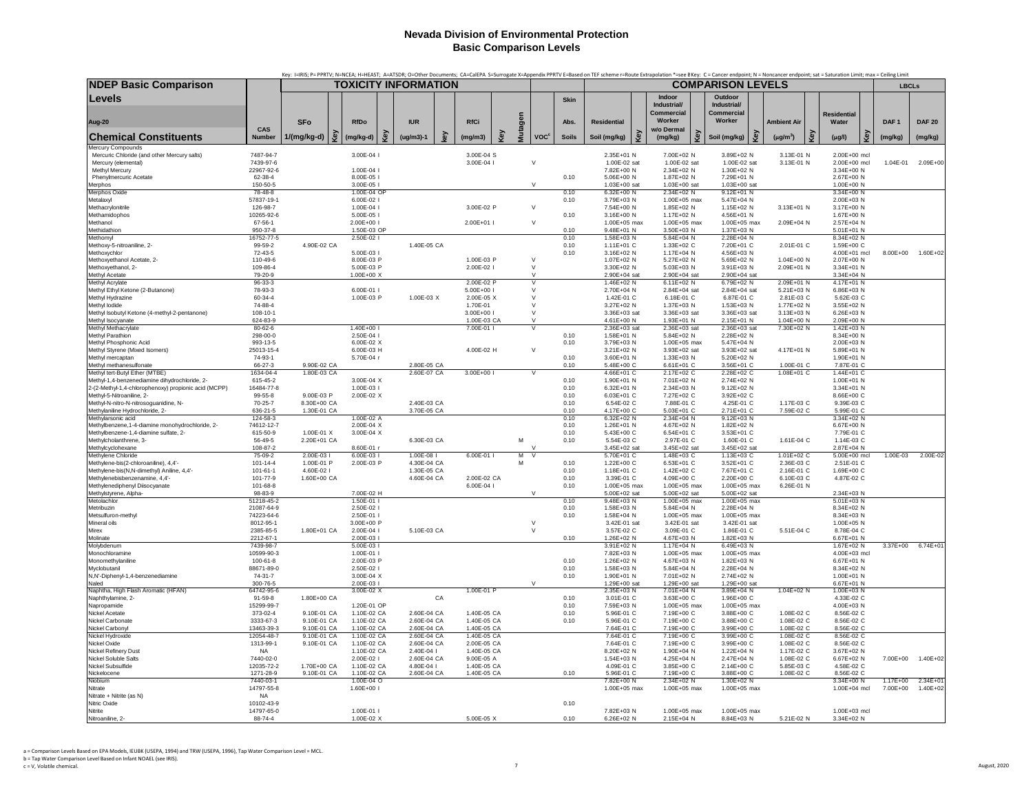|                                                                                     |                              |                            |                            |    |                            |    |                            |   |                         |                        |              |                              |     |                                |                              | Key: I=IRIS; P= PPRTV; N=NCEA; H=HEAST; A=ATSDR; O=Other Documents; CA=CaIEPA S=Surrogate X=Appendix PPRTV E=Based on TEF scheme r=Route Extrapolation *=see BKey: C = Cancer endpoint; N = Noncancer endpoint; sat = Saturati |                    |                              |                          |                      |
|-------------------------------------------------------------------------------------|------------------------------|----------------------------|----------------------------|----|----------------------------|----|----------------------------|---|-------------------------|------------------------|--------------|------------------------------|-----|--------------------------------|------------------------------|--------------------------------------------------------------------------------------------------------------------------------------------------------------------------------------------------------------------------------|--------------------|------------------------------|--------------------------|----------------------|
| <b>NDEP Basic Comparison</b>                                                        |                              |                            |                            |    | TOXICITY INFORMATION       |    |                            |   |                         |                        |              |                              |     |                                | <b>COMPARISON LEVELS</b>     |                                                                                                                                                                                                                                |                    |                              | <b>LBCLs</b>             |                      |
| Levels                                                                              |                              |                            |                            |    |                            |    |                            |   |                         |                        | <b>Skin</b>  |                              |     | Indoor<br>Industrial/          | Outdoor<br>Industrial/       |                                                                                                                                                                                                                                |                    |                              |                          |                      |
|                                                                                     |                              |                            |                            |    |                            |    |                            |   |                         |                        |              |                              |     | Commercial                     | Commercial                   |                                                                                                                                                                                                                                | <b>Residential</b> |                              |                          |                      |
| Aug-20                                                                              |                              | <b>SFo</b>                 | <b>RfDo</b>                |    | <b>IUR</b>                 |    | <b>RfCi</b>                |   |                         |                        | Abs.         | <b>Residential</b>           |     | Worker                         | Worker                       | <b>Ambient Air</b>                                                                                                                                                                                                             | Water              |                              | DAF <sub>1</sub>         | <b>DAF 20</b>        |
| <b>Chemical Constituents</b>                                                        | CAS<br><b>Number</b>         | 1/(mg/kg-d)                | ξ<br>(mg/kg-d)             | මූ | $(ug/m3)-1$                | ç, | (mg/m3)                    | Ğ | Mutagen                 | <b>VOC<sup>c</sup></b> | <b>Soils</b> | Soil (mg/kg)                 | Key | w/o Dermal<br>Key<br>(mg/kg)   | Soil (mg/kg)                 | ق<br>$(\mu g/m^3)$                                                                                                                                                                                                             | Key<br>$(\mu g/l)$ | මූ                           | (mg/kg)                  | (mg/kg)              |
| Mercury Compounds<br>Mercuric Chloride (and other Mercury salts)                    | 7487-94-7                    |                            | 3.00E-04 l                 |    |                            |    | $3.00F - 04S$              |   |                         |                        |              | 2.35E+01 N                   |     | 7.00E+02 N                     | 3.89E+02 N                   | 3.13E-01 N                                                                                                                                                                                                                     |                    | $2.00F + 00$ mcl             |                          |                      |
| Mercury (elemental)                                                                 | 7439-97-6                    |                            |                            |    |                            |    | 3.00E-04 l                 |   | $\vee$                  |                        |              | 1.00E-02 sat                 |     | 1.00E-02 sat                   | 1.00E-02 sat                 | 3.13E-01 N                                                                                                                                                                                                                     |                    | 2.00E+00 mcl                 | 1.04E-01                 | $2.09E + 00$         |
| Methyl Mercury                                                                      | 22967-92-6                   |                            | 1.00E-04                   |    |                            |    |                            |   |                         |                        |              | 7.82F+00 N                   |     | 2.34F+02 N                     | 1.30F+02 N                   |                                                                                                                                                                                                                                |                    | $3.34F + 00 N$               |                          |                      |
| Phenylmercuric Acetate<br>Memhos                                                    | 62-38-4<br>150-50-5          |                            | 8.00E-05<br>3.00E-05       |    |                            |    |                            |   | $\sqrt{ }$              |                        | 0.10         | 5.06E+00 N<br>1.03E+00 sat   |     | 1.87E+02 N<br>$1.03E + 00$ sat | 7.29E+01 N<br>1.03E+00 sat   |                                                                                                                                                                                                                                |                    | 2.67E+00 N<br>1.00E+00 N     |                          |                      |
| <b>Merphos Oxide</b>                                                                | 78-48-8                      |                            | 1.00E-04 OF                |    |                            |    |                            |   |                         |                        | 0.10         | 6.32E+00 N                   |     | 2.34E+02 N                     | $9.12E + 01 N$               |                                                                                                                                                                                                                                |                    | 3.34E+00 N                   |                          |                      |
| Metalaxyl                                                                           | 57837-19-1                   |                            | 6.00E-02 l                 |    |                            |    |                            |   |                         |                        | 0.10         | 3.79E+03 N                   |     | 1.00E+05 max                   | 5.47E+04 N                   |                                                                                                                                                                                                                                |                    | 2.00E+03 N                   |                          |                      |
| Methacrylonitrile<br>Methamidophos                                                  | 126-98-7<br>10265-92-6       |                            | 1.00E-04<br>5.00E-05       |    |                            |    | 3.00E-02 P                 |   | $\vee$                  |                        | 0.10         | 7.54E+00 N<br>3.16E+00 N     |     | 1.85E+02 N<br>1.17E+02 N       | 1.15E+02 N<br>4.56E+01 N     | 3.13E+01 N                                                                                                                                                                                                                     |                    | 3.17E+00 N<br>1.67E+00 N     |                          |                      |
| Methanol                                                                            | 67-56-1                      |                            | 2.00E+00 l                 |    |                            |    | 2.00E+01                   |   | $\mathbf{v}$            |                        |              | 1.00E+05 max                 |     | 1.00E+05 max                   | 1.00E+05 max                 | 2.09E+04 N                                                                                                                                                                                                                     |                    | 2.57F+04 N                   |                          |                      |
| Methidathior                                                                        | 950-37-8                     |                            | 1.50E-03 OP                |    |                            |    |                            |   |                         |                        | 0.10         | 9.48E+01 N                   |     | 3.50E+03 N                     | 1.37E+03 N                   |                                                                                                                                                                                                                                |                    | 5.01E+01 N                   |                          |                      |
| Methomy                                                                             | 16752-77-5<br>99-59-2        | 4.90E-02 CA                | 2.50E-02 l                 |    | 1.40E-05 CA                |    |                            |   |                         |                        | 0.10<br>0.10 | 1.58E+03 N<br>1.11E+01 C     |     | $5.84E + 04 N$<br>1.33E+02 C   | 2.28E+04 N<br>7.20E+01 C     |                                                                                                                                                                                                                                |                    | 8.34E+02 N<br>1.59E+00 C     |                          |                      |
| Methoxy-5-nitroaniline, 2-<br>Methoxychlor                                          | 72-43-5                      |                            | 5.00E-03 l                 |    |                            |    |                            |   |                         |                        | 0.10         | 3.16E+02 N                   |     | 1.17E+04 N                     | 4.56E+03 N                   | 2.01E-01 C                                                                                                                                                                                                                     |                    | 4.00E+01 mcl                 | 8.00E+00                 | 1.60E+02             |
| Methoxyethanol Acetate, 2-                                                          | $110 - 49 - 6$               |                            | 8.00E-03 P                 |    |                            |    | 1.00E-03 P                 |   | $\vee$                  |                        |              | 1.07E+02 N                   |     | 5.27E+02 N                     | 5.69E+02 N                   | 1.04E+00 N                                                                                                                                                                                                                     |                    | 2.07E+00 N                   |                          |                      |
| Methoxyethanol, 2-                                                                  | 109-86-4                     |                            | 5.00E-03 P                 |    |                            |    | 2.00E-02 I                 |   | $\vee$<br>$\mathcal{U}$ |                        |              | 3.30E+02 N<br>2.90E+04 sat   |     | 5.03E+03 N                     | 3.91E+03 N                   | 2.09E+01 N                                                                                                                                                                                                                     |                    | 3.34E+01 N<br>3.34E+04 N     |                          |                      |
| Methyl Acetate<br>Methyl Acrylate                                                   | 79-20-9<br>96-33-3           |                            | 1.00E+00 X                 |    |                            |    | 2.00E-02 P                 |   |                         |                        |              | 1.46E+02 N                   |     | 2.90E+04 sat<br>6.11E+02 N     | 2.90E+04 sat<br>6.79E+02 N   | 2.09E+01 N                                                                                                                                                                                                                     |                    | 4.17E+01 N                   |                          |                      |
| Methyl Ethyl Ketone (2-Butanone)                                                    | 78-93-3                      |                            | 6.00E-01 L                 |    |                            |    | $5.00F + 001$              |   | $\vee$                  |                        |              | 2.70F+04 N                   |     | 2.84E+04 sat                   | 2.84F+04 sat                 | $5.21E+03 N$                                                                                                                                                                                                                   |                    | 6.86F+03 N                   |                          |                      |
| Methyl Hydrazine                                                                    | 60-34-4                      |                            | 1.00E-03 P                 |    | 1.00E-03 X                 |    | 2.00E-05 X                 |   | $\mathsf{V}$            |                        |              | 1.42E-01 C                   |     | 6.18E-01 C                     | 6.87E-01 C                   | 2.81E-03 C                                                                                                                                                                                                                     |                    | 5.62E-03 C                   |                          |                      |
| Methyl lodide<br>Methyl Isobutyl Ketone (4-methyl-2-pentanone)                      | 74-88-4<br>108-10-1          |                            |                            |    |                            |    | 1.70E-01<br>3.00E+00 l     |   | $\vee$<br>$\vee$        |                        |              | 3.27E+02 N<br>3.36E+03 sat   |     | 1.37E+03 N<br>3.36E+03 sat     | 1.53E+03 N<br>3.36E+03 sat   | 1.77E+02 N<br>3.13E+03 N                                                                                                                                                                                                       |                    | 3.55E+02 N<br>6.26E+03 N     |                          |                      |
| Methyl Isocyanate                                                                   | 624-83-9                     |                            |                            |    |                            |    | 1.00E-03 CA                |   |                         |                        |              | 4.61E+00 N                   |     | 1.93E+01 N                     | 2.15E+01 N                   | 1.04E+00 N                                                                                                                                                                                                                     |                    | 2.09E+00 N                   |                          |                      |
| Methyl Methacrylate                                                                 | 80-62-6                      |                            | 1.40E+00 l                 |    |                            |    | 7.00E-01                   |   | v                       |                        |              | 2.36E+03 sat                 |     | 2.36E+03 sat                   | 2.36E+03 sat                 | 7.30E+02 N                                                                                                                                                                                                                     |                    | 1.42E+03 N                   |                          |                      |
| Methyl Parathion<br>Methyl Phosphonic Acid                                          | 298-00-0<br>993-13-5         |                            | 2.50E-04 l<br>6.00F-02 X   |    |                            |    |                            |   |                         |                        | 0.10<br>0.10 | 1.58E+01 N<br>3.79E+03 N     |     | 5.84E+02 N<br>1.00E+05 max     | 2.28E+02 N<br>5.47E+04 N     |                                                                                                                                                                                                                                |                    | 8.34E+00 N<br>2.00E+03 N     |                          |                      |
| Methyl Styrene (Mixed Isomers)                                                      | 25013-15-4                   |                            | 6.00E-03 H                 |    |                            |    | 4.00E-02 H                 |   | $\vee$                  |                        |              | 3.21E+02 N                   |     | 3.93E+02 sat                   | 3.93E+02 sat                 | 4.17E+01 N                                                                                                                                                                                                                     |                    | 5.89E+01 N                   |                          |                      |
| Methyl mercantan                                                                    | 74-93-1                      |                            | 5.70F-04 r                 |    |                            |    |                            |   |                         |                        | 0.10         | $3.60F + 01 N$               |     | $1.33F + 03 N$                 | $5.20F + 02 N$               |                                                                                                                                                                                                                                |                    | 1.90F+01 N                   |                          |                      |
| Methyl methanesulfonate<br>Methyl tert-Butyl Ether (MTBE)                           | 66-27-3<br>1634-04-4         | 9.90E-02 CA<br>1.80E-03 CA |                            |    | 2.80E-05 CA<br>2.60E-07 CA |    | 3.00E+00 I                 |   | $\overline{V}$          |                        | 0.10         | 5.48E+00 C<br>4.66E+01 C     |     | 6.61E+01 C<br>2.17E+02 C       | 3.56E+01 C<br>2.28E+02 C     | 1.00E-01 C<br>1.08E+01 C                                                                                                                                                                                                       |                    | 7.87E-01 C<br>1.44E+01 C     |                          |                      |
| Methyl-1.4-benzenediamine dihydrochloride, 2-                                       | 615-45-2                     |                            | 3.00E-04 X                 |    |                            |    |                            |   |                         |                        | 0.10         | 1.90E+01 N                   |     | 7.01E+02 N                     | 2.74E+02 N                   |                                                                                                                                                                                                                                |                    | 1.00E+01 N                   |                          |                      |
| 2-(2-Methyl-1,4-chlorophenoxy) propionic acid (MCPP)                                | 16484-77-8                   |                            | 1.00E-03 l                 |    |                            |    |                            |   |                         |                        | 0.10         | 6.32E+01 N                   |     | 2.34E+03 N                     | 9.12E+02 N                   |                                                                                                                                                                                                                                |                    | 3.34E+01 N                   |                          |                      |
| Methyl-5-Nitroaniline, 2-<br>Methyl-N-nitro-N-nitrosoguanidine, N-                  | 99-55-8<br>$70 - 25 - 7$     | 9.00E-03 P<br>8.30E+00 CA  | 2.00E-02 X                 |    | 2.40E-03 CA                |    |                            |   |                         |                        | 0.10<br>0.10 | 6.03E+01 C<br>6.54E-02 C     |     | 7.27E+02 C<br>7.88E-01 C       | 3.92E+02 C<br>4.25E-01 C     | 1.17E-03 C                                                                                                                                                                                                                     |                    | 8.66E+00 C<br>9.39E-03 C     |                          |                      |
| Methylaniline Hydrochloride, 2-                                                     | 636-21-5                     | 1.30E-01 CA                |                            |    | 3.70E-05 CA                |    |                            |   |                         |                        | 0.10         | 4.17E+00 C                   |     | 5.03E+01 C                     | 2.71E+01 C                   | 7.59E-02 C                                                                                                                                                                                                                     |                    | 5.99E-01 C                   |                          |                      |
| Methylarsonic acid                                                                  | 124-58-3                     |                            | 1.00E-02 A                 |    |                            |    |                            |   |                         |                        | 0.10         | $6.32E + 02$ N               |     | 2.34E+04 N                     | $9.12E + 03$ N               |                                                                                                                                                                                                                                |                    | 3.34E+02 N                   |                          |                      |
| Methylbenzene, 1-4-diamine monohydrochloride, 2-                                    | 74612-12-7                   |                            | 2.00E-04 X                 |    |                            |    |                            |   |                         |                        | 0.10         | 1.26E+01 N                   |     | 4.67E+02 N                     | 1.82E+02 N                   |                                                                                                                                                                                                                                |                    | 6.67E+00 N                   |                          |                      |
| Methylbenzene-1,4-diamine sulfate, 2-<br>Methylcholanthrene, 3-                     | 615-50-9<br>56-49-5          | 1.00E-01 X<br>2.20E+01 CA  | 3.00E-04 X                 |    | 6.30E-03 CA                |    |                            |   | M                       |                        | 0.10<br>0.10 | 5.43E+00 C<br>5.54E-03 C     |     | 6.54E+01 C<br>2.97E-01 C       | 3.53E+01 C<br>1.60E-01 C     | 1.61E-04 C                                                                                                                                                                                                                     |                    | 7.79E-01 C<br>1.14E-03 C     |                          |                      |
| Methylcyclohexane                                                                   | 108-87-2                     |                            | 8.60E-01 r                 |    |                            |    |                            |   |                         |                        |              | 3.45E+02 sat                 |     | 3.45E+02 sat                   | 3.45E+02 sat                 |                                                                                                                                                                                                                                |                    | 2.87E+04 N                   |                          |                      |
| Methylene Chloride                                                                  | 75-09-2<br>$101 - 14 - 4$    | 2.00E-03 I<br>1.00E-01 P   | 6.00E-03 l<br>2.00E-03 P   |    | 1.00E-08 I<br>4.30E-04 CA  |    | $6.00E - 011$              |   | M<br>$\vee$<br>M        |                        | 0.10         | 5.70E+01 C<br>1.22E+00 C     |     | 1.48E+03 C<br>6.53E+01 C       | 1.13E+03 C<br>3.52E+01 C     | 1.01E+02 C<br>2.36E-03 C                                                                                                                                                                                                       |                    | 5.00E+00 mcl<br>2.51E-01 C   | 1.00E-03                 | 2.00E-02             |
| Methylene-bis(2-chloroaniline), 4,4'-<br>Methylene-bis(N,N-dimethyl) Aniline, 4,4'- | $101 - 61 - 1$               | 4.60E-02 I                 |                            |    | 1.30E-05 CA                |    |                            |   |                         |                        | 0.10         | 1.18E+01 C                   |     | 1.42E+02 C                     | 7.67E+01 C                   | 2.16E-01 C                                                                                                                                                                                                                     |                    | 1.69E+00 C                   |                          |                      |
| Methylenebishenzenamine, 4.4'-                                                      | 101-77-9                     | 1.60E+00 CA                |                            |    | 4.60E-04 CA                |    | 2.00E-02 CA                |   |                         |                        | 0.10         | 3.39E-01 C                   |     | $4.09F + 00C$                  | 2.20E+00 C                   | 6.10E-03 C                                                                                                                                                                                                                     |                    | 4.87E-02 C                   |                          |                      |
| Methylenediphenyl Diisocyanate                                                      | 101-68-8                     |                            |                            |    |                            |    | 6.00E-04 I                 |   | $\vee$                  |                        | 0.10         | 1.00E+05 max                 |     | 1.00E+05 max                   | 1.00E+05 max                 | 6.26E-01 N                                                                                                                                                                                                                     |                    |                              |                          |                      |
| Methylstyrene, Alpha-<br>Metolachlor                                                | 98-83-9<br>51218-45-2        |                            | 7.00E-02 H<br>1.50E-01 l   |    |                            |    |                            |   |                         |                        | 0.10         | 5.00E+02 sat<br>9.48E+03 N   |     | 5.00E+02 sat<br>1.00E+05 max   | 5.00E+02 sat<br>1.00E+05 max |                                                                                                                                                                                                                                |                    | 2.34E+03 N<br>5.01E+03 N     |                          |                      |
| Metribuzin                                                                          | 21087-64-9                   |                            | 2.50E-02 l                 |    |                            |    |                            |   |                         |                        | 0.10         | 1.58E+03 N                   |     | 5.84E+04 N                     | 2.28E+04 N                   |                                                                                                                                                                                                                                |                    | 8.34E+02 N                   |                          |                      |
| Metsulfuron-methyl                                                                  | 74223-64-6                   |                            | 2.50E-01                   |    |                            |    |                            |   |                         |                        | 0.10         | 1.58E+04 N                   |     | 1.00E+05 max                   | 1.00E+05 max                 |                                                                                                                                                                                                                                |                    | 8.34E+03 N                   |                          |                      |
| Mineral oils<br>Mirex                                                               | 8012-95-1<br>2385-85-5       | 1.80E+01 CA                | 3.00E+00 P<br>$2.00F - 04$ |    | 5.10E-03 CA                |    |                            |   | V<br>$\vee$             |                        |              | 3.42E-01 sat<br>3.57F-02 C   |     | 3.42E-01 sat<br>3.09E-01 C     | 3.42E-01 sat<br>1.86F-01 C   | 5.51E-04 C                                                                                                                                                                                                                     |                    | 1.00E+05 N<br>8.78F-04 C     |                          |                      |
| Molinate                                                                            | 2212-67-1                    |                            | 2.00E-03                   |    |                            |    |                            |   |                         |                        | 0.10         | 1.26E+02 N                   |     | 4.67E+03 N                     | 1.82E+03 N                   |                                                                                                                                                                                                                                |                    | 6.67E+01 N                   |                          |                      |
| Molvbdenum                                                                          | 7439-98-7                    |                            | $5.00F - 03$               |    |                            |    |                            |   |                         |                        |              | 3.91F+02 N                   |     | $1.17E + 04 N$                 | $6.49F + 0.3 N$              |                                                                                                                                                                                                                                |                    | $1.67F + 02 N$               | $3.37E + 00$             | 6.74E+01             |
| Monochloramine<br>Monomethylaniline                                                 | 10599-90-3<br>100-61-8       |                            | 1.00E-01 l<br>2.00E-03 P   |    |                            |    |                            |   |                         |                        | 0.10         | 7.82E+03 N<br>1.26E+02 N     |     | 1.00E+05 max<br>4.67E+03 N     | 1.00E+05 max<br>1.82E+03 N   |                                                                                                                                                                                                                                |                    | 4.00E+03 mcl<br>6.67E+01 N   |                          |                      |
| Myclobutanil                                                                        | 88671-89-0                   |                            | 2.50E-02 l                 |    |                            |    |                            |   |                         |                        | 0.10         | 1.58E+03 N                   |     | 5.84E+04 N                     | 2.28E+04 N                   |                                                                                                                                                                                                                                |                    | 8.34E+02 N                   |                          |                      |
| N,N'-Diphenyl-1,4-benzenediamine                                                    | 74-31-7                      |                            | 3.00E-04 X                 |    |                            |    |                            |   |                         |                        | 0.10         | 1.90E+01 N                   |     | 7.01E+02 N                     | 2.74E+02 N                   |                                                                                                                                                                                                                                |                    | 1.00E+01 N                   |                          |                      |
| Naled<br>Naphtha, High Flash Aromatic (HFAN)                                        | $300 - 76 - 5$<br>64742-95-6 |                            | 2.00E-03 L<br>3.00E-02 X   |    |                            |    | 1.00E-01 P                 |   | $\mathbf{v}$            |                        |              | 1.29F+00 sat<br>2.35E+03 N   |     | 1.29E+00 sat<br>7.01E+04 N     | 1.29E+00 sat<br>3.89E+04 N   | 1.04E+02 N                                                                                                                                                                                                                     |                    | 6.67E+01 N<br>$1.00E + 03$ N |                          |                      |
| Naphthylamine, 2-                                                                   | 91-59-8                      | 1.80E+00 CA                |                            |    |                            | CA |                            |   |                         |                        | 0.10         | 3.01E-01 C                   |     | 3.63E+00 C                     | 1.96E+00 C                   |                                                                                                                                                                                                                                |                    | 4.33E-02 C                   |                          |                      |
| Napropamide                                                                         | 15299-99-7                   |                            | 1.20E-01 OP                |    |                            |    |                            |   |                         |                        | 0.10         | 7.59E+03 N                   |     | 1.00E+05 max                   | 1.00E+05 max                 |                                                                                                                                                                                                                                |                    | 4.00E+03 N                   |                          |                      |
| <b>Nickel Acetate</b><br>Nickel Carbonate                                           | 373-02-4<br>3333-67-3        | 9.10E-01 CA<br>9.10E-01 CA | 1.10E-02 CA<br>1.10E-02 CA |    | 2.60E-04 CA<br>2.60E-04 CA |    | 1.40E-05 CA<br>1.40E-05 CA |   |                         |                        | 0.10<br>0.10 | 5.96E-01 C<br>5.96E-01 C     |     | 7.19E+00 C<br>7.19E+00 C       | 3.88E+00 C<br>3.88E+00 C     | 1.08E-02 C<br>1.08E-02 C                                                                                                                                                                                                       |                    | 8.56E-02 C<br>8.56E-02 C     |                          |                      |
| Nickel Carbonyl                                                                     | 13463-39-3                   | 9.10E-01 CA                | 1.10E-02 CA                |    | 2.60E-04 CA                |    | 1.40E-05 CA                |   |                         |                        |              | 7.64E-01 C                   |     | 7.19E+00 C                     | 3.99E+00 C                   | 1.08E-02 C                                                                                                                                                                                                                     |                    | 8.56E-02 C                   |                          |                      |
| Nickel Hydroxide                                                                    | 12054-48-7                   | 9.10E-01 CA                | 1.10E-02 CA                |    | 2.60E-04 CA                |    | 1.40E-05 CA                |   |                         |                        |              | 7.64E-01 C                   |     | 7.19E+00 C                     | 3.99E+00 C                   | 1.08E-02 C                                                                                                                                                                                                                     |                    | 8.56E-02 C                   |                          |                      |
| Nickel Oxide<br>Nickel Refinery Dust                                                | 1313-99-1<br><b>NA</b>       | 9.10E-01 CA                | 1.10E-02 CA<br>1.10E-02 CA |    | 2.60E-04 CA<br>2.40E-04 I  |    | 2.00E-05 CA<br>1.40E-05 CA |   |                         |                        |              | 7.64E-01 C<br>8.20E+02 N     |     | 7.19E+00 C<br>1.90E+04 N       | 3.99E+00 C<br>1.22E+04 N     | 1.08E-02 C<br>1.17E-02 C                                                                                                                                                                                                       |                    | 8.56E-02 C<br>3.67E+02 N     |                          |                      |
| Nickel Soluble Salts                                                                | 7440-02-0                    |                            | 2.00E-02 l                 |    | 2.60E-04 CA                |    | 9.00E-05 A                 |   |                         |                        |              | 1.54E+03 N                   |     | 4.25E+04 N                     | 2.47E+04 N                   | 1.08E-02 C                                                                                                                                                                                                                     |                    | 6.67E+02 N                   | 7.00E+00                 | 1.40E+02             |
| Nickel Subsulfide                                                                   | 12035-72-2                   | 1.70E+00 CA                | 1.10E-02 CA                |    | 4.80E-04                   |    | 1.40F-05 CA                |   |                         |                        |              | 4.09E-01 C                   |     | 3.85E+00 C                     | 2.14E+00 C                   | 5.85F-03 C                                                                                                                                                                                                                     |                    | 4.58E-02 C                   |                          |                      |
| Nickelocene                                                                         | 1271-28-9                    | 9.10E-01 CA                | 1.10E-02 CA                |    | 2.60E-04 CA                |    | 1.40E-05 CA                |   |                         |                        | 0.10         | 5.96E-01 C                   |     | 7.19E+00 C                     | 3.88E+00 C                   | 1.08E-02 C                                                                                                                                                                                                                     |                    | 8.56E-02 C                   |                          |                      |
| Niobium<br>Nitrate                                                                  | 7440-03-1<br>14797-55-8      |                            | 1.00E-04 O<br>1.60E+00 l   |    |                            |    |                            |   |                         |                        |              | 7.82E+00 N<br>1.00E+05 max   |     | 2.34E+02 N<br>1.00E+05 max     | 1.30E+02 N<br>1.00E+05 max   |                                                                                                                                                                                                                                |                    | 3.34E+00 N<br>1.00E+04 mcl   | $1.17E + 00$<br>7.00E+00 | 2.34E+01<br>1.40E+02 |
| Nitrate + Nitrite (as N)                                                            | NA                           |                            |                            |    |                            |    |                            |   |                         |                        |              |                              |     |                                |                              |                                                                                                                                                                                                                                |                    |                              |                          |                      |
| Nitric Oxide                                                                        | 10102-43-9                   |                            |                            |    |                            |    |                            |   |                         |                        | 0.10         |                              |     |                                |                              |                                                                                                                                                                                                                                |                    |                              |                          |                      |
| Nitrite<br>Nitroaniline, 2-                                                         | 14797-65-0<br>88-74-4        |                            | 1.00E-01 I<br>1.00E-02 X   |    |                            |    | 5.00F-05 X                 |   |                         |                        | 0.10         | 7.82E+03 N<br>$6.26E + 02$ N |     | 1.00E+05 max<br>2.15E+04 N     | 1.00E+05 max<br>8.84F+03 N   | 5.21E-02 N                                                                                                                                                                                                                     |                    | 1.00E+03 mcl<br>3.34E+02 N   |                          |                      |
|                                                                                     |                              |                            |                            |    |                            |    |                            |   |                         |                        |              |                              |     |                                |                              |                                                                                                                                                                                                                                |                    |                              |                          |                      |

a <sup>=</sup> Comparison Levels Based on EPA Models, IEUBK (USEPA, 1994) and TRW (USEPA, 1996), Tap Water Comparison Level <sup>=</sup> MCL. b <sup>=</sup> Tap Water Comparison Level Based on Infant NOAEL (see IRIS). c <sup>=</sup> V, Volatile chemical. 7 August, 2020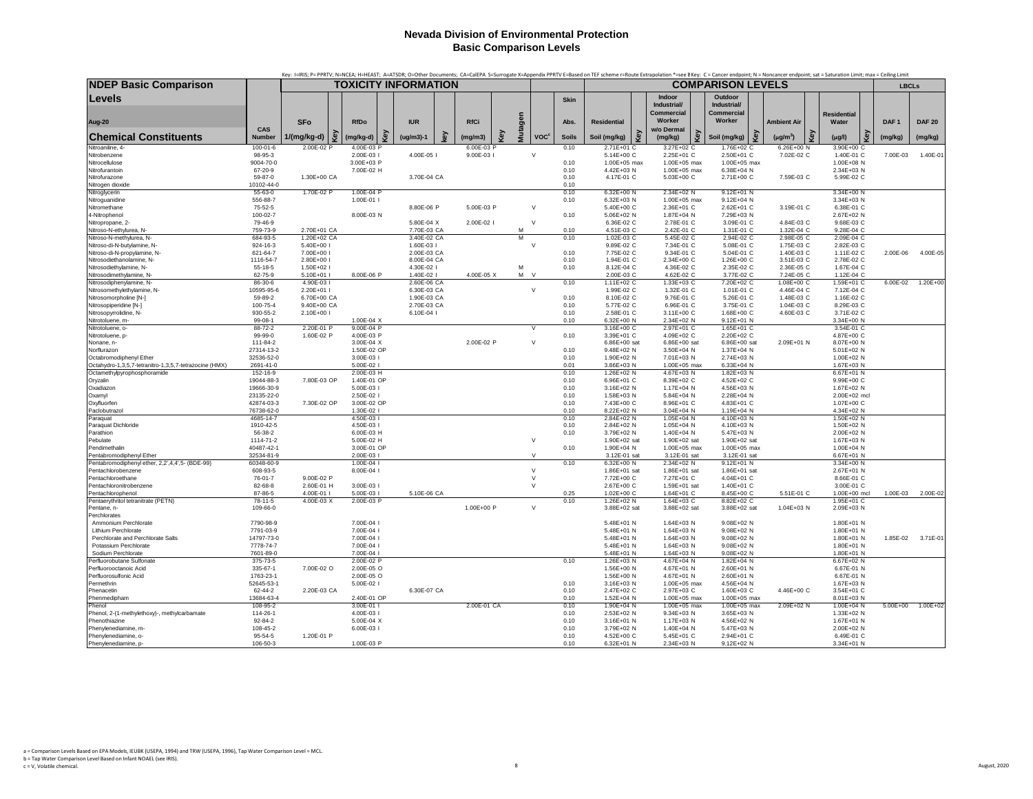|                                                                                   |                           | Key: l=IRIS; P= PPRTV; N=NCEA; H=HEAST; A=ATSDR; O=Other Documents; CA=CalEPA S=Surrogate X=Appendix PPRTV E=Based on TEF scheme r=Route Extrapolation *=see BKey: C = Cancer endpoint; N = Noncancer endpoint; sat = Saturati |                           |     |                            |     |                        |     |         |                        |              |                            |     |                                            |                                      |                              |                            |                  |               |
|-----------------------------------------------------------------------------------|---------------------------|--------------------------------------------------------------------------------------------------------------------------------------------------------------------------------------------------------------------------------|---------------------------|-----|----------------------------|-----|------------------------|-----|---------|------------------------|--------------|----------------------------|-----|--------------------------------------------|--------------------------------------|------------------------------|----------------------------|------------------|---------------|
| <b>NDEP Basic Comparison</b>                                                      |                           | <b>TOXICITY INFORMATION</b>                                                                                                                                                                                                    |                           |     |                            |     |                        |     |         |                        |              |                            |     |                                            | <b>COMPARISON LEVELS</b>             |                              |                            |                  | <b>LBCLs</b>  |
| Levels                                                                            |                           |                                                                                                                                                                                                                                |                           |     |                            |     |                        |     |         |                        | <b>Skin</b>  |                            |     | Indoor<br>Industrial/<br><b>Commercial</b> | Outdoor<br>Industrial/<br>Commercial |                              | <b>Residential</b>         |                  |               |
| Aug-20                                                                            |                           | <b>SFo</b>                                                                                                                                                                                                                     | <b>RfDo</b>               |     | <b>IUR</b>                 |     | <b>RfCi</b>            |     |         |                        | Abs.         | <b>Residential</b>         |     | Worker                                     | Worker                               | <b>Ambient Air</b>           | Water                      | DAF <sub>1</sub> | <b>DAF 20</b> |
| <b>Chemical Constituents</b>                                                      | CAS<br>Number             | Key<br>1/(mg/kg-d)                                                                                                                                                                                                             | (mg/kg-d)                 | Key | $(ug/m3)-1$                | key | (mg/m3)                | Kev | Mutagen | <b>VOC<sup>c</sup></b> | <b>Soils</b> | Soil (mg/kg)               | Key | w/o Dermal<br>Key<br>(mg/kg)               | Soil (mg/kg)                         | Key<br>$(\mu g/m^3)$         | Key<br>$(\mu g/l)$         | Key<br>(mg/kg)   | (mg/kg)       |
| Nitroaniline, 4-<br>Nitrobenzene                                                  | $100 - 01 - 6$<br>98-95-3 | 2.00E-02 P                                                                                                                                                                                                                     | 4.00E-03 P<br>2.00E-03 l  |     | 4.00E-05 I                 |     | 6.00E-03 F<br>9.00E-03 |     |         | $\vee$                 | 0.10         | 2.71E+01 C<br>5.14E+00 C   |     | 3.27E+02 C<br>2.25E+01 C                   | 1.76E+02 C<br>2.50E+01 C             | $6.26E + 00$ N<br>7.02E-02 C | 3.90E+00 C<br>1.40E-01 C   | 7.00E-03         | 1.40E-01      |
| Nitrocellulose                                                                    | 9004-70-0                 |                                                                                                                                                                                                                                | 3.00E+03 P                |     |                            |     |                        |     |         |                        | 0.10         | 1.00E+05 max               |     | 1.00E+05 max                               | 1.00E+05 max                         |                              | 1.00E+08 N                 |                  |               |
| Nitrofurantoin                                                                    | 67-20-9                   | 1.30E+00 CA                                                                                                                                                                                                                    | 7.00E-02 H                |     |                            |     |                        |     |         |                        | 0.10         | 4.42E+03 N<br>4.17E-01 C   |     | 1.00E+05 max<br>$5.03E+00C$                | 6.38E+04 N                           |                              | 2.34E+03 N<br>5.99E-02 C   |                  |               |
| Nitrofurazone<br>Nitrogen dioxide                                                 | 59-87-0<br>10102-44-0     |                                                                                                                                                                                                                                |                           |     | 3.70E-04 CA                |     |                        |     |         |                        | 0.10<br>0.10 |                            |     |                                            | 2.71E+00 C                           | 7.59E-03 C                   |                            |                  |               |
| Nitroglycerin                                                                     | 55-63-0                   | 1.70E-02 F                                                                                                                                                                                                                     | 1.00E-04 P                |     |                            |     |                        |     |         |                        | 0.10         | 6.32E+00 N                 |     | 2.34E+02 N                                 | $9.12E + 01 N$                       |                              | 3.34E+00 N                 |                  |               |
| Nitroguanidine                                                                    | 556-88-7                  |                                                                                                                                                                                                                                | 1.00E-01                  |     |                            |     |                        |     |         |                        | 0.10         | 6.32E+03 N                 |     | 1.00E+05 max                               | $9.12E + 04$ N                       |                              | 3.34E+03 N                 |                  |               |
| Nitromethane<br>4-Nitrophenol                                                     | 75-52-5<br>100-02-7       |                                                                                                                                                                                                                                | 8.00E-03 N                |     | 8.80E-06 P                 |     | 5.00E-03 P             |     |         | $\vee$                 | 0.10         | 5.40E+00 C<br>5.06E+02 N   |     | 2.36E+01 C<br>1.87E+04 N                   | 2.62E+01 C<br>7.29E+03 N             | 3.19E-01 C                   | 6.38E-01 C<br>2.67E+02 N   |                  |               |
| Nitropropane, 2-                                                                  | 79-46-9                   |                                                                                                                                                                                                                                |                           |     | 5.80E-04 X                 |     | 2.00E-02 l             |     |         | $\vee$                 |              | 6.36E-02 C                 |     | 2.78E-01 C                                 | 3.09E-01 C                           | 4.84E-03 C                   | 9.68E-03 C                 |                  |               |
| Nitroso-N-ethylurea, N-                                                           | 759-73-9                  | 2.70E+01 CA                                                                                                                                                                                                                    |                           |     | 7.70E-03 CA                |     |                        |     | M       |                        | 0.10         | 4.51E-03 C                 |     | 2.42E-01 C                                 | 1.31E-01 C                           | 1.32E-04 C                   | 9.28E-04 C                 |                  |               |
| Nitroso-N-methylurea, N-                                                          | 684-93-5                  | 1.20E+02 CA                                                                                                                                                                                                                    |                           |     | 3.40E-02 CA                |     |                        |     | M       |                        | 0.10         | 1.02E-03 C                 |     | 5.45E-02 C                                 | 2.94E-02 C                           | 2.98E-05 C                   | 2.09E-04 C                 |                  |               |
| Nitroso-di-N-butylamine, N-<br>Nitroso-di-N-propylamine, N-                       | 924-16-3<br>621-64-7      | 5.40E+00 l<br>7.00E+00                                                                                                                                                                                                         |                           |     | 1.60E-03 I<br>2.00E-03 CA  |     |                        |     |         | $\vee$                 | 0.10         | 9.89E-02 C<br>7.75E-02 C   |     | 7.34E-01 C<br>9.34E-01 C                   | 5.08E-01 C<br>5.04E-01 C             | 1.75E-03 C<br>1.40E-03 C     | 2.82E-03 C<br>1.11E-02 C   | 2.00E-06         | 4.00E-05      |
| Nitrosodiethanolamine. N-                                                         | 1116-54-7                 | $2.80E + 00$                                                                                                                                                                                                                   |                           |     | 8.00E-04 CA                |     |                        |     |         |                        | 0.10         | 1.94E-01 C                 |     | 2.34E+00 C                                 | 1.26E+00 C                           | 3.51E-03 C                   | 2.78E-02 C                 |                  |               |
| Nitrosodiethvlamine, N-                                                           | $55 - 18 - 5$             | 1.50E+02                                                                                                                                                                                                                       |                           |     | 4.30E-02 I                 |     |                        |     | M       |                        | 0.10         | 8.12E-04 C                 |     | 4.36E-02 C                                 | 2.35E-02 C                           | 2.36E-05 C                   | 1.67E-04 C                 |                  |               |
| Nitrosodimethylamine, N-                                                          | 62-75-9                   | 5.10E+01                                                                                                                                                                                                                       | 8.00E-06 P                |     | 1.40E-02 I                 |     | 4.00E-05 X             |     | M       | $\vee$                 |              | 2.00E-03 C                 |     | 4.62E-02 C                                 | 3.77E-02 C                           | 7.24E-05 C                   | 1.12E-04 C                 |                  |               |
| Nitrosodiphenylamine, N-<br>Nitrosomethylethylamine, N-                           | 86-30-6<br>10595-95-6     | 4.90E-03<br>2.20E+01 I                                                                                                                                                                                                         |                           |     | 2.60E-06 CA<br>6.30E-03 CA |     |                        |     |         | $\vee$                 | 0.10         | 1.11E+02 C<br>1.99E-02 C   |     | 1.33E+03 C<br>1.32E-01 C                   | 7.20E+02 C<br>1.01E-01 C             | 1.08E+00 C<br>4.46E-04 C     | 1.59E+01 C<br>7.12E-04 C   | 6.00E-02         | 1.20E+00      |
| Nitrosomorpholine [N-]                                                            | 59-89-2                   | 6.70E+00 CA                                                                                                                                                                                                                    |                           |     | 1.90E-03 CA                |     |                        |     |         |                        | 0.10         | 8.10E-02 C                 |     | 9.76E-01 C                                 | 5.26E-01 C                           | 1.48E-03 C                   | 1.16E-02 C                 |                  |               |
| Nitrosopiperidine [N-]                                                            | 100-75-4                  | 9.40E+00 CA                                                                                                                                                                                                                    |                           |     | 2.70E-03 CA                |     |                        |     |         |                        | 0.10         | 5.77E-02 C                 |     | 6.96E-01 C                                 | 3.75E-01 C                           | 1.04E-03 C                   | 8.29E-03 C                 |                  |               |
| Nitrosopyrrolidine, N-                                                            | 930-55-2                  | 2.10E+00 l                                                                                                                                                                                                                     |                           |     | 6.10E-04 l                 |     |                        |     |         |                        | 0.10         | 2.58E-01 C                 |     | 3.11E+00 C                                 | 1.68E+00 C                           | 4.60E-03 C                   | 3.71E-02 C                 |                  |               |
| Nitrotoluene, m-<br>Nitrotoluene, o-                                              | 99-08-1<br>88-72-2        | 2.20E-01 P                                                                                                                                                                                                                     | 1.00E-04 X<br>9.00E-04 P  |     |                            |     |                        |     |         | $\overline{V}$         | 0.10         | 6.32E+00 N<br>3.16E+00 C   |     | 2.34E+02 N<br>2.97E+01 C                   | 9.12E+01 N<br>1.65E+01 C             |                              | 3.34E+00 N<br>3.54E-01 C   |                  |               |
| Nitrotoluene, p-                                                                  | 99-99-0                   | 1.60E-02 P                                                                                                                                                                                                                     | 4.00E-03 P                |     |                            |     |                        |     |         |                        | 0.10         | 3.39E+01 C                 |     | 4.09E+02 C                                 | 2.20E+02 C                           |                              | 4.87E+00 C                 |                  |               |
| Nonane, n-                                                                        | 111-84-2                  |                                                                                                                                                                                                                                | 3.00E-04 X                |     |                            |     | 2.00E-02 P             |     |         | $\vee$                 |              | 6.86E+00 sat               |     | 6.86E+00 sat                               | 6.86E+00 sat                         | 2.09E+01 N                   | 8.07E+00 N                 |                  |               |
| Norflurazon                                                                       | 27314-13-2                |                                                                                                                                                                                                                                | 1.50E-02 OP               |     |                            |     |                        |     |         |                        | 0.10         | 9.48E+02 N                 |     | 3.50E+04 N                                 | 1.37E+04 N                           |                              | 5.01E+02 N                 |                  |               |
| Octabromodiphenyl Ether<br>Octahydro-1,3,5,7-tetranitro-1,3,5,7-tetrazocine (HMX) | 32536-52-0<br>2691-41-0   |                                                                                                                                                                                                                                | 3.00E-03 l<br>5.00E-02    |     |                            |     |                        |     |         |                        | 0.10<br>0.01 | 1.90E+02 N<br>3.86E+03 N   |     | 7.01E+03 N<br>1.00E+05 max                 | 2.74E+03 N<br>6.33E+04 N             |                              | 1.00E+02 N<br>1.67E+03 N   |                  |               |
| Octamethylpyrophosphoramide                                                       | 152-16-9                  |                                                                                                                                                                                                                                | 2.00E-03 H                |     |                            |     |                        |     |         |                        | 0.10         | 1.26E+02 N                 |     | 4.67E+03 N                                 | 1.82E+03 N                           |                              | $6.67E + 01 N$             |                  |               |
| Oryzalin                                                                          | 19044-88-3                | 7.80E-03 OP                                                                                                                                                                                                                    | 1.40E-01 OP               |     |                            |     |                        |     |         |                        | 0.10         | 6.96E+01 C                 |     | 8.39E+02 C                                 | 4.52E+02 C                           |                              | 9.99E+00 C                 |                  |               |
| Oxadiazon                                                                         | 19666-30-9                |                                                                                                                                                                                                                                | 5.00E-03                  |     |                            |     |                        |     |         |                        | 0.10         | 3.16E+02 N                 |     | 1.17E+04 N                                 | 4.56E+03 N                           |                              | 1.67E+02 N                 |                  |               |
| Oxamyl<br>Oxyfluorfen                                                             | 23135-22-0<br>42874-03-3  | 7.30E-02 OP                                                                                                                                                                                                                    | 2.50E-02  <br>3.00E-02 OP |     |                            |     |                        |     |         |                        | 0.10<br>0.10 | 1.58E+03 N<br>7.43E+00 C   |     | $5.84E + 04 N$<br>8.96E+01 C               | 2.28E+04 N<br>4.83E+01 C             |                              | 2.00E+02 mcl<br>1.07E+00 C |                  |               |
| Paclobutrazo                                                                      | 76738-62-0                |                                                                                                                                                                                                                                | 1.30E-02                  |     |                            |     |                        |     |         |                        | 0.10         | 8.22E+02 N                 |     | $3.04E + 04 N$                             | 1.19E+04 N                           |                              | 4.34E+02 N                 |                  |               |
| Paraquat                                                                          | 4685-14-7                 |                                                                                                                                                                                                                                | 4.50E-03                  |     |                            |     |                        |     |         |                        | 0.10         | 2.84E+02 N                 |     | 1.05E+04 N                                 | 4.10E+03 N                           |                              | 1.50E+02 N                 |                  |               |
| Paraquat Dichloride                                                               | 1910-42-5                 |                                                                                                                                                                                                                                | 4.50E-03 l                |     |                            |     |                        |     |         |                        | 0.10         | 2.84E+02 N                 |     | 1.05E+04 N                                 | 4.10E+03 N                           |                              | 1.50E+02 N                 |                  |               |
| Parathion<br>Pebulate                                                             | 56-38-2<br>1114-71-2      |                                                                                                                                                                                                                                | 6.00E-03 H<br>5.00E-02 H  |     |                            |     |                        |     |         | $\vee$                 | 0.10         | 3.79E+02 N<br>1.90E+02 sat |     | 1.40E+04 N<br>1.90E+02 sat                 | 5.47E+03 N<br>1.90E+02 sat           |                              | 2.00E+02 N<br>1.67E+03 N   |                  |               |
| Pendimethalin                                                                     | 40487-42-1                |                                                                                                                                                                                                                                | 3.00E-01 OP               |     |                            |     |                        |     |         |                        | 0.10         | 1.90E+04 N                 |     | 1.00E+05 max                               | 1.00E+05 max                         |                              | 1.00E+04 N                 |                  |               |
| Pentabromodiphenyl Ether                                                          | 32534-81-9                |                                                                                                                                                                                                                                | 2.00E-03 l                |     |                            |     |                        |     |         | $\vee$                 |              | 3.12E-01 sat               |     | 3.12E-01 sat                               | 3.12E-01 sat                         |                              | 6.67E+01 N                 |                  |               |
| Pentabromodiphenyl ether, 2,2',4,4',5- (BDE-99)                                   | 60348-60-9                |                                                                                                                                                                                                                                | 1.00E-04                  |     |                            |     |                        |     |         | $\vee$                 | 0.10         | 6.32E+00 N                 |     | 2.34E+02 N                                 | $9.12E + 01 N$                       |                              | 3.34E+00 N                 |                  |               |
| Pentachlorobenzene<br>Pentachloroethane                                           | 608-93-5<br>76-01-7       | 9.00E-02 P                                                                                                                                                                                                                     | 8.00E-04                  |     |                            |     |                        |     |         | $\vee$                 |              | 1.86E+01 sat<br>7.72E+00 C |     | 1.86E+01 sat<br>7.27E+01 C                 | 1.86E+01 sat<br>4.04E+01 C           |                              | 2.67E+01 N<br>8.66E-01 C   |                  |               |
| Pentachloronitrobenzene                                                           | 82-68-8                   | 2.60E-01 H                                                                                                                                                                                                                     | 3.00E-03 l                |     |                            |     |                        |     |         | $\vee$                 |              | 2.67E+00 C                 |     | 1.59E+01 sat                               | 1.40E+01 C                           |                              | 3.00E-01 C                 |                  |               |
| Pentachlorophenol                                                                 | 87-86-5                   | 4.00E-01 l                                                                                                                                                                                                                     | 5.00E-03                  |     | 5.10E-06 CA                |     |                        |     |         |                        | 0.25         | 1.02E+00 C                 |     | 1.64E+01 C                                 | 8.45E+00 C                           | 5.51E-01 C                   | 1.00E+00 mcl               | 1.00E-03         | 2.00E-02      |
| Pentaerythritol tetranitrate (PETN)                                               | $78 - 11 - 5$             | 4.00E-03 X                                                                                                                                                                                                                     | 2.00E-03 P                |     |                            |     |                        |     |         | $\vee$                 | 0.10         | 1.26E+02 N                 |     | 1.64E+03 C                                 | 8.82E+02 C                           |                              | 1.95E+01 C                 |                  |               |
| Pentane, n-<br>Perchlorates                                                       | 109-66-0                  |                                                                                                                                                                                                                                |                           |     |                            |     | 1.00E+00 P             |     |         |                        |              | 3.88E+02 sat               |     | 3.88E+02 sat                               | 3.88E+02 sat                         | 1.04E+03 N                   | 2.09E+03 N                 |                  |               |
| Ammonium Perchlorate                                                              | 7790-98-9                 |                                                                                                                                                                                                                                | 7.00E-04 l                |     |                            |     |                        |     |         |                        |              | 5.48E+01 N                 |     | 1.64E+03 N                                 | 9.08E+02 N                           |                              | 1.80E+01 N                 |                  |               |
| Lithium Perchlorate                                                               | 7791-03-9                 |                                                                                                                                                                                                                                | 7.00E-04                  |     |                            |     |                        |     |         |                        |              | 5.48E+01 N                 |     | 1.64E+03 N                                 | 9.08E+02 N                           |                              | 1.80E+01 N                 |                  |               |
| Perchlorate and Perchlorate Salts                                                 | 14797-73-0                |                                                                                                                                                                                                                                | 7.00E-04 l                |     |                            |     |                        |     |         |                        |              | 5.48E+01 N                 |     | 1.64E+03 N                                 | 9.08E+02 N                           |                              | 1.80E+01 N                 | 1.85E-02         | 3.71E-01      |
| Potassium Perchlorate<br>Sodium Perchlorate                                       | 7778-74-7<br>7601-89-0    |                                                                                                                                                                                                                                | 7.00E-04<br>7.00E-04      |     |                            |     |                        |     |         |                        |              | 5.48E+01 N<br>5.48E+01 N   |     | $1.64E + 03$ N<br>1.64E+03 N               | $9.08E + 02 N$<br>9.08E+02 N         |                              | 1.80E+01 N<br>1.80E+01 N   |                  |               |
| Perfluorobutane Sulfonate                                                         | 375-73-5                  |                                                                                                                                                                                                                                | 2.00E-02 P                |     |                            |     |                        |     |         |                        | 0.10         | 1.26E+03 N                 |     | 4.67E+04 N                                 | 1.82E+04 N                           |                              | 6.67E+02 N                 |                  |               |
| Perfluorooctanoic Acid                                                            | 335-67-1                  | 7.00E-02 O                                                                                                                                                                                                                     | 2.00E-05 O                |     |                            |     |                        |     |         |                        |              | 1.56E+00 N                 |     | 4.67E+01 N                                 | 2.60E+01 N                           |                              | 6.67E-01 N                 |                  |               |
| Perfluorosulfonic Acid                                                            | 1763-23-1                 |                                                                                                                                                                                                                                | 2.00E-05 O                |     |                            |     |                        |     |         |                        |              | 1.56E+00 N                 |     | 4.67E+01 N                                 | 2.60E+01 N                           |                              | 6.67E-01 N                 |                  |               |
| Permethrin<br>Phenacetin                                                          | 52645-53-1<br>62-44-2     | 2.20E-03 CA                                                                                                                                                                                                                    | 5.00E-02                  |     | 6.30E-07 CA                |     |                        |     |         |                        | 0.10<br>0.10 | 3.16E+03 N<br>2.47E+02 C   |     | 1.00E+05 max<br>2.97E+03 C                 | 4.56E+04 N<br>1.60E+03 C             | 4.46E+00 C                   | 1.67E+03 N<br>3.54E+01 C   |                  |               |
| Phenmedipham                                                                      | 13684-63-4                |                                                                                                                                                                                                                                | 2.40E-01 OP               |     |                            |     |                        |     |         |                        | 0.10         | 1.52E+04 N                 |     | 1.00E+05 max                               | 1.00E+05 max                         |                              | 8.01E+03 N                 |                  |               |
| Phenol                                                                            | 108-95-2                  |                                                                                                                                                                                                                                | 3.00E-01 I                |     |                            |     | 2.00E-01 CA            |     |         |                        | 0.10         | 1.90E+04 N                 |     | 1.00E+05 max                               | 1.00E+05 max                         | 2.09E+02 N                   | 1.00E+04 N                 | $5.00E + 00$     | 1.00E+02      |
| Phenol, 2-(1-methylethoxy)-, methylcarbamate                                      | 114-26-1                  |                                                                                                                                                                                                                                | 4.00E-03                  |     |                            |     |                        |     |         |                        | 0.10         | 2.53E+02 N                 |     | 9.34E+03 N                                 | 3.65E+03 N                           |                              | 1.33E+02 N                 |                  |               |
| Phenothiazine<br>Phenylenediamine, m-                                             | 92-84-2<br>108-45-2       |                                                                                                                                                                                                                                | 5.00E-04 X<br>6.00E-03 l  |     |                            |     |                        |     |         |                        | 0.10<br>0.10 | 3.16E+01 N<br>3.79E+02 N   |     | 1.17E+03 N<br>1.40E+04 N                   | 4.56E+02 N<br>5.47E+03 N             |                              | 1.67E+01 N<br>2.00E+02 N   |                  |               |
| Phenylenediamine, o-                                                              | 95-54-5                   | 1.20E-01 P                                                                                                                                                                                                                     |                           |     |                            |     |                        |     |         |                        | 0.10         | 4.52E+00 C                 |     | 5.45E+01 C                                 | 2.94E+01 C                           |                              | 6.49E-01 C                 |                  |               |
| Phenylenediamine, p-                                                              | 106-50-3                  |                                                                                                                                                                                                                                | 1.00E-03 P                |     |                            |     |                        |     |         |                        | 0.10         | 6.32E+01 N                 |     | 2.34E+03 N                                 | 9.12E+02 N                           |                              | 3.34E+01 N                 |                  |               |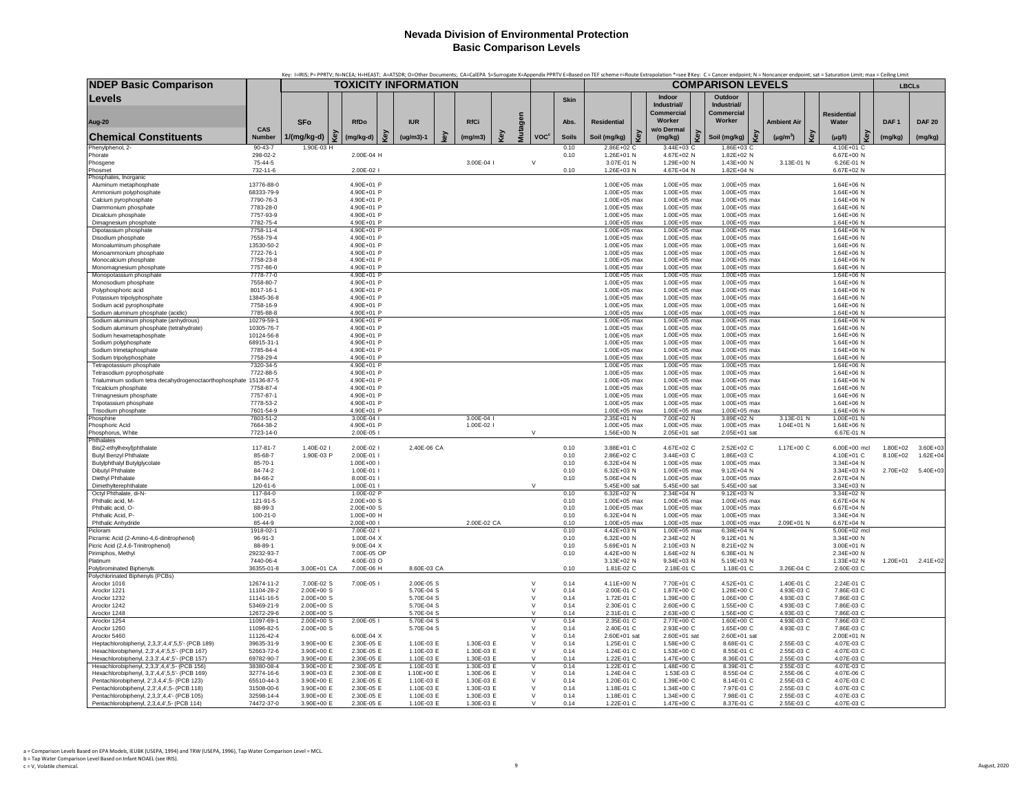|                                                                                            |                           |                             |                             |     |                          |    |                          |            |                              |              |                                |     |                                   | Key: I=IRIS; P= PPRTV; N=NCEA; H=HEAST; A=ATSDR; O=Other Documents; CA=CaIEPA S=Surrogate X=Appendix PPRTV E=Based on TEF scheme r=Route Extrapolation *=see BKey: C = Cancer endpoint; N = Noncancer endpoint; sat = Saturati |                          |                          |                  |                   |
|--------------------------------------------------------------------------------------------|---------------------------|-----------------------------|-----------------------------|-----|--------------------------|----|--------------------------|------------|------------------------------|--------------|--------------------------------|-----|-----------------------------------|--------------------------------------------------------------------------------------------------------------------------------------------------------------------------------------------------------------------------------|--------------------------|--------------------------|------------------|-------------------|
| <b>NDEP Basic Comparison</b>                                                               |                           |                             | <b>TOXICITY INFORMATION</b> |     |                          |    |                          |            |                              |              |                                |     |                                   | <b>COMPARISON LEVELS</b>                                                                                                                                                                                                       |                          |                          |                  | <b>LBCLs</b>      |
| Levels                                                                                     |                           |                             |                             |     |                          |    |                          |            |                              | Skin         |                                |     | Indoor                            | Outdoor                                                                                                                                                                                                                        |                          |                          |                  |                   |
|                                                                                            |                           |                             |                             |     |                          |    |                          |            |                              |              |                                |     | Industrial/<br>Commercial         | Industrial/<br><b>Commercial</b>                                                                                                                                                                                               |                          | <b>Residential</b>       |                  |                   |
| <b>Aug-20</b>                                                                              |                           | <b>SFo</b>                  | <b>RfDo</b>                 |     | <b>IUR</b>               |    | <b>RfCi</b>              |            |                              | Abs.         | <b>Residential</b>             |     | Worker                            | Worker                                                                                                                                                                                                                         | <b>Ambient Air</b>       | Water                    | DAF <sub>1</sub> | <b>DAF 20</b>     |
|                                                                                            | CAS                       |                             |                             |     |                          |    |                          | Mutagen    |                              |              |                                |     | w/o Dermal                        |                                                                                                                                                                                                                                |                          |                          |                  |                   |
| <b>Chemical Constituents</b>                                                               | Number                    | 1/(mg/kg-d)                 | Key<br>(mg/kg-d)            | Key | $(ug/m3)-1$              | e) | (mg/m3)                  | <b>Key</b> | <b>VOC<sup>c</sup></b>       | <b>Soils</b> | Soil (mg/kg)                   | Key | Key<br>(mg/kg)                    | ହି<br>Soil (mg/kg)                                                                                                                                                                                                             | Key<br>$(\mu g/m^3)$     | $(\mu g/l)$              | (mg/kg)          | (mg/kg)           |
| Phenylphenol, 2-<br>Phorate                                                                | $90 - 43 - 7$<br>298-02-2 | 1.90E-03 H                  | 2.00E-04 H                  |     |                          |    |                          |            |                              | 0.10<br>0.10 | 2.86E+02 C<br>1.26E+01 N       |     | 3.44E+03 C<br>4.67E+02 N          | 1.86E+03 C<br>1.82E+02 N                                                                                                                                                                                                       |                          | 4.10E+01 C<br>6.67E+00 N |                  |                   |
| Phosgene                                                                                   | 75-44-5                   |                             |                             |     |                          |    | 3.00E-04 l               |            | $\vee$                       |              | 3.07E-01 N                     |     | 1.29E+00 N                        | 1.43E+00 N                                                                                                                                                                                                                     | 3.13E-01 N               | 6.26E-01 N               |                  |                   |
| Phosmet                                                                                    | 732-11-6                  |                             | 2.00E-02 l                  |     |                          |    |                          |            |                              | 0.10         | 1.26E+03 N                     |     | 4.67E+04 N                        | 1.82E+04 N                                                                                                                                                                                                                     |                          | 6.67E+02 N               |                  |                   |
| Phosphates, Inorganic                                                                      | 13776-88-0                |                             | 4.90E+01 P                  |     |                          |    |                          |            |                              |              | 1.00E+05 max                   |     | 1.00E+05 max                      | 1.00E+05 max                                                                                                                                                                                                                   |                          | 1.64E+06 N               |                  |                   |
| Aluminum metaphosphate<br>Ammonium polyphosphate                                           | 68333-79-9                |                             | 4.90E+01 P                  |     |                          |    |                          |            |                              |              | 1.00E+05 max                   |     | 1.00E+05 max                      | 1.00E+05 max                                                                                                                                                                                                                   |                          | 1.64E+06 N               |                  |                   |
| Calcium pyrophosphate                                                                      | 7790-76-3                 |                             | 4.90E+01 P                  |     |                          |    |                          |            |                              |              | 1.00E+05 max                   |     | 1.00E+05 max                      | 1.00E+05 max                                                                                                                                                                                                                   |                          | 1.64E+06 N               |                  |                   |
| Diammonium phosphate                                                                       | 7783-28-0                 |                             | 4.90E+01 P                  |     |                          |    |                          |            |                              |              | 1.00E+05 max                   |     | 1.00E+05 max                      | 1.00E+05 max                                                                                                                                                                                                                   |                          | 1.64E+06 N               |                  |                   |
| Dicalcium phosphate<br>Dimagnesium phosphate                                               | 7757-93-9<br>7782-75-4    |                             | 4.90E+01 P<br>4.90E+01 P    |     |                          |    |                          |            |                              |              | 1.00E+05 max<br>1.00E+05 max   |     | 1.00E+05 max<br>1.00E+05 max      | 1.00E+05 max<br>$1.00E + 05$ max                                                                                                                                                                                               |                          | 1.64E+06 N<br>1.64E+06 N |                  |                   |
| Dipotassium phosphate                                                                      | 7758-11-4                 |                             | 4.90E+01 P                  |     |                          |    |                          |            |                              |              | 1.00E+05 max                   |     | 1.00E+05 max                      | 1.00E+05 max                                                                                                                                                                                                                   |                          | 1.64E+06 N               |                  |                   |
| Disodium phosphate                                                                         | 7558-79-4                 |                             | 4.90E+01 P                  |     |                          |    |                          |            |                              |              | 1.00E+05 max                   |     | 1.00E+05 max                      | 1.00E+05 max                                                                                                                                                                                                                   |                          | 1.64E+06 N               |                  |                   |
| Monoaluminum phosphate                                                                     | 13530-50-2                |                             | 4.90E+01 P                  |     |                          |    |                          |            |                              |              | 1.00E+05 max                   |     | 1.00E+05 max                      | 1.00E+05 max                                                                                                                                                                                                                   |                          | 1.64E+06 N               |                  |                   |
| Monoammonium phosphate<br>Monocalcium phosphate                                            | 7722-76-1<br>7758-23-8    |                             | 4.90E+01 P<br>4.90E+01 P    |     |                          |    |                          |            |                              |              | 1.00E+05 max<br>1.00E+05 max   |     | 1.00E+05 max<br>1.00E+05 max      | $1.00F + 0.5$ max<br>1.00E+05 max                                                                                                                                                                                              |                          | 1.64E+06 N<br>1.64E+06 N |                  |                   |
| Monomagnesium phosphate                                                                    | 7757-86-0                 |                             | 4.90E+01 P                  |     |                          |    |                          |            |                              |              | 1.00E+05 max                   |     | $1.00E + 05$ max                  | 1.00E+05 max                                                                                                                                                                                                                   |                          | 1.64E+06 N               |                  |                   |
| Monopotassium phosphate                                                                    | 7778-77-0                 |                             | 4.90E+01 P                  |     |                          |    |                          |            |                              |              | 1.00E+05 max                   |     | 1.00E+05 max                      | 1.00E+05 max                                                                                                                                                                                                                   |                          | 1.64E+06 N               |                  |                   |
| Monosodium phosphate                                                                       | 7558-80-7                 |                             | 4.90E+01 P                  |     |                          |    |                          |            |                              |              | 1.00E+05 max                   |     | 1.00E+05 max                      | 1.00E+05 max                                                                                                                                                                                                                   |                          | 1.64E+06 N               |                  |                   |
| Polyphosphoric acid                                                                        | 8017-16-1<br>13845-36-8   |                             | 4.90E+01 P<br>4.90E+01 P    |     |                          |    |                          |            |                              |              | 1.00E+05 max<br>1.00E+05 max   |     | 1.00E+05 max<br>$1.00F + 0.5$ max | 1.00E+05 max<br>$1.00F + 0.5$ max                                                                                                                                                                                              |                          | 1.64E+06 N<br>1.64E+06 N |                  |                   |
| Potassium tripolyphosphate<br>Sodium acid pyrophosphate                                    | 7758-16-9                 |                             | 4.90E+01 P                  |     |                          |    |                          |            |                              |              | 1.00E+05 max                   |     | 1.00E+05 max                      | 1.00E+05 max                                                                                                                                                                                                                   |                          | 1.64E+06 N               |                  |                   |
| Sodium aluminum phosphate (acidic)                                                         | 7785-88-8                 |                             | 4.90E+01 P                  |     |                          |    |                          |            |                              |              | 1.00E+05 max                   |     | 1.00E+05 max                      | 1.00E+05 max                                                                                                                                                                                                                   |                          | 1.64E+06 N               |                  |                   |
| Sodium aluminum phosphate (anhydrous)                                                      | 10279-59-                 |                             | 4.90E+01 F                  |     |                          |    |                          |            |                              |              | 1.00E+05 max                   |     | 1.00E+05 max                      | 1.00E+05 max                                                                                                                                                                                                                   |                          | 1.64E+06 N               |                  |                   |
| Sodium aluminum phosphate (tetrahydrate)<br>Sodium hexametaphosphate                       | 10305-76-7<br>10124-56-8  |                             | 4.90E+01 P<br>4.90E+01 P    |     |                          |    |                          |            |                              |              | 1.00E+05 max<br>1.00E+05 max   |     | 1.00E+05 max<br>1.00E+05 max      | 1.00E+05 max<br>1.00E+05 max                                                                                                                                                                                                   |                          | 1.64E+06 N<br>1.64E+06 N |                  |                   |
| Sodium polyphosphate                                                                       | 68915-31-1                |                             | 4.90E+01 P                  |     |                          |    |                          |            |                              |              | 1.00E+05 max                   |     | 1.00E+05 max                      | 1.00E+05 max                                                                                                                                                                                                                   |                          | 1.64E+06 N               |                  |                   |
| Sodium trimetaphosphate                                                                    | 7785-84-4                 |                             | $4.90F + 01P$               |     |                          |    |                          |            |                              |              | $1.00F + 0.5$ max              |     | 1.00E+05 max                      | $1.00E + 05$ max                                                                                                                                                                                                               |                          | $1.64F + 06 N$           |                  |                   |
| Sodium tripolyphosphate                                                                    | 7758-29-4                 |                             | 4.90E+01 P                  |     |                          |    |                          |            |                              |              | 1.00E+05 max                   |     | 1.00E+05 max                      | 1.00E+05 max                                                                                                                                                                                                                   |                          | 1.64E+06 N               |                  |                   |
| Tetrapotassium phosphate<br>Tetrasodium pyrophosphate                                      | 7320-34-5<br>7722-88-5    |                             | 4.90E+01 P<br>4.90E+01 P    |     |                          |    |                          |            |                              |              | 1.00E+05 max<br>1.00E+05 max   |     | 1.00E+05 max<br>1.00E+05 max      | 1.00E+05 max<br>1.00E+05 max                                                                                                                                                                                                   |                          | 1.64E+06 N<br>1.64E+06 N |                  |                   |
| Trialuminum sodium tetra decahydrogenoctaorthophosphate 15136-87-5                         |                           |                             | $4.90F + 01P$               |     |                          |    |                          |            |                              |              | $1.00F + 0.5$ max              |     | $1.00F + 0.5$ max                 | $1.00E + 05$ max                                                                                                                                                                                                               |                          | $1.64F + 06 N$           |                  |                   |
| Tricalcium phosphate                                                                       | 7758-87-4                 |                             | 4.90E+01 P                  |     |                          |    |                          |            |                              |              | 1.00E+05 max                   |     | 1.00E+05 max                      | 1.00E+05 max                                                                                                                                                                                                                   |                          | 1.64E+06 N               |                  |                   |
| Trimagnesium phosphate                                                                     | 7757-87-1                 |                             | 4.90E+01 P                  |     |                          |    |                          |            |                              |              | 1.00E+05 max                   |     | 1.00E+05 max                      | 1.00E+05 max                                                                                                                                                                                                                   |                          | 1.64E+06 N               |                  |                   |
| Tripotassium phosphate<br>Trisodium phosphate                                              | 7778-53-2<br>7601-54-9    |                             | 4.90E+01 P<br>4.90E+01 P    |     |                          |    |                          |            |                              |              | 1.00E+05 max<br>1.00E+05 max   |     | 1.00E+05 max<br>1.00E+05 max      | 1.00E+05 max<br>1.00E+05 max                                                                                                                                                                                                   |                          | 1.64E+06 N<br>1.64E+06 N |                  |                   |
| Phosphine                                                                                  | 7803-51-2                 |                             | 3.00E-04 l                  |     |                          |    | 3.00E-04                 |            |                              |              | 2.35E+01 N                     |     | 7.00E+02 N                        | 3.89E+02 N                                                                                                                                                                                                                     | 3.13E-01 N               | 1.00E+01 N               |                  |                   |
| Phosphoric Acid                                                                            | 7664-38-2                 |                             | 4.90E+01 P                  |     |                          |    | 1.00E-02 l               |            |                              |              | 1.00E+05 max                   |     | 1.00E+05 max                      | 1.00E+05 max                                                                                                                                                                                                                   | 1.04E+01 N               | 1.64E+06 N               |                  |                   |
| Phosphorus, White                                                                          | 7723-14-0                 |                             | 2.00E-05                    |     |                          |    |                          |            | $\vee$                       |              | 1.56E+00 N                     |     | 2.05E+01 sat                      | 2.05E+01 sat                                                                                                                                                                                                                   |                          | 6.67E-01 N               |                  |                   |
| Phthalates<br>Bis(2-ethylhexyl)phthalate                                                   | 117-81-7                  | 1.40E-02 l                  | 2.00E-02                    |     | 2.40E-06 CA              |    |                          |            |                              | 0.10         | 3.88E+01 C                     |     | 4.67E+02 C                        | 2.52E+02 C                                                                                                                                                                                                                     | 1.17E+00 C               | 6.00E+00 mcl             | $1.80E + 02$     | 3.60E+03          |
| <b>Butyl Benzyl Phthalate</b>                                                              | 85-68-7                   | 1.90E-03 P                  | 2.00E-01                    |     |                          |    |                          |            |                              | 0.10         | 2.86E+02 C                     |     | 3.44E+03 C                        | 1.86E+03 C                                                                                                                                                                                                                     |                          | 4.10E+01 C               | 8.10E+02         | $1.62E + 04$      |
| <b>Butylphthalyl Butylglycolate</b>                                                        | 85-70-1                   |                             | 1.00E+00 l                  |     |                          |    |                          |            |                              | 0.10         | $6.32E + 04$ N                 |     | 1.00E+05 max                      | 1.00E+05 max                                                                                                                                                                                                                   |                          | 3.34E+04 N               |                  |                   |
| Dibutyl Phthalate                                                                          | 84-74-2                   |                             | 1.00E-01                    |     |                          |    |                          |            |                              | 0.10         | $6.32E + 03$ N                 |     | 1.00E+05 max                      | $9.12E + 04 N$                                                                                                                                                                                                                 |                          | 3.34E+03 N               | 2.70E+02         | $5.40E + 03$      |
| Diethyl Phthalate<br>Dimethylterephthalate                                                 | 84-66-2<br>120-61-6       |                             | 8.00E-01 l<br>1.00E-01 l    |     |                          |    |                          |            | V                            | 0.10         | 5.06E+04 N<br>5.45E+00 sat     |     | 1.00E+05 max<br>5.45E+00 sat      | 1.00E+05 max<br>5.45E+00 sat                                                                                                                                                                                                   |                          | 2.67E+04 N<br>3.34E+03 N |                  |                   |
| Octyl Phthalate, di-N-                                                                     | 117-84-0                  |                             | 1.00E-02 F                  |     |                          |    |                          |            |                              | 0.10         | 6.32E+02 N                     |     | 2.34E+04 N                        | 9.12E+03 N                                                                                                                                                                                                                     |                          | 3.34E+02 N               |                  |                   |
| Phthalic acid, M-                                                                          | 121-91-5                  |                             | $2.00E + 00S$               |     |                          |    |                          |            |                              | 0.10         | 1.00E+05 max                   |     | 1.00E+05 max                      | 1.00E+05 max                                                                                                                                                                                                                   |                          | 6.67E+04 N               |                  |                   |
| Phthalic acid. O-                                                                          | 88-99-3                   |                             | 2.00E+00 S                  |     |                          |    |                          |            |                              | 0.10         | 1.00E+05 max                   |     | $1.00F + 0.5$ max                 | 1.00E+05 max                                                                                                                                                                                                                   |                          | 6.67F+04 N               |                  |                   |
| Phthalic Acid, P-<br>Phthalic Anhydride                                                    | $100 - 21 - 0$<br>85-44-9 |                             | 1.00E+00 H<br>2.00E+00 l    |     |                          |    | 2.00E-02 CA              |            |                              | 0.10<br>0.10 | $6.32E + 04 N$<br>1.00E+05 max |     | 1.00E+05 max<br>1.00E+05 max      | 1.00E+05 max<br>1.00E+05 max                                                                                                                                                                                                   | 2.09E+01 N               | 3.34E+04 N<br>6.67E+04 N |                  |                   |
| Picloran                                                                                   | 1918-02-1                 |                             | 7.00E-02                    |     |                          |    |                          |            |                              | 0.10         | 4.42E+03 N                     |     | 1.00E+05 max                      | $6.38E + 04 N$                                                                                                                                                                                                                 |                          | 5.00E+02 mcl             |                  |                   |
| Picramic Acid (2-Amino-4,6-dinitrophenol)                                                  | 96-91-3                   |                             | 1.00E-04 X                  |     |                          |    |                          |            |                              | 0.10         | 6.32F+00 N                     |     | 2.34E+02 N                        | $9.12E + 01 N$                                                                                                                                                                                                                 |                          | $3.34F + 00 N$           |                  |                   |
| Picric Acid (2,4,6-Trinitrophenol)                                                         | 88-89-1                   |                             | $9.00E-04$ X                |     |                          |    |                          |            |                              | 0.10         | 5.69E+01 N                     |     | 2.10E+03 N                        | 8.21E+02 N                                                                                                                                                                                                                     |                          | 3.00E+01 N               |                  |                   |
| Pirimiphos, Methyl<br>Platinum                                                             | 29232-93-7<br>7440-06-4   |                             | 7.00E-05 OF<br>4.00E-03 O   |     |                          |    |                          |            |                              | 0.10         | 4.42E+00 N<br>3.13E+02 N       |     | 1.64E+02 N<br>9.34E+03 N          | 6.38E+01 N<br>5.19E+03 N                                                                                                                                                                                                       |                          | 2.34E+00 N<br>1.33E+02 N |                  | 1.20E+01 2.41E+02 |
| Polybrominated Biphenyls                                                                   | 36355-01-8                | 3.00E+01 CA                 | 7.00E-06 H                  |     | 8.60E-03 CA              |    |                          |            |                              | 0.10         | 1.81E-02 C                     |     | 2.18E-01 C                        | 1.18E-01 C                                                                                                                                                                                                                     | 3.26E-04 C               | 2.60E-03 C               |                  |                   |
| Polychlorinated Biphenyls (PCBs)                                                           |                           |                             |                             |     |                          |    |                          |            |                              |              |                                |     |                                   |                                                                                                                                                                                                                                |                          |                          |                  |                   |
| Aroclor 1016                                                                               | 12674-11-2                | 7.00E-02 S                  | 7.00E-05                    |     | 2.00E-05 S               |    |                          |            | $\vee$                       | 0.14         | 4.11E+00 N                     |     | 7.70E+01 C                        | 4.52E+01 C                                                                                                                                                                                                                     | 1.40E-01 C               | 2.24E-01 C               |                  |                   |
| Aroclor 1221                                                                               | 11104-28-2                | $2.00E + 00S$               |                             |     | 5.70E-04 S               |    |                          |            | $\vee$<br>$\vee$             | 0.14         | 2.00E-01 C                     |     | 1.87E+00 C                        | 1.28E+00 C                                                                                                                                                                                                                     | 4.93E-03 C               | 7.86E-03 C               |                  |                   |
| Aroclor 1232<br>Aroclor 1242                                                               | 11141-16-5<br>53469-21-9  | 2.00E+00 S<br>$2.00E + 00S$ |                             |     | 5.70E-04 S<br>5.70E-04 S |    |                          |            | V                            | 0.14<br>0.14 | 1.72E-01 C<br>2.30E-01 C       |     | 1.39E+00 C<br>2.60E+00 C          | 1.06E+00 C<br>1.55E+00 C                                                                                                                                                                                                       | 4.93E-03 C<br>4.93E-03 C | 7.86E-03 C<br>7.86E-03 C |                  |                   |
| Aroclor 1248                                                                               | 12672-29-6                | 2.00E+00 S                  |                             |     | 5.70E-04 S               |    |                          |            | $\vee$                       | 0.14         | 2.31E-01 C                     |     | 2.63E+00 C                        | 1.56E+00 C                                                                                                                                                                                                                     | 4.93E-03 C               | 7.86E-03 C               |                  |                   |
| Aroclor 1254                                                                               | 11097-69-1                | $2.00E + 00S$               | 2.00E-05 I                  |     | 5.70E-04 S               |    |                          |            | $\overline{\mathsf{v}}$      | 0.14         | 2.35E-01 C                     |     | 2.77E+00 C                        | 1.60E+00 C                                                                                                                                                                                                                     | 4.93E-03 C               | 7.86E-03 C               |                  |                   |
| Aroclor 1260                                                                               | 11096-82-5                | $2.00E + 00 S$              |                             |     | 5.70E-04 S               |    |                          |            | $\mathbf{v}$<br>$\mathbf{v}$ | 0.14         | 2.40E-01 C                     |     | 2.93E+00 C                        | 1.65E+00 C                                                                                                                                                                                                                     | 4.93E-03 C               | 7.86E-03 C               |                  |                   |
| Aroclor 5460<br>Heptachlorobiphenyl, 2,3,3',4,4',5,5'- (PCB 189)                           | 11126-42-4<br>39635-31-9  | 3.90E+00 E                  | 6.00E-04 X<br>2.30E-05 E    |     | 1.10E-03 E               |    | 1.30E-03 E               |            | $\vee$                       | 0.14<br>0.14 | 2.60E+01 sat<br>1.25E-01 C     |     | 2.60E+01 sat<br>1.58E+00 C        | 2.60E+01 sat<br>8.68E-01 C                                                                                                                                                                                                     | 2.55E-03 C               | 2.00E+01 N<br>4.07E-03 C |                  |                   |
| Hexachlorobiphenyl, 2,3',4,4',5,5'- (PCB 167)                                              | 52663-72-6                | 3.90E+00 E                  | 2.30E-05 E                  |     | 1.10E-03 E               |    | 1.30E-03 E               |            | $\vee$                       | 0.14         | 1.24E-01 C                     |     | 1.53E+00 C                        | 8.55E-01 C                                                                                                                                                                                                                     | 2.55E-03 C               | 4.07E-03 C               |                  |                   |
| Hexachlorobiphenyl, 2,3,3',4,4',5'- (PCB 157)                                              | 69782-90-7                | 3.90E+00 E                  | 2.30E-05 E                  |     | 1.10E-03 E               |    | 1.30E-03 E               |            | $\mathsf{v}$                 | 0.14         | 1.22E-01 C                     |     | 1.47E+00 C                        | 8.36E-01 C                                                                                                                                                                                                                     | 2.55E-03 C               | 4.07E-03 C               |                  |                   |
| Hexachlorobiphenyl, 2,3,3',4,4',5- (PCB 156)                                               | 38380-08-4                | 3.90E+00 E                  | 2.30E-05 E                  |     | 1.10E-03 E               |    | 1.30E-03 E               |            | v                            | 0.14         | 1.22E-01 C                     |     | 1.48E+00 C                        | 8.39E-01 C                                                                                                                                                                                                                     | 2.55E-03 C               | 4.07E-03 C               |                  |                   |
| Hexachlorobiphenyl, 3,3',4,4',5,5'- (PCB 169)                                              | 32774-16-6<br>65510-44-3  | 3.90E+03 E<br>3.90E+00 E    | 2.30E-08 E<br>2.30E-05 E    |     | 1.10E+00 E<br>1.10E-03 E |    | 1.30E-06 E<br>1.30E-03 E |            | $\vee$<br>$\vee$             | 0.14<br>0.14 | 1.24E-04 C<br>1.20E-01 C       |     | 1.53E-03 C<br>1.39E+00 C          | 8.55E-04 C<br>8.14E-01 C                                                                                                                                                                                                       | 2.55E-06 C<br>2.55E-03 C | 4.07E-06 C<br>4.07E-03 C |                  |                   |
| Pentachlorobiphenyl, 2',3,4,4',5- (PCB 123)<br>Pentachlorobiphenyl, 2,3',4,4',5- (PCB 118) | 31508-00-6                | 3.90E+00 E                  | 2.30E-05 E                  |     | 1.10E-03 E               |    | 1.30E-03 E               |            | $\vee$                       | 0.14         | 1.18E-01 C                     |     | 1.34E+00 C                        | 7.97E-01 C                                                                                                                                                                                                                     | 2.55E-03 C               | 4.07E-03 C               |                  |                   |
| Pentachlorobiphenyl, 2,3,3',4,4'- (PCB 105)                                                | 32598-14-4                | 3.90E+00 E                  | 2.30E-05 E                  |     | 1.10E-03 E               |    | 1.30E-03 E               |            | $\mathsf{V}$                 | 0.14         | 1.18E-01 C                     |     | 1.34E+00 C                        | 7.98E-01 C                                                                                                                                                                                                                     | 2.55E-03 C               | 4.07E-03 C               |                  |                   |
| Pentachlorobiphenyl, 2,3,4,4',5- (PCB 114)                                                 | 74472-37-0                | 3.90E+00 E                  | 2.30E-05 E                  |     | 1.10E-03 E               |    | 1.30E-03 E               |            | $\vee$                       | 0.14         | 1.22E-01 C                     |     | 1.47E+00 C                        | 8.37E-01 C                                                                                                                                                                                                                     | 2.55E-03 C               | 4.07E-03 C               |                  |                   |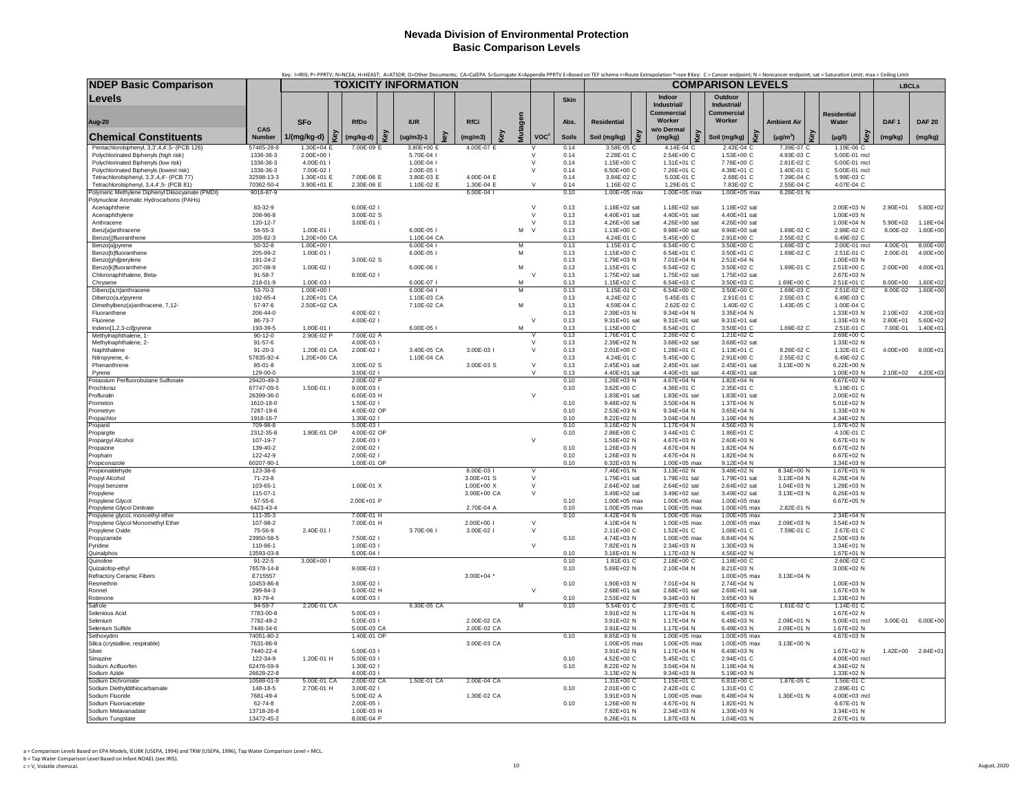|                                                                                              |                             | Key: I=IRIS; P= PPRTV; N=NCEA; H=HEAST; A=ATSDR; O=Other Documents; CA=CalEPA S=Surrogate X=Appendix PPRTV E=Based on TEF scheme r=Route Extrapolation *=see BKey: C = Cancer endpoint; N = Noncancer endpoint; sat = Saturati |                           |     | <b>TOXICITY INFORMATION</b> |     |                |     |              |                        |              |                                |     |                              | <b>COMPARISON LEVELS</b>     |                          |                              |                          |                              |
|----------------------------------------------------------------------------------------------|-----------------------------|--------------------------------------------------------------------------------------------------------------------------------------------------------------------------------------------------------------------------------|---------------------------|-----|-----------------------------|-----|----------------|-----|--------------|------------------------|--------------|--------------------------------|-----|------------------------------|------------------------------|--------------------------|------------------------------|--------------------------|------------------------------|
| <b>NDEP Basic Comparison</b>                                                                 |                             |                                                                                                                                                                                                                                |                           |     |                             |     |                |     |              |                        |              |                                |     |                              |                              |                          |                              | <b>LBCLs</b>             |                              |
| Levels                                                                                       |                             |                                                                                                                                                                                                                                |                           |     |                             |     |                |     |              |                        | <b>Skin</b>  |                                |     | Indoor<br>Industrial/        | Outdoor<br>Industrial/       |                          |                              |                          |                              |
|                                                                                              |                             |                                                                                                                                                                                                                                |                           |     |                             |     |                |     |              |                        |              |                                |     | Commercial                   | Commercial                   |                          | <b>Residential</b>           |                          |                              |
| Aug-20                                                                                       | CAS                         | SFo                                                                                                                                                                                                                            | <b>RfDo</b>               |     | <b>IUR</b>                  |     | <b>RfCi</b>    |     |              |                        | Abs.         | <b>Residential</b>             |     | Worker<br>w/o Dermal         | Worker                       | <b>Ambient Air</b>       | Water                        | DAF <sub>1</sub>         | <b>DAF 20</b>                |
| <b>Chemical Constituents</b>                                                                 | <b>Number</b>               | Key<br>1/(mg/kg-d)                                                                                                                                                                                                             | (mg/kg-d)                 | Key | (ug/m3)-1                   | kev | (mg/m3)        | Kev | Mutagen      | <b>VOC<sup>c</sup></b> | <b>Soils</b> | Soil (mg/kg)                   | Key | Kev<br>(mg/kg)               | Soil (mg/kg)                 | Key<br>$(\mu g/m^3)$     | Key<br>(µg/l)                | (mg/kg)                  | (mg/kg)                      |
| Pentachlorobiphenyl, 3,3',4,4',5- (PCB 126)                                                  | 57465-28-8                  | $1.30E + 04E$                                                                                                                                                                                                                  | 7.00E-09 E                |     | 3.80E+00 E                  |     | 4.00E-07 E     |     |              | $\vee$                 | 0.14         | 3.58E-05 C                     |     | 4.14E-04 C                   | 2.43E-04 C                   | 7.39E-07 C               | 1.19E-06 C                   |                          |                              |
| Polychlorinated Biphenyls (high risk)                                                        | 1336-36-3                   | 2.00E+00 l                                                                                                                                                                                                                     |                           |     | 5.70E-04 I                  |     |                |     | $\vee$       |                        | 0.14         | 2.28E-01 C                     |     | 2.54E+00 C                   | 1.53E+00 C                   | 4.93E-03 C               | 5.00E-01 mcl                 |                          |                              |
| Polychlorinated Biphenyls (low risk)<br>Polychlorinated Biphenyls (lowest risk)              | 1336-36-3<br>1336-36-3      | 4.00E-01 l<br>7.00E-02 I                                                                                                                                                                                                       |                           |     | 1.00E-04<br>2.00E-05 l      |     |                |     | $\mathsf{v}$ | $\vee$                 | 0.14<br>0.14 | 1.15E+00 C<br>6.50E+00 C       |     | 1.31E+01 C<br>7.26E+01 C     | 7.78E+00 C<br>4.38E+01 C     | 2.81E-02 C<br>1.40E-01 C | 5.00E-01 mcl<br>5.00E-01 mcl |                          |                              |
| Tetrachlorobiphenyl, 3,3',4,4'- (PCB 77)                                                     | 32598-13-3                  | 1.30E+01 E                                                                                                                                                                                                                     | 7.00E-06 E                |     | 3.80E-03 E                  |     | 4.00E-04 E     |     |              |                        | 0.14         | 3.84E-02 C                     |     | 5.03E-01 C                   | 2.68E-01 C                   | 7.39E-04 C               | 5.99E-03 C                   |                          |                              |
| Tetrachlorobiphenyl, 3,4,4',5- (PCB 81)                                                      | 70362-50-4                  | 3.90E+01 E                                                                                                                                                                                                                     | 2.30E-06 E                |     | 1.10E-02 E                  |     | 1.30E-04 E     |     |              | $\vee$                 | 0.14         | 1.16E-02 C                     |     | 1.29E-01 C                   | 7.83E-02 C                   | 2.55E-04 C               | 4.07E-04 C                   |                          |                              |
| Polymeric Methylene Diphenyl Diisocyanate (PMDI)<br>Polynuclear Aromatic Hydrocarbons (PAHs) | 9016-87-9                   |                                                                                                                                                                                                                                |                           |     |                             |     | 6.00E-04       |     |              |                        | 0.10         | 1.00E+05 max                   |     | 1.00E+05 max                 | 1.00E+05 max                 | 6.26E-01 N               |                              |                          |                              |
| Acenaphthene                                                                                 | 83-32-9                     |                                                                                                                                                                                                                                | 6.00E-02                  |     |                             |     |                |     | $\vee$       |                        | 0.13         | 1.18E+02 sat                   |     | 1.18E+02 sat                 | 1.18E+02 sat                 |                          | 2.00E+03 N                   | $2.90E + 01$             | $5.80E + 02$                 |
| Acenaphthylene                                                                               | 208-96-8                    |                                                                                                                                                                                                                                | 3.00E-02 S                |     |                             |     |                |     | $\mathsf{v}$ |                        | 0.13         | 4.40E+01 sat                   |     | 4.40E+01 sat                 | 4.40E+01 sat                 |                          | 1.00E+03 N                   |                          |                              |
| Anthracene                                                                                   | 120-12-7                    |                                                                                                                                                                                                                                | 3.00E-01 l                |     |                             |     |                |     | $\vee$       |                        | 0.13         | 4.26E+00 sat                   |     | 4.26E+00 sat                 | 4.26E+00 sat                 |                          | $1.00E + 04$ N               | $5.90E + 02$             | $1.18E + 04$                 |
| Benz[a]anthracene                                                                            | 56-55-3                     | 1.00E-01 l                                                                                                                                                                                                                     |                           |     | 6.00E-05 I                  |     |                |     | M<br>$\vee$  |                        | 0.13         | 1.13E+00 C                     |     | 9.98E+00 sat                 | 9.98E+00 sat                 | 1.69E-02 C               | 2.98E-02 C                   | 8.00E-02                 | $1.60E + 00$                 |
| Benzo(j)fluoranthene<br>Benzolalpyrene                                                       | 205-82-3<br>$50 - 32 - 8$   | 1.20E+00 CA<br>$1.00E + 00$                                                                                                                                                                                                    |                           |     | 1.10E-04 CA<br>$6.00E - 04$ |     |                |     | M            |                        | 0.13<br>0.13 | 4.24E-01 C<br>1.15E-01 C       |     | 5.45E+00 C<br>6.54E+00 C     | 2.91E+00 C<br>3.50E+00 C     | 2.55E-02 C<br>1.69E-03 C | 6.49E-02 C<br>2.00E-01 mcl   | 4.00E-01                 | $8.00E + 00$                 |
| Benzo[b]fluoranthene                                                                         | 205-99-2                    | 1.00E-01 l                                                                                                                                                                                                                     |                           |     | 6.00E-05                    |     |                |     | M            |                        | 0.13         | $1.15F + 00C$                  |     | 6.54E+01 C                   | 3.50E+01 C                   | 1.69E-02 C               | 2.51E-01 C                   | 2.00E-01                 | 4.00E+00                     |
| Benzo[ghi]perylene                                                                           | 191-24-2                    |                                                                                                                                                                                                                                | 3.00E-02 S                |     |                             |     |                |     |              |                        | 0.13         | 1.79E+03 N                     |     | 7.01E+04 N                   | 2.51E+04 N                   |                          | 1.00E+03 N                   |                          |                              |
| Benzo[k]fluoranthene                                                                         | 207-08-9                    | 1.00E-02 l                                                                                                                                                                                                                     |                           |     | 6.00E-06 I                  |     |                |     | M            |                        | 0.13         | 1.15E+01 C                     |     | 6.54E+02 C                   | 3.50E+02 C                   | 1.69E-01 C               | 2.51E+00 C                   | $2.00E + 00$             | 4.00E+01                     |
| Chloronaphthalene, Beta<br>Chrysene                                                          | 91-58-7<br>218-01-9         | 1.00E-03 l                                                                                                                                                                                                                     | 8.00E-02 l                |     | 6.00E-07 I                  |     |                |     | $\vee$<br>M  |                        | 0.13<br>0.13 | 1.75E+02 sat<br>1.15E+02 C     |     | 1.75E+02 sat<br>6.54E+03 C   | 1.75E+02 sat<br>3.50E+03 C   | 1.69E+00 C               | 2.67E+03 N<br>2.51E+01 C     | $8.00E + 00$             | $1.60E + 02$                 |
| Dibenz[a,h]anthracene                                                                        | $53 - 70 - 3$               | $1.00E + 001$                                                                                                                                                                                                                  |                           |     | $6.00E - 041$               |     |                |     | M            |                        | 0.13         | 1.15E-01 C                     |     | 6.54E+00 C                   | 3.50E+00 C                   | 1.69E-03 C               | 2.51E-02 C                   | 8.00E-02                 | $1.60E + 00$                 |
| Dibenzo(a,e)pyrene                                                                           | 192-65-4                    | 1.20E+01 CA                                                                                                                                                                                                                    |                           |     | 1.10E-03 CA                 |     |                |     |              |                        | 0.13         | 4.24E-02 C                     |     | 5.45E-01 C                   | 2.91E-01 C                   | 2.55E-03 C               | 6.49E-03 C                   |                          |                              |
| Dimethylbenz(a)anthracene, 7,12-                                                             | 57-97-6                     | 2.50E+02 CA                                                                                                                                                                                                                    |                           |     | 7.10E-02 CA                 |     |                |     | M            |                        | 0.13         | 4.59F-04 C                     |     | 2.62E-02 C                   | 1.40E-02 C                   | 1.43E-05 C               | 1.00E-04 C                   |                          |                              |
| Fluoranthene                                                                                 | 206-44-0<br>86-73-7         |                                                                                                                                                                                                                                | 4.00E-02 l<br>4.00E-02 l  |     |                             |     |                |     | $\vee$       |                        | 0.13<br>0.13 | 2.39E+03 N<br>9.31E+01 sat     |     | 9.34E+04 N<br>9.31E+01 sat   | 3.35E+04 N<br>9.31E+01 sat   |                          | 1.33E+03 N                   | 2.10E+02<br>$2.80E + 01$ | $4.20E + 03$<br>$5.60E + 02$ |
| Fluorene<br>Indeno[1,2,3-cd]pyrene                                                           | 193-39-5                    | 1.00E-01 l                                                                                                                                                                                                                     |                           |     | 6.00E-05 I                  |     |                |     | M            |                        | 0.13         | 1.15E+00 C                     |     | 6.54E+01 C                   | 3.50E+01 C                   | 1.69E-02 C               | 1.33E+03 N<br>2.51E-01 C     | 7.00E-01                 | $1.40E + 01$                 |
| Methylnaphthalene, 1-                                                                        | $90 - 12 - 0$               | 2.90E-02 P                                                                                                                                                                                                                     | 7.00E-02 A                |     |                             |     |                |     |              | v                      | 0.13         | 1.76E+01 C                     |     | 2.26E+02 C                   | 1.21E+02 C                   |                          | 2.69E+00 C                   |                          |                              |
| Methylnaphthalene, 2-                                                                        | $91 - 57 - 6$               |                                                                                                                                                                                                                                | 4.00E-03 l                |     |                             |     |                |     |              | $\vee$                 | 0.13         | 2.39E+02 N                     |     | 3.68E+02 sat                 | 3.68E+02 sat                 |                          | 1.33E+02 N                   |                          |                              |
| Naphthalene                                                                                  | $91 - 20 - 3$               | 1.20E-01 CA                                                                                                                                                                                                                    | 2.00E-02 l                |     | 3.40E-05 CA                 |     | 3.00E-03.1     |     |              | $\vee$                 | 0.13         | 2.01E+00 C                     |     | 1.28E+01 C                   | 1.13E+01 C                   | 8.26E-02 C               | 1.32E-01 C                   | $4.00F + 00$             | 8.00E+01                     |
| Nitropyrene, 4-<br>Phenanthrene                                                              | 57835-92-4<br>85-01-8       | 1.20E+00 CA                                                                                                                                                                                                                    | 3.00E-02 S                |     | 1.10E-04 CA                 |     | 3.00E-03 S     |     |              | $\vee$                 | 0.13<br>0.13 | 4.24E-01 C<br>2.45E+01 sat     |     | 5.45E+00 C<br>2.45E+01 sat   | 2.91E+00 C<br>2.45E+01 sat   | 2.55E-02 C<br>3.13E+00 N | 6.49E-02 C<br>6.22E+00 N     |                          |                              |
| Pyrene                                                                                       | 129-00-0                    |                                                                                                                                                                                                                                | 3.00E-02 l                |     |                             |     |                |     |              | V                      | 0.13         | 4.40E+01 sat                   |     | 4.40E+01 sat                 | 4.40E+01 sat                 |                          | 1.00E+03 N                   | 2.10E+02                 | 4.20E+03                     |
| Potassium Perfluorobutane Sulfonate                                                          | 29420-49-3                  |                                                                                                                                                                                                                                | 2.00E-02 F                |     |                             |     |                |     |              |                        | 0.10         | 1.26E+03 N                     |     | 4.67E+04 N                   | 1.82E+04 N                   |                          | 6.67E+02 N                   |                          |                              |
| Prochloraz                                                                                   | 67747-09-5                  | 1.50E-01                                                                                                                                                                                                                       | 9.00E-03 I                |     |                             |     |                |     |              |                        | 0.10         | 3.62E+00 C                     |     | 4.36E+01 C                   | 2.35E+01 C                   |                          | 5.19E-01 C                   |                          |                              |
| Profluralin<br>Prometor                                                                      | 26399-36-0<br>1610-18-0     |                                                                                                                                                                                                                                | 6.00E-03 H<br>1.50E-02 L  |     |                             |     |                |     |              | $\vee$                 | 0.10         | 1.83E+01 sat<br>$9.48F + 02 N$ |     | 1.83E+01 sat<br>3.50E+04 N   | 1.83E+01 sat<br>1.37E+04 N   |                          | 2.00E+02 N<br>5.01E+02 N     |                          |                              |
| Prometryr                                                                                    | 7287-19-6                   |                                                                                                                                                                                                                                | 4.00E-02 OP               |     |                             |     |                |     |              |                        | 0.10         | 2.53E+03 N                     |     | 9.34E+04 N                   | 3.65E+04 N                   |                          | 1.33E+03 N                   |                          |                              |
| Propachlor                                                                                   | 1918-16-7                   |                                                                                                                                                                                                                                | 1.30E-02 L                |     |                             |     |                |     |              |                        | 0.10         | 8.22E+02 N                     |     | 3.04E+04 N                   | 1.19E+04 N                   |                          | 4.34E+02 N                   |                          |                              |
| Propanil                                                                                     | 709-98-8                    |                                                                                                                                                                                                                                | 5.00E-03                  |     |                             |     |                |     |              |                        | 0.10         | 3.16E+02 N                     |     | 1.17E+04 N                   | 4.56E+03 N                   |                          | 1.67E+02 N                   |                          |                              |
| Propargite<br>Propargyl Alcohol                                                              | 2312-35-8<br>107-19-7       | 1.90E-01 OP                                                                                                                                                                                                                    | 4.00E-02 OP<br>2.00E-03   |     |                             |     |                |     |              | $\vee$                 | 0.10         | 2.86E+00 C<br>1.56E+02 N       |     | 3.44E+01 C<br>4.67E+03 N     | 1.86E+01 C<br>2.60E+03 N     |                          | 4.10E-01 C<br>6.67E+01 N     |                          |                              |
| Propazine                                                                                    | 139-40-2                    |                                                                                                                                                                                                                                | 2.00E-02                  |     |                             |     |                |     |              |                        | 0.10         | 1.26E+03 N                     |     | 4.67E+04 N                   | 1.82E+04 N                   |                          | 6.67E+02 N                   |                          |                              |
| Propham                                                                                      | 122-42-9                    |                                                                                                                                                                                                                                | 2.00E-02 l                |     |                             |     |                |     |              |                        | 0.10         | $1.26F + 0.3 N$                |     | 4.67E+04 N                   | $1.82E + 04$ N               |                          | 6.67E+02 N                   |                          |                              |
| Propiconazole                                                                                | 60207-90-1                  |                                                                                                                                                                                                                                | 1.00E-01 OP               |     |                             |     | 8.00E-03       |     |              |                        | 0.10         | 6.32E+03 N<br>7.46F+01 N       |     | 1.00E+05 max<br>3.13E+02 N   | $9.12E + 04$ N<br>3.48E+02 N | 8.34E+00 N               | 3.34E+03 N<br>$1.67F + 01 N$ |                          |                              |
| Propionaldehyde<br>Propyl Alcohol                                                            | 123-38-6<br>$71 - 23 - 8$   |                                                                                                                                                                                                                                |                           |     |                             |     | $3.00E + 01 S$ |     |              | $\vee$                 |              | 1.79E+01 sat                   |     | 1.79E+01 sat                 | 1.79E+01 sat                 | 3.13E+04 N               | 6.26E+04 N                   |                          |                              |
| Propyl benzene                                                                               | 103-65-1                    |                                                                                                                                                                                                                                | 1.00E-01 X                |     |                             |     | $1.00E + 00X$  |     |              | $\vee$                 |              | 2.64E+02 sat                   |     | 2.64E+02 sat                 | 2.64E+02 sat                 | 1.04E+03 N               | 1.28E+03 N                   |                          |                              |
| Propylene                                                                                    | 115-07-1                    |                                                                                                                                                                                                                                |                           |     |                             |     | 3.00E+00 CA    |     |              | $\vee$                 |              | 3.49E+02 sat                   |     | 3.49E+02 sat                 | 3.49E+02 sat                 | 3.13E+03 N               | $6.26E + 03N$                |                          |                              |
| Propylene Glycol                                                                             | 57-55-6                     |                                                                                                                                                                                                                                | 2.00E+01 P                |     |                             |     |                |     |              |                        | 0.10         | 1.00E+05 max                   |     | 1.00E+05 max                 | 1.00E+05 max                 |                          | 6.67E+05 N                   |                          |                              |
| Propylene Glycol Dinitrate<br>Propylene glycol, monoethyl ether                              | 6423-43-4<br>111-35-3       |                                                                                                                                                                                                                                | 7.00E-01 H                |     |                             |     | 2.70E-04 A     |     |              |                        | 0.10<br>0.10 | 1.00E+05 max<br>4.42E+04 N     |     | 1.00E+05 max<br>1.00E+05 max | 1.00E+05 max<br>1.00E+05 max | 2.82E-01 N               | 2.34E+04 N                   |                          |                              |
| Propylene Glycol Monomethyl Ether                                                            | 107-98-2                    |                                                                                                                                                                                                                                | 7.00E-01 H                |     |                             |     | 2.00E+00 l     |     |              | $\vee$                 |              | 4.10E+04 N                     |     | $1.00F + 0.5$ max            | 1.00E+05 max                 | 2.09E+03 N               | 3.54E+03 N                   |                          |                              |
| Propylene Oxide                                                                              | 75-56-9                     | 2.40E-01 l                                                                                                                                                                                                                     |                           |     | 3.70E-06 I                  |     | 3.00E-02 l     |     |              | $\vee$                 |              | 2.11E+00 C                     |     | 1.52E+01 C                   | 1.08E+01 C                   | 7.59E-01 C               | 2.67E-01 C                   |                          |                              |
| Propyzamide                                                                                  | 23950-58-5                  |                                                                                                                                                                                                                                | 7.50E-02 I                |     |                             |     |                |     |              |                        | 0.10         | 4.74E+03 N                     |     | 1.00E+05 max                 | 6.84E+04 N                   |                          | 2.50E+03 N                   |                          |                              |
| Pvridine<br>Quinalphos                                                                       | 110-86-1<br>13593-03-8      |                                                                                                                                                                                                                                | 1.00E-03<br>5.00E-04 l    |     |                             |     |                |     |              | $\vee$                 | 0.10         | 7.82E+01 N<br>3.16E+01 N       |     | 2.34E+03 N<br>1.17E+03 N     | 1.30E+03 N<br>4.56E+02 N     |                          | 3.34E+01 N<br>1.67E+01 N     |                          |                              |
| Quinoline                                                                                    | $91 - 22 - 5$               | $3.00F + 001$                                                                                                                                                                                                                  |                           |     |                             |     |                |     |              |                        | 0.10         | 1.81E-01 C                     |     | 2.18E+00 C                   | 1.18E+00 C                   |                          | 2.60E-02 C                   |                          |                              |
| Quizalofop-ethyl                                                                             | 76578-14-8                  |                                                                                                                                                                                                                                | 9.00E-03 l                |     |                             |     |                |     |              |                        | 0.10         | 5.69E+02 N                     |     | 2.10E+04 N                   | 8.21E+03 N                   |                          | 3.00E+02 N                   |                          |                              |
| Refractory Ceramic Fibers                                                                    | E715557                     |                                                                                                                                                                                                                                |                           |     |                             |     | $3.00E + 04$   |     |              |                        |              |                                |     |                              | $1.00F + 05$ max             | 3.13E+04 N               |                              |                          |                              |
| Resmethrin<br>Ronnel                                                                         | 10453-86-8<br>299-84-3      |                                                                                                                                                                                                                                | 3.00E-02 l<br>5.00E-02 H  |     |                             |     |                |     |              | $\vee$                 | 0.10         | 1.90E+03 N<br>2.68E+01 sat     |     | 7.01E+04 N<br>2.68E+01 sat   | 2.74E+04 N<br>2.68E+01 sat   |                          | 1.00E+03 N<br>1.67E+03 N     |                          |                              |
| Rotenone                                                                                     | 83-79-4                     |                                                                                                                                                                                                                                | 4.00E-03 l                |     |                             |     |                |     |              |                        | 0.10         | 2.53E+02 N                     |     | 9.34E+03 N                   | 3.65E+03 N                   |                          | 1.33E+02 N                   |                          |                              |
| Safrole                                                                                      | 94-59-7                     | 2.20E-01 CA                                                                                                                                                                                                                    |                           |     | 6.30E-05 CA                 |     |                |     | M            |                        | 0.10         | 5.54E-01 C                     |     | 2.97E+01 C                   | 1.60E+01 C                   | 1.61E-02 C               | 1.14E-01 C                   |                          |                              |
| Selenious Acid                                                                               | 7783-00-8                   |                                                                                                                                                                                                                                | 5.00E-03 l                |     |                             |     |                |     |              |                        |              | 3.91E+02 N                     |     | 1.17E+04 N                   | 6.49E+03 N                   |                          | 1.67E+02 N                   |                          |                              |
| Selenium                                                                                     | 7782-49-2                   |                                                                                                                                                                                                                                | 5.00E-03  <br>5.00E-03 CA |     |                             |     | 2.00E-02 CA    |     |              |                        |              | 3.91E+02 N<br>3.91E+02 N       |     | 1.17E+04 N<br>1.17E+04 N     | 6.49E+03 N                   | 2.09E+01 N               | $5.00F + 01$ mcl             | 3.00E-01                 | $6.00E + 00$                 |
| Selenium Sulfide<br>Sethoxydim                                                               | 7446-34-6<br>74051-80-2     |                                                                                                                                                                                                                                | 1.40E-01 OP               |     |                             |     | 2.00E-02 CA    |     |              |                        | 0.10         | 8.85E+03 N                     |     | 1.00E+05 max                 | 6.49E+03 N<br>1.00E+05 max   | 2.09E+01 N               | 1.67E+02 N<br>4.67E+03 N     |                          |                              |
| Silica (crystalline, respirable)                                                             | 7631-86-9                   |                                                                                                                                                                                                                                |                           |     |                             |     | 3.00E-03 CA    |     |              |                        |              | 1.00E+05 max                   |     | 1.00E+05 max                 | 1.00E+05 max                 | 3.13E+00 N               |                              |                          |                              |
| Silver                                                                                       | 7440-22-4                   |                                                                                                                                                                                                                                | 5.00E-03                  |     |                             |     |                |     |              |                        |              | 3.91E+02 N                     |     | 1.17E+04 N                   | 6.49E+03 N                   |                          | 1.67E+02 N                   | $1.42E + 00$             | 2.84E+01                     |
| Simazine                                                                                     | 122-34-9                    | 1.20E-01 H                                                                                                                                                                                                                     | 5.00E-03                  |     |                             |     |                |     |              |                        | 0.10         | 4.52E+00 C                     |     | 5.45E+01 C                   | 2.94E+01 C                   |                          | 4.00E+00 mcl                 |                          |                              |
| Sodium Acifluorfer<br>Sodium Azide                                                           | 62476-59-9<br>26628-22-8    |                                                                                                                                                                                                                                | 1.30E-02<br>4.00E-03 I    |     |                             |     |                |     |              |                        | 0.10         | 8.22E+02 N<br>3.13E+02 N       |     | 3.04E+04 N<br>9.34E+03 N     | 1.19E+04 N<br>5.19E+03 N     |                          | 4.34E+02 N<br>1.33E+02 N     |                          |                              |
| Sodium Dichromate                                                                            | 10588-01-9                  | 5.00E-01 CA                                                                                                                                                                                                                    | 2.00E-02 CA               |     | 1.50E-01 CA                 |     | 2.00E-04 CA    |     |              |                        |              | 1.31E+00 C                     |     | 1.15E+01 C                   | 6.81E+00 C                   | 1.87E-05 C               | 1.56E-01 C                   |                          |                              |
| Sodium Diethyldithiocarbamate                                                                | 148-18-5                    | 2.70F-01 H                                                                                                                                                                                                                     | 3.00E-02 L                |     |                             |     |                |     |              |                        | 0.10         | 2.01E+00 C                     |     | 2.42E+01 C                   | 1.31E+01 C                   |                          | 2.89E-01 C                   |                          |                              |
| Sodium Fluoride                                                                              | 7681-49-4                   |                                                                                                                                                                                                                                | 5.00E-02 A                |     |                             |     | 1.30E-02 CA    |     |              |                        |              | 3.91E+03 N                     |     | 1.00E+05 max                 | 6.48E+04 N                   | 1.36E+01 N               | 4.00E+03 mcl                 |                          |                              |
| Sodium Fluoroacetate<br>Sodium Metavanadate                                                  | $62 - 74 - 8$<br>13718-26-8 |                                                                                                                                                                                                                                | 2.00E-05  <br>1.00E-03 H  |     |                             |     |                |     |              |                        | 0.10         | 1.26E+00 N<br>7.82E+01 N       |     | 4.67E+01 N<br>2.34E+03 N     | 1.82E+01 N<br>1.30E+03 N     |                          | 6.67E-01 N<br>3.34E+01 N     |                          |                              |
| Sodium Tungstate                                                                             | 13472-45-2                  |                                                                                                                                                                                                                                | 8.00E-04 P                |     |                             |     |                |     |              |                        |              | 6.26E+01 N                     |     | 1.87E+03 N                   | 1.04E+03 N                   |                          | 2.67E+01 N                   |                          |                              |
|                                                                                              |                             |                                                                                                                                                                                                                                |                           |     |                             |     |                |     |              |                        |              |                                |     |                              |                              |                          |                              |                          |                              |

a <sup>=</sup> Comparison Levels Based on EPA Models, IEUBK (USEPA, 1994) and TRW (USEPA, 1996), Tap Water Comparison Level <sup>=</sup> MCL. b <sup>=</sup> Tap Water Comparison Level Based on Infant NOAEL (see IRIS). c <sup>=</sup> V, Volatile chemical. 10 August, 2020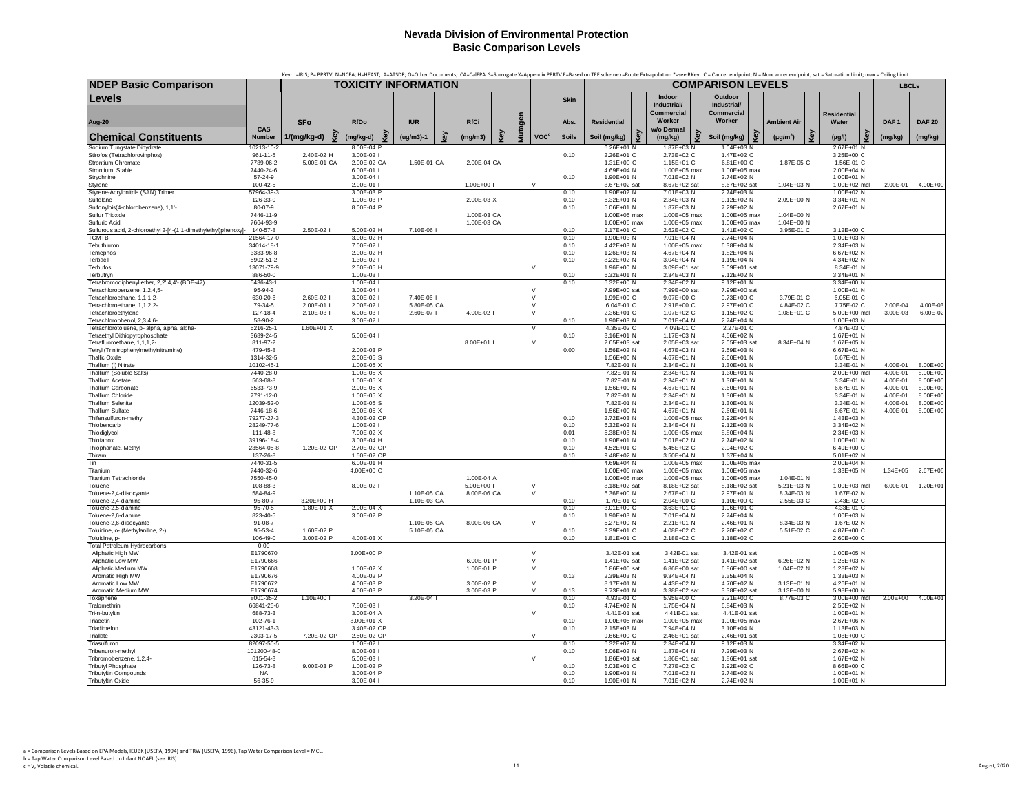|                                                                               |                             | Key: I=IRIS; P= PPRTV; N=NCEA; H=HEAST; A=ATSDR; O=Other Documents; CA=CalEPA S=Surrogate X=Appendix PPRTV E=Based on TEF scheme r=Route Extrapolation *=see BKey: C= Cancer endpoint; N = Noncancer endpoint; sat = Saturatio |                             |     |             |   |                          |              |         |                         |              |                            |     |                            |     |                                |   |                          |                    |                            |                      |                          |
|-------------------------------------------------------------------------------|-----------------------------|--------------------------------------------------------------------------------------------------------------------------------------------------------------------------------------------------------------------------------|-----------------------------|-----|-------------|---|--------------------------|--------------|---------|-------------------------|--------------|----------------------------|-----|----------------------------|-----|--------------------------------|---|--------------------------|--------------------|----------------------------|----------------------|--------------------------|
| <b>NDEP Basic Comparison</b>                                                  |                             | TOXICITY INFORMATION                                                                                                                                                                                                           |                             |     |             |   |                          |              |         |                         |              |                            |     |                            |     | <b>COMPARISON LEVELS</b>       |   |                          |                    |                            |                      | <b>LBCLs</b>             |
| Levels                                                                        |                             |                                                                                                                                                                                                                                |                             |     |             |   |                          |              |         |                         | <b>Skin</b>  |                            |     | Indoor<br>Industrial/      |     | Outdoor<br>Industrial/         |   |                          |                    |                            |                      |                          |
|                                                                               |                             |                                                                                                                                                                                                                                |                             |     |             |   |                          |              |         |                         |              |                            |     | Commercial                 |     | <b>Commercial</b>              |   |                          | <b>Residential</b> |                            |                      |                          |
| Aug-20                                                                        |                             | <b>SFo</b>                                                                                                                                                                                                                     | <b>RfDo</b>                 |     | <b>IUR</b>  |   | <b>RfCi</b>              |              |         |                         | Abs.         | <b>Residential</b>         |     | Worker                     |     | Worker                         |   | <b>Ambient Air</b>       | Water              |                            | DAF <sub>1</sub>     | <b>DAF 20</b>            |
| <b>Chemical Constituents</b>                                                  | CAS<br><b>Number</b>        | 1/(mg/kg-d)                                                                                                                                                                                                                    | é<br>(mg/kg-d)              | త్ర | $(ug/m3)-1$ | ê | (mg/m3)                  | $\mathbf{e}$ | Mutagen | <b>VOC<sup>c</sup></b>  | <b>Soils</b> | Soil (mg/kg)               | Key | w/o Dermal<br>(mg/kg)      | Key | Soil (mg/kg)                   | ق | Key<br>$(\mu g/m^3)$     | $(\mu g/l)$        |                            | (mg/kg)              | (mg/kg)                  |
| Sodium Tungstate Dihydrate                                                    | 10213-10-2                  |                                                                                                                                                                                                                                | 8.00E-04 P                  |     |             |   |                          |              |         |                         |              | $6.26E + 01$ N             |     | 1.87E+03 N                 |     | 1.04E+03 N                     |   |                          |                    | 2.67E+01 N                 |                      |                          |
| Stirofos (Tetrachlorovinphos)<br>Strontium Chromate                           | $961 - 11 - 5$<br>7789-06-2 | 2.40E-02 H<br>5.00E-01 CA                                                                                                                                                                                                      | 3.00E-02 l<br>2.00E-02 CA   |     | 1.50E-01 CA |   | 2.00E-04 CA              |              |         |                         | 0.10         | 2.26E+01 C<br>1.31E+00 C   |     | 2.73E+02 C<br>1.15E+01 C   |     | 1.47E+02 C<br>6.81E+00 C       |   | 1.87E-05 C               |                    | 3.25E+00 C<br>1.56E-01 C   |                      |                          |
| Strontium, Stable                                                             | 7440-24-6                   |                                                                                                                                                                                                                                | 6.00E-01                    |     |             |   |                          |              |         |                         |              | 4.69E+04 N                 |     | 1.00E+05 max               |     | 1.00E+05 max                   |   |                          |                    | 2.00E+04 N                 |                      |                          |
| Strychnine                                                                    | 57-24-9                     |                                                                                                                                                                                                                                | 3.00E-04                    |     |             |   |                          |              |         |                         | 0.10         | 1.90E+01 N                 |     | 7.01E+02 N                 |     | 2.74E+02 N                     |   |                          |                    | 1.00E+01 N                 |                      |                          |
| Styrene                                                                       | 100-42-5                    |                                                                                                                                                                                                                                | 2.00E-01                    |     |             |   | 1.00E+00 l               |              |         | $\vee$                  |              | 8.67E+02 sat               |     | 8.67E+02 sat               |     | 8.67E+02 sat                   |   | 1.04E+03 N               |                    | 1.00E+02 mcl               | 2.00E-01             | 4.00E+00                 |
| Styrene-Acrylonitrile (SAN) Trimer<br>Sulfolane                               | 57964-39-3<br>126-33-0      |                                                                                                                                                                                                                                | 3.00E-03 F<br>1.00E-03 P    |     |             |   | 2.00E-03 X               |              |         |                         | 0.10<br>0.10 | 1.90E+02 N<br>6.32E+01 N   |     | 7.01E+03 N<br>2.34E+03 N   |     | 2.74E+03 N<br>9.12E+02 N       |   | 2.09E+00 N               |                    | 1.00E+02 N<br>3.34E+01 N   |                      |                          |
| Sulfonylbis(4-chlorobenzene), 1,1'-                                           | 80-07-9                     |                                                                                                                                                                                                                                | 8.00E-04 P                  |     |             |   |                          |              |         |                         | 0.10         | 5.06E+01 N                 |     | 1.87E+03 N                 |     | 7.29E+02 N                     |   |                          |                    | 2.67E+01 N                 |                      |                          |
| Sulfur Trioxide                                                               | 7446-11-9                   |                                                                                                                                                                                                                                |                             |     |             |   | 1.00E-03 CA              |              |         |                         |              | 1.00E+05 max               |     | 1.00E+05 max               |     | 1.00E+05 max                   |   | 1.04E+00 N               |                    |                            |                      |                          |
| Sulfuric Acid                                                                 | 7664-93-9                   |                                                                                                                                                                                                                                |                             |     |             |   | 1.00E-03 CA              |              |         |                         |              | 1.00E+05 max               |     | 1.00E+05 max               |     | 1.00E+05 max                   |   | 1.04E+00 N               |                    |                            |                      |                          |
| Sulfurous acid, 2-chloroethyl 2-[4-(1,1-dimethylethyl)phenoxy]-               | 140-57-8                    | 2.50E-02 l                                                                                                                                                                                                                     | 5.00E-02 H                  |     | 7.10E-06 I  |   |                          |              |         |                         | 0.10         | 2.17E+01 C                 |     | 2.62E+02 C                 |     | 1.41E+02 C                     |   | 3.95E-01 C               |                    | 3.12E+00 C                 |                      |                          |
| <b>TCMTB</b><br>Tebuthiuron                                                   | 21564-17-0<br>34014-18-1    |                                                                                                                                                                                                                                | 3.00E-02 H<br>7.00E-02 l    |     |             |   |                          |              |         |                         | 0.10<br>0.10 | 1.90E+03 N<br>4.42E+03 N   |     | 7.01E+04 N<br>1.00E+05 max |     | 2.74E+04 N<br>6.38E+04 N       |   |                          |                    | 1.00E+03 N<br>2.34E+03 N   |                      |                          |
| Temephos                                                                      | 3383-96-8                   |                                                                                                                                                                                                                                | 2.00E-02 H                  |     |             |   |                          |              |         |                         | 0.10         | 1.26E+03 N                 |     | 4.67E+04 N                 |     | 1.82E+04 N                     |   |                          |                    | 6.67E+02 N                 |                      |                          |
| Terbacil                                                                      | 5902-51-2                   |                                                                                                                                                                                                                                | 1.30E-02                    |     |             |   |                          |              |         |                         | 0.10         | 8.22E+02 N                 |     | 3.04E+04 N                 |     | 1.19E+04 N                     |   |                          |                    | 4.34E+02 N                 |                      |                          |
| Terbufos                                                                      | 13071-79-9                  |                                                                                                                                                                                                                                | 2.50E-05 H                  |     |             |   |                          |              | $\vee$  |                         |              | 1.96E+00 N                 |     | 3.09E+01 sat               |     | 3.09E+01 sat                   |   |                          |                    | 8.34E-01 N                 |                      |                          |
| Terbutryn                                                                     | 886-50-0                    |                                                                                                                                                                                                                                | 1.00E-03 l                  |     |             |   |                          |              |         |                         | 0.10         | 6.32E+01 N                 |     | 2.34E+03 N                 |     | 9.12E+02 N                     |   |                          |                    | 3.34E+01 N                 |                      |                          |
| Tetrabromodiphenyl ether, 2,2',4,4'- (BDE-47)<br>Tetrachlorobenzene, 1,2,4,5- | 5436-43-1<br>95-94-3        |                                                                                                                                                                                                                                | 1.00E-04<br>3.00E-04        |     |             |   |                          |              |         | $\vee$                  | 0.10         | 6.32E+00 N<br>7.99E+00 sat |     | 2.34E+02 N<br>7.99E+00 sat |     | $9.12E + 01 N$<br>7.99E+00 sat |   |                          |                    | 3.34E+00 N<br>1.00E+01 N   |                      |                          |
| Tetrachloroethane, 1,1,1,2-                                                   | 630-20-6                    | 2.60E-02 l                                                                                                                                                                                                                     | 3.00E-02                    |     | 7.40E-06 I  |   |                          |              | $\vee$  |                         |              | 1.99E+00 C                 |     | 9.07E+00 C                 |     | 9.73E+00 C                     |   | 3.79E-01 C               |                    | 6.05E-01 C                 |                      |                          |
| Tetrachloroethane, 1,1,2,2-                                                   | 79-34-5                     | 2.00E-01 l                                                                                                                                                                                                                     | 2.00E-02 l                  |     | 5.80E-05 CA |   |                          |              |         | $\vee$                  |              | 6.04E-01 C                 |     | 2.91E+00 C                 |     | 2.97E+00 C                     |   | 4.84E-02 C               |                    | 7.75E-02 C                 | 2.00E-04             | 4.00E-03                 |
| Tetrachloroethylene                                                           | 127-18-4                    | 2.10E-03 l                                                                                                                                                                                                                     | 6.00E-03                    |     | 2.60E-07 I  |   | 4.00E-02 I               |              |         | $\vee$                  |              | 2.36E+01 C                 |     | 1.07E+02 C                 |     | 1.15E+02 C                     |   | 1.08E+01 C               |                    | 5.00E+00 mcl               | 3.00E-03             | 6.00E-02                 |
| Tetrachlorophenol, 2,3,4,6-                                                   | 58-90-2                     |                                                                                                                                                                                                                                | 3.00E-02 l                  |     |             |   |                          |              |         | $\overline{\mathsf{v}}$ | 0.10         | 1.90E+03 N                 |     | 7.01E+04 N                 |     | 2.74E+04 N                     |   |                          |                    | 1.00E+03 N                 |                      |                          |
| Tetrachlorotoluene, p- alpha, alpha, alpha-<br>Tetraethyl Dithiopyrophosphate | 5216-25-1<br>3689-24-5      | $1.60E + 01X$                                                                                                                                                                                                                  | 5.00E-04 l                  |     |             |   |                          |              |         |                         | 0.10         | 4.35E-02 C<br>3.16E+01 N   |     | 4.09E-01 C<br>1.17E+03 N   |     | 2.27E-01 C<br>4.56E+02 N       |   |                          |                    | 4.87E-03 C<br>1.67E+01 N   |                      |                          |
| Tetrafluoroethane, 1,1,1,2-                                                   | 811-97-2                    |                                                                                                                                                                                                                                |                             |     |             |   | 8.00E+01                 |              |         | $\vee$                  |              | 2.05E+03 sat               |     | 2.05E+03 sat               |     | 2.05E+03 sat                   |   | 8.34E+04 N               |                    | 1.67E+05 N                 |                      |                          |
| Tetryl (Trinitrophenylmethylnitramine)                                        | 479-45-8                    |                                                                                                                                                                                                                                | 2.00E-03 P                  |     |             |   |                          |              |         |                         | 0.00         | 1.56E+02 N                 |     | 4.67E+03 N                 |     | 2.59E+03 N                     |   |                          |                    | 6.67E+01 N                 |                      |                          |
| <b>Thallic Oxide</b>                                                          | 1314-32-5                   |                                                                                                                                                                                                                                | 2.00E-05 S                  |     |             |   |                          |              |         |                         |              | 1.56E+00 N                 |     | 4.67E+01 N                 |     | 2.60E+01 N                     |   |                          |                    | 6.67E-01 N                 |                      |                          |
| Thallium (I) Nitrate                                                          | 10102-45-1                  |                                                                                                                                                                                                                                | 1.00E-05 X                  |     |             |   |                          |              |         |                         |              | 7.82E-01 N                 |     | 2.34E+01 N                 |     | 1.30E+01 N                     |   |                          |                    | 3.34E-01 N                 | 4.00E-01             | 8.00E+00                 |
| Thallium (Soluble Salts)<br><b>Thallium Acetate</b>                           | 7440-28-0<br>563-68-8       |                                                                                                                                                                                                                                | $1.00E - 05X$<br>1.00E-05 X |     |             |   |                          |              |         |                         |              | 7.82E-01 N<br>7.82E-01 N   |     | 2.34E+01 N<br>2.34E+01 N   |     | 1.30E+01 N<br>1.30E+01 N       |   |                          |                    | 2.00E+00 mcl<br>3.34E-01 N | 4.00E-01<br>4.00E-01 | $8.00E + 00$<br>8.00E+00 |
| <b>Thallium Carbonate</b>                                                     | 6533-73-9                   |                                                                                                                                                                                                                                | 2.00E-05 X                  |     |             |   |                          |              |         |                         |              | 1.56E+00 N                 |     | 4.67E+01 N                 |     | 2.60E+01 N                     |   |                          |                    | 6.67E-01 N                 | 4.00E-01             | 8.00E+00                 |
| Thallium Chloride                                                             | 7791-12-0                   |                                                                                                                                                                                                                                | 1.00E-05 X                  |     |             |   |                          |              |         |                         |              | 7.82E-01 N                 |     | 2.34E+01 N                 |     | 1.30E+01 N                     |   |                          |                    | 3.34E-01 N                 | 4.00E-01             | 8.00E+00                 |
| <b>Thallium Selenite</b>                                                      | 12039-52-0                  |                                                                                                                                                                                                                                | 1.00E-05 S                  |     |             |   |                          |              |         |                         |              | 7.82E-01 N                 |     | 2.34E+01 N                 |     | 1.30E+01 N                     |   |                          |                    | 3.34E-01 N                 | 4.00E-01             | 8.00E+00                 |
| Thallium Sulfate<br>Thifensulfuron-methyl                                     | 7446-18-6<br>79277-27-3     |                                                                                                                                                                                                                                | 2.00E-05 X<br>4.30E-02 OF   |     |             |   |                          |              |         |                         | 0.10         | 1.56E+00 N<br>2.72E+03 N   |     | 4.67E+01 N<br>1.00E+05 max |     | 2.60E+01 N<br>3.92E+04 N       |   |                          |                    | 6.67E-01 N<br>1.43E+03 N   | 4.00E-01             | 8.00E+00                 |
| Thiobencarb                                                                   | 28249-77-6                  |                                                                                                                                                                                                                                | 1.00E-02 l                  |     |             |   |                          |              |         |                         | 0.10         | 6.32E+02 N                 |     | 2.34E+04 N                 |     | 9.12E+03 N                     |   |                          |                    | 3.34E+02 N                 |                      |                          |
| Thiodiglycol                                                                  | 111-48-8                    |                                                                                                                                                                                                                                | 7.00E-02 X                  |     |             |   |                          |              |         |                         | 0.01         | 5.38E+03 N                 |     | 1.00E+05 max               |     | 8.80E+04 N                     |   |                          |                    | 2.34E+03 N                 |                      |                          |
| Thiofanox                                                                     | 39196-18-4                  |                                                                                                                                                                                                                                | 3.00E-04 H                  |     |             |   |                          |              |         |                         | 0.10         | 1.90E+01 N                 |     | 7.01E+02 N                 |     | 2.74E+02 N                     |   |                          |                    | 1.00E+01 N                 |                      |                          |
| Thiophanate, Methyl                                                           | 23564-05-8                  | 1.20E-02 OP                                                                                                                                                                                                                    | 2.70E-02 OP                 |     |             |   |                          |              |         |                         | 0.10         | 4.52E+01 C                 |     | 5.45E+02 C                 |     | 2.94E+02 C                     |   |                          |                    | 6.49E+00 C                 |                      |                          |
| Thiram<br>Tin                                                                 | 137-26-8<br>7440-31-5       |                                                                                                                                                                                                                                | 1.50E-02 OP<br>6.00E-01 H   |     |             |   |                          |              |         |                         | 0.10         | 9.48E+02 N<br>4.69E+04 N   |     | 3.50E+04 N<br>1.00E+05 max |     | 1.37E+04 N<br>1.00E+05 max     |   |                          |                    | 5.01E+02 N<br>2.00E+04 N   |                      |                          |
| Titanium                                                                      | 7440-32-6                   |                                                                                                                                                                                                                                | 4.00E+00 O                  |     |             |   |                          |              |         |                         |              | 1.00E+05 max               |     | 1.00E+05 max               |     | 1.00E+05 max                   |   |                          |                    | 1.33E+05 N                 | $1.34E + 05$         | $2.67E + 06$             |
| <b>Titanium Tetrachloride</b>                                                 | 7550-45-0                   |                                                                                                                                                                                                                                |                             |     |             |   | 1.00E-04 A               |              |         |                         |              | 1.00E+05 max               |     | $1.00E + 05$ max           |     | 1.00E+05 max                   |   | 1.04E-01 N               |                    |                            |                      |                          |
| Toluene                                                                       | 108-88-3                    |                                                                                                                                                                                                                                | 8.00E-02 l                  |     |             |   | 5.00E+00 l               |              |         | $\vee$                  |              | 8.18E+02 sat               |     | 8.18E+02 sat               |     | 8.18E+02 sat                   |   | 5.21E+03 N               |                    | 1.00E+03 mcl               | 6.00E-01             | $1.20E + 01$             |
| Toluene-2,4-diisocyante                                                       | 584-84-9                    |                                                                                                                                                                                                                                |                             |     | 1.10E-05 CA |   | 8.00E-06 CA              |              |         | $\vee$                  |              | 6.36E+00 N                 |     | 2.67E+01 N                 |     | 2.97E+01 N                     |   | 8.34E-03 N               |                    | 1.67E-02 N                 |                      |                          |
| Toluene-2,4-diamine<br>Toluene-2,5-diamine                                    | 95-80-7<br>$95 - 70 - 5$    | 3.20E+00 H<br>1.80E-01 X                                                                                                                                                                                                       | 2.00E-04 X                  |     | 1.10E-03 CA |   |                          |              |         |                         | 0.10<br>0.10 | 1.70E-01 C<br>3.01E+00 C   |     | 2.04E+00 C<br>3.63E+01 C   |     | 1.10E+00 C<br>1.96E+01 C       |   | 2.55E-03 C               |                    | 2.43E-02 C<br>4.33E-01 C   |                      |                          |
| Toluene-2,6-diamine                                                           | 823-40-5                    |                                                                                                                                                                                                                                | 3.00E-02 P                  |     |             |   |                          |              |         |                         | 0.10         | 1.90E+03 N                 |     | 7.01E+04 N                 |     | 2.74E+04 N                     |   |                          |                    | 1.00E+03 N                 |                      |                          |
| Toluene-2.6-diisocvante                                                       | $91 - 08 - 7$               |                                                                                                                                                                                                                                |                             |     | 1.10E-05 CA |   | 8.00E-06 CA              |              |         | $\vee$                  |              | 5.27E+00 N                 |     | 2.21E+01 N                 |     | 2.46E+01 N                     |   | 8.34E-03 N               |                    | 1.67E-02 N                 |                      |                          |
| Toluidine, o- (Methylaniline, 2-)                                             | 95-53-4                     | 1.60E-02 P                                                                                                                                                                                                                     |                             |     | 5.10E-05 CA |   |                          |              |         |                         | 0.10         | 3.39E+01 C                 |     | 4.08E+02 C                 |     | 2.20E+02 C                     |   | 5.51E-02 C               |                    | 4.87E+00 C                 |                      |                          |
| Toluidine, p-<br><b>Total Petroleum Hydrocarbons</b>                          | 106-49-0<br>0.00            | 3.00E-02 P                                                                                                                                                                                                                     | 4.00E-03 X                  |     |             |   |                          |              |         |                         | 0.10         | 1.81E+01 C                 |     | 2.18E+02 C                 |     | 1.18E+02 C                     |   |                          |                    | 2.60E+00 C                 |                      |                          |
| Aliphatic High MW                                                             | E1790670                    |                                                                                                                                                                                                                                | 3.00E+00 P                  |     |             |   |                          |              |         | $\vee$                  |              | 3.42E-01 sat               |     | 3.42E-01 sat               |     | 3.42E-01 sat                   |   |                          |                    | 1.00E+05 N                 |                      |                          |
| Aliphatic Low MW                                                              | E1790666                    |                                                                                                                                                                                                                                |                             |     |             |   | 6.00E-01 P               |              |         | $\vee$                  |              | 1.41E+02 sat               |     | 1.41E+02 sat               |     | 1.41E+02 sat                   |   | 6.26E+02 N               |                    | 1.25E+03 N                 |                      |                          |
| Aliphatic Medium MW                                                           | E1790668                    |                                                                                                                                                                                                                                | 1.00E-02 X                  |     |             |   | 1.00E-01 P               |              |         | $\vee$                  |              | 6.86E+00 sat               |     | 6.86E+00 sat               |     | 6.86E+00 sat                   |   | 1.04E+02 N               |                    | 1.28E+02 N                 |                      |                          |
| Aromatic High MW                                                              | E1790676                    |                                                                                                                                                                                                                                | 4.00E-02 P                  |     |             |   |                          |              |         |                         | 0.13         | 2.39E+03 N                 |     | 9.34E+04 N                 |     | 3.35E+04 N                     |   |                          |                    | 1.33E+03 N                 |                      |                          |
| Aromatic Low MW<br>Aromatic Medium MW                                         | E1790672<br>E1790674        |                                                                                                                                                                                                                                | 4.00E-03 P<br>4.00E-03 P    |     |             |   | 3.00E-02 P<br>3.00E-03 P |              |         | $\vee$<br>$\mathsf{V}$  | 0.13         | 8.17E+01 N<br>9.73E+01 N   |     | 4.43E+02 N<br>3.38E+02 sat |     | 4.70E+02 N<br>3.38E+02 sat     |   | 3.13E+01 N<br>3.13E+00 N |                    | 4.26E+01 N<br>5.98E+00 N   |                      |                          |
| Toxaphene                                                                     | 8001-35-2                   | 1.10E+00 l                                                                                                                                                                                                                     |                             |     | 3.20E-04 I  |   |                          |              |         |                         | 0.10         | 4.93E-01 C                 |     | 5.95E+00 C                 |     | 3.21E+00 C                     |   | 8.77E-03 C               |                    | 3.00E+00 mcl               | $2.00E + 00$         | $4.00E + 01$             |
| Tralomethrin                                                                  | 66841-25-6                  |                                                                                                                                                                                                                                | 7.50E-03 l                  |     |             |   |                          |              |         |                         | 0.10         | 4.74E+02 N                 |     | 1.75E+04 N                 |     | 6.84E+03 N                     |   |                          |                    | 2.50E+02 N                 |                      |                          |
| Tri-n-butyltin                                                                | 688-73-3                    |                                                                                                                                                                                                                                | 3.00E-04 A                  |     |             |   |                          |              |         | $\vee$                  |              | 4.41E-01 sat               |     | 4.41E-01 sat               |     | 4.41E-01 sat                   |   |                          |                    | 1.00E+01 N                 |                      |                          |
| Triacetin                                                                     | 102-76-1                    |                                                                                                                                                                                                                                | 8.00E+01 X                  |     |             |   |                          |              |         |                         | 0.10         | 1.00E+05 max               |     | 1.00E+05 max               |     | 1.00E+05 max                   |   |                          |                    | 2.67E+06 N                 |                      |                          |
| Triadimefon<br>Triallate                                                      | 43121-43-3<br>2303-17-5     | 7.20E-02 OP                                                                                                                                                                                                                    | 3.40E-02 OP<br>2.50E-02 OP  |     |             |   |                          |              |         | $\vee$                  | 0.10         | 2.15E+03 N<br>9.66E+00 C   |     | 7.94E+04 N<br>2.46E+01 sat |     | 3.10E+04 N<br>2.46E+01 sat     |   |                          |                    | 1.13E+03 N<br>1.08E+00 C   |                      |                          |
| Triasulfuron                                                                  | 82097-50-5                  |                                                                                                                                                                                                                                | 1.00E-02                    |     |             |   |                          |              |         |                         | 0.10         | $6.32E + 02$ N             |     | 2.34E+04 N                 |     | 9.12E+03 N                     |   |                          |                    | 3.34E+02 N                 |                      |                          |
| Tribenuron-methvl                                                             | 101200-48-0                 |                                                                                                                                                                                                                                | 8.00E-03                    |     |             |   |                          |              |         |                         | 0.10         | 5.06E+02 N                 |     | 1.87E+04 N                 |     | 7.29E+03 N                     |   |                          |                    | 2.67E+02 N                 |                      |                          |
| Tribromobenzene, 1,2,4-                                                       | 615-54-3                    |                                                                                                                                                                                                                                | 5.00E-03                    |     |             |   |                          |              |         | $\vee$                  |              | 1.86E+01 sat               |     | 1.86E+01 sat               |     | 1.86E+01 sat                   |   |                          |                    | 1.67E+02 N                 |                      |                          |
| <b>Tributyl Phosphate</b>                                                     | 126-73-8                    | 9.00E-03 P                                                                                                                                                                                                                     | 1.00E-02 P                  |     |             |   |                          |              |         |                         | 0.10         | 6.03E+01 C                 |     | 7.27E+02 C                 |     | 3.92E+02 C                     |   |                          |                    | 8.66E+00 C                 |                      |                          |
| <b>Tributyltin Compounds</b>                                                  | NA                          |                                                                                                                                                                                                                                | 3.00F-04 P                  |     |             |   |                          |              |         |                         | 0.10         | $1.90F + 01 N$             |     | 7.01E+02 N                 |     | 2.74E+02 N                     |   |                          |                    | 1.00E+01 N                 |                      |                          |
| <b>Tributyltin Oxide</b>                                                      | 56-35-9                     |                                                                                                                                                                                                                                | 3.00E-04 l                  |     |             |   |                          |              |         |                         | 0.10         | 1.90E+01 N                 |     | 7.01E+02 N                 |     | 2.74E+02 N                     |   |                          |                    | 1.00E+01 N                 |                      |                          |